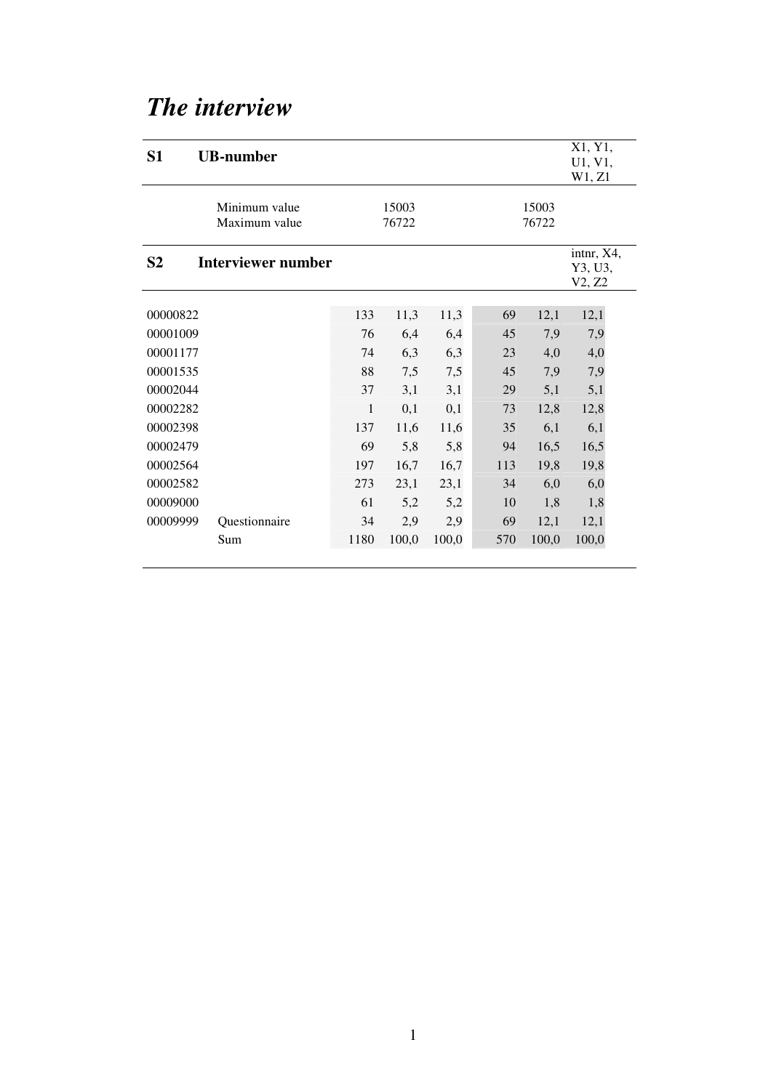# *The interview*

| S <sub>1</sub> | <b>UB-number</b>               |      |                |       |     |                | X1, Y1,<br>U1, V1,<br>W1, Z1    |
|----------------|--------------------------------|------|----------------|-------|-----|----------------|---------------------------------|
|                | Minimum value<br>Maximum value |      | 15003<br>76722 |       |     | 15003<br>76722 |                                 |
| S <sub>2</sub> | <b>Interviewer number</b>      |      |                |       |     |                | intnr, X4,<br>Y3, U3,<br>V2, Z2 |
| 00000822       |                                | 133  | 11,3           | 11,3  | 69  | 12,1           | 12,1                            |
| 00001009       |                                | 76   | 6,4            | 6,4   | 45  | 7,9            | 7,9                             |
| 00001177       |                                | 74   | 6,3            | 6,3   | 23  | 4,0            | 4,0                             |
| 00001535       |                                | 88   | 7,5            | 7,5   | 45  | 7,9            | 7,9                             |
| 00002044       |                                | 37   | 3,1            | 3,1   | 29  | 5,1            | 5,1                             |
| 00002282       |                                | 1    | 0,1            | 0,1   | 73  | 12,8           | 12,8                            |
| 00002398       |                                | 137  | 11,6           | 11,6  | 35  | 6,1            | 6,1                             |
| 00002479       |                                | 69   | 5,8            | 5,8   | 94  | 16,5           | 16,5                            |
| 00002564       |                                | 197  | 16,7           | 16,7  | 113 | 19,8           | 19,8                            |
| 00002582       |                                | 273  | 23,1           | 23,1  | 34  | 6,0            | 6,0                             |
| 00009000       |                                | 61   | 5,2            | 5,2   | 10  | 1,8            | 1,8                             |
| 00009999       | Questionnaire                  | 34   | 2,9            | 2,9   | 69  | 12,1           | 12,1                            |
|                | Sum                            | 1180 | 100,0          | 100,0 | 570 | 100,0          | 100,0                           |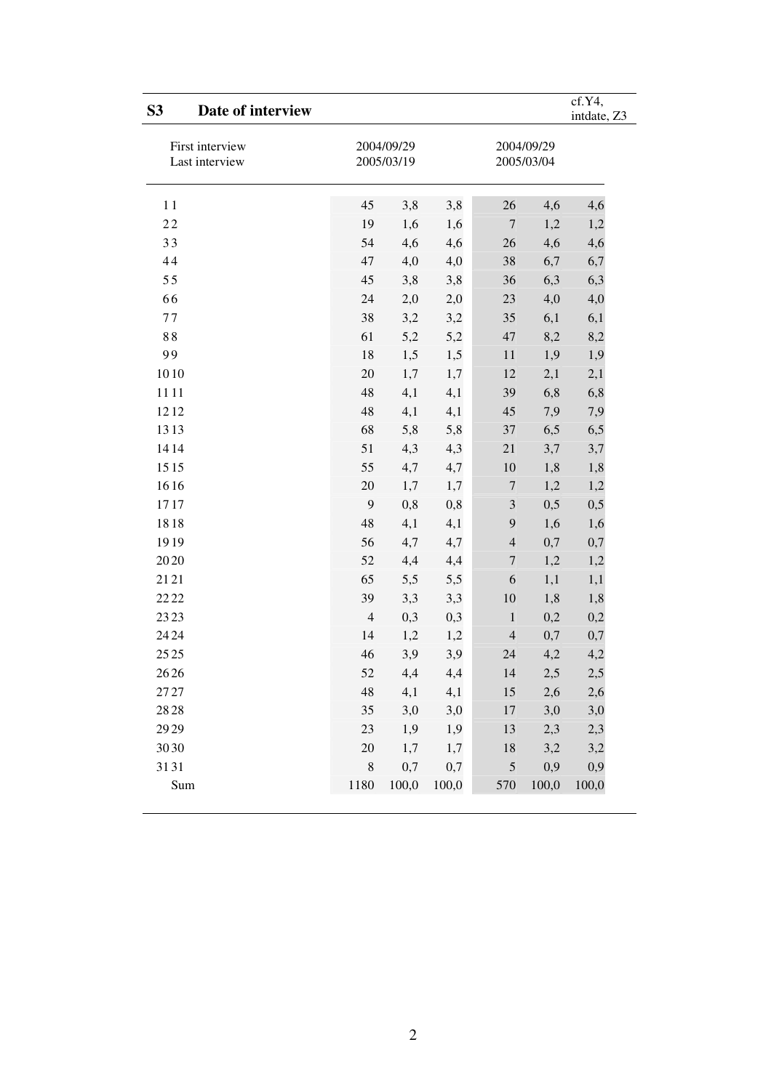| S <sub>3</sub> | Date of interview                 |                          |       |       |                          |         | cf.Y4,<br>intdate, Z3 |
|----------------|-----------------------------------|--------------------------|-------|-------|--------------------------|---------|-----------------------|
|                | First interview<br>Last interview | 2004/09/29<br>2005/03/19 |       |       | 2004/09/29<br>2005/03/04 |         |                       |
| 11             |                                   | 45                       | 3,8   | 3,8   | 26                       | 4,6     | 4,6                   |
| 22             |                                   | 19                       | 1,6   | 1,6   | $\boldsymbol{7}$         | 1,2     | 1,2                   |
| 33             |                                   | 54                       | 4,6   | 4,6   | 26                       | 4,6     | 4,6                   |
| 44             |                                   | 47                       | 4,0   | 4,0   | 38                       | 6,7     | 6,7                   |
| 55             |                                   | 45                       | 3,8   | 3,8   | 36                       | 6,3     | 6,3                   |
| 66             |                                   | 24                       | 2,0   | 2,0   | 23                       | 4,0     | 4,0                   |
| 77             |                                   | 38                       | 3,2   | 3,2   | 35                       | 6,1     | 6,1                   |
| 88             |                                   | 61                       | 5,2   | 5,2   | 47                       | 8,2     | 8,2                   |
| 99             |                                   | 18                       | 1,5   | 1,5   | 11                       | 1,9     | 1,9                   |
| 1010           |                                   | 20                       | 1,7   | 1,7   | 12                       | 2,1     | 2,1                   |
| 1111           |                                   | 48                       | 4,1   | 4,1   | 39                       | 6,8     | 6,8                   |
| 1212           |                                   | 48                       | 4,1   | 4,1   | 45                       | 7,9     | 7,9                   |
| 1313           |                                   | 68                       | 5,8   | 5,8   | 37                       | 6,5     | 6,5                   |
| 1414           |                                   | 51                       | 4,3   | 4,3   | 21                       | 3,7     | 3,7                   |
| 1515           |                                   | 55                       | 4,7   | 4,7   | 10                       | 1,8     | 1,8                   |
| 1616           |                                   | 20                       | 1,7   | 1,7   | $\overline{7}$           | 1,2     | 1,2                   |
| 1717           |                                   | 9                        | 0,8   | 0,8   | $\mathfrak{Z}$           | 0,5     | 0,5                   |
| 1818           |                                   | 48                       | 4,1   | 4,1   | 9                        | 1,6     | 1,6                   |
| 1919           |                                   | 56                       | 4,7   | 4,7   | $\overline{4}$           | 0,7     | 0,7                   |
| 2020           |                                   | 52                       | 4,4   | 4,4   | $\boldsymbol{7}$         | 1,2     | 1,2                   |
| 2121           |                                   | 65                       | 5,5   | 5,5   | 6                        | 1,1     | 1,1                   |
| 2222           |                                   | 39                       | 3,3   | 3,3   | 10                       | 1,8     | 1,8                   |
| 23 23          |                                   | $\overline{4}$           | 0,3   | 0,3   | $1\,$                    | 0,2     | 0,2                   |
| 24 24          |                                   | 14                       | 1,2   | 1,2   | $\overline{4}$           | 0,7     | 0,7                   |
| 25 25          |                                   | 46                       | 3,9   | 3,9   | 24                       | 4,2     | 4,2                   |
| $26\,26$       |                                   | 52                       | 4,4   | 4,4   | 14                       | $2,\!5$ | 2,5                   |
| 27 27          |                                   | 48                       | 4,1   | 4,1   | 15                       | 2,6     | 2,6                   |
| 2828           |                                   | 35                       | 3,0   | 3,0   | $17\,$                   | 3,0     | 3,0                   |
| 29 29          |                                   | 23                       | 1,9   | 1,9   | 13                       | 2,3     | 2,3                   |
| 3030           |                                   | 20                       | 1,7   | 1,7   | 18                       | 3,2     | 3,2                   |
| 3131           |                                   | $\,8\,$                  | 0,7   | 0,7   | 5                        | 0,9     | 0,9                   |
| Sum            |                                   | 1180                     | 100,0 | 100,0 | 570                      | 100,0   | 100,0                 |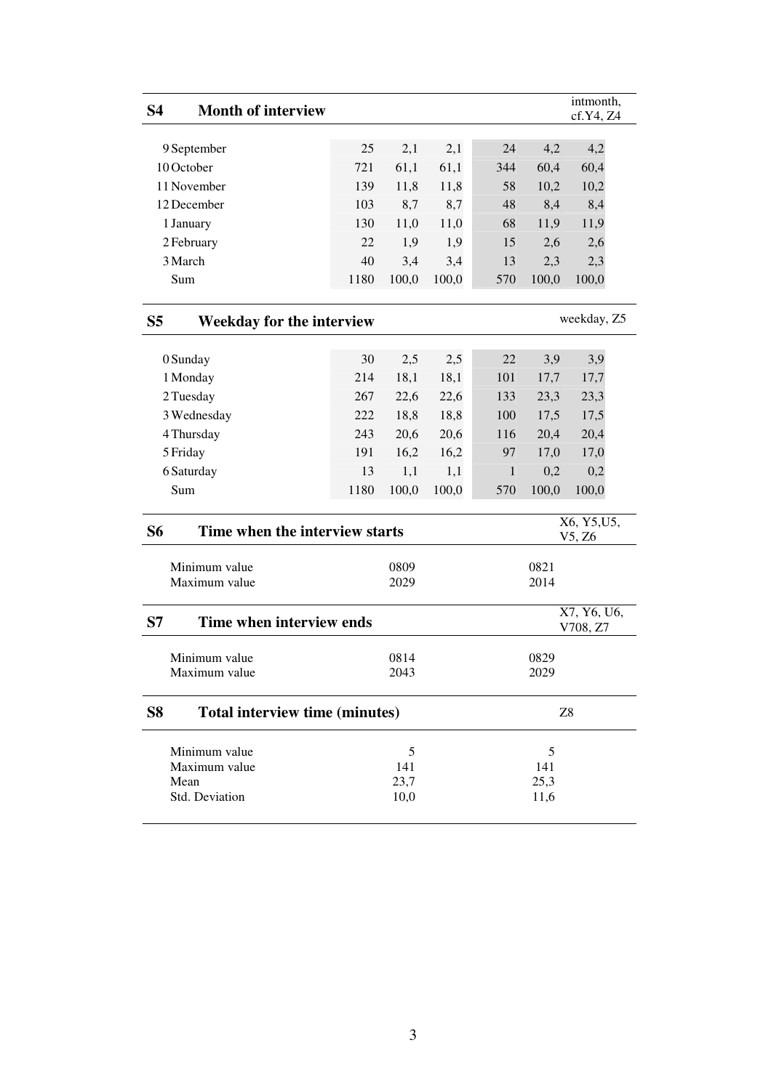| <b>S4</b><br><b>Month of interview</b>           |      |              |       |              |              | intmonth,<br>cf.Y4, Z4  |
|--------------------------------------------------|------|--------------|-------|--------------|--------------|-------------------------|
|                                                  |      |              |       |              |              |                         |
| 9 September                                      | 25   | 2,1          | 2,1   | 24           | 4,2          | 4,2                     |
| 10 October                                       | 721  | 61,1         | 61,1  | 344          | 60,4         | 60,4                    |
| 11 November                                      | 139  | 11,8         | 11,8  | 58           | 10,2         | 10,2                    |
| 12 December                                      | 103  | 8,7          | 8,7   | 48           | 8,4          | 8,4                     |
| 1 January                                        | 130  | 11,0         | 11,0  | 68           | 11,9         | 11,9                    |
| 2 February                                       | 22   | 1,9          | 1,9   | 15           | 2,6          | 2,6                     |
| 3 March                                          | 40   | 3,4          | 3,4   | 13           | 2,3          | 2,3                     |
| Sum                                              | 1180 | 100,0        | 100,0 | 570          | 100,0        | 100,0                   |
| S <sub>5</sub><br>Weekday for the interview      |      |              |       |              |              | weekday, Z5             |
| 0 Sunday                                         | 30   | 2,5          | 2,5   | 22           | 3,9          | 3,9                     |
| 1 Monday                                         | 214  | 18,1         | 18,1  | 101          | 17,7         | 17,7                    |
| 2 Tuesday                                        | 267  | 22,6         | 22,6  | 133          | 23,3         | 23,3                    |
| 3 Wednesday                                      | 222  | 18,8         | 18,8  | 100          | 17,5         | 17,5                    |
| 4 Thursday                                       | 243  | 20,6         | 20,6  | 116          | 20,4         | 20,4                    |
| 5 Friday                                         | 191  | 16,2         | 16,2  | 97           | 17,0         | 17,0                    |
| 6 Saturday                                       | 13   | 1,1          | 1,1   | $\mathbf{1}$ | 0,2          | 0,2                     |
| Sum                                              | 1180 | 100,0        | 100,0 | 570          | 100,0        | 100,0                   |
| <b>S6</b><br>Time when the interview starts      |      |              |       |              |              | X6, Y5, U5,<br>V5, Z6   |
| Minimum value                                    |      | 0809         |       |              | 0821         |                         |
| Maximum value                                    |      | 2029         |       |              | 2014         |                         |
| Time when interview ends<br>S7                   |      |              |       |              |              | X7, Y6, U6,<br>V708, Z7 |
| Minimum value<br>Maximum value                   |      | 0814<br>2043 |       | 0829<br>2029 |              |                         |
| S <sub>8</sub><br>Total interview time (minutes) |      |              |       |              |              | Z8                      |
|                                                  |      |              |       |              |              |                         |
| Minimum value                                    |      | 5            |       |              | 5            |                         |
| Maximum value                                    |      | 141          |       |              | 141          |                         |
| Mean<br>Std. Deviation                           |      | 23,7<br>10,0 |       |              | 25,3<br>11,6 |                         |
|                                                  |      |              |       |              |              |                         |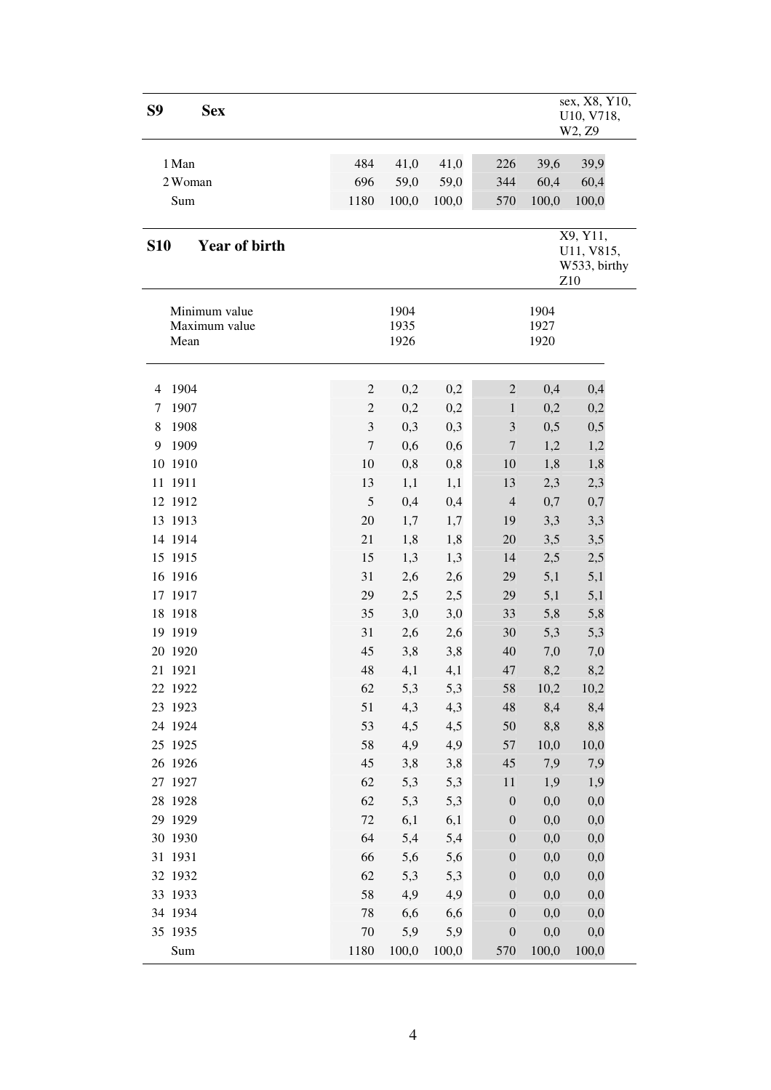| S9<br><b>Sex</b>                       |                |                      |            |                                      |                      | sex, X8, Y10,<br>U10, V718,<br>W2, Z9<br>39,9<br>39,6<br>60,4<br>60,4<br>100,0<br>X9, Y11,<br>U11, V815,<br>W533, birthy<br>Z10 |  |  |  |
|----------------------------------------|----------------|----------------------|------------|--------------------------------------|----------------------|---------------------------------------------------------------------------------------------------------------------------------|--|--|--|
| 1 Man                                  | 484            | 41,0                 | 41,0       | 226                                  |                      |                                                                                                                                 |  |  |  |
| 2 Woman                                | 696            | 59,0                 | 59,0       | 344                                  |                      |                                                                                                                                 |  |  |  |
| Sum                                    | 1180           | 100,0                | 100,0      | 570                                  | 100,0                |                                                                                                                                 |  |  |  |
|                                        |                |                      |            |                                      |                      |                                                                                                                                 |  |  |  |
| <b>Year of birth</b><br><b>S10</b>     |                |                      |            |                                      |                      |                                                                                                                                 |  |  |  |
| Minimum value<br>Maximum value<br>Mean |                | 1904<br>1935<br>1926 |            |                                      | 1904<br>1927<br>1920 |                                                                                                                                 |  |  |  |
| 1904<br>$\overline{4}$                 | $\overline{c}$ | 0,2                  | 0,2        | $\mathbf{2}$                         | 0,4                  | 0,4                                                                                                                             |  |  |  |
| 1907<br>7                              | $\overline{c}$ | 0,2                  | 0,2        | 1                                    | 0,2                  | 0,2                                                                                                                             |  |  |  |
| 1908<br>8                              | $\mathfrak{Z}$ | 0,3                  | 0,3        | 3                                    | 0,5                  | 0,5                                                                                                                             |  |  |  |
| 9<br>1909                              | $\sqrt{ }$     | 0,6                  | 0,6        | 7                                    | 1,2                  | 1,2                                                                                                                             |  |  |  |
| 10 1910                                | 10             | 0,8                  | 0,8        | 10                                   | 1,8                  | 1,8                                                                                                                             |  |  |  |
| 11 1911                                | 13             | 1,1                  | 1,1        | 13                                   | 2,3                  | 2,3                                                                                                                             |  |  |  |
| 12 1912                                | 5              | 0,4                  | 0,4        | $\overline{4}$                       | 0,7                  | 0,7                                                                                                                             |  |  |  |
| 13 1913                                | 20             | 1,7                  | 1,7        | 19                                   | 3,3                  | 3,3                                                                                                                             |  |  |  |
| 14 1914                                | 21             | 1,8                  | 1,8        | 20                                   | 3,5                  | 3,5                                                                                                                             |  |  |  |
| 15 1915                                | 15             | 1,3                  | 1,3        | 14                                   | 2,5                  | 2,5                                                                                                                             |  |  |  |
| 16 1916                                | 31             | 2,6                  | 2,6        | 29                                   | 5,1                  | 5,1                                                                                                                             |  |  |  |
| 17 1917                                | 29             | 2,5                  | 2,5        | 29                                   | 5,1                  | 5,1                                                                                                                             |  |  |  |
| 18 1918                                | 35             | 3,0                  | 3,0        | 33                                   | 5,8                  | 5,8                                                                                                                             |  |  |  |
| 19 19 19                               | 31             | 2,6                  | 2,6        | 30                                   | 5,3                  | 5,3                                                                                                                             |  |  |  |
| 20 1920                                | 45             | 3,8                  | 3,8        | 40                                   | 7,0                  | 7,0                                                                                                                             |  |  |  |
| 21 1921                                | 48             | 4,1                  | 4,1        | 47                                   | 8,2                  | 8,2                                                                                                                             |  |  |  |
| 22 1922                                | 62             | 5,3                  | 5,3        | 58                                   | 10,2                 | 10,2                                                                                                                            |  |  |  |
| 23 1923                                | 51             | 4,3                  | 4,3        | 48                                   | 8,4                  | 8,4                                                                                                                             |  |  |  |
| 24 1924                                | 53             | 4,5                  | 4,5        | 50                                   | 8,8                  | 8,8                                                                                                                             |  |  |  |
| 25 1925                                | 58             | 4,9                  | 4,9        | 57                                   | 10,0                 | 10,0                                                                                                                            |  |  |  |
| 26 1926                                | 45             | 3,8                  | 3,8        | 45                                   | 7,9                  | 7,9                                                                                                                             |  |  |  |
| 27 1927                                | 62             | 5,3                  | 5,3        | 11                                   | 1,9                  | 1,9                                                                                                                             |  |  |  |
| 28 1928                                | 62             | 5,3                  | 5,3        | $\boldsymbol{0}$                     | 0,0                  | 0,0                                                                                                                             |  |  |  |
| 29 1929                                | $72\,$         | 6,1                  | 6,1        | $\boldsymbol{0}$                     | 0,0                  | 0,0                                                                                                                             |  |  |  |
| 30 1930                                | 64             | 5,4                  | 5,4        | $\boldsymbol{0}$                     | 0,0                  | 0,0                                                                                                                             |  |  |  |
| 31 1931                                | 66             | 5,6                  | 5,6        | $\boldsymbol{0}$                     | 0,0                  | 0,0                                                                                                                             |  |  |  |
| 32 1932                                | 62             | 5,3                  | 5,3        | $\boldsymbol{0}$                     | 0,0                  | 0,0                                                                                                                             |  |  |  |
| 33 1933                                | 58             | 4,9                  | 4,9        | $\boldsymbol{0}$                     | 0,0                  | 0,0                                                                                                                             |  |  |  |
| 34 1934<br>35 1935                     | 78<br>70       | 6,6<br>5,9           | 6,6<br>5,9 | $\boldsymbol{0}$<br>$\boldsymbol{0}$ | 0,0<br>0,0           | 0,0<br>0,0                                                                                                                      |  |  |  |
| Sum                                    | 1180           | 100,0                | 100,0      | 570                                  | 100,0                | 100,0                                                                                                                           |  |  |  |
|                                        |                |                      |            |                                      |                      |                                                                                                                                 |  |  |  |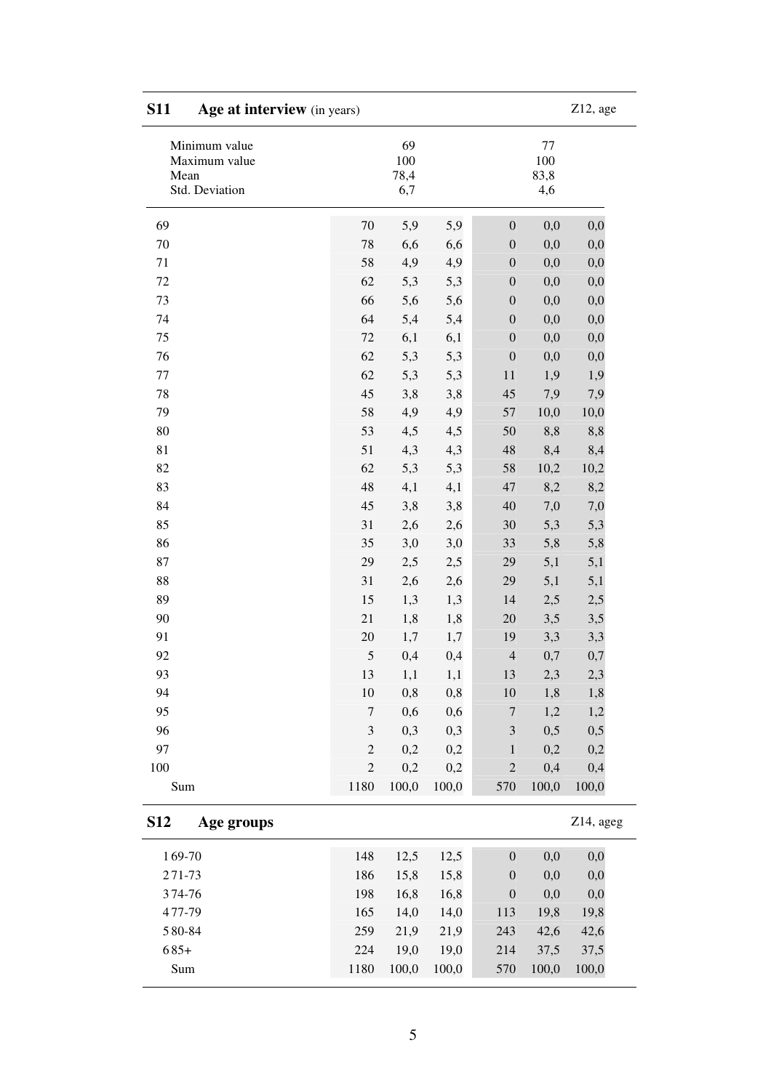| <b>S11</b><br>Age at interview (in years) |                |                       |       |                  |                        | $Z12$ , age |
|-------------------------------------------|----------------|-----------------------|-------|------------------|------------------------|-------------|
| Minimum value<br>Maximum value<br>Mean    |                | 69<br>$100\,$<br>78,4 |       |                  | $77 \,$<br>100<br>83,8 |             |
| Std. Deviation                            |                | 6,7                   |       |                  | 4,6                    |             |
| 69                                        | 70             | 5,9                   | 5,9   | $\boldsymbol{0}$ | 0,0                    | 0,0         |
| $70\,$                                    | 78             | 6,6                   | 6,6   | $\boldsymbol{0}$ | 0,0                    | 0,0         |
| 71                                        | 58             | 4,9                   | 4,9   | $\boldsymbol{0}$ | 0,0                    | 0,0         |
| $72\,$                                    | 62             | 5,3                   | 5,3   | $\boldsymbol{0}$ | 0,0                    | 0,0         |
| 73                                        | 66             | 5,6                   | 5,6   | $\boldsymbol{0}$ | 0,0                    | 0,0         |
| 74                                        | 64             | 5,4                   | 5,4   | $\boldsymbol{0}$ | 0,0                    | 0,0         |
| 75                                        | 72             | 6,1                   | 6,1   | $\boldsymbol{0}$ | 0,0                    | 0,0         |
| 76                                        | 62             | 5,3                   | 5,3   | $\boldsymbol{0}$ | 0,0                    | 0,0         |
| $77\,$                                    | 62             | 5,3                   | 5,3   | 11               | 1,9                    | 1,9         |
| 78                                        | 45             | 3,8                   | 3,8   | 45               | 7,9                    | 7,9         |
| 79                                        | 58             | 4,9                   | 4,9   | 57               | 10,0                   | 10,0        |
| 80                                        | 53             | 4,5                   | 4,5   | 50               | 8,8                    | 8,8         |
| 81                                        | 51             | 4,3                   | 4,3   | 48               | 8,4                    | 8,4         |
| 82                                        | 62             | 5,3                   | 5,3   | 58               | 10,2                   | 10,2        |
| 83                                        | 48             | 4,1                   | 4,1   | 47               | 8,2                    | 8,2         |
| 84                                        | 45             | 3,8                   | 3,8   | 40               | 7,0                    | 7,0         |
| 85                                        | 31             | 2,6                   | 2,6   | 30               | 5,3                    | 5,3         |
| 86                                        | 35             | 3,0                   | 3,0   | 33               | 5,8                    | 5,8         |
| 87                                        | 29             | 2,5                   | 2,5   | 29               | 5,1                    | 5,1         |
| 88                                        | 31             | 2,6                   | 2,6   | 29               | 5,1                    | 5,1         |
| 89                                        | 15             | 1,3                   | 1,3   | 14               | 2,5                    | 2,5         |
| 90                                        | 21             | 1,8                   | 1,8   | 20               | 3,5                    | 3,5         |
| 91                                        | 20             | 1,7                   | 1,7   | 19               | 3,3                    | 3,3         |
| 92                                        | 5              | 0,4                   | 0,4   | $\overline{4}$   | 0,7                    | 0,7         |
| 93                                        | 13             | 1,1                   | 1,1   | 13               | 2,3                    | 2,3         |
| 94                                        | 10             | 0,8                   | 0,8   | 10               | 1,8                    | 1,8         |
| 95                                        | $\tau$         | 0,6                   | 0,6   | $\boldsymbol{7}$ | 1,2                    | 1,2         |
| 96                                        | $\mathfrak{Z}$ | 0,3                   | 0,3   | $\mathfrak{Z}$   | 0,5                    | 0,5         |
| 97                                        | $\overline{c}$ | 0,2                   | 0,2   | $1\,$            | 0,2                    | 0,2         |
| 100                                       | $\mathfrak 2$  | 0,2                   | 0,2   | $\overline{c}$   | 0,4                    | 0,4         |
| Sum                                       | 1180           | 100,0                 | 100,0 | 570              | 100,0                  | 100,0       |
| <b>S12</b><br>Age groups                  |                |                       |       |                  |                        | Z14, ageg   |
| 169-70                                    | 148            | 12,5                  | 12,5  | $\boldsymbol{0}$ | 0,0                    | 0,0         |
| 271-73                                    | 186            | 15,8                  | 15,8  | $\boldsymbol{0}$ | 0,0                    | 0,0         |
| 374-76                                    | 198            | 16,8                  | 16,8  | $\boldsymbol{0}$ | 0,0                    | 0,0         |
| 477-79                                    | 165            | 14,0                  | 14,0  | 113              | 19,8                   | 19,8        |
| 580-84                                    | 259            | 21,9                  | 21,9  | 243              | 42,6                   | 42,6        |
| $685+$                                    | 224            | 19,0                  | 19,0  | 214              | 37,5                   | 37,5        |
| Sum                                       | 1180           | 100,0                 | 100,0 | 570              | 100,0                  | 100,0       |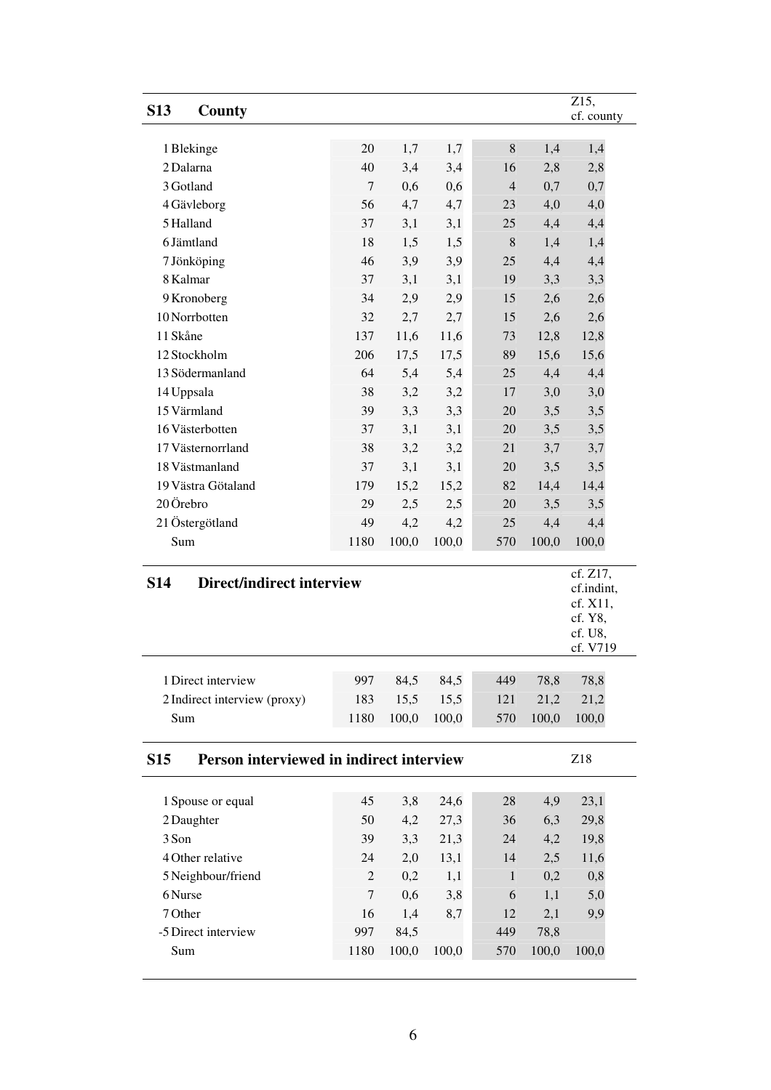|                                                        |                |       |       |                |       | $\overline{Z}$ 15,     |
|--------------------------------------------------------|----------------|-------|-------|----------------|-------|------------------------|
| <b>S13</b><br>County                                   |                |       |       |                |       | cf. county             |
|                                                        |                |       |       |                |       |                        |
| 1 Blekinge                                             | 20             | 1,7   | 1,7   | 8              | 1,4   | 1,4                    |
| 2 Dalarna                                              | 40             | 3,4   | 3,4   | 16             | 2,8   | 2,8                    |
| 3 Gotland                                              | $\overline{7}$ | 0,6   | 0,6   | $\overline{4}$ | 0,7   | 0,7                    |
| 4 Gävleborg                                            | 56             | 4,7   | 4,7   | 23             | 4,0   | 4,0                    |
| 5 Halland                                              | 37             | 3,1   | 3,1   | 25             | 4,4   | 4,4                    |
| 6 Jämtland                                             | 18             | 1,5   | 1,5   | 8              | 1,4   | 1,4                    |
| 7 Jönköping                                            | 46             | 3,9   | 3,9   | 25             | 4,4   | 4,4                    |
| 8 Kalmar                                               | 37             | 3,1   | 3,1   | 19             | 3,3   | 3,3                    |
| 9 Kronoberg                                            | 34             | 2,9   | 2,9   | 15             | 2,6   | 2,6                    |
| 10 Norrbotten                                          | 32             | 2,7   | 2,7   | 15             | 2,6   | 2,6                    |
| 11 Skåne                                               | 137            | 11,6  | 11,6  | 73             | 12,8  | 12,8                   |
| 12 Stockholm                                           | 206            | 17,5  | 17,5  | 89             | 15,6  | 15,6                   |
| 13 Södermanland                                        | 64             | 5,4   | 5,4   | 25             | 4,4   | 4,4                    |
| 14 Uppsala                                             | 38             | 3,2   | 3,2   | 17             | 3,0   | 3,0                    |
| 15 Värmland                                            | 39             | 3,3   | 3,3   | 20             | 3,5   | 3,5                    |
| 16 Västerbotten                                        | 37             | 3,1   | 3,1   | 20             | 3,5   | 3,5                    |
| 17 Västernorrland                                      | 38             | 3,2   | 3,2   | 21             | 3,7   | 3,7                    |
| 18 Västmanland                                         | 37             | 3,1   | 3,1   | 20             | 3,5   | 3,5                    |
| 19 Västra Götaland                                     | 179            | 15,2  | 15,2  | 82             | 14,4  | 14,4                   |
| 20 Örebro                                              | 29             | 2,5   | 2,5   | 20             | 3,5   | 3,5                    |
| 21 Östergötland                                        | 49             | 4,2   | 4,2   | 25             | 4,4   | 4,4                    |
| Sum                                                    | 1180           | 100,0 | 100,0 | 570            | 100,0 | 100,0                  |
|                                                        |                |       |       |                |       |                        |
| Direct/indirect interview<br><b>S14</b>                |                |       |       |                |       | cf. Z17,<br>cf.indint, |
|                                                        |                |       |       |                |       | cf. X11,               |
|                                                        |                |       |       |                |       | cf. Y8,                |
|                                                        |                |       |       |                |       | cf. U8.                |
|                                                        |                |       |       |                |       | cf. V719               |
| 1 Direct interview                                     | 997            | 84,5  | 84,5  | 449            | 78,8  | 78,8                   |
| 2 Indirect interview (proxy)                           | 183            | 15,5  | 15,5  | 121            | 21,2  | 21,2                   |
| Sum                                                    | 1180           | 100,0 | 100,0 | 570            | 100,0 | 100,0                  |
|                                                        |                |       |       |                |       |                        |
| Person interviewed in indirect interview<br><b>S15</b> |                |       |       |                |       | Z18                    |
|                                                        |                |       |       |                |       |                        |
| 1 Spouse or equal                                      | 45             | 3,8   | 24,6  | 28             | 4,9   | 23,1                   |
| 2 Daughter                                             | 50             | 4,2   | 27,3  | 36             | 6,3   | 29,8                   |
| 3 Son                                                  | 39             | 3,3   | 21,3  | 24             | 4,2   | 19,8                   |
| 4 Other relative                                       | 24             | 2,0   | 13,1  | 14             | 2,5   | 11,6                   |
| 5 Neighbour/friend                                     | $\mathfrak{2}$ | 0,2   | 1,1   | $\mathbf{1}$   | 0,2   | 0,8                    |
|                                                        |                |       |       |                |       |                        |

6 Nurse 7 0,6 3,8 6 1,1 5,0 7 Other 16 1,4 8,7 12 2,1 9,9

Sum 1180 100,0 100,0 570 100,0 100,0

-5 Direct interview 997 84,5 449 78,8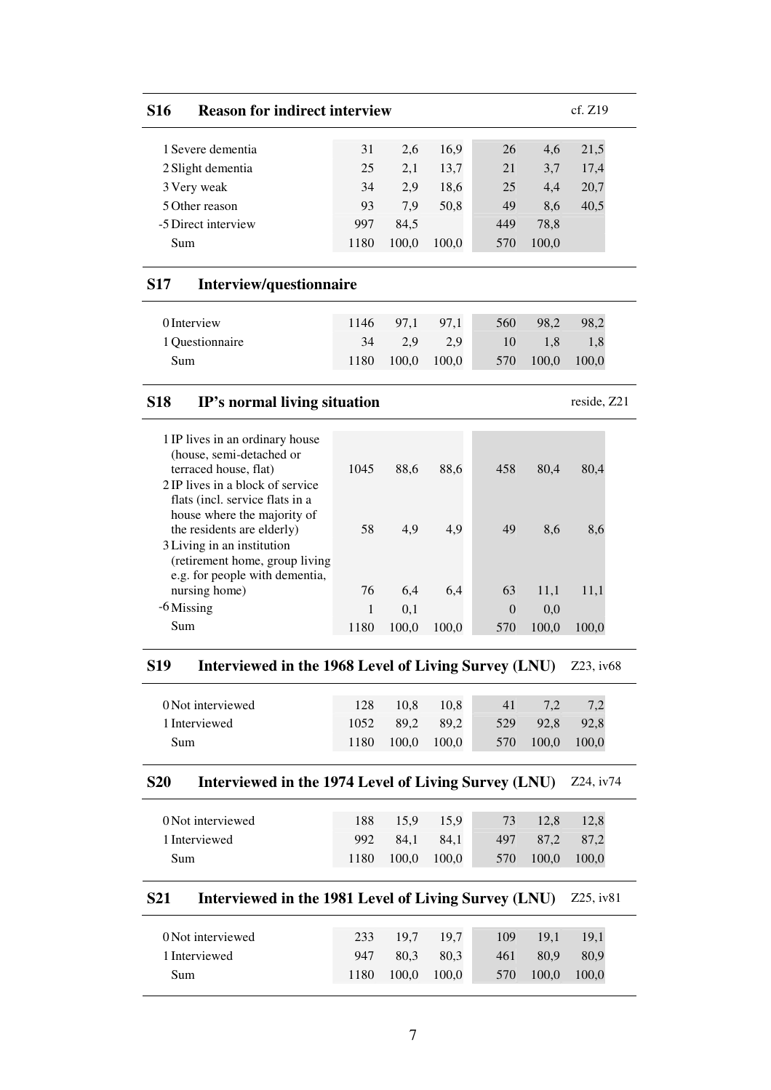| <b>S16</b> | <b>Reason for indirect interview</b> | cf. Z19 |
|------------|--------------------------------------|---------|
|            |                                      |         |

| 1 Severe dementia   | 31   | 2.6   | 16.9  | 26  | 4.6   | 21,5 |
|---------------------|------|-------|-------|-----|-------|------|
| 2 Slight dementia   | 25   | 2.1   | 13.7  | 21  | 3.7   | 17.4 |
| 3 Very weak         | 34   | 2.9   | 18.6  | 25  | 4.4   | 20,7 |
| 5 Other reason      | 93   | 7.9   | 50,8  | 49  | 8.6   | 40,5 |
| -5 Direct interview | 997  | 84.5  |       | 449 | 78.8  |      |
| Sum                 | 1180 | 100.0 | 100,0 | 570 | 100,0 |      |
|                     |      |       |       |     |       |      |

# **S17 Interview/questionnaire**

| 0 Interview     |      | 1146 97.1 | 97.1  | 560 | 98.2  | 98.2  |
|-----------------|------|-----------|-------|-----|-------|-------|
| 1 Ouestionnaire | 34   | 2.9       | 2.9   | 10  | 1.8   |       |
| Sum             | 1180 | 100,0     | 100,0 | 570 | 100,0 | 100,0 |

### **S18 IP's normal living situation** reside, Z21

| 1 IP lives in an ordinary house<br>(house, semi-detached or |      |       |       |          |       |       |
|-------------------------------------------------------------|------|-------|-------|----------|-------|-------|
| terraced house, flat)                                       | 1045 | 88.6  | 88,6  | 458      | 80.4  | 80.4  |
| 2 IP lives in a block of service                            |      |       |       |          |       |       |
| flats (incl. service flats in a                             |      |       |       |          |       |       |
| house where the majority of                                 |      |       |       |          |       |       |
| the residents are elderly)                                  | 58   | 4.9   | 4,9   | 49       | 8,6   | 8,6   |
| 3 Living in an institution                                  |      |       |       |          |       |       |
| (retirement home, group living                              |      |       |       |          |       |       |
| e.g. for people with dementia,                              |      |       |       |          |       |       |
| nursing home)                                               | 76   | 6,4   | 6,4   | 63       | 11,1  | 11,1  |
| -6 Missing                                                  | 1    | 0.1   |       | $\Omega$ | 0.0   |       |
| Sum                                                         | 1180 | 100.0 | 100.0 | 570      | 100.0 | 100.0 |

# **S19 Interviewed in the 1968 Level of Living Survey (LNU)** Z23, iv68

| 0 Not interviewed | 128  | 10.8  | 10.8  | 41  | 7.2   |       |
|-------------------|------|-------|-------|-----|-------|-------|
| 1 Interviewed     | 1052 | 89.2  | 89.2  | 529 | 92.8  | 92.8  |
| Sum               | 1180 | 100.0 | 100,0 | 570 | 100,0 | 100,0 |

# **S20 Interviewed in the 1974 Level of Living Survey (LNU)** Z24, iv74

| 0 Not interviewed | 188  | 15.9  | 15.9  | 73  | 12.8  | 12.8      |
|-------------------|------|-------|-------|-----|-------|-----------|
| 1 Interviewed     | 992  | 84.1  | 84.1  | 497 |       | 87.2 87.2 |
| Sum               | 1180 | 100,0 | 100,0 | 570 | 100,0 | 100,0     |

# **S21 Interviewed in the 1981 Level of Living Survey (LNU)** Z25, iv81

| 0 Not interviewed | 233  | 19.7 <sup>2</sup> | 19.7  | 109 | <b>19.1</b> | 19.1  |
|-------------------|------|-------------------|-------|-----|-------------|-------|
| 1 Interviewed     | 947  | 80.3              | 80.3  | 461 | 80.9        | 80.9  |
| Sum               | 1180 | 100,0             | 100,0 | 570 | 100,0       | 100.0 |
|                   |      |                   |       |     |             |       |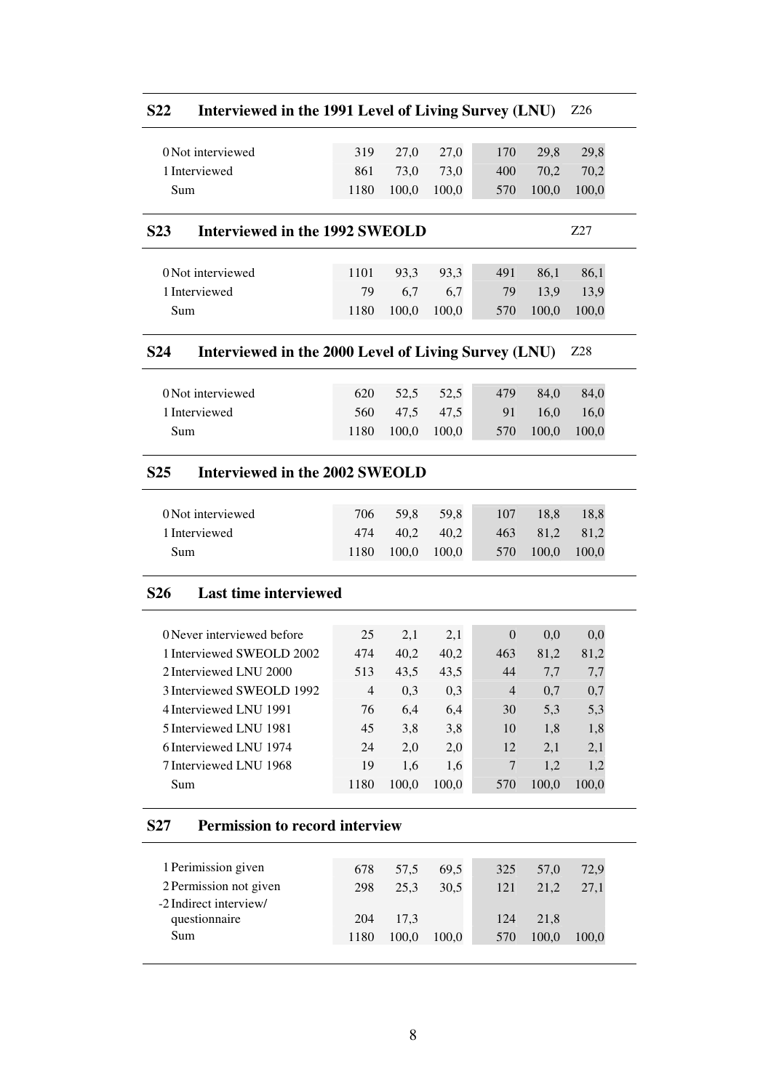| <b>S22</b>       | Interviewed in the 1991 Level of Living Survey (LNU) |                |       |       |                  |       | Z <sub>26</sub> |
|------------------|------------------------------------------------------|----------------|-------|-------|------------------|-------|-----------------|
|                  | 0 Not interviewed                                    | 319            | 27,0  | 27,0  | 170              | 29,8  | 29,8            |
|                  | 1 Interviewed                                        | 861            | 73,0  | 73,0  | 400              | 70,2  | 70,2            |
| Sum              |                                                      | 1180           | 100,0 | 100,0 | 570              | 100,0 | 100,0           |
| S <sub>2</sub> 3 | Interviewed in the 1992 SWEOLD                       |                |       |       |                  |       | Z27             |
|                  | 0 Not interviewed                                    | 1101           | 93,3  | 93,3  | 491              | 86,1  | 86,1            |
|                  | 1 Interviewed                                        | 79             | 6,7   | 6,7   | 79               | 13,9  | 13,9            |
| Sum              |                                                      | 1180           | 100,0 | 100,0 | 570              | 100,0 | 100,0           |
| S <sub>24</sub>  | Interviewed in the 2000 Level of Living Survey (LNU) |                |       |       |                  |       | Z28             |
|                  | 0 Not interviewed                                    | 620            | 52,5  | 52,5  | 479              | 84,0  | 84,0            |
|                  | 1 Interviewed                                        | 560            | 47,5  | 47,5  | 91               | 16,0  | 16,0            |
| Sum              |                                                      | 1180           | 100,0 | 100,0 | 570              | 100,0 | 100,0           |
| S <sub>25</sub>  | Interviewed in the 2002 SWEOLD                       |                |       |       |                  |       |                 |
|                  | 0 Not interviewed                                    | 706            | 59,8  | 59,8  | 107              | 18,8  | 18,8            |
|                  | 1 Interviewed                                        | 474            | 40,2  | 40,2  | 463              | 81,2  | 81,2            |
| Sum              |                                                      | 1180           | 100,0 | 100,0 | 570              | 100,0 | 100,0           |
| <b>S26</b>       | <b>Last time interviewed</b>                         |                |       |       |                  |       |                 |
|                  | 0 Never interviewed before                           | 25             | 2,1   | 2,1   | $\boldsymbol{0}$ | 0,0   | 0,0             |
|                  | 1 Interviewed SWEOLD 2002                            | 474            | 40,2  | 40,2  | 463              | 81,2  | 81,2            |
|                  | 2 Interviewed LNU 2000                               | 513            | 43,5  | 43,5  | 44               | 7,7   | 7,7             |
|                  | 3 Interviewed SWEOLD 1992                            | $\overline{4}$ | 0,3   | 0,3   | $\overline{4}$   | 0,7   | 0,7             |
|                  | 4 Interviewed LNU 1991                               | 76             | 6,4   | 6,4   | 30               | 5,3   | 5,3             |
|                  | 5 Interviewed LNU 1981                               | 45             | 3,8   | 3,8   | 10               | 1,8   | 1,8             |
|                  | 6 Interviewed LNU 1974                               | 24             | 2,0   | 2,0   | 12               | 2,1   | 2,1             |
|                  | 7 Interviewed LNU 1968                               | 19             | 1,6   | 1,6   | 7                | 1,2   | 1,2             |
| Sum              |                                                      | 1180           | 100,0 | 100,0 | 570              | 100,0 | 100,0           |
| S <sub>27</sub>  | <b>Permission to record interview</b>                |                |       |       |                  |       |                 |
|                  | 1 Perimission given                                  | 678            | 57,5  | 69,5  | 325              | 57,0  | 72,9            |
|                  | 2 Permission not given<br>-2 Indirect interview/     | 298            | 25,3  | 30,5  | 121              | 21,2  | 27,1            |
|                  | questionnaire                                        | 204            | 17,3  |       | 124              | 21,8  |                 |
| Sum              |                                                      | 1180           | 100,0 | 100,0 | 570              | 100,0 | 100,0           |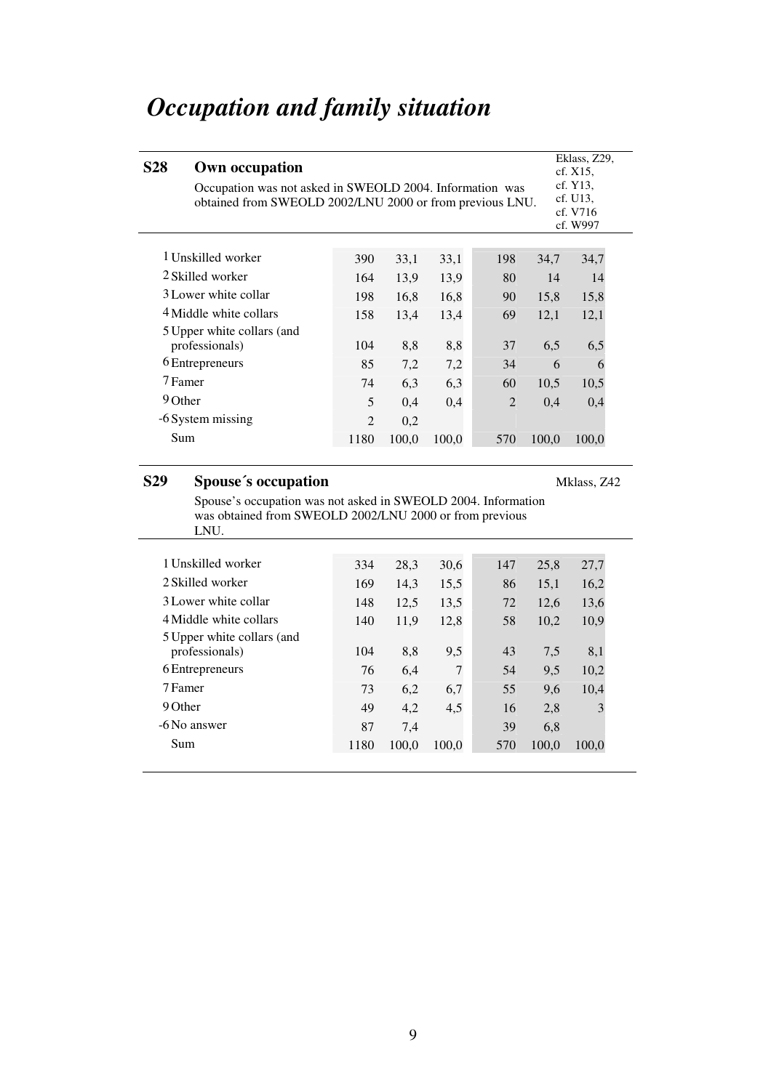# *Occupation and family situation*

| <b>S28</b> | Own occupation<br>Occupation was not asked in SWEOLD 2004. Information was<br>obtained from SWEOLD 2002/LNU 2000 or from previous LNU. |                |       |       |                |       |       |  |
|------------|----------------------------------------------------------------------------------------------------------------------------------------|----------------|-------|-------|----------------|-------|-------|--|
|            |                                                                                                                                        |                |       |       |                |       |       |  |
|            | 1 Unskilled worker                                                                                                                     | 390            | 33,1  | 33,1  | 198            | 34,7  | 34,7  |  |
|            | 2 Skilled worker                                                                                                                       | 164            | 13.9  | 13.9  | 80             | 14    | 14    |  |
|            | 3 Lower white collar                                                                                                                   | 198            | 16,8  | 16,8  | 90             | 15,8  | 15,8  |  |
|            | 4 Middle white collars                                                                                                                 | 158            | 13,4  | 13,4  | 69             | 12,1  | 12,1  |  |
|            | 5 Upper white collars (and<br>professionals)                                                                                           | 104            | 8,8   | 8,8   | 37             | 6,5   | 6,5   |  |
|            | 6 Entrepreneurs                                                                                                                        | 85             | 7,2   | 7,2   | 34             | 6     | 6     |  |
|            | 7 Famer                                                                                                                                | 74             | 6,3   | 6.3   | 60             | 10.5  | 10,5  |  |
| 9 Other    |                                                                                                                                        | 5              | 0,4   | 0,4   | $\overline{2}$ | 0.4   | 0,4   |  |
|            | -6 System missing                                                                                                                      | $\mathfrak{D}$ | 0,2   |       |                |       |       |  |
| Sum        |                                                                                                                                        | 1180           | 100,0 | 100,0 | 570            | 100,0 | 100,0 |  |

# **S29 Spouse´s occupation**

Mklass, Z42

Spouse's occupation was not asked in SWEOLD 2004. Information was obtained from SWEOLD 2002/LNU 2000 or from previous LNU.

| 1 Unskilled worker         | 334  | 28.3  | 30,6  | 147 | 25,8  | 27,7  |
|----------------------------|------|-------|-------|-----|-------|-------|
| 2 Skilled worker           | 169  | 14,3  | 15.5  | 86  | 15,1  | 16,2  |
| 3 Lower white collar       | 148  | 12,5  | 13.5  | 72  | 12.6  | 13,6  |
| 4 Middle white collars     | 140  | 11,9  | 12,8  | 58  | 10,2  | 10,9  |
| 5 Upper white collars (and |      |       |       |     |       |       |
| professionals)             | 104  | 8.8   | 9,5   | 43  | 7.5   | 8,1   |
| 6 Entrepreneurs            | 76   | 6,4   | 7     | 54  | 9,5   | 10,2  |
| 7 Famer                    | 73   | 6,2   | 6,7   | 55  | 9,6   | 10,4  |
| 9 Other                    | 49   | 4,2   | 4,5   | 16  | 2,8   | 3     |
| -6 No answer               | 87   | 7,4   |       | 39  | 6,8   |       |
| Sum                        | 1180 | 100,0 | 100.0 | 570 | 100,0 | 100,0 |
|                            |      |       |       |     |       |       |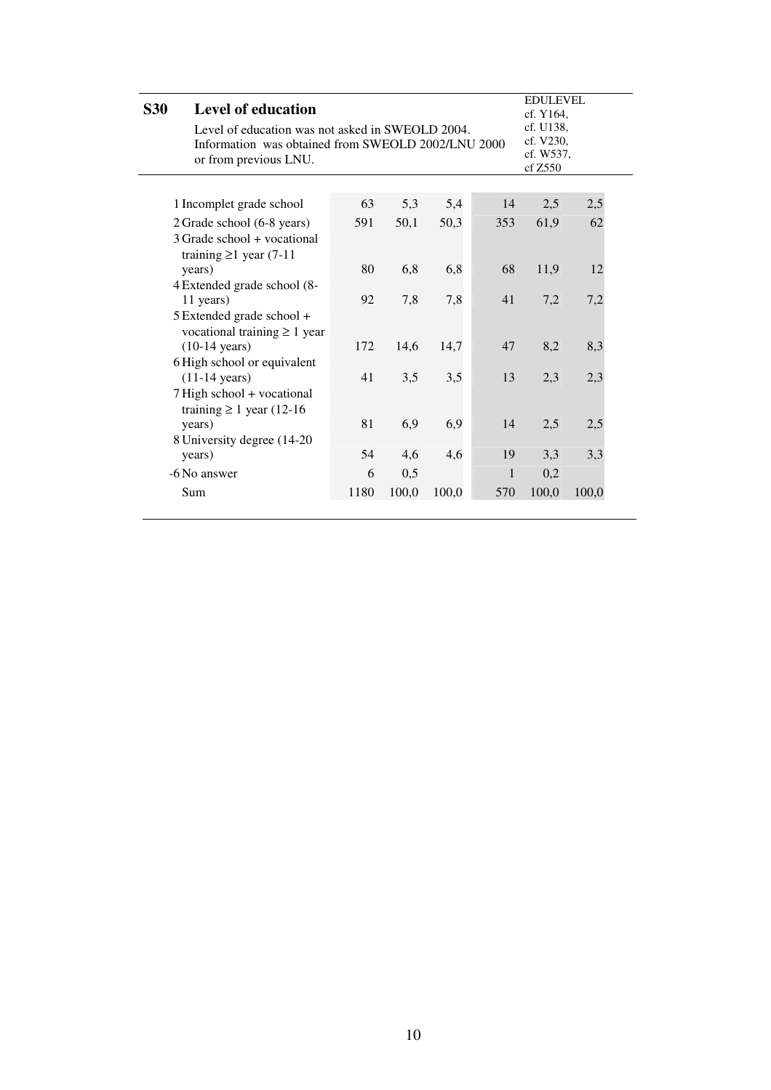| <b>S30</b> | <b>Level of education</b>                          |      |       |       |     | <b>EDULEVEL</b>        |       |  |
|------------|----------------------------------------------------|------|-------|-------|-----|------------------------|-------|--|
|            |                                                    |      |       |       |     | cf. Y164,              |       |  |
|            | Level of education was not asked in SWEOLD 2004.   |      |       |       |     | cf. U138,              |       |  |
|            | Information was obtained from SWEOLD 2002/LNU 2000 |      |       |       |     | cf. V230,<br>cf. W537, |       |  |
|            | or from previous LNU.                              |      |       |       |     | cf Z550                |       |  |
|            |                                                    |      |       |       |     |                        |       |  |
|            |                                                    |      |       |       |     |                        |       |  |
|            | 1 Incomplet grade school                           | 63   | 5,3   | 5,4   | 14  | 2,5                    | 2,5   |  |
|            | 2 Grade school (6-8 years)                         | 591  | 50,1  | 50,3  | 353 | 61,9                   | 62    |  |
|            | 3 Grade school + vocational                        |      |       |       |     |                        |       |  |
|            | training $\geq 1$ year (7-11)                      |      |       |       |     |                        |       |  |
|            | years)                                             | 80   | 6,8   | 6,8   | 68  | 11,9                   | 12    |  |
|            | 4 Extended grade school (8-                        |      |       |       |     |                        |       |  |
|            | 11 years)                                          | 92   | 7,8   | 7,8   | 41  | 7,2                    | 7,2   |  |
|            | 5 Extended grade school +                          |      |       |       |     |                        |       |  |
|            | vocational training $\geq 1$ year                  |      |       |       |     |                        |       |  |
|            | $(10-14 \text{ years})$                            | 172  | 14,6  | 14,7  | 47  | 8,2                    | 8,3   |  |
|            | 6 High school or equivalent                        |      |       |       |     |                        |       |  |
|            | $(11-14 \text{ years})$                            | 41   | 3,5   | 3,5   | 13  | 2,3                    | 2,3   |  |
|            | 7 High school + vocational                         |      |       |       |     |                        |       |  |
|            | training $\geq 1$ year (12-16)                     |      |       |       |     |                        |       |  |
|            |                                                    | 81   | 6,9   | 6,9   | 14  |                        |       |  |
|            | years)                                             |      |       |       |     | 2,5                    | 2,5   |  |
|            | 8 University degree (14-20)                        |      |       |       |     |                        |       |  |
|            | years)                                             | 54   | 4,6   | 4,6   | 19  | 3,3                    | 3,3   |  |
|            | -6 No answer                                       | 6    | 0,5   |       | 1   | 0,2                    |       |  |
|            | Sum                                                | 1180 | 100,0 | 100,0 | 570 | 100,0                  | 100,0 |  |
|            |                                                    |      |       |       |     |                        |       |  |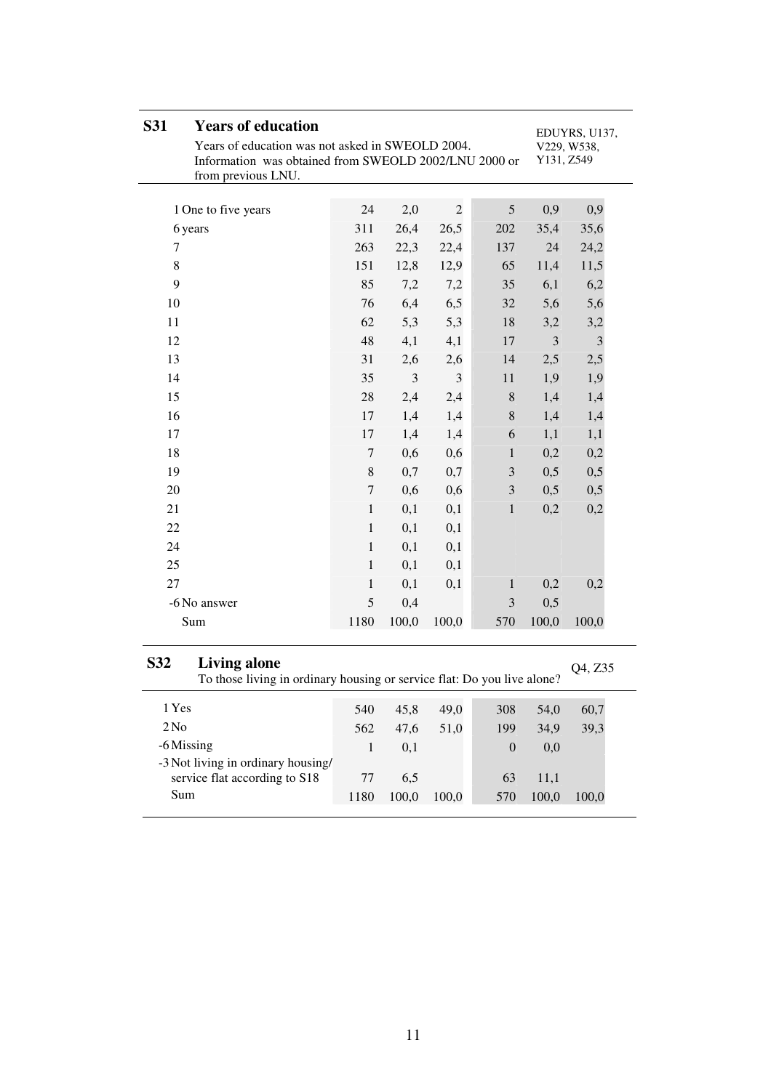| <b>S31</b><br><b>Years of education</b><br>Years of education was not asked in SWEOLD 2004.<br>Information was obtained from SWEOLD 2002/LNU 2000 or<br>from previous LNU. |                  | EDUYRS, U137,<br>V229, W538,<br>Y131, Z549 |                |                  |       |         |
|----------------------------------------------------------------------------------------------------------------------------------------------------------------------------|------------------|--------------------------------------------|----------------|------------------|-------|---------|
| 1 One to five years                                                                                                                                                        | 24               | 2,0                                        | $\overline{2}$ | 5                | 0,9   | 0,9     |
| 6 years                                                                                                                                                                    | 311              | 26,4                                       | 26,5           | 202              | 35,4  | 35,6    |
| 7                                                                                                                                                                          | 263              | 22,3                                       | 22,4           | 137              | 24    | 24,2    |
| $\,8\,$                                                                                                                                                                    | 151              | 12,8                                       | 12,9           | 65               | 11,4  | 11,5    |
| 9                                                                                                                                                                          | 85               | 7,2                                        | 7,2            | 35               | 6,1   | 6,2     |
| 10                                                                                                                                                                         | 76               | 6,4                                        | 6,5            | 32               | 5,6   | 5,6     |
| 11                                                                                                                                                                         | 62               | 5,3                                        | 5,3            | 18               | 3,2   | 3,2     |
| 12                                                                                                                                                                         | 48               | 4,1                                        | 4,1            | 17               | 3     | 3       |
| 13                                                                                                                                                                         | 31               | 2,6                                        | 2,6            | 14               | 2,5   | 2,5     |
| 14                                                                                                                                                                         | 35               | $\mathfrak{Z}$                             | 3              | 11               | 1,9   | 1,9     |
| 15                                                                                                                                                                         | 28               | 2,4                                        | 2,4            | $\,8\,$          | 1,4   |         |
| 16                                                                                                                                                                         |                  |                                            |                |                  |       | 1,4     |
|                                                                                                                                                                            | 17               | 1,4                                        | 1,4            | $\,8\,$          | 1,4   | 1,4     |
| 17                                                                                                                                                                         | 17               | 1,4                                        | 1,4            | 6                | 1,1   | 1,1     |
| 18                                                                                                                                                                         | $\boldsymbol{7}$ | 0,6                                        | 0,6            | $\mathbf{1}$     | 0,2   | 0,2     |
| 19                                                                                                                                                                         | 8                | 0,7                                        | 0,7            | 3                | 0,5   | 0,5     |
| 20                                                                                                                                                                         | $\overline{7}$   | 0,6                                        | 0,6            | $\mathfrak{Z}$   | 0,5   | 0,5     |
| 21                                                                                                                                                                         | $\mathbf{1}$     | 0,1                                        | 0,1            | $\mathbf{1}$     | 0,2   | 0,2     |
| 22                                                                                                                                                                         | $\mathbf{1}$     | 0,1                                        | 0,1            |                  |       |         |
| 24                                                                                                                                                                         | $\mathbf{1}$     | 0,1                                        | 0,1            |                  |       |         |
| 25                                                                                                                                                                         | $\mathbf{1}$     | 0,1                                        | 0,1            |                  |       |         |
| 27                                                                                                                                                                         | $\mathbf{1}$     | 0,1                                        | 0,1            | $\mathbf{1}$     | 0,2   | 0,2     |
| -6 No answer                                                                                                                                                               | 5                | 0,4                                        |                | 3                | 0,5   |         |
| Sum                                                                                                                                                                        | 1180             | 100,0                                      | 100,0          | 570              | 100,0 | 100,0   |
| S32<br><b>Living alone</b><br>To those living in ordinary housing or service flat: Do you live alone?                                                                      |                  |                                            |                |                  |       | Q4, Z35 |
| 1 Yes                                                                                                                                                                      | 540              | 45,8                                       | 49,0           | 308              | 54,0  | 60,7    |
| 2N <sub>0</sub>                                                                                                                                                            | 562              | 47,6                                       | 51,0           | 199              | 34,9  | 39,3    |
| -6 Missing                                                                                                                                                                 | $\mathbf{1}$     | 0,1                                        |                | $\boldsymbol{0}$ | 0,0   |         |
| -3 Not living in ordinary housing/<br>service flat according to S18                                                                                                        | 77               | 6,5                                        |                | 63               | 11,1  |         |

Sum 1180 100,0 100,0 570 100,0 100,0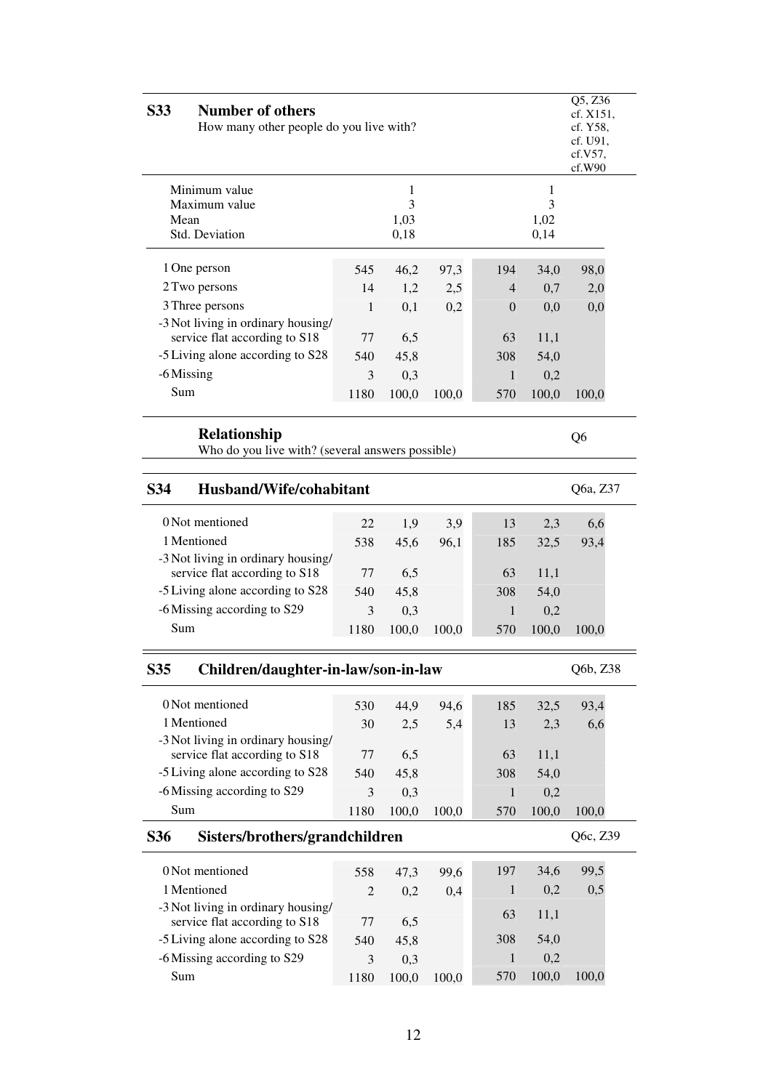| S33<br><b>Number of others</b>                                          |                | Q5, Z36<br>cf. X151,<br>How many other people do you live with?<br>cf. Y58,<br>cf. U91.<br>cf.V57,<br>cf.W90 |       |              |                        |                |  |  |  |
|-------------------------------------------------------------------------|----------------|--------------------------------------------------------------------------------------------------------------|-------|--------------|------------------------|----------------|--|--|--|
| Minimum value<br>Maximum value<br>Mean<br>Std. Deviation                |                | 1<br>3<br>1,03<br>0,18                                                                                       |       |              | 1<br>3<br>1,02<br>0,14 |                |  |  |  |
| 1 One person                                                            | 545            | 46,2                                                                                                         | 97,3  | 194          | 34,0                   | 98,0           |  |  |  |
| 2 Two persons                                                           | 14             | 1,2                                                                                                          | 2,5   | 4            | 0,7                    | 2,0            |  |  |  |
| 3 Three persons                                                         | 1              | 0,1                                                                                                          | 0,2   | 0            | 0,0                    | 0,0            |  |  |  |
| -3 Not living in ordinary housing/<br>service flat according to S18     | 77             | 6,5                                                                                                          |       | 63           | 11,1                   |                |  |  |  |
| -5 Living alone according to S28                                        | 540            | 45,8                                                                                                         |       | 308          | 54,0                   |                |  |  |  |
| -6 Missing                                                              | 3              | 0,3                                                                                                          |       | $\mathbf{1}$ | 0,2                    |                |  |  |  |
| Sum                                                                     | 1180           | 100,0                                                                                                        | 100,0 | 570          | 100,0                  | 100,0          |  |  |  |
| <b>Relationship</b><br>Who do you live with? (several answers possible) |                |                                                                                                              |       |              |                        | Q <sub>6</sub> |  |  |  |
| S34<br>Husband/Wife/cohabitant                                          |                |                                                                                                              |       |              |                        | Q6a, Z37       |  |  |  |
| 0 Not mentioned                                                         | 22             | 1,9                                                                                                          | 3,9   | 13           | 2,3                    | 6,6            |  |  |  |
| 1 Mentioned                                                             | 538            | 45,6                                                                                                         | 96,1  | 185          | 32,5                   | 93,4           |  |  |  |
| -3 Not living in ordinary housing/                                      |                |                                                                                                              |       |              |                        |                |  |  |  |
| service flat according to S18                                           | 77             | 6,5                                                                                                          |       | 63           | 11,1                   |                |  |  |  |
| -5 Living alone according to S28                                        | 540            | 45,8                                                                                                         |       | 308          | 54,0                   |                |  |  |  |
| -6 Missing according to S29                                             | 3              | 0,3                                                                                                          |       | 1            | 0,2                    |                |  |  |  |
| Sum                                                                     | 1180           | 100,0                                                                                                        | 100,0 | 570          | 100,0                  | 100,0          |  |  |  |
| S35<br>Children/daughter-in-law/son-in-law                              |                |                                                                                                              |       |              |                        | Q6b, Z38       |  |  |  |
| 0 Not mentioned                                                         | 530            | 44,9                                                                                                         | 94,6  | 185          | 32,5                   | 93,4           |  |  |  |
| 1 Mentioned                                                             | 30             | 2,5                                                                                                          | 5,4   | 13           | 2,3                    | 6,6            |  |  |  |
| -3 Not living in ordinary housing/                                      |                |                                                                                                              |       |              |                        |                |  |  |  |
| service flat according to S18<br>-5 Living alone according to S28       | 77             | 6,5                                                                                                          |       | 63           | 11,1                   |                |  |  |  |
|                                                                         | 540            | 45,8                                                                                                         |       | 308          | 54,0                   |                |  |  |  |
| -6 Missing according to S29<br>Sum                                      | 3              | 0,3                                                                                                          | 100,0 | $\mathbf{1}$ | 0,2                    |                |  |  |  |
|                                                                         | 1180           | 100,0                                                                                                        |       | 570          | 100,0                  | 100,0          |  |  |  |
| Sisters/brothers/grandchildren<br>S36                                   |                |                                                                                                              |       |              |                        | Q6c, Z39       |  |  |  |
| 0 Not mentioned                                                         | 558            | 47,3                                                                                                         | 99,6  | 197          | 34,6                   | 99,5           |  |  |  |
| 1 Mentioned                                                             | $\overline{c}$ | 0,2                                                                                                          | 0,4   | 1            | 0,2                    | 0,5            |  |  |  |
| -3 Not living in ordinary housing/<br>service flat according to S18     | 77             | 6,5                                                                                                          |       | 63           | 11,1                   |                |  |  |  |
| -5 Living alone according to S28                                        | 540            | 45,8                                                                                                         |       | 308          | 54,0                   |                |  |  |  |
| -6 Missing according to S29                                             | 3              | 0,3                                                                                                          |       | $\mathbf{1}$ | 0,2                    |                |  |  |  |
| Sum                                                                     | 1180           | 100,0                                                                                                        | 100,0 | 570          | 100,0                  | 100,0          |  |  |  |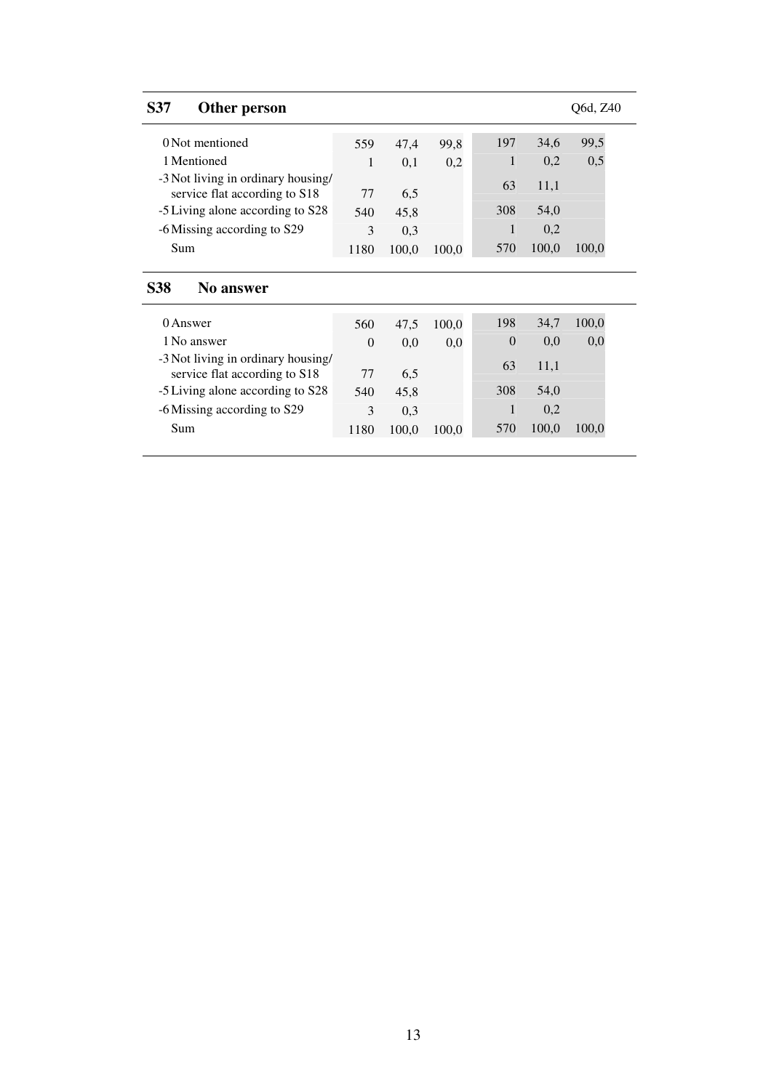| <b>S37</b><br>Other person                                          |          |              |       |          |       | O6d, Z40 |
|---------------------------------------------------------------------|----------|--------------|-------|----------|-------|----------|
| 0 Not mentioned                                                     | 559      | 47,4         | 99,8  | 197      | 34,6  | 99,5     |
| 1 Mentioned                                                         | 1        | 0,1          | 0,2   | 1        | 0,2   | 0,5      |
| -3 Not living in ordinary housing/<br>service flat according to S18 | 77       | 6,5          |       | 63       | 11,1  |          |
| -5 Living alone according to S28                                    | 540      | 45,8         |       | 308      | 54,0  |          |
| -6 Missing according to S29                                         | 3        | 0.3          |       | 1        | 0,2   |          |
| Sum                                                                 | 1180     | 100,0        | 100,0 | 570      | 100,0 | 100,0    |
|                                                                     |          |              |       |          |       |          |
| <b>S38</b><br>No answer                                             |          |              |       |          |       |          |
| 0 Answer                                                            | 560      | 47,5         | 100,0 | 198      | 34,7  | 100,0    |
| 1 No answer                                                         | $\Omega$ | 0,0          | 0,0   | $\Omega$ | 0,0   | 0,0      |
| -3 Not living in ordinary housing/<br>service flat according to S18 | 77       | 6,5          |       | 63       | 11,1  |          |
| -5 Living alone according to S28                                    |          |              |       | 308      | 54,0  |          |
|                                                                     |          |              |       |          |       |          |
|                                                                     | 540<br>3 | 45,8         |       | 1        | 0,2   |          |
| -6 Missing according to S29<br>Sum                                  | 1180     | 0,3<br>100,0 | 100,0 | 570      | 100,0 | 100,0    |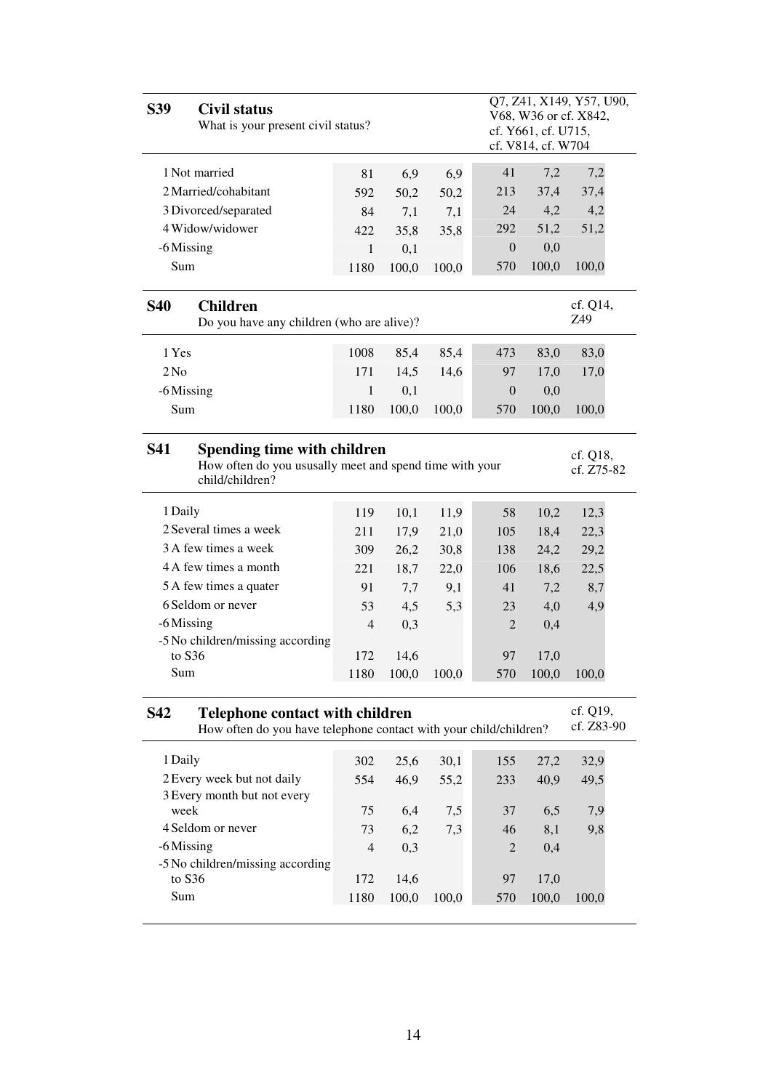| <b>S39</b>      | <b>Civil status</b><br>What is your present civil status?                                                   |                |       |       |                  | cf. Y661, cf. U715,<br>cf. V814, cf. W704 | Q7, Z41, X149, Y57, U90,<br>V68, W36 or cf. X842, |
|-----------------|-------------------------------------------------------------------------------------------------------------|----------------|-------|-------|------------------|-------------------------------------------|---------------------------------------------------|
|                 | 1 Not married                                                                                               | 81             | 6,9   | 6,9   | 41               | 7,2                                       | 7,2                                               |
|                 | 2 Married/cohabitant                                                                                        | 592            | 50,2  | 50,2  | 213              | 37,4                                      | 37,4                                              |
|                 | 3 Divorced/separated                                                                                        | 84             | 7,1   | 7,1   | 24               | 4,2                                       | 4,2                                               |
|                 | 4 Widow/widower                                                                                             | 422            | 35,8  | 35,8  | 292              | 51,2                                      | 51,2                                              |
| -6 Missing      |                                                                                                             | $\mathbf{1}$   | 0,1   |       | 0                | 0,0                                       |                                                   |
| Sum             |                                                                                                             | 1180           | 100,0 | 100,0 | 570              | 100,0                                     | 100,0                                             |
| <b>S40</b>      | <b>Children</b><br>Do you have any children (who are alive)?                                                |                |       |       |                  |                                           | cf. Q14,<br>Z49                                   |
| 1 Yes           |                                                                                                             | 1008           | 85,4  | 85,4  | 473              | 83,0                                      | 83,0                                              |
| 2N <sub>0</sub> |                                                                                                             | 171            | 14,5  | 14,6  | 97               | 17,0                                      | 17,0                                              |
| -6 Missing      |                                                                                                             | 1              | 0,1   |       | $\boldsymbol{0}$ | 0,0                                       |                                                   |
| Sum             |                                                                                                             | 1180           | 100,0 | 100,0 | 570              | 100,0                                     | 100,0                                             |
| <b>S41</b>      | Spending time with children<br>How often do you ususally meet and spend time with your<br>child/children?   |                |       |       |                  |                                           | cf. Q18,<br>cf. Z75-82                            |
| 1 Daily         |                                                                                                             | 119            | 10,1  | 11,9  | 58               | 10,2                                      | 12,3                                              |
|                 | 2 Several times a week                                                                                      | 211            | 17,9  | 21,0  | 105              | 18,4                                      | 22,3                                              |
|                 | 3 A few times a week                                                                                        | 309            | 26,2  | 30,8  | 138              | 24,2                                      | 29,2                                              |
|                 | 4 A few times a month                                                                                       | 221            | 18,7  | 22,0  | 106              | 18,6                                      | 22,5                                              |
|                 | 5 A few times a quater                                                                                      | 91             | 7,7   | 9,1   | 41               | 7,2                                       | 8,7                                               |
|                 | 6 Seldom or never                                                                                           | 53             | 4,5   | 5,3   | 23               | 4,0                                       | 4,9                                               |
| -6 Missing      |                                                                                                             | $\overline{4}$ | 0,3   |       | $\overline{2}$   | 0,4                                       |                                                   |
|                 | -5 No children/missing according                                                                            |                |       |       |                  |                                           |                                                   |
| to S36          |                                                                                                             | 172            | 14,6  |       | 97               | 17,0                                      |                                                   |
| Sum             |                                                                                                             | 1180           | 100,0 | 100,0 | 570              | 100,0                                     | 100,0                                             |
| <b>S42</b>      | <b>Telephone contact with children</b><br>How often do you have telephone contact with your child/children? |                |       |       |                  |                                           | cf. Q19,<br>cf. Z83-90                            |
| 1 Daily         |                                                                                                             | 302            | 25,6  | 30,1  | 155              | 27,2                                      | 32,9                                              |
|                 | 2 Every week but not daily                                                                                  | 554            | 46,9  | 55,2  | 233              | 40,9                                      | 49,5                                              |
|                 | 3 Every month but not every                                                                                 |                |       |       |                  |                                           |                                                   |
| week            |                                                                                                             | 75             | 6,4   | 7,5   | 37               | 6,5                                       | 7,9                                               |
|                 | 4 Seldom or never                                                                                           | 73             | 6,2   | 7,3   | 46               | 8,1                                       | 9,8                                               |
| -6 Missing      |                                                                                                             | $\overline{4}$ | 0,3   |       | 2                | 0,4                                       |                                                   |
| to S36          | -5 No children/missing according                                                                            | 172            | 14,6  |       | 97               |                                           |                                                   |
| Sum             |                                                                                                             | 1180           | 100,0 | 100,0 | 570              | 17,0<br>100,0                             | 100,0                                             |
|                 |                                                                                                             |                |       |       |                  |                                           |                                                   |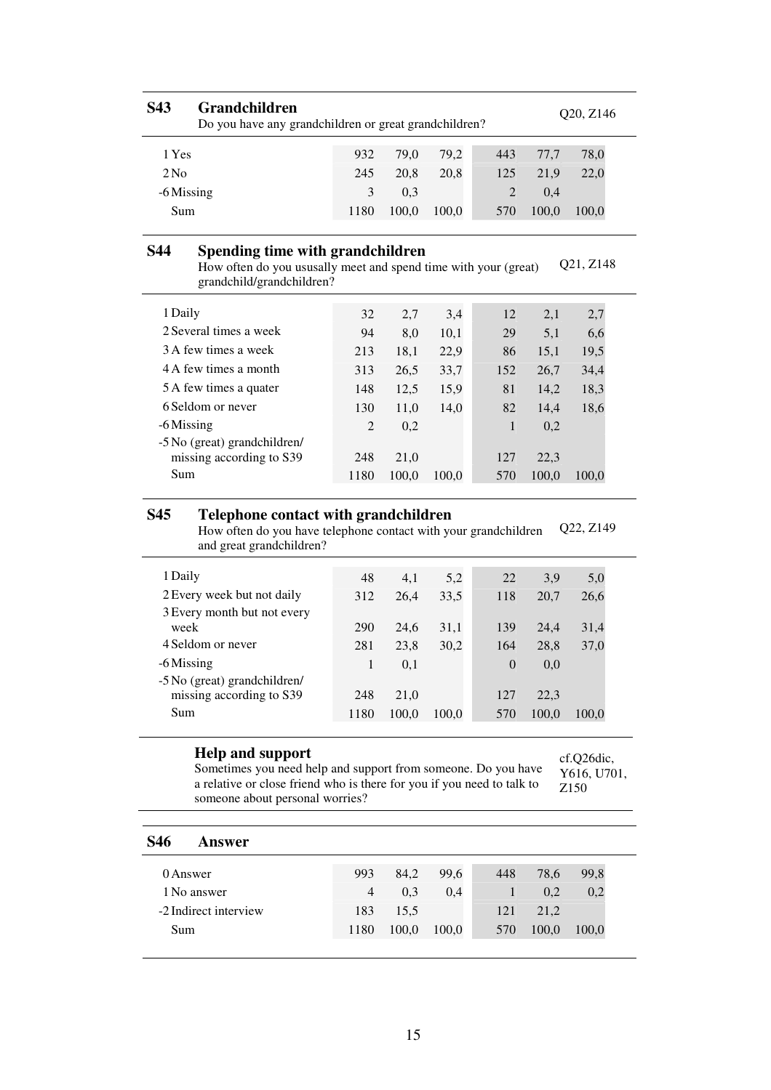| S43        | <b>Grandchildren</b>                                                                                                             | Do you have any grandchildren or great grandchildren? |       |       |              |       |           |  |  |
|------------|----------------------------------------------------------------------------------------------------------------------------------|-------------------------------------------------------|-------|-------|--------------|-------|-----------|--|--|
| 1 Yes      |                                                                                                                                  | 932                                                   | 79,0  | 79,2  | 443          | 77,7  | 78,0      |  |  |
| $2$ No     |                                                                                                                                  | 245                                                   | 20,8  | 20,8  | 125          | 21,9  | 22,0      |  |  |
| -6 Missing |                                                                                                                                  | 3                                                     | 0,3   |       | 2            | 0,4   |           |  |  |
| Sum        |                                                                                                                                  | 1180                                                  | 100,0 | 100,0 | 570          | 100,0 | 100,0     |  |  |
| S44        | Spending time with grandchildren<br>How often do you ususally meet and spend time with your (great)<br>grandchild/grandchildren? |                                                       |       |       |              |       | Q21, Z148 |  |  |
| 1 Daily    |                                                                                                                                  | 32                                                    | 2,7   | 3,4   | 12           | 2,1   | 2,7       |  |  |
|            | 2 Several times a week                                                                                                           | 94                                                    | 8,0   | 10,1  | 29           | 5,1   | 6,6       |  |  |
|            | 3 A few times a week                                                                                                             | 213                                                   | 18,1  | 22,9  | 86           | 15,1  | 19,5      |  |  |
|            | 4 A few times a month                                                                                                            | 313                                                   | 26,5  | 33,7  | 152          | 26,7  | 34,4      |  |  |
|            | 5 A few times a quater                                                                                                           | 148                                                   | 12,5  | 15,9  | 81           | 14,2  | 18,3      |  |  |
|            | 6 Seldom or never                                                                                                                | 130                                                   | 11,0  | 14,0  | 82           | 14,4  | 18,6      |  |  |
| -6 Missing |                                                                                                                                  | 2                                                     | 0,2   |       | $\mathbf{1}$ | 0,2   |           |  |  |
|            | -5 No (great) grandchildren/<br>missing according to S39                                                                         | 248                                                   | 21,0  |       | 127          | 22,3  |           |  |  |
| Sum        |                                                                                                                                  | 1180                                                  | 100,0 | 100.0 | 570          | 100.0 | 100,0     |  |  |

#### **S45 Telephone contact with grandchildren**

How often do you have telephone contact with your grandchildren and great grandchildren? Q22, Z149

| 1 Daily                      | 48   | 4,1   | 5,2   | 22       | 3.9   | 5,0   |
|------------------------------|------|-------|-------|----------|-------|-------|
| 2 Every week but not daily   | 312  | 26,4  | 33,5  | 118      | 20.7  | 26,6  |
| 3 Every month but not every  |      |       |       |          |       |       |
| week                         | 290  | 24.6  | 31,1  | 139      | 24.4  | 31,4  |
| 4 Seldom or never            | 281  | 23,8  | 30,2  | 164      | 28,8  | 37,0  |
| -6 Missing                   | 1    | 0.1   |       | $\theta$ | 0.0   |       |
| -5 No (great) grandchildren/ |      |       |       |          |       |       |
| missing according to S39     | 248  | 21.0  |       | 127      | 22.3  |       |
| Sum                          | 1180 | 100,0 | 100.0 | 570      | 100.0 | 100.0 |

#### **Help and support**

cf.Q26dic,

Sometimes you need help and support from someone. Do you have a relative or close friend who is there for you if you need to talk to someone about personal worries? Y616, U701, Z150

| <b>S46</b><br>Answer  |                |       |       |     |       |       |
|-----------------------|----------------|-------|-------|-----|-------|-------|
| 0 Answer              | 993            | 84,2  | 99,6  | 448 | 78,6  | 99,8  |
| 1 No answer           | $\overline{4}$ | 0,3   | 0,4   |     | 0,2   | 0,2   |
| -2 Indirect interview | 183            | 15.5  |       | 121 | 21,2  |       |
| Sum                   | 1180           | 100,0 | 100,0 | 570 | 100,0 | 100,0 |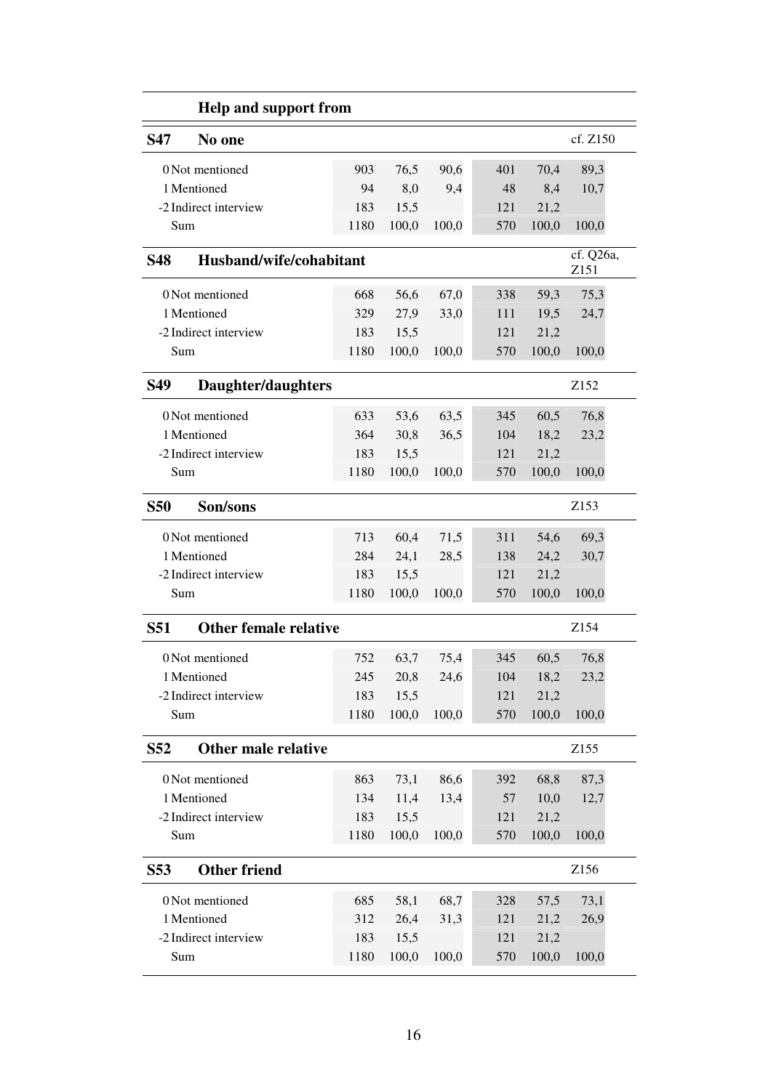|                 | <b>Help and support from</b> |      |       |       |     |       |                   |
|-----------------|------------------------------|------|-------|-------|-----|-------|-------------------|
| S47             | No one                       |      |       |       |     |       | cf. Z150          |
|                 | 0 Not mentioned              | 903  | 76,5  | 90,6  | 401 | 70,4  | 89,3              |
|                 | 1 Mentioned                  | 94   | 8,0   | 9,4   | 48  | 8,4   | 10,7              |
|                 | -2 Indirect interview        | 183  | 15,5  |       | 121 | 21,2  |                   |
| Sum             |                              | 1180 | 100,0 | 100,0 | 570 | 100,0 | 100,0             |
| <b>S48</b>      | Husband/wife/cohabitant      |      |       |       |     |       | cf. Q26a,<br>Z151 |
|                 | 0 Not mentioned              | 668  | 56,6  | 67,0  | 338 | 59,3  | 75,3              |
|                 | 1 Mentioned                  | 329  | 27,9  | 33,0  | 111 | 19,5  | 24,7              |
|                 | -2 Indirect interview        | 183  | 15,5  |       | 121 | 21,2  |                   |
| Sum             |                              | 1180 | 100,0 | 100,0 | 570 | 100,0 | 100,0             |
| <b>S49</b>      | Daughter/daughters           |      |       |       |     |       | Z <sub>152</sub>  |
|                 | 0 Not mentioned              | 633  | 53,6  | 63,5  | 345 | 60,5  | 76,8              |
|                 | 1 Mentioned                  | 364  | 30,8  | 36,5  | 104 | 18,2  | 23,2              |
|                 | -2 Indirect interview        | 183  | 15,5  |       | 121 | 21,2  |                   |
| Sum             |                              | 1180 | 100,0 | 100,0 | 570 | 100,0 | 100,0             |
| <b>S50</b>      | Son/sons                     |      |       |       |     |       | Z153              |
|                 | 0 Not mentioned              | 713  | 60,4  | 71,5  | 311 | 54,6  | 69,3              |
|                 | 1 Mentioned                  | 284  | 24,1  | 28,5  | 138 | 24,2  | 30,7              |
|                 | -2 Indirect interview        | 183  | 15,5  |       | 121 | 21,2  |                   |
| Sum             |                              | 1180 | 100,0 | 100,0 | 570 | 100,0 | 100,0             |
| <b>S51</b>      | <b>Other female relative</b> |      |       |       |     |       | Z <sub>154</sub>  |
|                 | 0 Not mentioned              | 752  | 63,7  | 75,4  | 345 | 60,5  | 76,8              |
|                 | 1 Mentioned                  | 245  | 20,8  | 24,6  | 104 | 18,2  | 23,2              |
|                 | -2 Indirect interview        | 183  | 15,5  |       | 121 | 21,2  |                   |
| Sum             |                              | 1180 | 100,0 | 100,0 | 570 | 100,0 | 100,0             |
| S <sub>52</sub> | <b>Other male relative</b>   |      |       |       |     |       | Z155              |
|                 | 0 Not mentioned              | 863  | 73,1  | 86,6  | 392 | 68,8  | 87,3              |
|                 | 1 Mentioned                  | 134  | 11,4  | 13,4  | 57  | 10,0  | 12,7              |
|                 | -2 Indirect interview        | 183  | 15,5  |       | 121 | 21,2  |                   |
| Sum             |                              | 1180 | 100,0 | 100,0 | 570 | 100,0 | 100,0             |
| S53             | <b>Other friend</b>          |      |       |       |     |       | Z156              |
|                 | 0 Not mentioned              | 685  | 58,1  | 68,7  | 328 | 57,5  | 73,1              |
|                 | 1 Mentioned                  | 312  | 26,4  | 31,3  | 121 | 21,2  | 26,9              |
|                 | -2 Indirect interview        | 183  | 15,5  |       | 121 | 21,2  |                   |
| Sum             |                              | 1180 | 100,0 | 100,0 | 570 | 100,0 | 100,0             |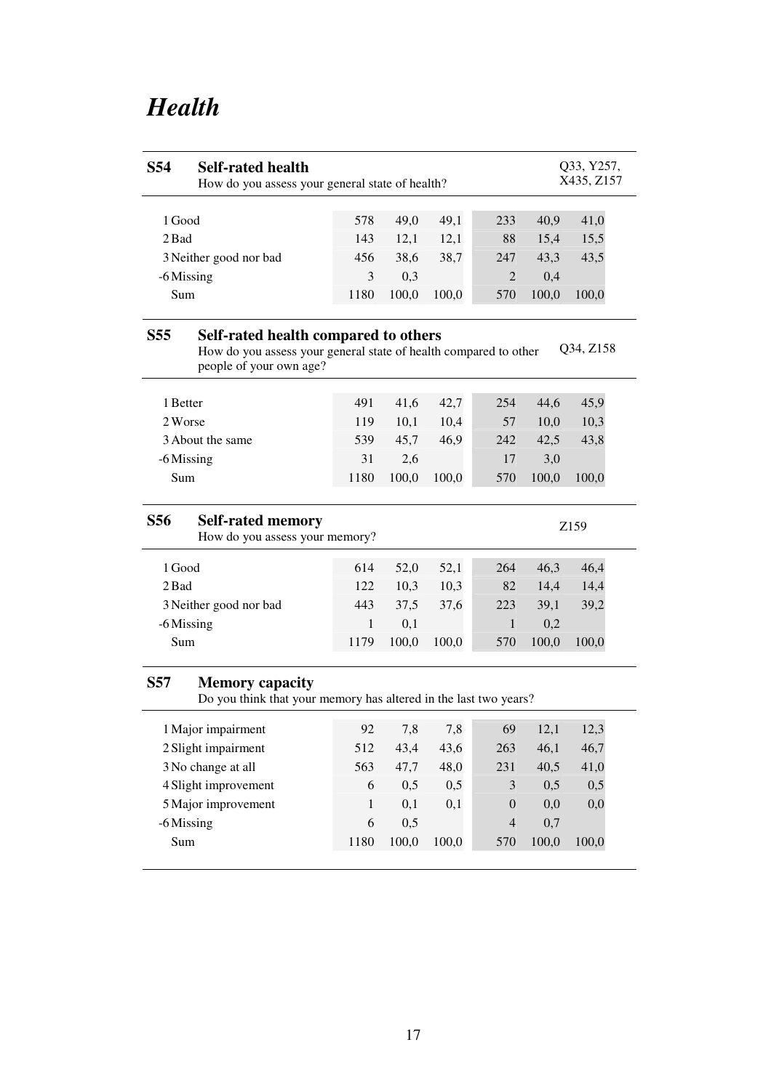# *Health*

| <b>S54</b>      | <b>Self-rated health</b><br>How do you assess your general state of health?                                                         |              | Q33, Y257,<br>X435, Z157 |       |                  |       |                  |
|-----------------|-------------------------------------------------------------------------------------------------------------------------------------|--------------|--------------------------|-------|------------------|-------|------------------|
|                 |                                                                                                                                     |              |                          |       |                  |       |                  |
| 1 Good          |                                                                                                                                     | 578          | 49,0                     | 49,1  | 233              | 40,9  | 41,0             |
| 2 Bad           |                                                                                                                                     | 143          | 12,1                     | 12,1  | 88               | 15,4  | 15,5             |
|                 | 3 Neither good nor bad                                                                                                              | 456          | 38,6                     | 38,7  | 247              | 43,3  | 43,5             |
| -6 Missing      |                                                                                                                                     | 3            | 0,3                      |       | 2                | 0,4   |                  |
| Sum             |                                                                                                                                     | 1180         | 100,0                    | 100,0 | 570              | 100,0 | 100,0            |
| <b>S55</b>      | Self-rated health compared to others<br>How do you assess your general state of health compared to other<br>people of your own age? |              |                          |       |                  |       | Q34, Z158        |
| 1 Better        |                                                                                                                                     | 491          | 41,6                     | 42,7  | 254              | 44,6  | 45,9             |
| 2 Worse         |                                                                                                                                     | 119          | 10,1                     | 10,4  | 57               | 10,0  | 10,3             |
|                 | 3 About the same                                                                                                                    | 539          | 45,7                     | 46,9  | 242              | 42,5  | 43,8             |
| -6 Missing      |                                                                                                                                     | 31           | 2,6                      |       | 17               | 3,0   |                  |
| Sum             |                                                                                                                                     | 1180         | 100,0                    | 100,0 | 570              | 100,0 | 100,0            |
| S56             | <b>Self-rated memory</b><br>How do you assess your memory?                                                                          |              |                          |       |                  |       | Z <sub>159</sub> |
| 1 Good          |                                                                                                                                     | 614          | 52,0                     | 52,1  | 264              | 46,3  | 46,4             |
| 2 Bad           |                                                                                                                                     | 122          | 10,3                     | 10,3  | 82               | 14,4  | 14,4             |
|                 | 3 Neither good nor bad                                                                                                              | 443          | 37,5                     | 37,6  | 223              | 39,1  | 39,2             |
| -6 Missing      |                                                                                                                                     | 1            | 0,1                      |       | 1                | 0,2   |                  |
| Sum             |                                                                                                                                     | 1179         | 100,0                    | 100,0 | 570              | 100,0 | 100,0            |
| S <sub>57</sub> | <b>Memory capacity</b><br>Do you think that your memory has altered in the last two years?                                          |              |                          |       |                  |       |                  |
|                 | 1 Major impairment                                                                                                                  | 92           | 7,8                      | 7,8   | 69               | 12,1  | 12,3             |
|                 | 2 Slight impairment                                                                                                                 | 512          | 43,4                     | 43,6  | 263              | 46,1  | 46,7             |
|                 |                                                                                                                                     |              |                          |       |                  |       |                  |
|                 | 3 No change at all                                                                                                                  | 563          | 47,7                     | 48,0  | 231              | 40,5  | 41,0             |
|                 | 4 Slight improvement                                                                                                                | 6            | 0,5                      | 0,5   | $\mathfrak{Z}$   | 0,5   | 0,5              |
|                 | 5 Major improvement                                                                                                                 | $\mathbf{1}$ | 0,1                      | 0,1   | $\boldsymbol{0}$ | 0,0   | 0,0              |

Sum 1180 100,0 100,0 570 100,0 100,0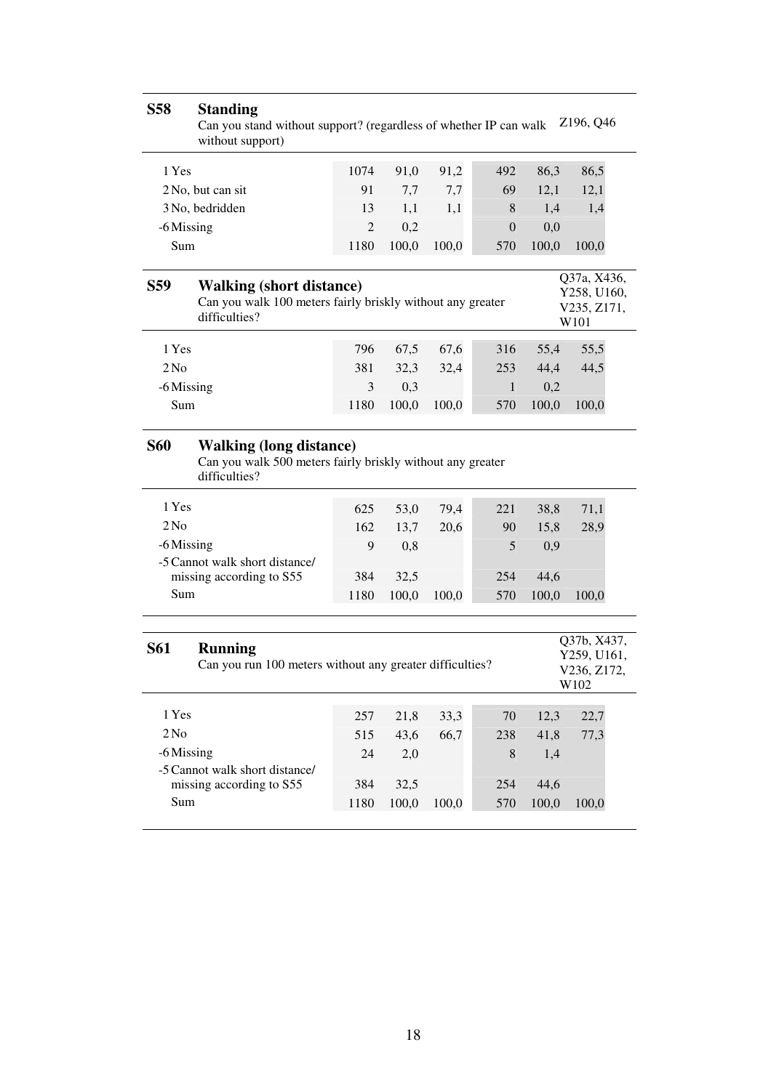| <b>S58</b>      | <b>Standing</b><br>Can you stand without support? (regardless of whether IP can walk<br>without support)       |                |       |       |                |       | Z196, Q46                                         |
|-----------------|----------------------------------------------------------------------------------------------------------------|----------------|-------|-------|----------------|-------|---------------------------------------------------|
| 1 Yes           |                                                                                                                | 1074           | 91,0  | 91,2  | 492            | 86,3  | 86,5                                              |
|                 | 2 No, but can sit                                                                                              | 91             | 7,7   | 7,7   | 69             | 12,1  | 12,1                                              |
|                 | 3 No, bedridden                                                                                                | 13             | 1,1   | 1,1   | 8              | 1,4   | 1,4                                               |
| -6 Missing      |                                                                                                                | $\overline{2}$ | 0,2   |       | $\overline{0}$ | 0,0   |                                                   |
| Sum             |                                                                                                                | 1180           | 100,0 | 100,0 | 570            | 100,0 | 100,0                                             |
| <b>S59</b>      | <b>Walking (short distance)</b><br>Can you walk 100 meters fairly briskly without any greater<br>difficulties? |                |       |       |                |       | Q37a, X436,<br>Y258, U160,<br>V235, Z171,<br>W101 |
| 1 Yes           |                                                                                                                | 796            | 67,5  | 67,6  | 316            | 55,4  | 55,5                                              |
| 2N <sub>0</sub> |                                                                                                                | 381            | 32,3  | 32,4  | 253            | 44,4  | 44,5                                              |
| -6 Missing      |                                                                                                                | 3              | 0,3   |       | 1              | 0,2   |                                                   |
| Sum             |                                                                                                                | 1180           | 100,0 | 100,0 | 570            | 100,0 | 100,0                                             |
| <b>S60</b>      | <b>Walking (long distance)</b><br>Can you walk 500 meters fairly briskly without any greater<br>difficulties?  |                |       |       |                |       |                                                   |
| 1 Yes           |                                                                                                                | 625            | 53,0  | 79,4  | 221            | 38,8  | 71,1                                              |
| 2N <sub>0</sub> |                                                                                                                | 162            | 13,7  | 20,6  | 90             | 15,8  | 28,9                                              |
| -6 Missing      |                                                                                                                | 9              | 0,8   |       | 5              | 0,9   |                                                   |
|                 | -5 Cannot walk short distance/<br>missing according to S55                                                     | 384            | 32,5  |       | 254            | 44,6  |                                                   |
| Sum             |                                                                                                                | 1180           | 100,0 | 100,0 | 570            | 100,0 | 100,0                                             |
|                 |                                                                                                                |                |       |       |                |       |                                                   |
| <b>S61</b>      | <b>Running</b><br>Can you run 100 meters without any greater difficulties?                                     |                |       |       |                |       | Q37b, X437,<br>Y259, U161,<br>V236, Z172,<br>W102 |
| 1 Yes           |                                                                                                                | 257            | 21,8  | 33,3  | $70\,$         | 12,3  | 22,7                                              |
| 2N <sub>0</sub> |                                                                                                                | 515            | 43,6  | 66,7  | 238            | 41,8  | 77,3                                              |
| -6 Missing      |                                                                                                                | 24             | 2,0   |       | 8              | 1,4   |                                                   |
|                 | -5 Cannot walk short distance/                                                                                 |                |       |       |                |       |                                                   |
| Sum             | missing according to S55                                                                                       | 384            | 32,5  |       | 254            | 44,6  |                                                   |
|                 |                                                                                                                | 1180           | 100,0 | 100,0 | 570            | 100,0 | 100,0                                             |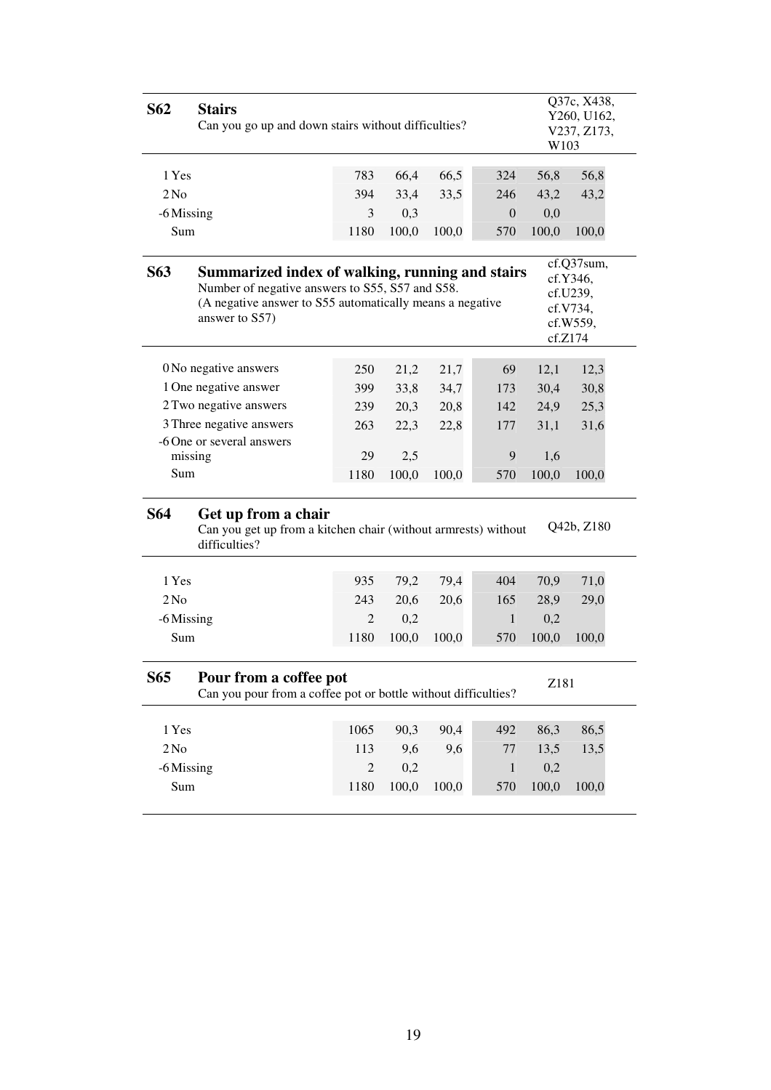| S62                    | <b>Stairs</b>                                                                                          | Q37c, X438,<br>Y260, U162,<br>Can you go up and down stairs without difficulties?<br>V237, Z173,<br>W103                                                                             |       |       |                |       |            |  |  |
|------------------------|--------------------------------------------------------------------------------------------------------|--------------------------------------------------------------------------------------------------------------------------------------------------------------------------------------|-------|-------|----------------|-------|------------|--|--|
| 1 Yes                  |                                                                                                        | 783                                                                                                                                                                                  | 66,4  | 66,5  | 324            | 56,8  | 56,8       |  |  |
| 2N <sub>0</sub>        |                                                                                                        | 394                                                                                                                                                                                  | 33,4  | 33,5  | 246            | 43,2  | 43,2       |  |  |
| -6 Missing             |                                                                                                        | 3                                                                                                                                                                                    | 0,3   |       | $\overline{0}$ | 0,0   |            |  |  |
| Sum                    |                                                                                                        | 1180                                                                                                                                                                                 | 100,0 | 100,0 | 570            | 100,0 | 100,0      |  |  |
| <b>S63</b>             | Number of negative answers to S55, S57 and S58.<br>answer to S57)                                      | cf.Q37sum,<br>Summarized index of walking, running and stairs<br>cf.Y346,<br>cf.U239,<br>(A negative answer to S55 automatically means a negative<br>cf.V734,<br>cf.W559,<br>cf.Z174 |       |       |                |       |            |  |  |
|                        | 0 No negative answers                                                                                  | 250                                                                                                                                                                                  | 21,2  | 21,7  | 69             | 12,1  | 12,3       |  |  |
|                        | 1 One negative answer                                                                                  | 399                                                                                                                                                                                  | 33,8  | 34,7  | 173            | 30,4  | 30,8       |  |  |
| 2 Two negative answers |                                                                                                        | 239                                                                                                                                                                                  | 20,3  | 20,8  | 142            | 24,9  | 25,3       |  |  |
|                        | 3 Three negative answers                                                                               | 263                                                                                                                                                                                  | 22,3  | 22,8  | 177            | 31,1  | 31,6       |  |  |
|                        | -6 One or several answers                                                                              |                                                                                                                                                                                      |       |       |                |       |            |  |  |
|                        | missing                                                                                                | 29                                                                                                                                                                                   | 2,5   |       | 9              | 1,6   |            |  |  |
| Sum                    |                                                                                                        | 1180                                                                                                                                                                                 | 100,0 | 100,0 | 570            | 100,0 | 100,0      |  |  |
| <b>S64</b>             | Get up from a chair<br>Can you get up from a kitchen chair (without armrests) without<br>difficulties? |                                                                                                                                                                                      |       |       |                |       | Q42b, Z180 |  |  |
| 1 Yes                  |                                                                                                        | 935                                                                                                                                                                                  | 79,2  | 79,4  | 404            | 70,9  | 71,0       |  |  |
| 2N <sub>0</sub>        |                                                                                                        | 243                                                                                                                                                                                  | 20,6  | 20,6  | 165            | 28,9  | 29,0       |  |  |
| -6 Missing             |                                                                                                        | $\overline{2}$                                                                                                                                                                       | 0,2   |       | $\mathbf{1}$   | 0,2   |            |  |  |
| Sum                    |                                                                                                        | 1180                                                                                                                                                                                 | 100,0 | 100,0 | 570            | 100,0 | 100,0      |  |  |
| S65                    | Pour from a coffee pot<br>Can you pour from a coffee pot or bottle without difficulties?               |                                                                                                                                                                                      |       |       |                | Z181  |            |  |  |
| 1 Yes                  |                                                                                                        | 1065                                                                                                                                                                                 | 90,3  | 90,4  | 492            | 86,3  | 86,5       |  |  |
| 2N <sub>0</sub>        |                                                                                                        | 113                                                                                                                                                                                  | 9,6   | 9,6   | $77 \,$        | 13,5  | 13,5       |  |  |
| -6 Missing             |                                                                                                        | $\overline{c}$                                                                                                                                                                       | 0,2   |       | $\mathbf{1}$   | 0,2   |            |  |  |
| Sum                    |                                                                                                        | 1180                                                                                                                                                                                 | 100,0 | 100,0 | 570            | 100,0 | 100,0      |  |  |
|                        |                                                                                                        |                                                                                                                                                                                      |       |       |                |       |            |  |  |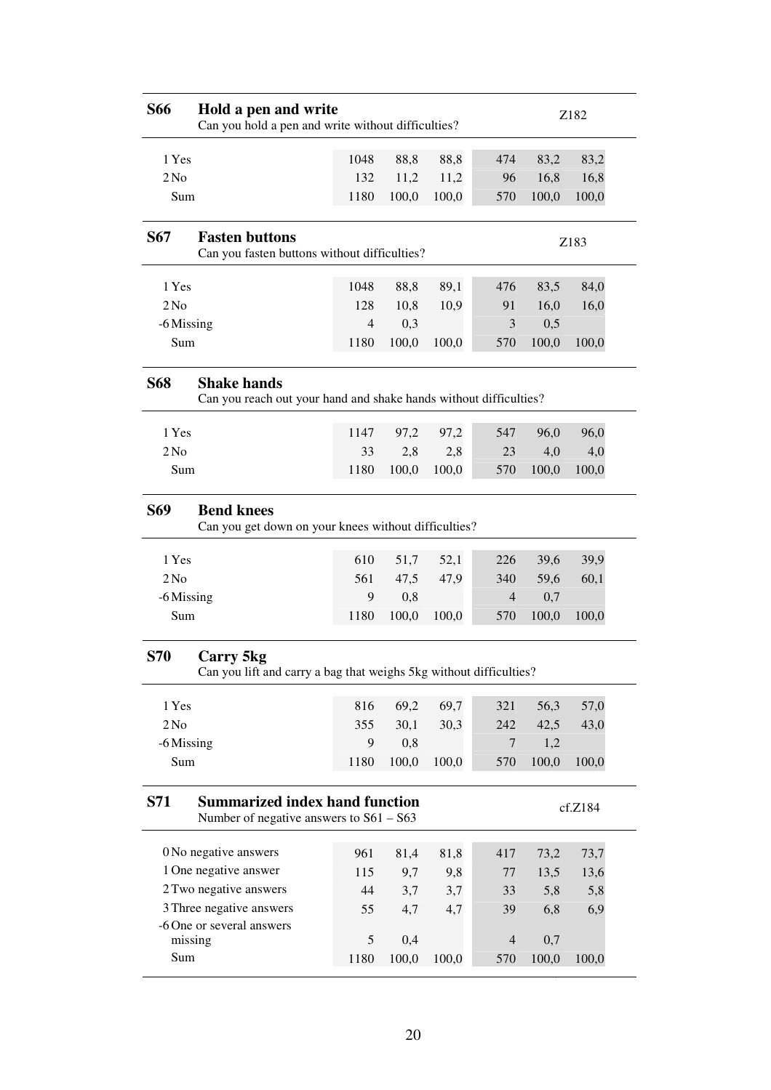| <b>S66</b>      | Hold a pen and write<br>Can you hold a pen and write without difficulties?              |                |              |             |                       |              | Z182         |
|-----------------|-----------------------------------------------------------------------------------------|----------------|--------------|-------------|-----------------------|--------------|--------------|
| 1 Yes           |                                                                                         | 1048           | 88,8         | 88,8        | 474                   | 83,2         | 83,2         |
| 2N <sub>0</sub> |                                                                                         | 132            | 11,2         | 11,2        | 96                    | 16,8         | 16,8         |
| Sum             |                                                                                         | 1180           | 100,0        | 100,0       | 570                   | 100,0        | 100,0        |
|                 |                                                                                         |                |              |             |                       |              |              |
| <b>S67</b>      | <b>Fasten buttons</b><br>Can you fasten buttons without difficulties?                   |                |              |             |                       |              | Z183         |
| 1 Yes           |                                                                                         | 1048           | 88,8         | 89,1        | 476                   | 83,5         | 84,0         |
| 2N <sub>0</sub> |                                                                                         | 128            | 10,8         | 10,9        | 91                    | 16,0         | 16,0         |
| -6 Missing      |                                                                                         | $\overline{4}$ | 0,3          |             | 3                     | 0,5          |              |
| Sum             |                                                                                         | 1180           | 100,0        | 100,0       | 570                   | 100,0        | 100,0        |
| <b>S68</b>      | <b>Shake hands</b><br>Can you reach out your hand and shake hands without difficulties? |                |              |             |                       |              |              |
| 1 Yes           |                                                                                         | 1147           | 97,2         | 97,2        | 547                   | 96,0         | 96,0         |
| 2N <sub>0</sub> |                                                                                         | 33             | 2,8          | 2,8         | 23                    | 4,0          | 4,0          |
| Sum             |                                                                                         | 1180           | 100,0        | 100,0       | 570                   | 100,0        | 100,0        |
| <b>S69</b>      | <b>Bend knees</b><br>Can you get down on your knees without difficulties?               |                |              |             |                       |              |              |
| 1 Yes           |                                                                                         | 610            | 51,7         | 52,1        | 226                   | 39,6         | 39,9         |
| 2N <sub>0</sub> |                                                                                         | 561            | 47,5         | 47,9        | 340                   | 59,6         | 60,1         |
| -6 Missing      |                                                                                         | 9              | 0,8          |             | $\overline{4}$        | 0,7          |              |
| Sum             |                                                                                         | 1180           | 100,0        | 100,0       | 570                   | 100,0        | 100,0        |
| <b>S70</b>      | Carry 5kg<br>Can you lift and carry a bag that weighs 5kg without difficulties?         |                |              |             |                       |              |              |
| 1 Yes           |                                                                                         | 816            | 69,2         | 69,7        | 321                   | 56,3         | 57,0         |
| 2N <sub>0</sub> |                                                                                         | 355            |              |             |                       |              |              |
|                 |                                                                                         |                | 30,1         | 30,3        | 242                   | 42,5         | 43,0         |
| -6 Missing      |                                                                                         | 9              | 0,8          |             | 7                     | 1,2          |              |
| Sum             |                                                                                         | 1180           | 100,0        | 100,0       | 570                   | 100,0        | 100,0        |
| <b>S71</b>      | <b>Summarized index hand function</b><br>Number of negative answers to $S61 - S63$      |                |              |             |                       |              | cf.Z184      |
|                 | 0 No negative answers                                                                   | 961            |              |             | 417                   |              |              |
|                 | 1 One negative answer                                                                   | 115            | 81,4<br>9,7  | 81,8<br>9,8 | 77                    | 73,2<br>13,5 | 73,7<br>13,6 |
|                 | 2 Two negative answers                                                                  | 44             | 3,7          | 3,7         | 33                    | 5,8          | 5,8          |
|                 | 3 Three negative answers                                                                | 55             | 4,7          | 4,7         | 39                    | 6,8          | 6,9          |
|                 | -6 One or several answers                                                               |                |              |             |                       |              |              |
| Sum             | missing                                                                                 | 5<br>1180      | 0,4<br>100,0 | 100,0       | $\overline{4}$<br>570 | 0,7<br>100,0 | 100,0        |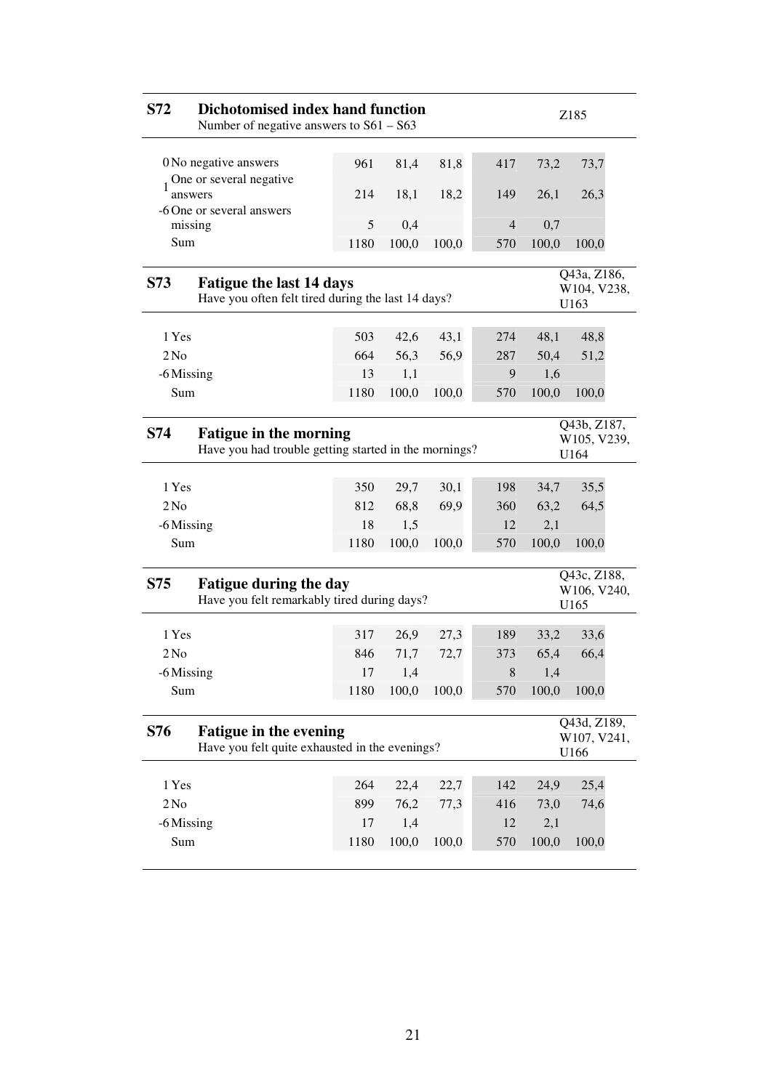| S72                                                                                                                                 | Dichotomised index hand function<br>Number of negative answers to $S61 - S63$         |            | Z185         |       |             |              |                                                |  |
|-------------------------------------------------------------------------------------------------------------------------------------|---------------------------------------------------------------------------------------|------------|--------------|-------|-------------|--------------|------------------------------------------------|--|
|                                                                                                                                     | 0 No negative answers                                                                 | 961        | 81,4         | 81,8  | 417         | 73,2         | 73,7                                           |  |
| answers                                                                                                                             | One or several negative                                                               | 214        | 18,1         | 18,2  | 149         | 26,1         | 26,3                                           |  |
| missing                                                                                                                             | -6 One or several answers                                                             | 5          | 0,4          |       | 4           | 0,7          |                                                |  |
| Sum                                                                                                                                 |                                                                                       | 1180       | 100,0        | 100,0 | 570         | 100,0        | 100,0                                          |  |
|                                                                                                                                     |                                                                                       |            |              |       |             |              |                                                |  |
| S73                                                                                                                                 | <b>Fatigue the last 14 days</b><br>Have you often felt tired during the last 14 days? |            |              |       |             |              | Q43a, Z186,<br>W104, V238,<br>U <sub>163</sub> |  |
|                                                                                                                                     |                                                                                       |            |              |       |             |              |                                                |  |
| 1 Yes                                                                                                                               |                                                                                       | 503        | 42,6         | 43,1  | 274         | 48,1         | 48,8                                           |  |
| 2N <sub>0</sub><br>-6 Missing                                                                                                       |                                                                                       | 664<br>13  | 56,3<br>1,1  | 56,9  | 287<br>9    | 50,4<br>1,6  | 51,2                                           |  |
| Sum                                                                                                                                 |                                                                                       | 1180       | 100,0        | 100,0 | 570         | 100,0        | 100,0                                          |  |
|                                                                                                                                     |                                                                                       |            |              |       |             |              |                                                |  |
| Q43b, Z187,<br>S74<br><b>Fatigue in the morning</b><br>W105, V239,<br>Have you had trouble getting started in the mornings?<br>U164 |                                                                                       |            |              |       |             |              |                                                |  |
|                                                                                                                                     |                                                                                       |            |              |       |             |              |                                                |  |
| 1 Yes                                                                                                                               |                                                                                       | 350        | 29,7         | 30,1  | 198         | 34,7         | 35,5                                           |  |
| 2N <sub>0</sub><br>-6 Missing                                                                                                       |                                                                                       | 812<br>18  | 68,8<br>1,5  | 69,9  | 360<br>12   | 63,2<br>2,1  | 64,5                                           |  |
| Sum                                                                                                                                 |                                                                                       | 1180       | 100,0        | 100,0 | 570         | 100,0        | 100,0                                          |  |
|                                                                                                                                     |                                                                                       |            |              |       |             |              |                                                |  |
| S75                                                                                                                                 | <b>Fatigue during the day</b><br>Have you felt remarkably tired during days?          |            |              |       |             |              | Q43c, Z188,<br>W106, V240,<br>U <sub>165</sub> |  |
| 1 Yes                                                                                                                               |                                                                                       | 317        | 26,9         | 27,3  | 189         | 33,2         | 33,6                                           |  |
| 2N <sub>0</sub>                                                                                                                     |                                                                                       | 846        | 71,7         | 72,7  | 373         | 65,4         | 66,4                                           |  |
| -6 Missing                                                                                                                          |                                                                                       | 17         | 1,4          |       | $\,$ 8 $\,$ | 1,4          |                                                |  |
| Sum                                                                                                                                 |                                                                                       | 1180       | 100,0        | 100,0 | 570         | 100,0        | 100,0                                          |  |
| <b>S76</b>                                                                                                                          | <b>Fatigue in the evening</b><br>Have you felt quite exhausted in the evenings?       |            |              |       |             |              | Q43d, Z189,<br>W107, V241,<br>U166             |  |
|                                                                                                                                     |                                                                                       |            |              |       |             |              |                                                |  |
| 1 Yes                                                                                                                               |                                                                                       | 264        | 22,4         | 22,7  | 142         | 24,9         | 25,4                                           |  |
| 2N <sub>0</sub>                                                                                                                     |                                                                                       | 899        | 76,2         | 77,3  | 416         | 73,0         | 74,6                                           |  |
| -6 Missing<br>Sum                                                                                                                   |                                                                                       | 17<br>1180 | 1,4<br>100,0 | 100,0 | 12<br>570   | 2,1<br>100,0 | 100,0                                          |  |
|                                                                                                                                     |                                                                                       |            |              |       |             |              |                                                |  |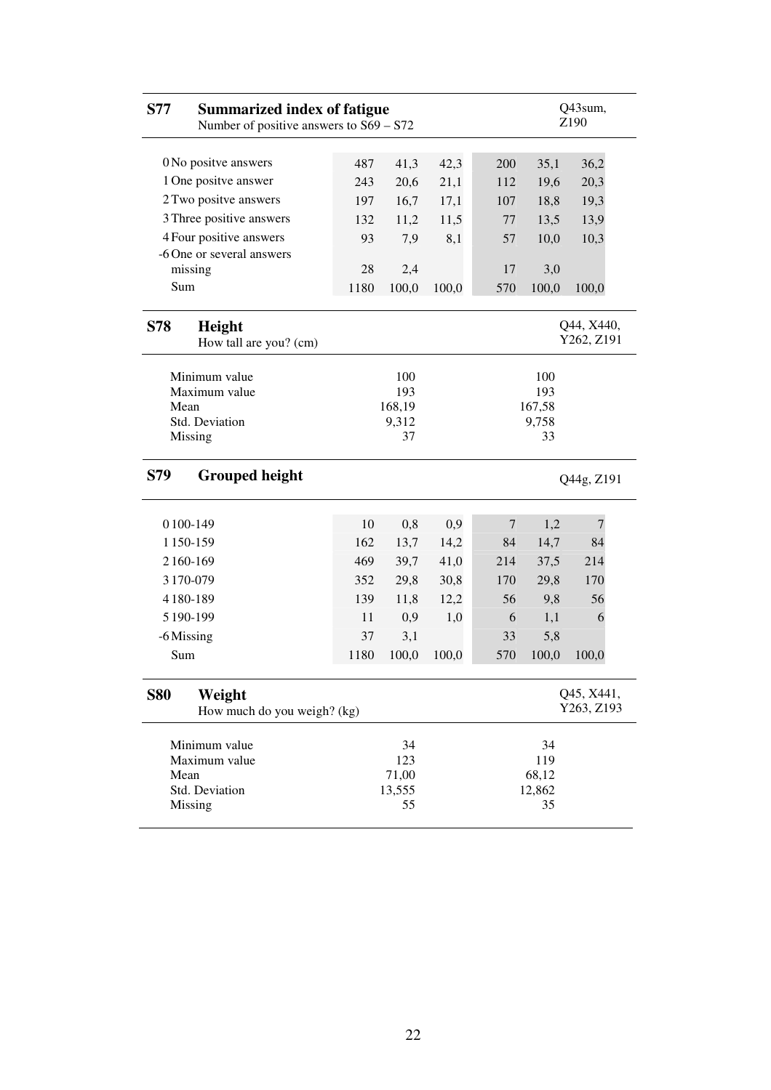| <b>S77</b><br><b>Summarized index of fatigue</b><br>Number of positive answers to $S69 - S72$ |      |                    |       |     | Q43sum,<br>Z190    |                          |  |
|-----------------------------------------------------------------------------------------------|------|--------------------|-------|-----|--------------------|--------------------------|--|
|                                                                                               |      |                    |       |     |                    |                          |  |
| 0 No positve answers                                                                          | 487  | 41,3               | 42,3  | 200 | 35,1               | 36,2                     |  |
| 1 One positve answer                                                                          | 243  | 20,6               | 21,1  | 112 | 19,6               | 20,3                     |  |
| 2 Two positve answers                                                                         | 197  | 16,7               | 17,1  | 107 | 18,8               | 19,3                     |  |
| 3 Three positive answers                                                                      | 132  | 11,2               | 11,5  | 77  | 13,5               | 13,9                     |  |
| 4 Four positive answers                                                                       | 93   | 7,9                | 8,1   | 57  | 10,0               | 10,3                     |  |
| -6 One or several answers                                                                     |      |                    |       |     |                    |                          |  |
| missing                                                                                       | 28   | 2,4                |       | 17  | 3,0                |                          |  |
| Sum                                                                                           | 1180 | 100,0              | 100,0 | 570 | 100,0              | 100,0                    |  |
| S78<br>Height<br>How tall are you? (cm)                                                       |      |                    |       |     |                    | Q44, X440,<br>Y262, Z191 |  |
| Minimum value                                                                                 |      | 100                |       |     | 100                |                          |  |
| Maximum value                                                                                 |      | 193                |       |     | 193                |                          |  |
| Mean                                                                                          |      | 168,19             |       |     | 167,58             |                          |  |
| Std. Deviation                                                                                |      | 9,312              |       |     | 9,758              |                          |  |
| Missing                                                                                       |      | 37                 |       |     | 33                 |                          |  |
| <b>Grouped height</b><br>S79                                                                  |      |                    |       |     |                    | Q44g, Z191               |  |
| 0100-149                                                                                      | 10   | 0,8                | 0,9   | 7   | 1,2                | $\overline{7}$           |  |
| 1150-159                                                                                      | 162  | 13,7               | 14,2  | 84  | 14,7               | 84                       |  |
| 2160-169                                                                                      | 469  | 39,7               | 41,0  | 214 | 37,5               | 214                      |  |
| 3170-079                                                                                      | 352  | 29,8               | 30,8  | 170 | 29,8               | 170                      |  |
| 4180-189                                                                                      | 139  | 11,8               | 12,2  | 56  | 9,8                | 56                       |  |
| 5 190-199                                                                                     | 11   | 0,9                | 1,0   | 6   | 1,1                | 6                        |  |
| -6 Missing                                                                                    | 37   | 3,1                |       | 33  | 5,8                |                          |  |
| Sum                                                                                           | 1180 | 100,0              | 100,0 | 570 | 100,0              | 100,0                    |  |
| <b>S80</b><br>Weight                                                                          |      |                    |       |     |                    | Q45, X441,               |  |
| How much do you weigh? (kg)                                                                   |      |                    |       |     |                    | Y263, Z193               |  |
| Minimum value<br>Maximum value<br>Mean<br>Std. Deviation                                      |      | 34<br>123<br>71,00 |       |     | 34<br>119<br>68,12 |                          |  |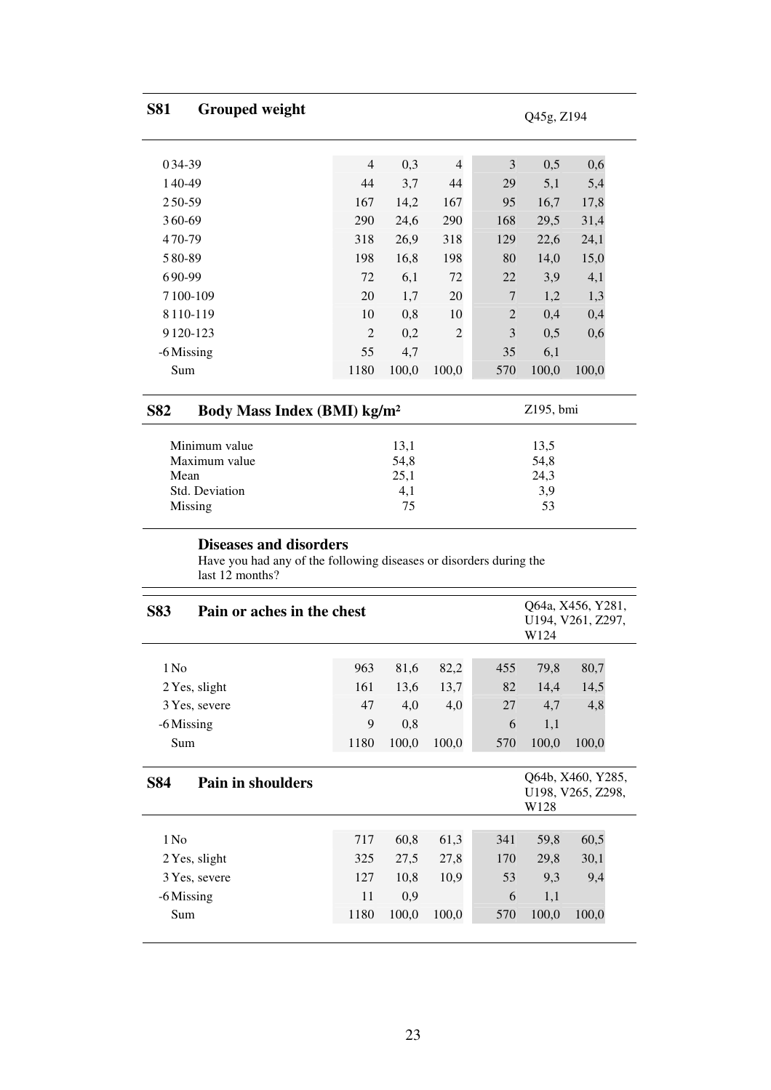| <b>S81</b> | <b>Grouped weight</b>                   |                |       |                |                | Q45g, Z194 |       |  |
|------------|-----------------------------------------|----------------|-------|----------------|----------------|------------|-------|--|
| 034-39     |                                         | $\overline{4}$ |       | $\overline{4}$ | 3              |            |       |  |
|            |                                         |                | 0,3   |                |                | 0,5        | 0,6   |  |
| 140-49     |                                         | 44             | 3,7   | 44             | 29             | 5,1        | 5,4   |  |
| 250-59     |                                         | 167            | 14,2  | 167            | 95             | 16,7       | 17,8  |  |
| 360-69     |                                         | 290            | 24,6  | 290            | 168            | 29,5       | 31,4  |  |
| 470-79     |                                         | 318            | 26,9  | 318            | 129            | 22,6       | 24,1  |  |
| 580-89     |                                         | 198            | 16,8  | 198            | 80             | 14,0       | 15,0  |  |
| 690-99     |                                         | 72             | 6,1   | 72             | 22             | 3,9        | 4,1   |  |
| 7100-109   |                                         | 20             | 1,7   | 20             | $\overline{7}$ | 1,2        | 1,3   |  |
| 8110-119   |                                         | 10             | 0,8   | 10             | $\overline{2}$ | 0,4        | 0,4   |  |
| 9120-123   |                                         | $\overline{2}$ | 0,2   | $\overline{2}$ | 3              | 0,5        | 0,6   |  |
| -6 Missing |                                         | 55             | 4,7   |                | 35             | 6,1        |       |  |
| Sum        |                                         | 1180           | 100,0 | 100,0          | 570            | 100,0      | 100,0 |  |
| <b>S82</b> | Body Mass Index (BMI) kg/m <sup>2</sup> |                |       |                |                | Z195, bmi  |       |  |
|            | Minimum value                           |                | 13,1  |                |                | 13,5       |       |  |
|            | Maximum value                           |                | 54,8  |                |                | 54,8       |       |  |
| Mean       |                                         |                | 25,1  |                |                | 24,3       |       |  |
|            | Std. Deviation                          |                | 4,1   |                |                | 3,9        |       |  |
| Missing    |                                         |                | 75    |                |                | 53         |       |  |

# **Diseases and disorders**

Missing

Have you had any of the following diseases or disorders during the last 12 months?

| <b>S83</b><br>Pain or aches in the chest | Q64a, X456, Y281,<br>U194, V261, Z297,<br>W124 |       |       |     |       |                                        |
|------------------------------------------|------------------------------------------------|-------|-------|-----|-------|----------------------------------------|
|                                          |                                                |       |       |     |       |                                        |
| 1 N <sub>0</sub>                         | 963                                            | 81,6  | 82,2  | 455 | 79,8  | 80,7                                   |
| 2 Yes, slight                            | 161                                            | 13,6  | 13,7  | 82  | 14,4  | 14,5                                   |
| 3 Yes, severe                            | 47                                             | 4,0   | 4,0   | 27  | 4,7   | 4,8                                    |
| -6 Missing                               | 9                                              | 0,8   |       | 6   | 1,1   |                                        |
| Sum                                      | 1180                                           | 100,0 | 100,0 | 570 | 100,0 | 100,0                                  |
| <b>S84</b><br><b>Pain in shoulders</b>   |                                                |       |       |     | W128  | Q64b, X460, Y285,<br>U198, V265, Z298, |
| 1 N <sub>0</sub>                         | 717                                            | 60,8  | 61,3  | 341 | 59,8  | 60,5                                   |
| 2 Yes, slight                            | 325                                            | 27,5  | 27,8  | 170 | 29,8  | 30,1                                   |
| 3 Yes, severe                            | 127                                            | 10,8  | 10,9  | 53  | 9,3   | 9,4                                    |
|                                          |                                                |       |       |     |       |                                        |
| -6 Missing                               | 11                                             | 0,9   |       | 6   | 1,1   |                                        |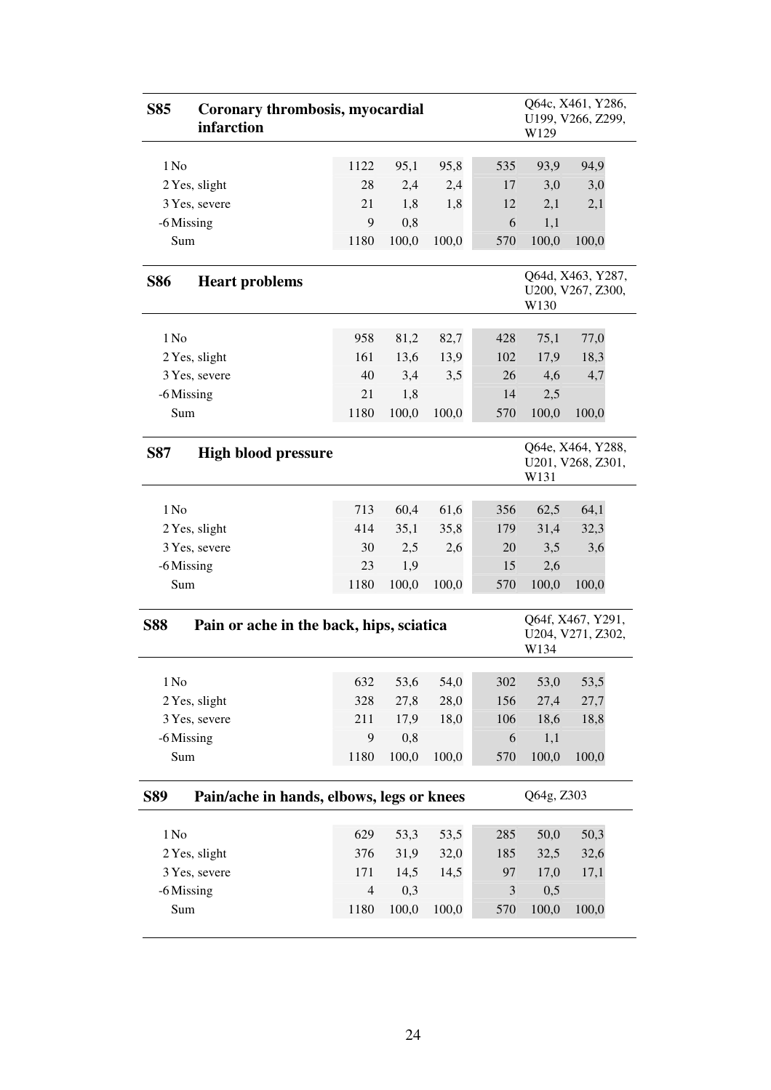| <b>S85</b>       | Coronary thrombosis, myocardial<br>infarction |                |       |       |     | W129                                           | Q64c, X461, Y286,<br>U199, V266, Z299, |  |
|------------------|-----------------------------------------------|----------------|-------|-------|-----|------------------------------------------------|----------------------------------------|--|
| 1 No             |                                               | 1122           | 95,1  | 95,8  | 535 | 93,9                                           | 94,9                                   |  |
|                  | 2 Yes, slight                                 | 28             | 2,4   | 2,4   | 17  | 3,0                                            | 3,0                                    |  |
|                  | 3 Yes, severe                                 | 21             | 1,8   | 1,8   | 12  | 2,1                                            | 2,1                                    |  |
| -6 Missing       |                                               | 9              | 0,8   |       | 6   | 1,1                                            |                                        |  |
| Sum              |                                               | 1180           | 100,0 | 100,0 | 570 | 100,0                                          | 100,0                                  |  |
| <b>S86</b>       | <b>Heart problems</b>                         |                |       |       |     | W130                                           | Q64d, X463, Y287,<br>U200, V267, Z300, |  |
| 1 No             |                                               | 958            | 81,2  | 82,7  | 428 | 75,1                                           | 77,0                                   |  |
|                  | 2 Yes, slight                                 | 161            | 13,6  | 13,9  | 102 | 17,9                                           | 18,3                                   |  |
|                  | 3 Yes, severe                                 | 40             | 3,4   | 3,5   | 26  | 4,6                                            | 4,7                                    |  |
| -6 Missing       |                                               | 21             | 1,8   |       | 14  | 2,5                                            |                                        |  |
| Sum              |                                               | 1180           | 100,0 | 100,0 | 570 | 100,0                                          | 100,0                                  |  |
| <b>S87</b>       | <b>High blood pressure</b>                    |                |       |       |     | W131                                           | Q64e, X464, Y288,<br>U201, V268, Z301, |  |
| 1 N <sub>0</sub> |                                               | 713            | 60,4  | 61,6  | 356 | 62,5                                           | 64,1                                   |  |
|                  | 2 Yes, slight                                 | 414            | 35,1  | 35,8  | 179 | 31,4                                           | 32,3                                   |  |
|                  | 3 Yes, severe                                 | 30             | 2,5   | 2,6   | 20  | 3,5                                            | 3,6                                    |  |
| -6 Missing       |                                               | 23             | 1,9   |       | 15  | 2,6                                            |                                        |  |
| Sum              |                                               | 1180           | 100,0 | 100,0 | 570 | 100,0                                          | 100,0                                  |  |
| <b>S88</b>       | Pain or ache in the back, hips, sciatica      |                |       |       |     | Q64f, X467, Y291,<br>U204, V271, Z302,<br>W134 |                                        |  |
| 1 N <sub>0</sub> |                                               | 632            | 53,6  | 54,0  | 302 | 53,0                                           | 53,5                                   |  |
|                  | 2 Yes, slight                                 | 328            | 27,8  | 28,0  | 156 | 27,4                                           | 27,7                                   |  |
|                  | 3 Yes, severe                                 | 211            | 17,9  | 18,0  | 106 | 18,6                                           | 18,8                                   |  |
|                  |                                               |                |       |       |     |                                                |                                        |  |
| -6 Missing       |                                               | 9              | 0,8   |       | 6   | 1,1                                            |                                        |  |
| Sum              |                                               | 1180           | 100,0 | 100,0 | 570 | 100,0                                          | 100,0                                  |  |
| <b>S89</b>       | Pain/ache in hands, elbows, legs or knees     |                |       |       |     | Q64g, Z303                                     |                                        |  |
| 1 N <sub>0</sub> |                                               | 629            | 53,3  | 53,5  | 285 | 50,0                                           | 50,3                                   |  |
|                  | 2 Yes, slight                                 | 376            | 31,9  | 32,0  | 185 | 32,5                                           | 32,6                                   |  |
|                  | 3 Yes, severe                                 | 171            | 14,5  | 14,5  | 97  | 17,0                                           | 17,1                                   |  |
| -6 Missing       |                                               | $\overline{4}$ | 0,3   |       | 3   | 0,5                                            |                                        |  |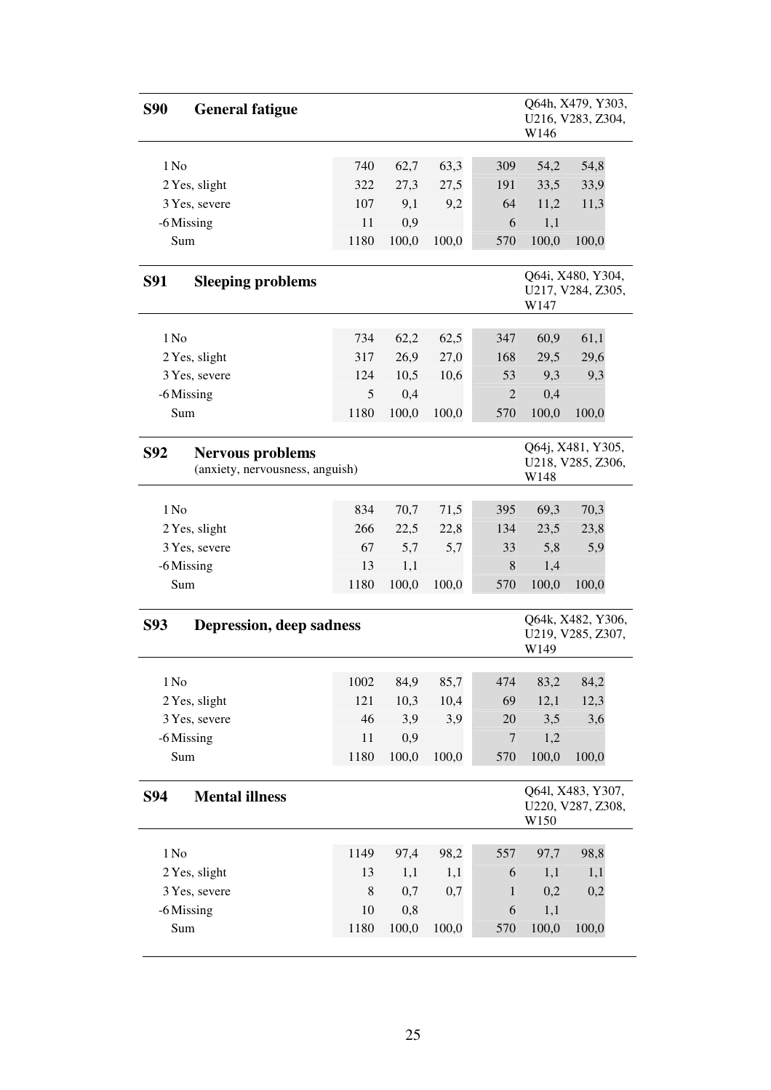| <b>S90</b><br><b>General fatigue</b>                                     |             |       |       |                | W146                                           | Q64h, X479, Y303,<br>U216, V283, Z304, |  |  |
|--------------------------------------------------------------------------|-------------|-------|-------|----------------|------------------------------------------------|----------------------------------------|--|--|
| 1 No                                                                     | 740         | 62,7  | 63,3  | 309            | 54,2                                           | 54,8                                   |  |  |
| 2 Yes, slight                                                            | 322         | 27,3  | 27,5  | 191            | 33,5                                           | 33,9                                   |  |  |
| 3 Yes, severe                                                            | 107         | 9,1   | 9,2   | 64             | 11,2                                           | 11,3                                   |  |  |
| -6 Missing                                                               | 11          | 0,9   |       | 6              | 1,1                                            |                                        |  |  |
| Sum                                                                      | 1180        | 100,0 | 100,0 | 570            | 100,0                                          | 100,0                                  |  |  |
|                                                                          |             |       |       |                |                                                |                                        |  |  |
| <b>S91</b><br><b>Sleeping problems</b>                                   |             |       |       |                | W147                                           | Q64i, X480, Y304,<br>U217, V284, Z305, |  |  |
| 1 No                                                                     | 734         | 62,2  | 62,5  | 347            | 60,9                                           | 61,1                                   |  |  |
| 2 Yes, slight                                                            | 317         | 26,9  | 27,0  | 168            | 29,5                                           | 29,6                                   |  |  |
| 3 Yes, severe                                                            | 124         | 10,5  | 10,6  | 53             | 9,3                                            | 9,3                                    |  |  |
| -6 Missing                                                               | 5           | 0,4   |       | $\overline{2}$ | 0,4                                            |                                        |  |  |
| Sum                                                                      | 1180        | 100,0 | 100,0 | 570            | 100,0                                          | 100,0                                  |  |  |
|                                                                          |             |       |       |                |                                                |                                        |  |  |
| <b>S92</b><br><b>Nervous problems</b><br>(anxiety, nervousness, anguish) |             |       |       |                | Q64j, X481, Y305,<br>U218, V285, Z306,<br>W148 |                                        |  |  |
| 1 No                                                                     | 834         | 70,7  | 71,5  | 395            | 69,3                                           | 70,3                                   |  |  |
| 2 Yes, slight                                                            | 266         | 22,5  | 22,8  | 134            | 23,5                                           | 23,8                                   |  |  |
| 3 Yes, severe                                                            | 67          | 5,7   | 5,7   | 33             | 5,8                                            | 5,9                                    |  |  |
| -6 Missing                                                               | 13          | 1,1   |       | 8              | 1,4                                            |                                        |  |  |
| Sum                                                                      | 1180        | 100,0 | 100,0 | 570            | 100,0                                          | 100,0                                  |  |  |
| <b>S93</b><br><b>Depression, deep sadness</b>                            |             |       |       |                | W149                                           | Q64k, X482, Y306,<br>U219, V285, Z307, |  |  |
| 1 N <sub>0</sub>                                                         | 1002        | 84,9  | 85,7  | 474            | 83,2                                           | 84,2                                   |  |  |
| 2 Yes, slight                                                            | 121         | 10,3  | 10,4  | 69             | 12,1                                           | 12,3                                   |  |  |
| 3 Yes, severe                                                            | 46          | 3,9   | 3,9   | 20             | 3,5                                            | 3,6                                    |  |  |
| -6 Missing                                                               | 11          | 0,9   |       | 7              | 1,2                                            |                                        |  |  |
| Sum                                                                      | 1180        | 100,0 | 100,0 | 570            | 100,0                                          | 100,0                                  |  |  |
| <b>S94</b><br><b>Mental illness</b>                                      |             |       |       |                | W150                                           | Q641, X483, Y307,<br>U220, V287, Z308, |  |  |
| 1 N <sub>0</sub>                                                         | 1149        | 97,4  | 98,2  | 557            | 97,7                                           | 98,8                                   |  |  |
| 2 Yes, slight                                                            | 13          | 1,1   | 1,1   | 6              | 1,1                                            | 1,1                                    |  |  |
| 3 Yes, severe                                                            | $\,$ 8 $\,$ | 0,7   | 0,7   | $\mathbf{1}$   | 0,2                                            | 0,2                                    |  |  |
| -6 Missing                                                               | 10          | 0,8   |       | 6              | 1,1                                            |                                        |  |  |
| Sum                                                                      | 1180        | 100,0 | 100,0 | 570            | 100,0                                          | 100,0                                  |  |  |
|                                                                          |             |       |       |                |                                                |                                        |  |  |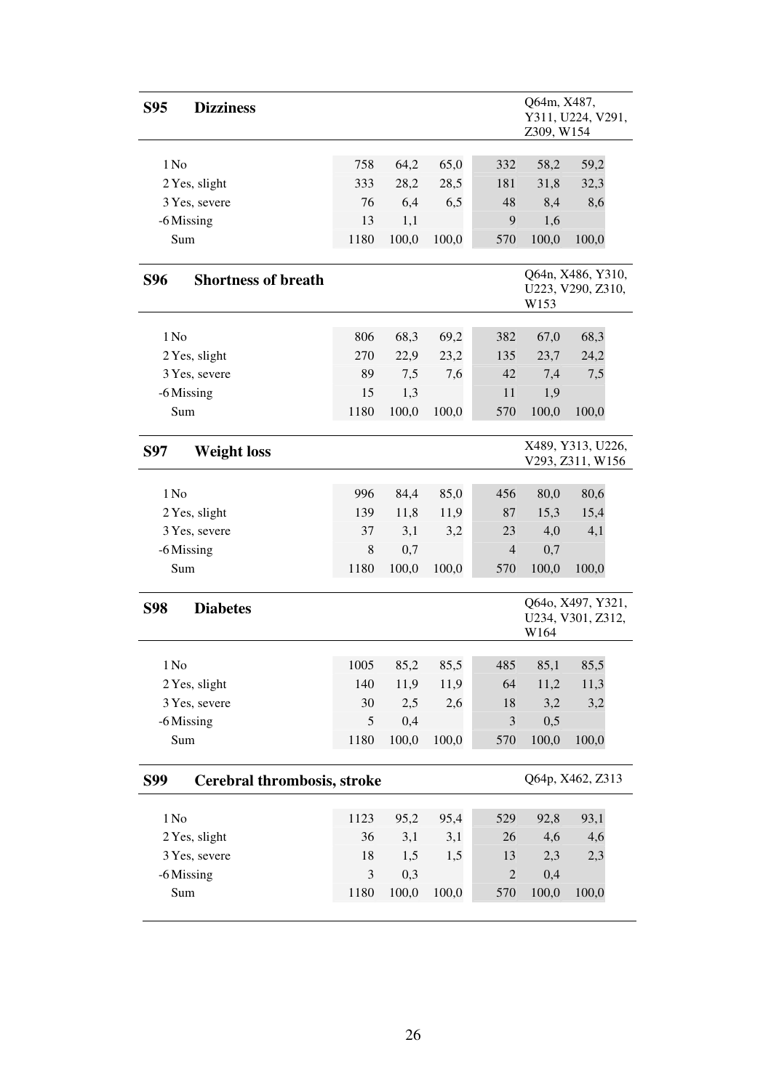| <b>Dizziness</b><br><b>S95</b>            |               |              |       |                | Q64m, X487,<br>Y311, U224, V291,<br>Z309, W154 |                                        |  |  |
|-------------------------------------------|---------------|--------------|-------|----------------|------------------------------------------------|----------------------------------------|--|--|
| 1 N <sub>0</sub>                          | 758           |              | 65,0  | 332            |                                                | 59,2                                   |  |  |
| 2 Yes, slight                             | 333           | 64,2<br>28,2 | 28,5  | 181            | 58,2<br>31,8                                   | 32,3                                   |  |  |
| 3 Yes, severe                             | 76            | 6,4          | 6,5   | 48             | 8,4                                            | 8,6                                    |  |  |
| -6 Missing                                | 13            | 1,1          |       | 9              | 1,6                                            |                                        |  |  |
| Sum                                       | 1180          | 100,0        | 100,0 | 570            | 100,0                                          | 100,0                                  |  |  |
|                                           |               |              |       |                |                                                |                                        |  |  |
| <b>Shortness of breath</b><br><b>S96</b>  |               |              |       |                | W153                                           | Q64n, X486, Y310,<br>U223, V290, Z310, |  |  |
|                                           |               |              |       |                |                                                |                                        |  |  |
| 1 N <sub>0</sub>                          | 806           | 68,3         | 69,2  | 382            | 67,0                                           | 68,3                                   |  |  |
| 2 Yes, slight                             | 270           | 22,9         | 23,2  | 135            | 23,7                                           | 24,2                                   |  |  |
| 3 Yes, severe                             | 89            | 7,5          | 7,6   | 42             | 7,4                                            | 7,5                                    |  |  |
| -6 Missing                                | 15            | 1,3          |       | 11             | 1,9                                            |                                        |  |  |
| Sum                                       | 1180          | 100,0        | 100,0 | 570            | 100,0                                          | 100,0                                  |  |  |
| <b>S97</b><br><b>Weight loss</b>          |               |              |       |                | X489, Y313, U226,<br>V293, Z311, W156          |                                        |  |  |
| 1 N <sub>0</sub>                          | 996           | 84,4         | 85,0  | 456            | 80,0                                           | 80,6                                   |  |  |
| 2 Yes, slight                             | 139           | 11,8         | 11,9  | 87             | 15,3                                           | 15,4                                   |  |  |
| 3 Yes, severe                             | 37            | 3,1          | 3,2   | 23             | 4,0                                            | 4,1                                    |  |  |
| -6 Missing                                | 8             | 0,7          |       | 4              | 0,7                                            |                                        |  |  |
| Sum                                       | 1180          | 100,0        | 100,0 | 570            | 100,0                                          | 100,0                                  |  |  |
|                                           |               |              |       |                |                                                |                                        |  |  |
| <b>Diabetes</b><br><b>S98</b>             |               |              |       |                | W164                                           | Q640, X497, Y321,<br>U234, V301, Z312, |  |  |
| 1 N <sub>0</sub>                          | 1005          | 85,2         | 85,5  | 485            | 85,1                                           | 85,5                                   |  |  |
| 2 Yes, slight                             | 140           | 11,9         | 11,9  | 64             | 11,2                                           | 11,3                                   |  |  |
| 3 Yes, severe                             | 30            | 2,5          | 2,6   | 18             | 3,2                                            | 3,2                                    |  |  |
| -6 Missing                                | $\mathfrak s$ | 0,4          |       | $\mathfrak{Z}$ | 0,5                                            |                                        |  |  |
| Sum                                       | 1180          | 100,0        | 100,0 | 570            | 100,0                                          | 100,0                                  |  |  |
|                                           |               |              |       |                |                                                |                                        |  |  |
| Cerebral thrombosis, stroke<br><b>S99</b> |               |              |       |                |                                                | Q64p, X462, Z313                       |  |  |
| 1 N <sub>0</sub>                          | 1123          | 95,2         | 95,4  | 529            | 92,8                                           | 93,1                                   |  |  |
| 2 Yes, slight                             | 36            | 3,1          | 3,1   | 26             | 4,6                                            | 4,6                                    |  |  |
| 3 Yes, severe                             | 18            | 1,5          | 1,5   | 13             | 2,3                                            | 2,3                                    |  |  |
| -6 Missing                                | 3             | 0,3          |       | $\mathbf{2}$   | 0,4                                            |                                        |  |  |
| Sum                                       | 1180          | 100,0        | 100,0 | 570            | 100,0                                          | 100,0                                  |  |  |
|                                           |               |              |       |                |                                                |                                        |  |  |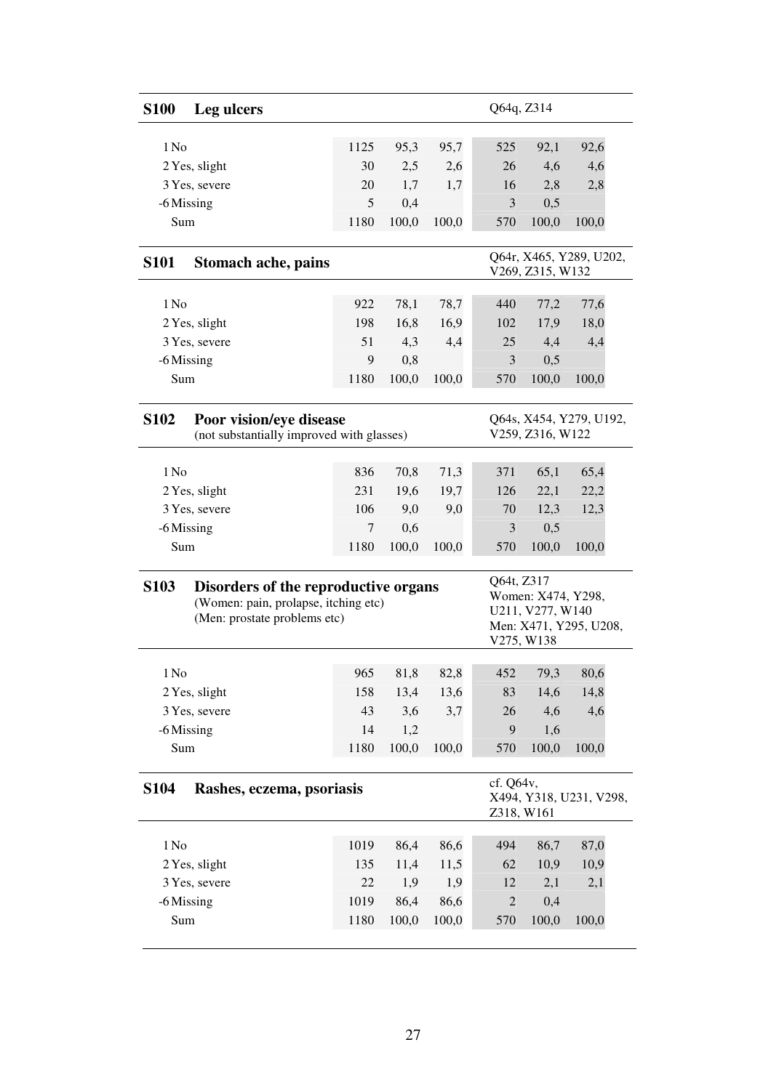| <b>S100</b>                                                                                                                 | Leg ulcers                                                           |            |              |              | Q64q, Z314   |                                                                                              |       |  |  |
|-----------------------------------------------------------------------------------------------------------------------------|----------------------------------------------------------------------|------------|--------------|--------------|--------------|----------------------------------------------------------------------------------------------|-------|--|--|
| 1 No                                                                                                                        |                                                                      | 1125       | 95,3         |              | 525          |                                                                                              |       |  |  |
|                                                                                                                             |                                                                      |            |              | 95,7         |              | 92,1<br>4,6                                                                                  | 92,6  |  |  |
|                                                                                                                             | 2 Yes, slight                                                        | 30         | 2,5          | 2,6          | 26           |                                                                                              | 4,6   |  |  |
|                                                                                                                             | 3 Yes, severe                                                        | 20<br>5    | 1,7<br>0,4   | 1,7          | 16<br>3      | 2,8<br>0,5                                                                                   | 2,8   |  |  |
| -6 Missing<br>Sum                                                                                                           |                                                                      |            |              |              |              |                                                                                              | 100,0 |  |  |
|                                                                                                                             |                                                                      | 1180       | 100,0        | 100,0        | 570          | 100,0                                                                                        |       |  |  |
| <b>S101</b>                                                                                                                 | <b>Stomach ache, pains</b>                                           |            |              |              |              | Q64r, X465, Y289, U202,<br>V269, Z315, W132                                                  |       |  |  |
| 1 No                                                                                                                        |                                                                      | 922        | 78,1         | 78,7         | 440          | 77,2                                                                                         | 77,6  |  |  |
|                                                                                                                             | 2 Yes, slight                                                        | 198        | 16,8         | 16,9         | 102          | 17,9                                                                                         | 18,0  |  |  |
|                                                                                                                             | 3 Yes, severe                                                        | 51         | 4,3          | 4,4          | 25           | 4,4                                                                                          | 4,4   |  |  |
| -6 Missing                                                                                                                  |                                                                      | 9          | 0,8          |              | 3            | 0,5                                                                                          |       |  |  |
| Sum                                                                                                                         |                                                                      | 1180       | 100,0        | 100,0        | 570          | 100,0                                                                                        | 100,0 |  |  |
| <b>S102</b>                                                                                                                 | Poor vision/eye disease<br>(not substantially improved with glasses) |            |              |              |              | Q64s, X454, Y279, U192,<br>V259, Z316, W122                                                  |       |  |  |
| 1 No                                                                                                                        |                                                                      |            |              |              |              |                                                                                              | 65,4  |  |  |
|                                                                                                                             |                                                                      | 836<br>231 | 70,8<br>19,6 | 71,3<br>19,7 | 371<br>126   | 65,1                                                                                         | 22,2  |  |  |
| 2 Yes, slight<br>3 Yes, severe                                                                                              |                                                                      | 106        | 9,0          | 9,0          | 70           | 22,1<br>12,3                                                                                 | 12,3  |  |  |
| -6 Missing                                                                                                                  |                                                                      | 7          | 0,6          |              | 3            | 0,5                                                                                          |       |  |  |
| Sum                                                                                                                         |                                                                      | 1180       | 100,0        | 100,0        | 570          | 100,0                                                                                        | 100,0 |  |  |
|                                                                                                                             |                                                                      |            |              |              |              |                                                                                              |       |  |  |
| <b>S103</b><br>Disorders of the reproductive organs<br>(Women: pain, prolapse, itching etc)<br>(Men: prostate problems etc) |                                                                      |            |              |              |              | Q64t, Z317<br>Women: X474, Y298,<br>U211, V277, W140<br>Men: X471, Y295, U208,<br>V275, W138 |       |  |  |
| 1 N <sub>0</sub>                                                                                                            |                                                                      | 965        | 81,8         | 82,8         | 452          | 79,3                                                                                         | 80,6  |  |  |
|                                                                                                                             | 2 Yes, slight                                                        | 158        | 13,4         | 13,6         | 83           | 14,6                                                                                         | 14,8  |  |  |
|                                                                                                                             | 3 Yes, severe                                                        | 43         | 3,6          | 3,7          | 26           | 4,6                                                                                          | 4,6   |  |  |
| -6 Missing                                                                                                                  |                                                                      | 14         | 1,2          |              | 9            | 1,6                                                                                          |       |  |  |
| Sum                                                                                                                         |                                                                      | 1180       | 100,0        | 100,0        | 570          | 100,0                                                                                        | 100,0 |  |  |
| <b>S104</b><br>Rashes, eczema, psoriasis                                                                                    |                                                                      |            |              |              |              | cf. Q64v,<br>X494, Y318, U231, V298,<br>Z318, W161                                           |       |  |  |
| 1 N <sub>0</sub>                                                                                                            |                                                                      | 1019       | 86,4         | 86,6         | 494          | 86,7                                                                                         | 87,0  |  |  |
|                                                                                                                             | 2 Yes, slight                                                        | 135        | 11,4         | 11,5         | 62           | 10,9                                                                                         | 10,9  |  |  |
|                                                                                                                             | 3 Yes, severe                                                        | 22         | 1,9          | 1,9          | 12           | 2,1                                                                                          | 2,1   |  |  |
| -6 Missing                                                                                                                  |                                                                      | 1019       | 86,4         | 86,6         | $\mathbf{2}$ | 0,4                                                                                          |       |  |  |
| Sum                                                                                                                         |                                                                      | 1180       | 100,0        | 100,0        | 570          | 100,0                                                                                        | 100,0 |  |  |
|                                                                                                                             |                                                                      |            |              |              |              |                                                                                              |       |  |  |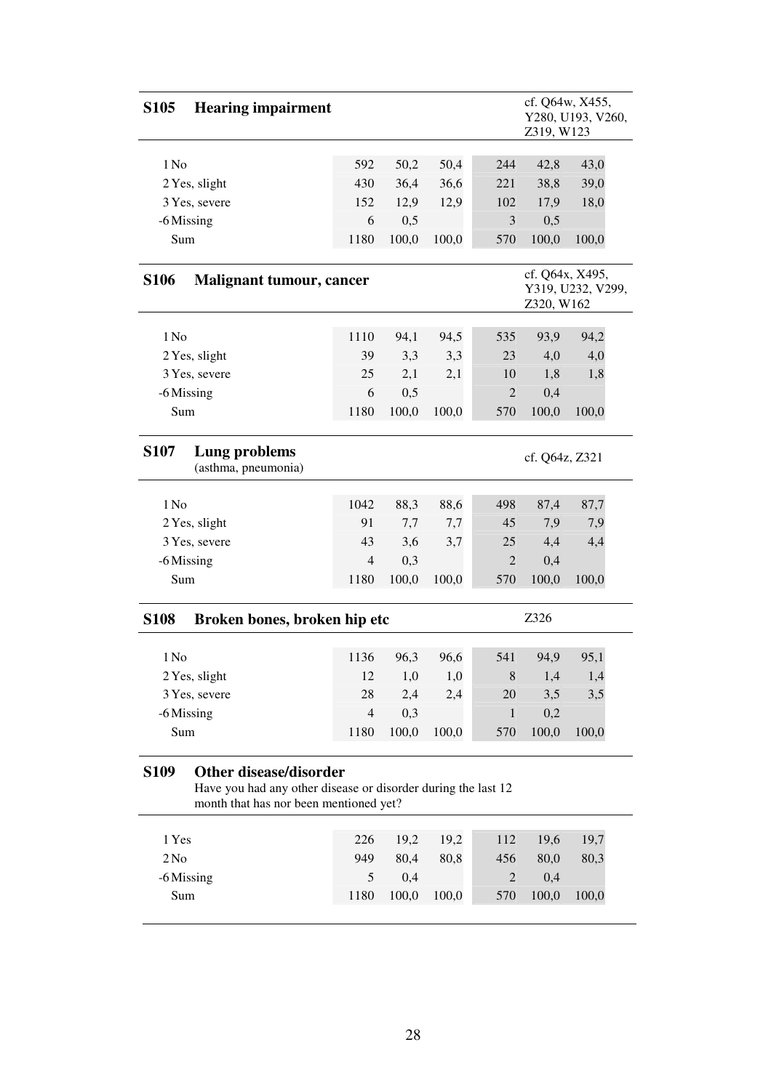| <b>S105</b><br><b>Hearing impairment</b>                                                                                                                |                                      |       |       |                | Z319, W123                    | cf. Q64w, X455,<br>Y280, U193, V260, |  |  |
|---------------------------------------------------------------------------------------------------------------------------------------------------------|--------------------------------------|-------|-------|----------------|-------------------------------|--------------------------------------|--|--|
|                                                                                                                                                         |                                      |       |       |                |                               |                                      |  |  |
| 1 No                                                                                                                                                    | 592                                  | 50,2  | 50,4  | 244            | 42,8                          | 43,0                                 |  |  |
| 2 Yes, slight                                                                                                                                           | 430                                  | 36,4  | 36,6  | 221            | 38,8                          | 39,0                                 |  |  |
| 3 Yes, severe                                                                                                                                           | 152                                  | 12,9  | 12,9  | 102            | 17,9                          | 18,0                                 |  |  |
| -6 Missing                                                                                                                                              | 6                                    | 0,5   |       | 3              | 0,5                           |                                      |  |  |
| Sum                                                                                                                                                     | 1180                                 | 100,0 | 100,0 | 570            | 100,0                         | 100,0                                |  |  |
| <b>S106</b><br><b>Malignant tumour, cancer</b>                                                                                                          |                                      |       |       |                | cf. Q64x, X495,<br>Z320, W162 | Y319, U232, V299,                    |  |  |
|                                                                                                                                                         |                                      |       |       |                |                               |                                      |  |  |
| 1 No                                                                                                                                                    | 1110                                 | 94,1  | 94,5  | 535            | 93,9                          | 94,2                                 |  |  |
| 2 Yes, slight                                                                                                                                           | 39                                   | 3,3   | 3,3   | 23             | 4,0                           | 4,0                                  |  |  |
| 3 Yes, severe                                                                                                                                           | 25                                   | 2,1   | 2,1   | 10             | 1,8                           | 1,8                                  |  |  |
| -6 Missing                                                                                                                                              | 6                                    | 0,5   |       | $\overline{2}$ | 0,4                           |                                      |  |  |
| Sum                                                                                                                                                     | 1180                                 | 100,0 | 100,0 | 570            | 100,0                         | 100,0                                |  |  |
| <b>S107</b><br>Lung problems<br>(asthma, pneumonia)                                                                                                     | cf. Q64z, Z321                       |       |       |                |                               |                                      |  |  |
| 1 No                                                                                                                                                    | 1042                                 | 88,3  | 88,6  | 498            | 87,4                          | 87,7                                 |  |  |
| 2 Yes, slight                                                                                                                                           | 91                                   | 7,7   | 7,7   | 45             | 7,9                           | 7,9                                  |  |  |
| 3 Yes, severe                                                                                                                                           | 43                                   | 3,6   | 3,7   | 25             | 4,4                           | 4,4                                  |  |  |
| -6 Missing                                                                                                                                              | $\overline{4}$                       | 0,3   |       | $\overline{2}$ | 0,4                           |                                      |  |  |
| Sum                                                                                                                                                     | 1180                                 | 100,0 | 100,0 | 570            | 100,0                         | 100,0                                |  |  |
| <b>S108</b>                                                                                                                                             | Z326<br>Broken bones, broken hip etc |       |       |                |                               |                                      |  |  |
|                                                                                                                                                         |                                      |       |       |                |                               |                                      |  |  |
| 1 N <sub>0</sub>                                                                                                                                        | 1136                                 | 96,3  | 96,6  | 541            | 94,9                          | 95,1                                 |  |  |
| 2 Yes, slight                                                                                                                                           | 12                                   | 1,0   | 1,0   | 8              | 1,4                           | 1,4                                  |  |  |
| 3 Yes, severe                                                                                                                                           | 28                                   | 2,4   | 2,4   | 20             | 3,5                           | 3,5                                  |  |  |
| -6 Missing                                                                                                                                              | $\overline{4}$                       | 0,3   |       | 1              | 0,2                           |                                      |  |  |
| Sum                                                                                                                                                     | 1180                                 | 100,0 | 100,0 | 570            | 100,0                         | 100,0                                |  |  |
| <b>Other disease/disorder</b><br><b>S109</b><br>Have you had any other disease or disorder during the last 12<br>month that has nor been mentioned yet? |                                      |       |       |                |                               |                                      |  |  |
| 1 Yes                                                                                                                                                   | 226                                  | 19,2  | 19,2  | 112            | 19,6                          | 19,7                                 |  |  |
| 2N <sub>0</sub>                                                                                                                                         | 949                                  | 80,4  | 80,8  | 456            | 80,0                          | 80,3                                 |  |  |
| -6 Missing                                                                                                                                              | 5                                    | 0,4   |       | $\overline{c}$ | 0,4                           |                                      |  |  |
| Sum                                                                                                                                                     | 1180                                 | 100,0 | 100,0 | 570            | 100,0                         | 100,0                                |  |  |
|                                                                                                                                                         |                                      |       |       |                |                               |                                      |  |  |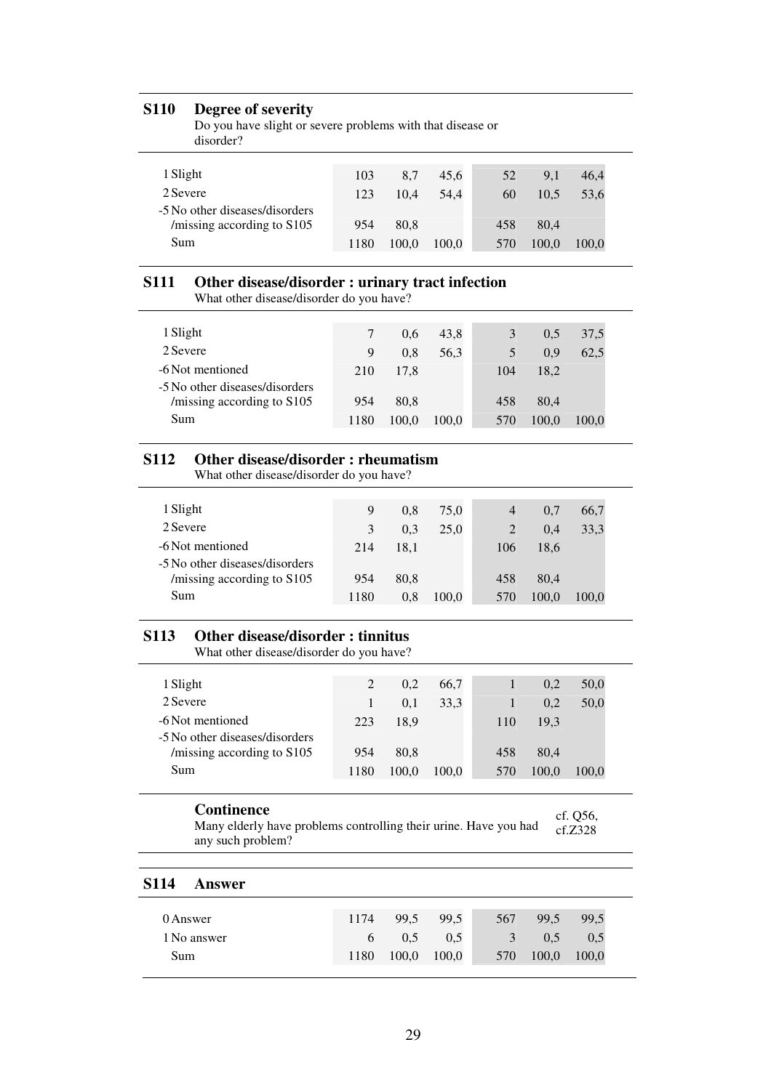#### **S110 Degree of severity**

| Do you have slight or severe problems with that disease or |  |
|------------------------------------------------------------|--|
| disorder?                                                  |  |

| 1 Slight                       | 103  | 8.7   | 45.6  | 52  | 9.1   | 46.4  |
|--------------------------------|------|-------|-------|-----|-------|-------|
| 2 Severe                       | 123  | 10.4  | 54.4  | 60  | 10.5  | 53.6  |
| -5 No other diseases/disorders |      |       |       |     |       |       |
| /missing according to S105     | 954  | 80.8  |       | 458 | 80.4  |       |
| Sum                            | 1180 | 100.0 | 100.0 | 570 | 100.0 | 100.0 |
|                                |      |       |       |     |       |       |

### **S111 Other disease/disorder : urinary tract infection**

What other disease/disorder do you have?

|      | 0.6   | 43.8  |     | $0.5^{\circ}$ | 37,5  |
|------|-------|-------|-----|---------------|-------|
| 9    | 0.8   | 56.3  |     | 0.9           | 62,5  |
| 210  | 17.8  |       | 104 | 18.2          |       |
|      |       |       |     |               |       |
| 954  | 80.8  |       | 458 | 80.4          |       |
| 1180 | 100.0 | 100,0 | 570 | 100,0         | 100.0 |
|      |       |       |     |               |       |

### **S112 Other disease/disorder : rheumatism**

What other disease/disorder do you have?

| 1 Slight                                                     | 9    | 0.8  | 75.0  | 4   | 0.7   | 66,7  |
|--------------------------------------------------------------|------|------|-------|-----|-------|-------|
| 2 Severe                                                     | 3    | 0.3  | 25.0  |     | 0.4   | 33,3  |
| -6 Not mentioned                                             | 214  | 18.1 |       | 106 | 18.6  |       |
| -5 No other diseases/disorders<br>/missing according to S105 | 954  | 80.8 |       | 458 | 80.4  |       |
| Sum                                                          | 1180 | 0.8  | 100,0 | 570 | 100.0 | 100.0 |

# **S113 Other disease/disorder : tinnitus**

What other disease/disorder do you have?

| 1 Slight                       | 2    | 0.2   | 66,7  |     | 0.2   | 50,0  |
|--------------------------------|------|-------|-------|-----|-------|-------|
| 2 Severe                       |      | 0.1   | 33,3  |     | 0,2   | 50,0  |
| -6 Not mentioned               | 223  | 18.9  |       | 110 | 19.3  |       |
| -5 No other diseases/disorders |      |       |       |     |       |       |
| /missing according to S105     | 954  | 80.8  |       | 458 | 80.4  |       |
| Sum                            | 1180 | 100.0 | 100,0 | 570 | 100.0 | 100.0 |
|                                |      |       |       |     |       |       |

#### **Continence**

Many elderly have problems controlling their urine. Have you had any such problem? cf. Q56,  $cf.Z328$ 

#### **S114 Answer**

| 0 Answer    | 1174 | 99,5    | 99.5          | 567 | 99.5  | 99.5  |
|-------------|------|---------|---------------|-----|-------|-------|
| 1 No answer |      | 6 $0.5$ | $0.5^{\circ}$ | 3   | 0.5   | 0.5   |
| Sum         | 1180 | 100,0   | 100,0         | 570 | 100,0 | 100,0 |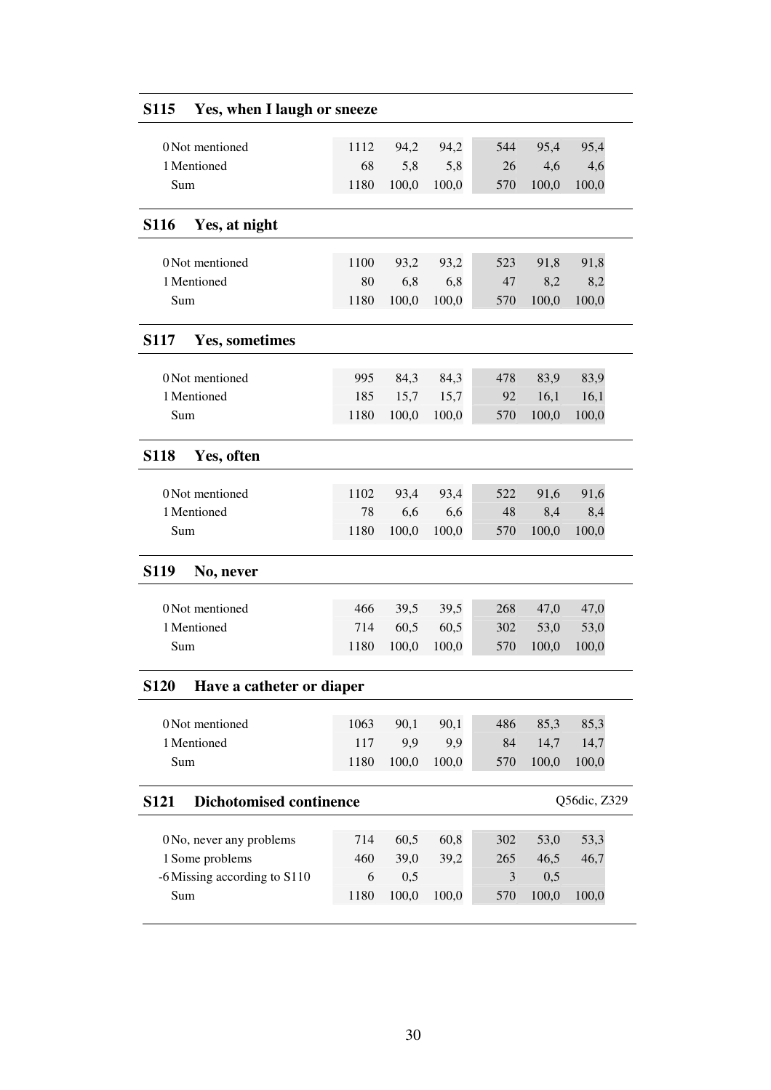| 0 Not mentioned                               | 1112 | 94,2  | 94,2  | 544 | 95,4  | 95,4         |
|-----------------------------------------------|------|-------|-------|-----|-------|--------------|
| 1 Mentioned                                   | 68   | 5,8   | 5,8   | 26  | 4,6   | 4,6          |
| Sum                                           | 1180 | 100,0 | 100,0 | 570 | 100,0 | 100,0        |
| <b>S116</b><br>Yes, at night                  |      |       |       |     |       |              |
|                                               |      |       |       |     |       |              |
| 0 Not mentioned                               | 1100 | 93,2  | 93,2  | 523 | 91,8  | 91,8         |
| 1 Mentioned                                   | 80   | 6,8   | 6,8   | 47  | 8,2   | 8,2          |
| Sum                                           | 1180 | 100,0 | 100,0 | 570 | 100,0 | 100,0        |
| <b>S117</b><br><b>Yes, sometimes</b>          |      |       |       |     |       |              |
| 0 Not mentioned                               | 995  | 84,3  | 84,3  | 478 | 83,9  | 83,9         |
| 1 Mentioned                                   | 185  | 15,7  | 15,7  | 92  | 16,1  | 16,1         |
| Sum                                           | 1180 | 100,0 | 100,0 | 570 | 100,0 | 100,0        |
|                                               |      |       |       |     |       |              |
| <b>S118</b><br>Yes, often                     |      |       |       |     |       |              |
| 0 Not mentioned                               | 1102 | 93,4  | 93,4  | 522 | 91,6  | 91,6         |
| 1 Mentioned                                   | 78   | 6,6   | 6,6   | 48  | 8,4   | 8,4          |
| Sum                                           | 1180 | 100,0 | 100,0 | 570 | 100,0 | 100,0        |
| <b>S119</b><br>No, never                      |      |       |       |     |       |              |
| 0 Not mentioned                               | 466  | 39,5  | 39,5  | 268 | 47,0  | 47,0         |
| 1 Mentioned                                   | 714  | 60,5  | 60,5  | 302 | 53,0  | 53,0         |
| Sum                                           | 1180 | 100,0 | 100,0 | 570 | 100,0 | 100,0        |
| <b>S120</b><br>Have a catheter or diaper      |      |       |       |     |       |              |
|                                               |      |       |       |     |       |              |
| 0 Not mentioned                               | 1063 | 90,1  | 90,1  | 486 | 85,3  | 85,3         |
| 1 Mentioned                                   | 117  | 9,9   | 9,9   | 84  | 14,7  | 14,7         |
| Sum                                           | 1180 | 100,0 | 100,0 | 570 | 100,0 | 100,0        |
| <b>Dichotomised continence</b><br><b>S121</b> |      |       |       |     |       | Q56dic, Z329 |
| 0 No, never any problems                      | 714  | 60,5  | 60,8  | 302 | 53,0  | 53,3         |
| 1 Some problems                               | 460  | 39,0  | 39,2  | 265 | 46,5  | 46,7         |
| -6 Missing according to S110                  | 6    | 0,5   |       | 3   | 0,5   |              |
| Sum                                           | 1180 | 100,0 | 100,0 | 570 | 100,0 | 100,0        |
|                                               |      |       |       |     |       |              |

# **S115 Yes, when I laugh or sneeze**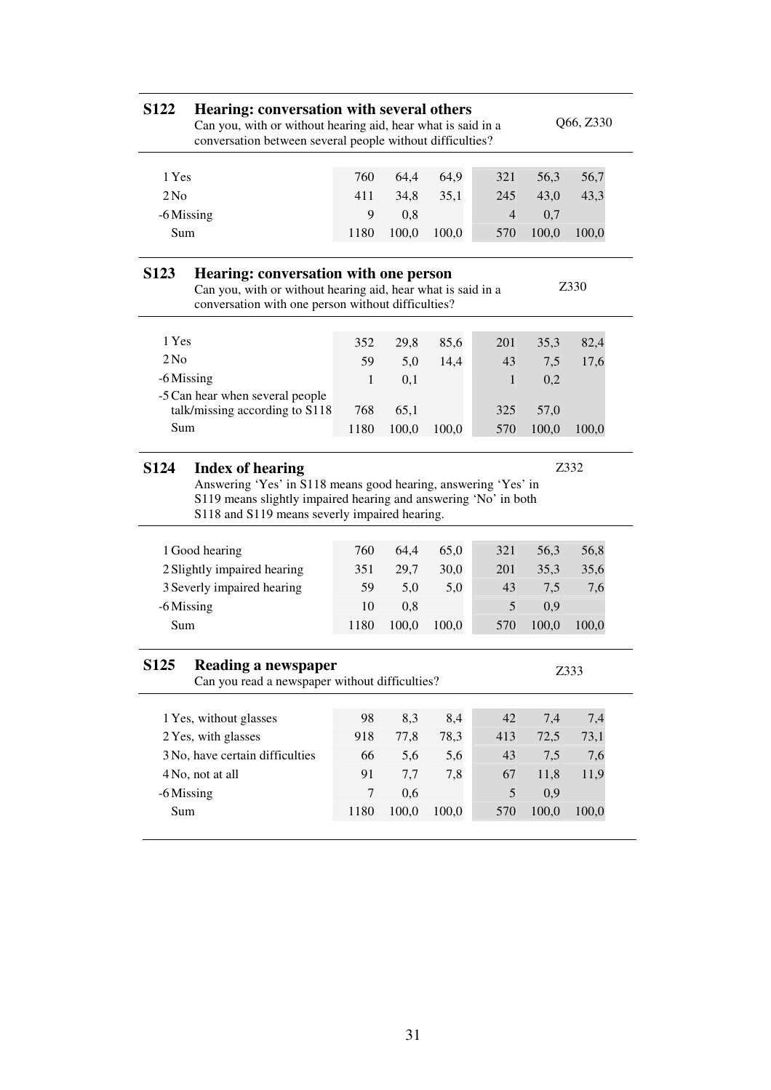| <b>S122</b>                                                                                                                                                                                                                          | Hearing: conversation with several others<br>Q66, Z330<br>Can you, with or without hearing aid, hear what is said in a<br>conversation between several people without difficulties? |                |       |       |     |       |       |  |  |  |  |
|--------------------------------------------------------------------------------------------------------------------------------------------------------------------------------------------------------------------------------------|-------------------------------------------------------------------------------------------------------------------------------------------------------------------------------------|----------------|-------|-------|-----|-------|-------|--|--|--|--|
| 1 Yes                                                                                                                                                                                                                                |                                                                                                                                                                                     | 760            | 64,4  | 64,9  | 321 | 56,3  | 56,7  |  |  |  |  |
| 2N <sub>0</sub>                                                                                                                                                                                                                      |                                                                                                                                                                                     | 411            | 34,8  | 35,1  | 245 | 43,0  | 43,3  |  |  |  |  |
| -6 Missing                                                                                                                                                                                                                           |                                                                                                                                                                                     | 9              | 0,8   |       | 4   | 0,7   |       |  |  |  |  |
|                                                                                                                                                                                                                                      | Sum                                                                                                                                                                                 |                | 100,0 | 100,0 | 570 | 100,0 | 100,0 |  |  |  |  |
| <b>S123</b><br>Hearing: conversation with one person<br>Z330<br>Can you, with or without hearing aid, hear what is said in a<br>conversation with one person without difficulties?                                                   |                                                                                                                                                                                     |                |       |       |     |       |       |  |  |  |  |
| 1 Yes                                                                                                                                                                                                                                |                                                                                                                                                                                     | 352            | 29,8  | 85,6  | 201 | 35,3  | 82,4  |  |  |  |  |
| 2N <sub>0</sub>                                                                                                                                                                                                                      |                                                                                                                                                                                     | 59             | 5,0   | 14,4  | 43  | 7,5   | 17,6  |  |  |  |  |
| -6 Missing                                                                                                                                                                                                                           |                                                                                                                                                                                     | 1              | 0,1   |       | 1   | 0,2   |       |  |  |  |  |
|                                                                                                                                                                                                                                      | -5 Can hear when several people<br>talk/missing according to S118                                                                                                                   | 768            | 65,1  |       | 325 | 57,0  |       |  |  |  |  |
| Sum                                                                                                                                                                                                                                  |                                                                                                                                                                                     | 1180           | 100,0 | 100,0 | 570 | 100,0 | 100,0 |  |  |  |  |
| <b>S124</b><br>Z332<br><b>Index of hearing</b><br>Answering 'Yes' in S118 means good hearing, answering 'Yes' in<br>S119 means slightly impaired hearing and answering 'No' in both<br>S118 and S119 means severly impaired hearing. |                                                                                                                                                                                     |                |       |       |     |       |       |  |  |  |  |
|                                                                                                                                                                                                                                      | 1 Good hearing                                                                                                                                                                      | 760            | 64,4  | 65,0  | 321 | 56,3  | 56,8  |  |  |  |  |
|                                                                                                                                                                                                                                      | 2 Slightly impaired hearing                                                                                                                                                         | 351            | 29,7  | 30,0  | 201 | 35,3  | 35,6  |  |  |  |  |
|                                                                                                                                                                                                                                      | 3 Severly impaired hearing                                                                                                                                                          | 59             | 5,0   | 5,0   | 43  | 7,5   | 7,6   |  |  |  |  |
| -6 Missing                                                                                                                                                                                                                           |                                                                                                                                                                                     | 10             | 0,8   |       | 5   | 0,9   |       |  |  |  |  |
| Sum                                                                                                                                                                                                                                  |                                                                                                                                                                                     | 1180           | 100,0 | 100,0 | 570 | 100,0 | 100,0 |  |  |  |  |
| S <sub>125</sub>                                                                                                                                                                                                                     | Reading a newspaper<br>Can you read a newspaper without difficulties?                                                                                                               |                |       |       |     |       | Z333  |  |  |  |  |
|                                                                                                                                                                                                                                      | 1 Yes, without glasses                                                                                                                                                              | 98             | 8,3   | 8,4   | 42  | 7,4   | 7,4   |  |  |  |  |
|                                                                                                                                                                                                                                      | 2 Yes, with glasses                                                                                                                                                                 | 918            | 77,8  | 78,3  | 413 | 72,5  | 73,1  |  |  |  |  |
|                                                                                                                                                                                                                                      | 3 No, have certain difficulties                                                                                                                                                     | 66             | 5,6   | 5,6   | 43  | 7,5   | 7,6   |  |  |  |  |
|                                                                                                                                                                                                                                      | 4 No, not at all                                                                                                                                                                    | 91             | 7,7   | 7,8   | 67  | 11,8  | 11,9  |  |  |  |  |
| -6 Missing                                                                                                                                                                                                                           |                                                                                                                                                                                     | $\overline{7}$ | 0,6   |       | 5   | 0,9   |       |  |  |  |  |
| Sum                                                                                                                                                                                                                                  |                                                                                                                                                                                     | 1180           | 100,0 | 100,0 | 570 | 100,0 | 100,0 |  |  |  |  |
|                                                                                                                                                                                                                                      |                                                                                                                                                                                     |                |       |       |     |       |       |  |  |  |  |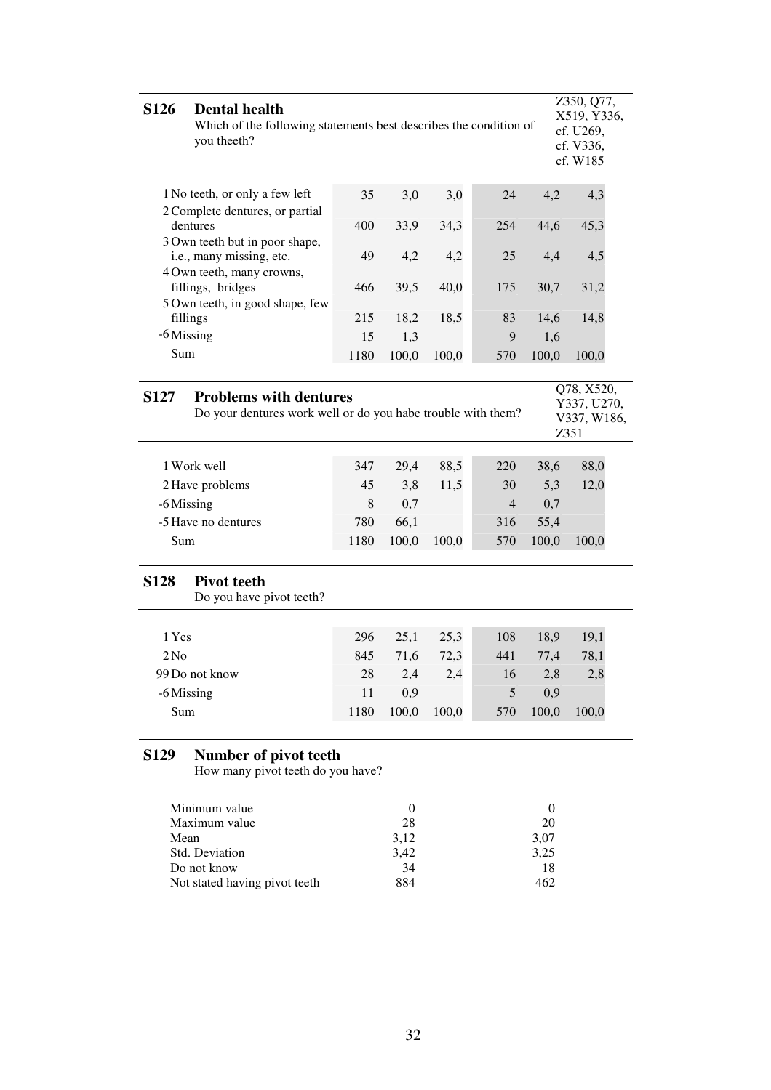| <b>S126</b>                                                                                                                                                      | <b>Dental health</b><br>Which of the following statements best describes the condition of<br>you theeth? |      |                    |       |                |                        | Z350, Q77,<br>X519, Y336,<br>cf. U269,<br>cf. V336,<br>cf. W185 |
|------------------------------------------------------------------------------------------------------------------------------------------------------------------|----------------------------------------------------------------------------------------------------------|------|--------------------|-------|----------------|------------------------|-----------------------------------------------------------------|
|                                                                                                                                                                  |                                                                                                          |      |                    |       |                |                        |                                                                 |
|                                                                                                                                                                  | 1 No teeth, or only a few left                                                                           | 35   | 3,0                | 3,0   | 24             | 4,2                    | 4,3                                                             |
|                                                                                                                                                                  | 2 Complete dentures, or partial<br>dentures                                                              | 400  | 33,9               | 34,3  | 254            | 44,6                   | 45,3                                                            |
|                                                                                                                                                                  | 3 Own teeth but in poor shape,<br>i.e., many missing, etc.<br>4 Own teeth, many crowns,                  | 49   | 4,2                | 4,2   | 25             | 4,4                    | 4,5                                                             |
|                                                                                                                                                                  | fillings, bridges<br>5 Own teeth, in good shape, few                                                     | 466  | 39,5               | 40,0  | 175            | 30,7                   | 31,2                                                            |
|                                                                                                                                                                  | fillings                                                                                                 | 215  | 18,2               | 18,5  | 83             | 14,6                   | 14,8                                                            |
| $-6$ Missing                                                                                                                                                     |                                                                                                          | 15   | 1,3                |       | 9              | 1,6                    |                                                                 |
| Sum                                                                                                                                                              |                                                                                                          | 1180 | 100,0              | 100,0 | 570            | 100,0                  | 100,0                                                           |
| Q78, X520,<br><b>Problems with dentures</b><br><b>S127</b><br>Y337, U270,<br>Do your dentures work well or do you habe trouble with them?<br>V337, W186,<br>Z351 |                                                                                                          |      |                    |       |                |                        |                                                                 |
|                                                                                                                                                                  | 1 Work well                                                                                              | 347  | 29,4               | 88,5  | 220            | 38,6                   | 88,0                                                            |
|                                                                                                                                                                  | 2 Have problems                                                                                          | 45   | 3,8                | 11,5  | 30             | 5,3                    | 12,0                                                            |
|                                                                                                                                                                  |                                                                                                          | 8    | 0,7                |       | $\overline{4}$ |                        |                                                                 |
| -6 Missing                                                                                                                                                       | -5 Have no dentures                                                                                      | 780  |                    |       |                | 0,7<br>55,4            |                                                                 |
|                                                                                                                                                                  |                                                                                                          |      | 66,1               |       | 316            |                        |                                                                 |
| Sum                                                                                                                                                              |                                                                                                          | 1180 | 100,0              | 100,0 | 570            | 100,0                  | 100,0                                                           |
| <b>S128</b>                                                                                                                                                      | <b>Pivot teeth</b><br>Do you have pivot teeth?                                                           |      |                    |       |                |                        |                                                                 |
|                                                                                                                                                                  |                                                                                                          |      |                    |       |                |                        |                                                                 |
| 1 Yes                                                                                                                                                            |                                                                                                          | 296  | 25,1               | 25,3  | 108            | 18,9                   | 19,1                                                            |
| 2N <sub>0</sub>                                                                                                                                                  |                                                                                                          | 845  | 71,6               | 72,3  | 441            | 77,4                   | 78,1                                                            |
|                                                                                                                                                                  | 99 Do not know                                                                                           | 28   | 2,4                | 2,4   | 16             | 2,8                    | 2,8                                                             |
| -6 Missing                                                                                                                                                       |                                                                                                          | 11   | 0,9                |       | 5              | 0,9                    |                                                                 |
| Sum                                                                                                                                                              |                                                                                                          | 1180 | 100,0              | 100,0 | 570            | 100,0                  | 100,0                                                           |
| <b>S129</b>                                                                                                                                                      | Number of pivot teeth<br>How many pivot teeth do you have?                                               |      |                    |       |                |                        |                                                                 |
|                                                                                                                                                                  | Minimum value<br>Maximum value                                                                           |      | $\mathbf{0}$<br>28 |       |                | $\boldsymbol{0}$<br>20 |                                                                 |
| Mean                                                                                                                                                             | Std. Deviation                                                                                           |      | 3,12<br>3,42       |       |                | 3,07<br>3,25           |                                                                 |
|                                                                                                                                                                  | Do not know                                                                                              |      | 34                 |       |                | 18                     |                                                                 |
|                                                                                                                                                                  | Not stated having pivot teeth                                                                            |      | 884                |       |                | 462                    |                                                                 |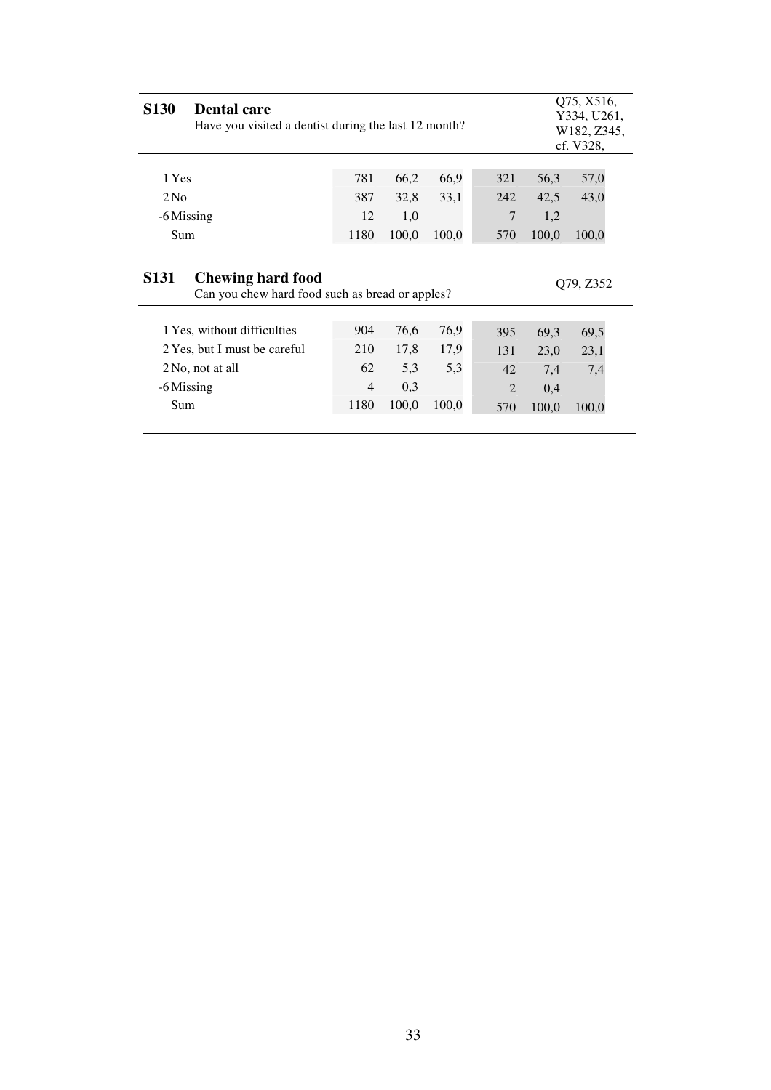| <b>S130</b><br><b>Dental care</b>                                                                       | Have you visited a dentist during the last 12 month? |                                     |                              |                                           |                                     |                              |  |  |
|---------------------------------------------------------------------------------------------------------|------------------------------------------------------|-------------------------------------|------------------------------|-------------------------------------------|-------------------------------------|------------------------------|--|--|
| 1 Yes                                                                                                   | 781                                                  | 66,2                                | 66,9                         | 321                                       | 56,3                                | 57,0                         |  |  |
| 2N <sub>0</sub>                                                                                         | 387                                                  | 32,8                                | 33,1                         | 242                                       | 42,5                                | 43,0                         |  |  |
| -6 Missing                                                                                              | 12                                                   | 1,0                                 |                              | 7                                         | 1,2                                 |                              |  |  |
| Sum                                                                                                     | 1180                                                 | 100,0                               | 100,0                        | 570                                       | 100,0                               | 100,0                        |  |  |
| <b>S131</b><br><b>Chewing hard food</b><br>O79, Z352<br>Can you chew hard food such as bread or apples? |                                                      |                                     |                              |                                           |                                     |                              |  |  |
| 1 Yes, without difficulties<br>2 Yes, but I must be careful<br>2 No, not at all<br>-6 Missing<br>Sum    | 904<br>210<br>62<br>$\overline{4}$<br>1180           | 76,6<br>17,8<br>5.3<br>0,3<br>100,0 | 76,9<br>17,9<br>5.3<br>100,0 | 395<br>131<br>42<br>$\overline{2}$<br>570 | 69,3<br>23,0<br>7,4<br>0,4<br>100,0 | 69,5<br>23,1<br>7,4<br>100,0 |  |  |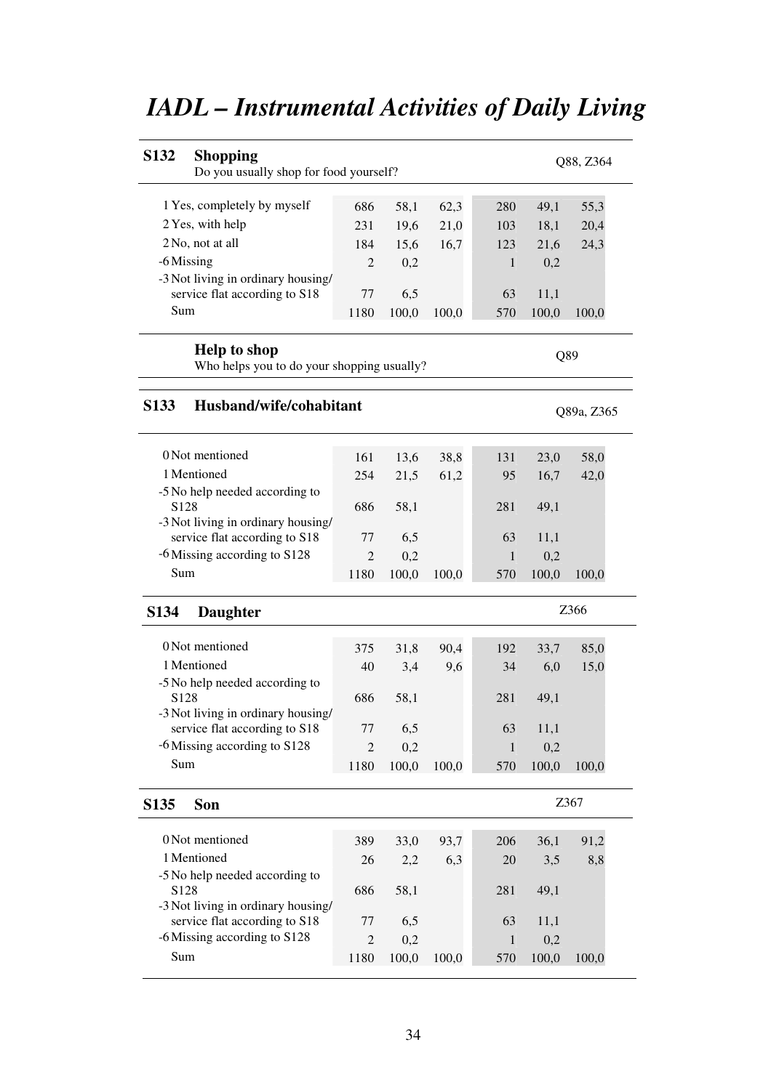| <b>S132</b><br><b>Shopping</b><br>Do you usually shop for food yourself? |                |       |       |     |       | Q88, Z364        |
|--------------------------------------------------------------------------|----------------|-------|-------|-----|-------|------------------|
| 1 Yes, completely by myself                                              | 686            | 58,1  | 62,3  | 280 | 49,1  | 55,3             |
| 2 Yes, with help                                                         | 231            | 19,6  | 21,0  | 103 | 18,1  | 20,4             |
| 2 No, not at all                                                         | 184            | 15,6  | 16,7  | 123 | 21,6  | 24,3             |
| -6 Missing                                                               | $\overline{2}$ | 0,2   |       | 1   | 0,2   |                  |
| -3 Not living in ordinary housing/                                       |                |       |       |     |       |                  |
| service flat according to S18                                            | 77             | 6,5   |       | 63  | 11,1  |                  |
| Sum                                                                      | 1180           | 100,0 | 100,0 | 570 | 100,0 | 100,0            |
| <b>Help to shop</b><br>Who helps you to do your shopping usually?        |                |       |       |     |       | Q89              |
| Husband/wife/cohabitant<br><b>S133</b>                                   |                |       |       |     |       | Q89a, Z365       |
| 0 Not mentioned                                                          | 161            | 13,6  | 38,8  | 131 | 23,0  | 58,0             |
| 1 Mentioned                                                              | 254            | 21,5  | 61,2  | 95  | 16,7  | 42,0             |
| -5 No help needed according to                                           |                |       |       |     |       |                  |
| S <sub>128</sub>                                                         | 686            | 58,1  |       | 281 | 49,1  |                  |
| -3 Not living in ordinary housing/<br>service flat according to S18      | 77             | 6,5   |       | 63  | 11,1  |                  |
| -6 Missing according to S128                                             | $\overline{c}$ | 0,2   |       | 1   | 0,2   |                  |
| Sum                                                                      | 1180           | 100,0 | 100,0 | 570 | 100,0 | 100,0            |
| S <sub>1</sub> 34<br><b>Daughter</b>                                     |                |       |       |     |       | Z <sub>366</sub> |
| 0 Not mentioned                                                          | 375            | 31,8  | 90,4  | 192 | 33,7  | 85,0             |
| 1 Mentioned                                                              | 40             | 3,4   | 9,6   | 34  | 6,0   | 15,0             |
| -5 No help needed according to                                           |                |       |       |     |       |                  |
| S <sub>128</sub>                                                         | 686            | 58,1  |       | 281 | 49,1  |                  |
| -3 Not living in ordinary housing/                                       |                |       |       |     |       |                  |
| service flat according to S18                                            | 77             | 6,5   |       | 63  | 11,1  |                  |
| -6 Missing according to S128                                             | $\overline{2}$ | 0,2   |       | 1   | 0,2   |                  |
| Sum                                                                      | 1180           | 100,0 | 100,0 | 570 | 100,0 | 100,0            |
| S <sub>135</sub><br>Son                                                  |                |       |       |     |       | Z367             |
| 0 Not mentioned                                                          | 389            | 33,0  | 93,7  | 206 | 36,1  | 91,2             |
| 1 Mentioned                                                              | 26             | 2,2   | 6,3   | 20  | 3,5   | 8,8              |
| -5 No help needed according to<br>S <sub>128</sub>                       | 686            | 58,1  |       | 281 | 49,1  |                  |
| -3 Not living in ordinary housing/                                       |                |       |       |     |       |                  |
| service flat according to S18                                            | 77             | 6,5   |       | 63  | 11,1  |                  |
| -6 Missing according to S128                                             | $\overline{2}$ | 0,2   |       | 1   | 0,2   |                  |
| Sum                                                                      | 1180           | 100,0 | 100,0 | 570 | 100,0 | 100,0            |

# *IADL – Instrumental Activities of Daily Living*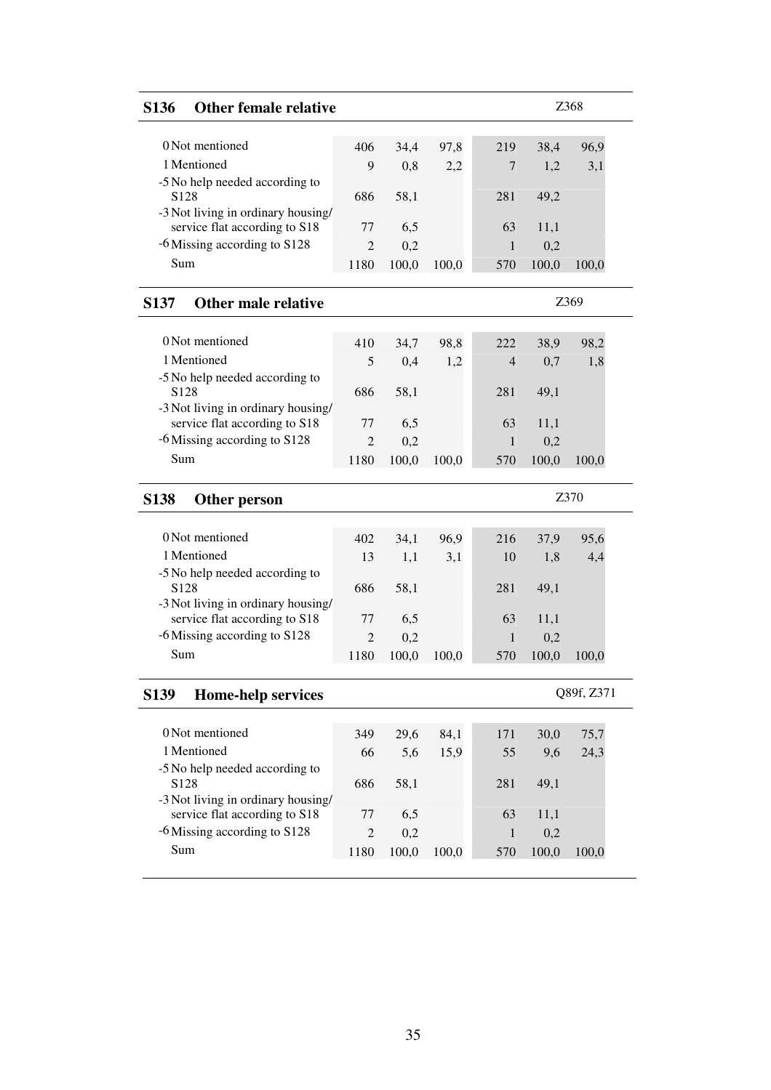| <b>S136</b>                                                   | <b>Other female relative</b> |                        |              |       |                |              | Z368       |  |
|---------------------------------------------------------------|------------------------------|------------------------|--------------|-------|----------------|--------------|------------|--|
| 0 Not mentioned                                               |                              |                        |              |       |                |              |            |  |
| 1 Mentioned                                                   |                              | 406                    | 34,4         | 97,8  | 219            | 38,4         | 96,9       |  |
| -5 No help needed according to                                |                              | 9                      | 0,8          | 2,2   | 7              | 1,2          | 3,1        |  |
| S <sub>128</sub>                                              |                              | 686                    | 58,1         |       | 281            | 49,2         |            |  |
| -3 Not living in ordinary housing/                            |                              |                        |              |       |                |              |            |  |
| service flat according to S18                                 |                              | 77                     | 6,5          |       | 63             | 11,1         |            |  |
| -6 Missing according to S128                                  |                              | $\overline{2}$         | 0,2          |       | $\mathbf{1}$   | 0,2          |            |  |
| Sum                                                           |                              | 1180                   | 100,0        | 100,0 | 570            | 100,0        | 100,0      |  |
| <b>S137</b>                                                   | <b>Other male relative</b>   |                        |              |       |                |              | Z369       |  |
| 0 Not mentioned                                               |                              |                        |              |       |                |              |            |  |
|                                                               |                              | 410                    | 34,7         | 98,8  | 222            | 38,9         | 98,2       |  |
| 1 Mentioned                                                   |                              | 5                      | 0,4          | 1,2   | $\overline{4}$ | 0,7          | 1,8        |  |
| -5 No help needed according to<br>S <sub>128</sub>            |                              | 686                    | 58,1         |       | 281            | 49,1         |            |  |
| -3 Not living in ordinary housing/                            |                              |                        |              |       |                |              |            |  |
| service flat according to S18                                 |                              | 77                     | 6,5          |       | 63             | 11,1         |            |  |
| -6 Missing according to S128                                  |                              | $\overline{2}$         | 0,2          |       | $\mathbf{1}$   | 0,2          |            |  |
| Sum                                                           |                              | 1180                   | 100,0        | 100,0 | 570            | 100,0        | 100,0      |  |
|                                                               |                              |                        |              |       |                |              |            |  |
| <b>S138</b><br>Other person                                   |                              |                        |              |       |                |              | Z370       |  |
|                                                               |                              |                        |              |       |                |              |            |  |
| 0 Not mentioned                                               |                              | 402                    | 34,1         | 96,9  | 216            | 37,9         | 95,6       |  |
| 1 Mentioned                                                   |                              | 13                     | 1,1          | 3,1   | 10             | 1,8          | 4,4        |  |
| -5 No help needed according to                                |                              |                        |              |       |                |              |            |  |
| S <sub>128</sub>                                              |                              | 686                    | 58,1         |       | 281            | 49,1         |            |  |
| -3 Not living in ordinary housing/                            |                              |                        |              |       |                |              |            |  |
| service flat according to S18                                 |                              | 77                     | 6,5          |       | 63             | 11,1         |            |  |
| -6 Missing according to S128<br>Sum                           |                              | $\overline{2}$<br>1180 | 0,2<br>100,0 | 100,0 | 1<br>570       | 0,2<br>100,0 | 100,0      |  |
|                                                               |                              |                        |              |       |                |              |            |  |
| <b>S139</b>                                                   | <b>Home-help services</b>    |                        |              |       |                |              | Q89f, Z371 |  |
|                                                               |                              |                        |              |       |                |              |            |  |
| 0 Not mentioned                                               |                              | 349                    | 29,6         | 84,1  | 171            | 30,0         | 75,7       |  |
| 1 Mentioned                                                   |                              | 66                     | 5,6          | 15,9  | 55             | 9,6          | 24,3       |  |
| -5 No help needed according to                                |                              |                        |              |       |                |              |            |  |
| S128                                                          |                              | 686                    | 58,1         |       | 281            | 49,1         |            |  |
| -3 Not living in ordinary housing/                            |                              | 77                     |              |       | 63             |              |            |  |
| service flat according to S18<br>-6 Missing according to S128 |                              |                        | 6,5          |       | 1              | 11,1         |            |  |
| Sum                                                           |                              | $\overline{c}$<br>1180 | 0,2<br>100,0 | 100,0 | 570            | 0,2<br>100,0 | 100,0      |  |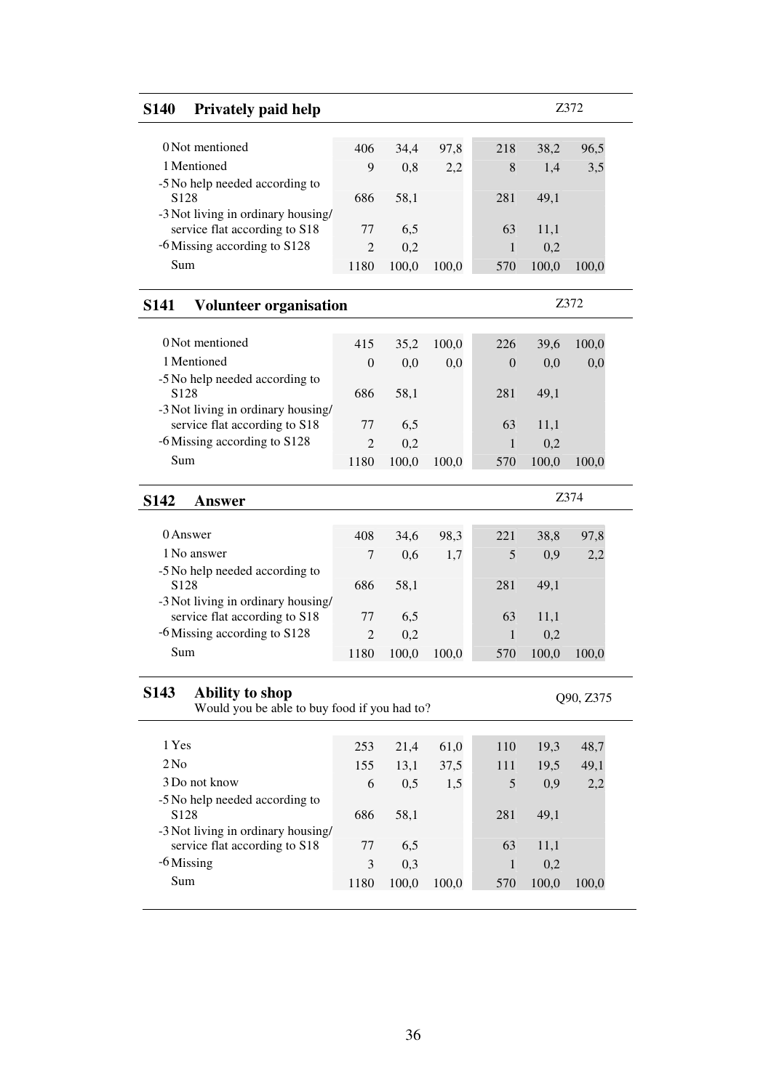| <b>S140</b><br><b>Privately paid help</b>                                                  |                |       |       |                |       | Z372      |
|--------------------------------------------------------------------------------------------|----------------|-------|-------|----------------|-------|-----------|
| 0 Not mentioned                                                                            |                |       |       |                |       |           |
|                                                                                            | 406            | 34,4  | 97,8  | 218            | 38,2  | 96,5      |
| 1 Mentioned                                                                                | 9              | 0,8   | 2,2   | 8              | 1,4   | 3,5       |
| -5 No help needed according to<br>S <sub>128</sub>                                         | 686            | 58,1  |       | 281            | 49,1  |           |
| -3 Not living in ordinary housing/                                                         |                |       |       |                |       |           |
| service flat according to S18                                                              | 77             | 6,5   |       | 63             | 11,1  |           |
| -6 Missing according to S128                                                               | $\overline{2}$ | 0,2   |       | 1              | 0,2   |           |
| Sum                                                                                        | 1180           | 100,0 | 100,0 | 570            | 100,0 | 100,0     |
| <b>Volunteer organisation</b><br><b>S141</b>                                               |                |       |       |                |       | Z372      |
| 0 Not mentioned                                                                            | 415            | 35,2  | 100,0 | 226            | 39,6  | 100,0     |
| 1 Mentioned                                                                                | $\overline{0}$ | 0,0   | 0,0   | $\overline{0}$ | 0,0   | 0,0       |
| -5 No help needed according to                                                             |                |       |       |                |       |           |
| S <sub>128</sub><br>-3 Not living in ordinary housing/                                     | 686            | 58,1  |       | 281            | 49.1  |           |
| service flat according to S18                                                              | 77             | 6,5   |       | 63             | 11,1  |           |
| -6 Missing according to S128                                                               | 2              | 0,2   |       | 1              | 0,2   |           |
| Sum                                                                                        | 1180           | 100,0 | 100,0 | 570            | 100,0 | 100,0     |
| S <sub>142</sub><br>Answer                                                                 |                |       |       |                |       | Z374      |
| 0 Answer                                                                                   | 408            | 34,6  | 98,3  | 221            | 38,8  | 97,8      |
| 1 No answer                                                                                | 7              |       |       |                |       |           |
| -5 No help needed according to                                                             |                | 0,6   | 1,7   | 5              | 0,9   | 2,2       |
| S <sub>128</sub>                                                                           | 686            | 58,1  |       | 281            | 49,1  |           |
| -3 Not living in ordinary housing/                                                         |                |       |       |                |       |           |
| service flat according to S18                                                              | 77             | 6,5   |       | 63             | 11,1  |           |
| -6 Missing according to S128                                                               | $\overline{2}$ | 0,2   |       | 1              | 0,2   |           |
| Sum                                                                                        | 1180           | 100,0 | 100,0 | 570            | 100,0 | 100.0     |
| S <sub>143</sub><br><b>Ability to shop</b><br>Would you be able to buy food if you had to? |                |       |       |                |       | Q90, Z375 |
|                                                                                            |                |       |       |                |       |           |
| 1 Yes                                                                                      | 253            | 21,4  | 61,0  | 110            | 19,3  | 48,7      |
| 2N <sub>0</sub>                                                                            | 155            | 13,1  | 37,5  | 111            | 19,5  | 49,1      |
| 3 Do not know                                                                              | 6              | 0,5   | 1,5   | 5              | 0,9   | 2,2       |
| -5 No help needed according to<br>S <sub>128</sub>                                         | 686            | 58,1  |       | 281            | 49,1  |           |
| -3 Not living in ordinary housing/                                                         |                |       |       |                |       |           |
| service flat according to S18                                                              | 77             | 6,5   |       | 63             | 11,1  |           |
| -6 Missing                                                                                 | 3              | 0,3   |       | 1              | 0,2   |           |
| Sum                                                                                        | 1180           | 100,0 | 100,0 | 570            | 100,0 | 100,0     |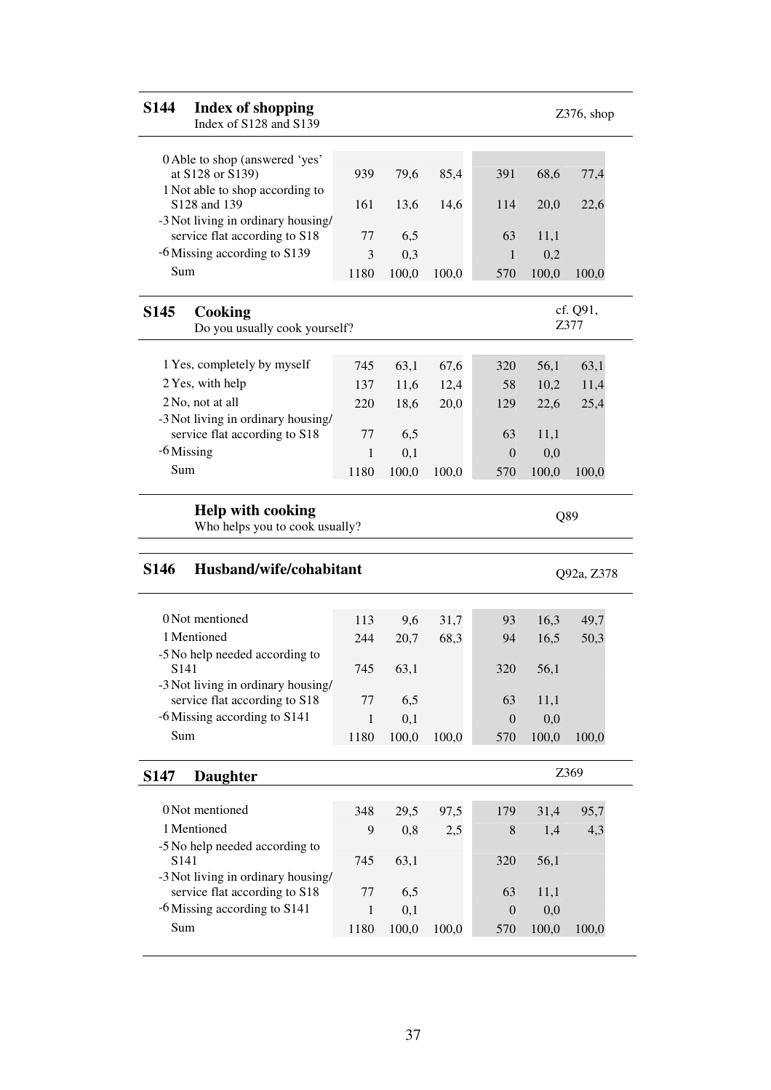| <b>S144</b>      | <b>Index of shopping</b><br>Index of S128 and S139                                    |                      |              |       |                  |              | $Z376$ , shop    |
|------------------|---------------------------------------------------------------------------------------|----------------------|--------------|-------|------------------|--------------|------------------|
|                  | 0 Able to shop (answered 'yes'                                                        |                      |              |       |                  |              |                  |
|                  | at S128 or S139)                                                                      | 939                  | 79,6         | 85,4  | 391              | 68,6         | 77,4             |
|                  | 1 Not able to shop according to<br>S128 and 139                                       | 161                  | 13,6         | 14,6  | 114              | 20,0         | 22,6             |
|                  | -3 Not living in ordinary housing/                                                    |                      |              |       |                  |              |                  |
|                  | service flat according to S18                                                         | 77                   | 6,5          |       | 63               | 11,1         |                  |
|                  | -6 Missing according to S139                                                          | 3                    | 0,3          |       | 1                | 0,2          |                  |
| Sum              |                                                                                       | 1180                 | 100,0        | 100,0 | 570              | 100,0        | 100,0            |
| <b>S145</b>      | Cooking                                                                               |                      |              |       |                  |              | cf. Q91,<br>Z377 |
|                  | Do you usually cook yourself?                                                         |                      |              |       |                  |              |                  |
|                  | 1 Yes, completely by myself                                                           | 745                  | 63,1         | 67,6  | 320              | 56,1         | 63,1             |
|                  | 2 Yes, with help                                                                      | 137                  | 11,6         | 12,4  | 58               | 10,2         | 11,4             |
|                  | 2 No, not at all                                                                      | 220                  | 18,6         | 20,0  | 129              | 22,6         | 25,4             |
|                  | -3 Not living in ordinary housing/                                                    |                      |              |       |                  |              |                  |
|                  | service flat according to S18                                                         | 77                   | 6,5          |       | 63               | 11,1         |                  |
|                  | $-6$ Missing                                                                          | $\mathbf{1}$         | 0,1          |       | $\boldsymbol{0}$ | 0,0          |                  |
|                  |                                                                                       | 1180                 | 100,0        | 100,0 | 570              | 100,0        | 100,0            |
| Sum              |                                                                                       |                      |              |       |                  |              |                  |
|                  | <b>Help with cooking</b><br>Who helps you to cook usually?<br>Husband/wife/cohabitant |                      |              |       |                  | Q89          | Q92a, Z378       |
| <b>S146</b>      |                                                                                       |                      |              |       |                  |              |                  |
|                  | 0 Not mentioned                                                                       | 113                  | 9,6          | 31,7  | 93               | 16,3         | 49,7             |
|                  | 1 Mentioned                                                                           | 244                  | 20,7         | 68,3  | 94               | 16,5         | 50,3             |
|                  | -5 No help needed according to                                                        |                      |              |       |                  |              |                  |
|                  | S141                                                                                  | 745                  | 63,1         |       | 320              | 56,1         |                  |
|                  | -3 Not living in ordinary housing/<br>service flat according to S18                   | 77                   | 6,5          |       | 63               | 11,1         |                  |
|                  | -6 Missing according to S141                                                          | $\mathbf{1}$         | 0,1          |       | $\boldsymbol{0}$ | 0,0          |                  |
| Sum              |                                                                                       | 1180                 | 100,0        | 100,0 | 570              | 100,0        | 100,0            |
|                  | <b>Daughter</b>                                                                       |                      |              |       |                  |              | Z369             |
|                  |                                                                                       |                      |              |       |                  |              |                  |
|                  | 0 Not mentioned                                                                       | 348                  | 29,5         | 97,5  | 179              | 31,4         | 95,7             |
|                  | 1 Mentioned                                                                           | 9                    | 0,8          | 2,5   | 8                | 1,4          | 4,3              |
| S <sub>141</sub> | -5 No help needed according to                                                        |                      |              |       |                  |              |                  |
| S <sub>147</sub> | -3 Not living in ordinary housing/                                                    | 745                  | 63,1         |       | 320              | 56,1         |                  |
|                  | service flat according to S18                                                         | 77                   | 6,5          |       | 63               | 11,1         |                  |
| Sum              | -6 Missing according to S141                                                          | $\mathbf{1}$<br>1180 | 0,1<br>100,0 |       | $\boldsymbol{0}$ | 0,0<br>100,0 |                  |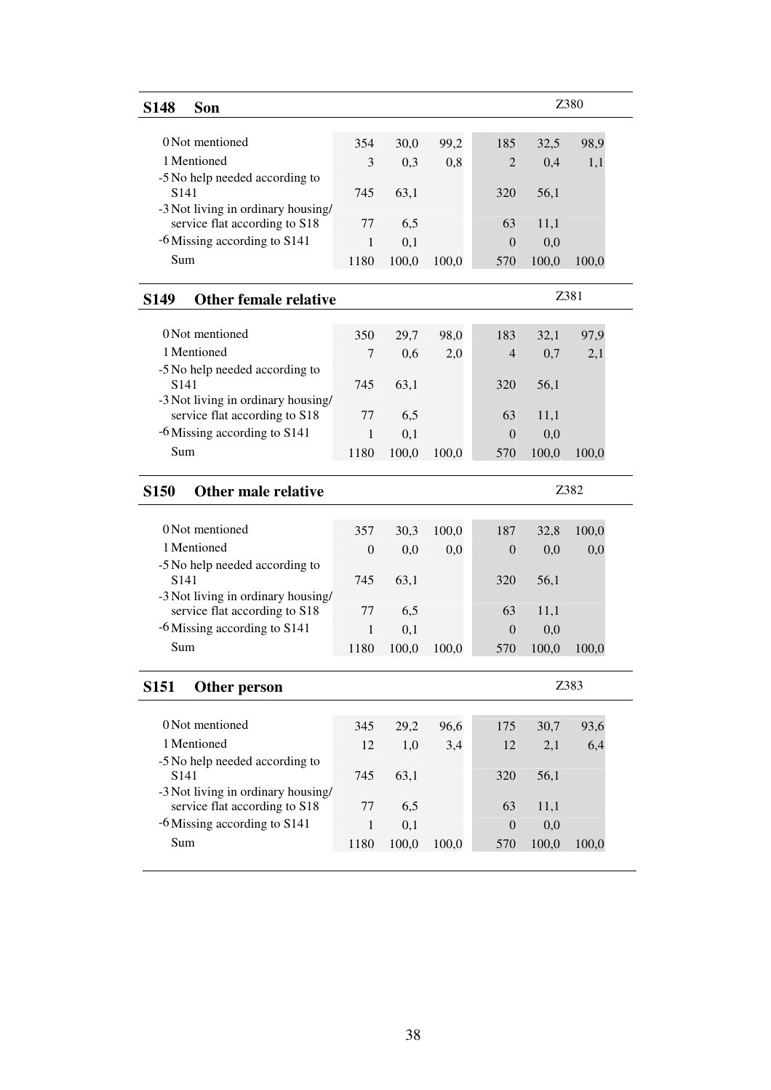| <b>S148</b>      | Son                                                                 |                |              |       |                |              | Z380  |  |
|------------------|---------------------------------------------------------------------|----------------|--------------|-------|----------------|--------------|-------|--|
|                  |                                                                     |                |              |       |                |              |       |  |
|                  | 0 Not mentioned                                                     | 354            | 30,0         | 99,2  | 185            | 32,5         | 98,9  |  |
|                  | 1 Mentioned                                                         | 3              | 0,3          | 0,8   | $\overline{2}$ | 0,4          | 1,1   |  |
| S <sub>141</sub> | -5 No help needed according to                                      | 745            |              |       |                |              |       |  |
|                  | -3 Not living in ordinary housing/                                  |                | 63,1         |       | 320            | 56,1         |       |  |
|                  | service flat according to S18                                       | 77             | 6,5          |       | 63             | 11,1         |       |  |
|                  | -6 Missing according to S141                                        | 1              | 0,1          |       | $\overline{0}$ | 0,0          |       |  |
| Sum              |                                                                     | 1180           | 100,0        | 100,0 | 570            | 100,0        | 100,0 |  |
| <b>S149</b>      | <b>Other female relative</b>                                        |                |              |       |                |              | Z381  |  |
|                  |                                                                     |                |              |       |                |              |       |  |
|                  | 0 Not mentioned                                                     | 350            | 29,7         | 98,0  | 183            | 32,1         | 97,9  |  |
|                  | 1 Mentioned                                                         | 7              | 0,6          | 2,0   | $\overline{4}$ | 0,7          | 2,1   |  |
|                  | -5 No help needed according to                                      |                |              |       |                |              |       |  |
| S <sub>141</sub> |                                                                     | 745            | 63,1         |       | 320            | 56,1         |       |  |
|                  | -3 Not living in ordinary housing/<br>service flat according to S18 | 77             | 6,5          |       | 63             | 11,1         |       |  |
|                  | -6 Missing according to S141                                        | 1              | 0,1          |       | $\overline{0}$ | 0,0          |       |  |
| Sum              |                                                                     | 1180           | 100,0        | 100,0 | 570            | 100,0        | 100,0 |  |
|                  |                                                                     |                |              |       |                |              |       |  |
| <b>S150</b>      | Other male relative                                                 |                |              |       |                |              | Z382  |  |
|                  | 0 Not mentioned                                                     | 357            |              |       | 187            |              |       |  |
|                  | 1 Mentioned                                                         | $\overline{0}$ | 30,3         | 100,0 | $\overline{0}$ | 32,8         | 100,0 |  |
|                  | -5 No help needed according to                                      |                | 0,0          | 0,0   |                | 0,0          | 0,0   |  |
| S <sub>141</sub> |                                                                     | 745            | 63,1         |       | 320            | 56,1         |       |  |
|                  | -3 Not living in ordinary housing/                                  |                |              |       |                |              |       |  |
|                  | service flat according to S18                                       | 77             | 6,5          |       | 63             | 11,1         |       |  |
|                  | -6 Missing according to S141                                        | 1              | 0,1          |       | $\overline{0}$ | 0,0          |       |  |
| Sum              |                                                                     | 1180           | 100,0        | 100,0 | 570            | 100,0        | 100,0 |  |
| <b>S151</b>      |                                                                     |                |              |       |                |              | Z383  |  |
|                  | Other person                                                        |                |              |       |                |              |       |  |
|                  |                                                                     |                |              |       |                |              |       |  |
|                  | 0 Not mentioned                                                     | 345            | 29,2         | 96,6  | 175            | 30,7         | 93,6  |  |
|                  | 1 Mentioned                                                         | 12             | 1,0          | 3,4   | 12             | 2,1          | 6,4   |  |
|                  | -5 No help needed according to                                      |                |              |       |                |              |       |  |
| S <sub>141</sub> |                                                                     | 745            | 63,1         |       | 320            | 56,1         |       |  |
|                  | -3 Not living in ordinary housing/                                  | 77             |              |       | 63             |              |       |  |
|                  | service flat according to S18<br>-6 Missing according to S141       | $\mathbf{1}$   | 6,5          |       | $\overline{0}$ | 11,1         |       |  |
| Sum              |                                                                     | 1180           | 0,1<br>100,0 | 100,0 | 570            | 0,0<br>100,0 | 100,0 |  |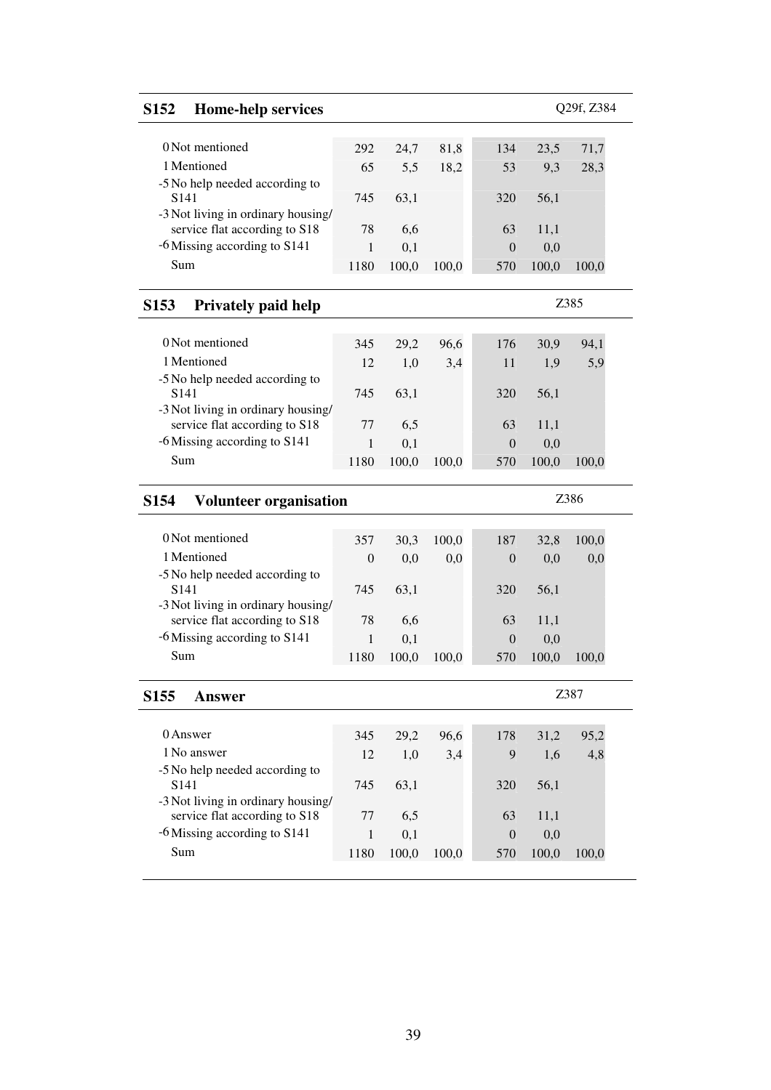39

| <b>S152</b><br><b>Home-help services</b>                            |                  |       |       |                  |       | Q29f, Z384 |
|---------------------------------------------------------------------|------------------|-------|-------|------------------|-------|------------|
| 0 Not mentioned                                                     | 292              | 24,7  | 81,8  | 134              | 23,5  | 71,7       |
| 1 Mentioned<br>-5 No help needed according to                       | 65               | 5,5   | 18,2  | 53               | 9,3   | 28,3       |
| S141<br>-3 Not living in ordinary housing/                          | 745              | 63,1  |       | 320              | 56,1  |            |
| service flat according to S18                                       | 78               | 6,6   |       | 63               | 11,1  |            |
| -6 Missing according to S141                                        | 1                | 0,1   |       | $\overline{0}$   | 0,0   |            |
| Sum                                                                 | 1180             | 100,0 | 100,0 | 570              | 100,0 | 100,0      |
| S <sub>153</sub><br><b>Privately paid help</b>                      |                  |       |       |                  |       | Z385       |
| 0 Not mentioned                                                     | 345              | 29,2  | 96,6  | 176              | 30,9  | 94,1       |
| 1 Mentioned                                                         | 12               | 1,0   | 3,4   | 11               | 1,9   | 5,9        |
| -5 No help needed according to                                      |                  |       |       |                  |       |            |
| S <sub>141</sub>                                                    | 745              | 63,1  |       | 320              | 56,1  |            |
| -3 Not living in ordinary housing/                                  |                  |       |       |                  |       |            |
| service flat according to S18<br>-6 Missing according to S141       | 77               | 6,5   |       | 63               | 11,1  |            |
|                                                                     | 1                | 0,1   |       | $\overline{0}$   | 0,0   |            |
| Sum                                                                 | 1180             | 100,0 | 100,0 | 570              | 100,0 | 100,0      |
| <b>Volunteer organisation</b><br>S <sub>154</sub>                   |                  |       |       |                  |       | Z386       |
| 0 Not mentioned                                                     | 357              | 30,3  | 100,0 | 187              | 32,8  | 100,0      |
| 1 Mentioned                                                         | $\boldsymbol{0}$ | 0,0   | 0,0   | $\boldsymbol{0}$ | 0,0   | 0,0        |
| -5 No help needed according to                                      |                  |       |       |                  |       |            |
| S <sub>141</sub>                                                    | 745              | 63,1  |       | 320              | 56,1  |            |
| -3 Not living in ordinary housing/<br>service flat according to S18 | 78               | 6,6   |       | 63               | 11,1  |            |
| -6 Missing according to S141                                        | 1                | 0,1   |       | $\overline{0}$   | 0,0   |            |
| Sum                                                                 | 1180             | 100,0 | 100,0 | 570              | 100,0 | 100,0      |
|                                                                     |                  |       |       |                  |       | Z387       |
| S <sub>155</sub><br><b>Answer</b>                                   |                  |       |       |                  |       |            |
| 0 Answer                                                            | 345              | 29,2  | 96,6  | 178              | 31,2  | 95,2       |
| 1 No answer                                                         | 12               | 1,0   | 3,4   | 9                | 1,6   | 4,8        |
| -5 No help needed according to                                      |                  |       |       |                  |       |            |
| S <sub>141</sub><br>-3 Not living in ordinary housing/              | 745              | 63,1  |       | 320              | 56,1  |            |
| service flat according to S18                                       | 77               | 6,5   |       | 63               | 11,1  |            |
| -6 Missing according to S141                                        | 1                | 0,1   |       | $\mathbf{0}$     | 0,0   |            |
| Sum                                                                 | 1180             | 100,0 | 100,0 | 570              | 100,0 | 100,0      |
|                                                                     |                  |       |       |                  |       |            |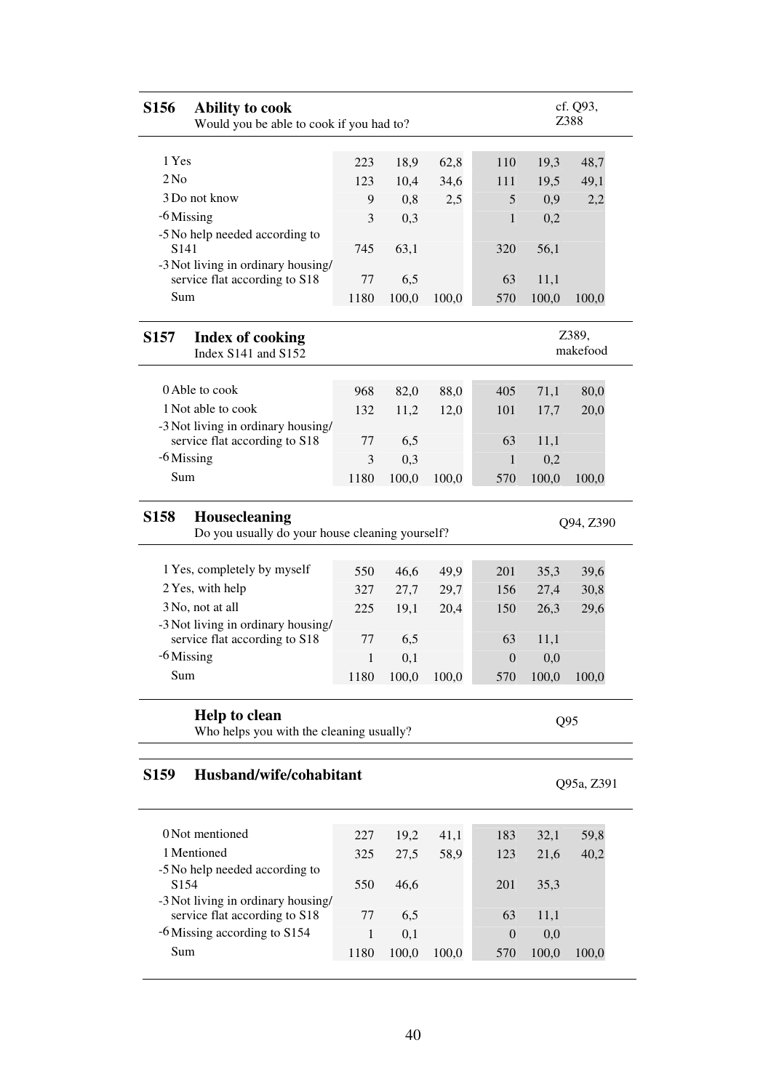| S156<br><b>Ability to cook</b><br>Would you be able to cook if you had to?      |              |       |       |                  |                 | cf. Q93,<br>Z388  |
|---------------------------------------------------------------------------------|--------------|-------|-------|------------------|-----------------|-------------------|
|                                                                                 |              |       |       |                  |                 |                   |
| 1 Yes                                                                           | 223          | 18,9  | 62,8  | 110              | 19,3            | 48,7              |
| 2N <sub>0</sub>                                                                 | 123          | 10,4  | 34,6  | 111              | 19,5            | 49,1              |
| 3 Do not know                                                                   | 9            | 0,8   | 2,5   | 5                | 0,9             | 2,2               |
| $-6$ Missing                                                                    | 3            | 0,3   |       | 1                | 0,2             |                   |
| -5 No help needed according to<br>S <sub>141</sub>                              | 745          | 63,1  |       | 320              | 56,1            |                   |
| -3 Not living in ordinary housing/<br>service flat according to S18             | 77           | 6,5   |       | 63               | 11,1            |                   |
| Sum                                                                             | 1180         | 100,0 | 100,0 | 570              | 100,0           | 100,0             |
| <b>S157</b><br><b>Index of cooking</b><br>Index S141 and S152                   |              |       |       |                  |                 | Z389,<br>makefood |
| 0 Able to cook                                                                  | 968          | 82,0  | 88,0  | 405              | 71,1            | 80,0              |
| 1 Not able to cook                                                              | 132          | 11,2  | 12,0  | 101              | 17,7            | 20,0              |
| -3 Not living in ordinary housing/                                              |              |       |       |                  |                 |                   |
| service flat according to S18                                                   | 77           | 6,5   |       | 63               | 11,1            |                   |
| $-6$ Missing                                                                    | 3            | 0,3   |       | 1                | 0,2             |                   |
| Sum                                                                             | 1180         | 100,0 | 100,0 | 570              | 100,0           | 100,0             |
| Housecleaning<br><b>S158</b><br>Do you usually do your house cleaning yourself? |              |       |       |                  |                 | Q94, Z390         |
| 1 Yes, completely by myself                                                     | 550          | 46,6  | 49,9  | 201              | 35,3            | 39,6              |
| 2 Yes, with help                                                                | 327          | 27,7  | 29,7  | 156              | 27,4            | 30,8              |
| 3 No, not at all                                                                | 225          | 19,1  | 20,4  | 150              | 26,3            | 29,6              |
| -3 Not living in ordinary housing/                                              |              |       |       |                  |                 |                   |
| service flat according to S18                                                   | 77           | 6,5   |       | 63               | 11,1            |                   |
| -6 Missing                                                                      | 1            | 0,1   |       | $\boldsymbol{0}$ | 0,0             |                   |
| Sum                                                                             | 1180         | 100,0 | 100,0 | 570              | 100,0           | 100,0             |
| Help to clean                                                                   |              |       |       |                  |                 |                   |
| Who helps you with the cleaning usually?                                        |              |       |       |                  | Q <sub>95</sub> |                   |
| Husband/wife/cohabitant<br>S <sub>159</sub>                                     |              |       |       |                  |                 | Q95a, Z391        |
|                                                                                 |              |       |       |                  |                 |                   |
| 0 Not mentioned                                                                 | 227          | 19,2  | 41,1  | 183              | 32,1            | 59,8              |
| 1 Mentioned                                                                     | 325          | 27,5  | 58,9  | 123              | 21,6            | 40,2              |
| -5 No help needed according to<br>S154                                          | 550          | 46,6  |       | 201              | 35,3            |                   |
| -3 Not living in ordinary housing/                                              |              |       |       |                  |                 |                   |
| service flat according to S18                                                   | 77           | 6,5   |       | 63               | 11,1            |                   |
| -6 Missing according to S154<br>Sum                                             | $\mathbf{1}$ | 0,1   |       | $\overline{0}$   | 0,0             |                   |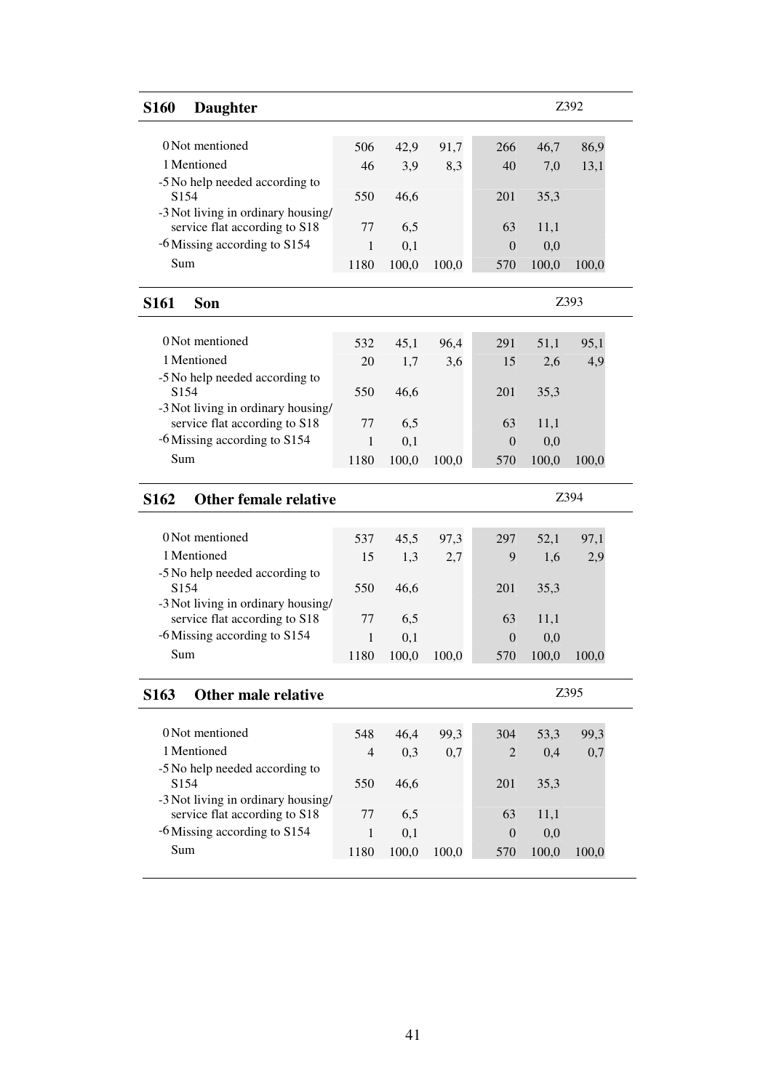| <b>S160</b><br><b>Daughter</b>                     |                |              |       |                       |              | Z392  |  |
|----------------------------------------------------|----------------|--------------|-------|-----------------------|--------------|-------|--|
| 0 Not mentioned                                    |                |              |       |                       |              |       |  |
|                                                    | 506            | 42,9         | 91,7  | 266                   | 46,7         | 86,9  |  |
| 1 Mentioned                                        | 46             | 3,9          | 8,3   | 40                    | 7,0          | 13,1  |  |
| -5 No help needed according to<br>S <sub>154</sub> | 550            | 46,6         |       | 201                   | 35,3         |       |  |
| -3 Not living in ordinary housing/                 |                |              |       |                       |              |       |  |
| service flat according to S18                      | 77             | 6,5          |       | 63                    | 11,1         |       |  |
| -6 Missing according to S154                       | 1              | 0,1          |       | $\overline{0}$        | 0,0          |       |  |
| Sum                                                | 1180           | 100,0        | 100,0 | 570                   | 100,0        | 100,0 |  |
| <b>S161</b><br><b>Son</b>                          |                |              |       |                       |              | Z393  |  |
|                                                    |                |              |       |                       |              |       |  |
| 0 Not mentioned                                    | 532            | 45,1         | 96,4  | 291                   | 51,1         | 95,1  |  |
| 1 Mentioned                                        | 20             | 1,7          | 3,6   | 15                    | 2,6          | 4,9   |  |
| -5 No help needed according to                     |                |              |       |                       |              |       |  |
| S154                                               | 550            | 46,6         |       | 201                   | 35,3         |       |  |
| -3 Not living in ordinary housing/                 |                |              |       |                       |              |       |  |
| service flat according to S18                      | 77             | 6,5          |       | 63                    | 11,1         |       |  |
| -6 Missing according to S154                       | 1              | 0,1          |       | $\Omega$              | 0,0          |       |  |
| Sum                                                | 1180           | 100,0        | 100,0 | 570                   | 100,0        | 100,0 |  |
|                                                    |                |              |       |                       |              |       |  |
| <b>Other female relative</b><br>S <sub>162</sub>   |                |              |       |                       |              | Z394  |  |
|                                                    |                |              |       |                       |              |       |  |
| 0 Not mentioned                                    | 537            | 45,5         | 97,3  | 297                   | 52,1         | 97,1  |  |
| 1 Mentioned                                        | 15             | 1,3          | 2,7   | 9                     | 1,6          | 2,9   |  |
| -5 No help needed according to                     |                |              |       |                       |              |       |  |
| S <sub>154</sub>                                   | 550            | 46,6         |       | 201                   | 35,3         |       |  |
| -3 Not living in ordinary housing/                 |                |              |       |                       |              |       |  |
| service flat according to S18                      | 77             | 6,5          |       | 63                    | 11,1         |       |  |
| -6 Missing according to S154<br>Sum                | 1<br>1180      | 0,1          | 100,0 | $\overline{0}$<br>570 | 0,0<br>100,0 | 100,0 |  |
|                                                    |                | 100,0        |       |                       |              |       |  |
| S <sub>163</sub><br>Other male relative            |                |              |       |                       |              | Z395  |  |
|                                                    |                |              |       |                       |              |       |  |
| 0 Not mentioned                                    | 548            | 46,4         | 99,3  | 304                   | 53,3         | 99,3  |  |
| 1 Mentioned                                        | $\overline{4}$ | 0,3          | 0,7   | 2                     | 0,4          | 0,7   |  |
| -5 No help needed according to                     |                |              |       |                       |              |       |  |
| S <sub>154</sub>                                   | 550            | 46,6         |       | 201                   | 35,3         |       |  |
| -3 Not living in ordinary housing/                 |                |              |       |                       |              |       |  |
| service flat according to S18                      | 77             | 6,5          |       | 63                    | 11,1         |       |  |
| -6 Missing according to S154<br>Sum                | 1<br>1180      | 0,1<br>100,0 | 100,0 | $\theta$<br>570       | 0,0<br>100,0 | 100,0 |  |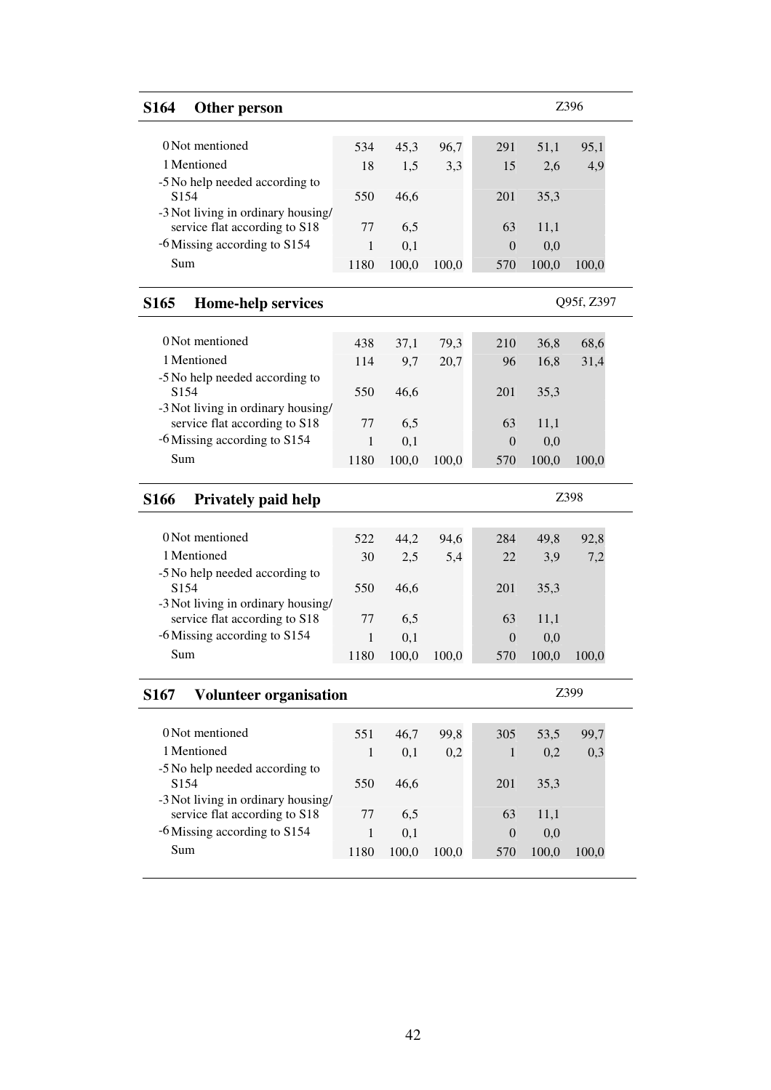| <b>S164</b><br>Other person                                         |              |              |       |                         |              | Z396       |  |
|---------------------------------------------------------------------|--------------|--------------|-------|-------------------------|--------------|------------|--|
|                                                                     |              |              |       |                         |              |            |  |
| 0 Not mentioned                                                     | 534          | 45,3         | 96,7  | 291                     | 51,1         | 95,1       |  |
| 1 Mentioned                                                         | 18           | 1,5          | 3,3   | 15                      | 2,6          | 4,9        |  |
| -5 No help needed according to<br>S <sub>154</sub>                  | 550          | 46,6         |       | 201                     |              |            |  |
| -3 Not living in ordinary housing/                                  |              |              |       |                         | 35,3         |            |  |
| service flat according to S18                                       | 77           | 6,5          |       | 63                      | 11,1         |            |  |
| -6 Missing according to S154                                        | 1            | 0,1          |       | $\theta$                | 0,0          |            |  |
| Sum                                                                 | 1180         | 100,0        | 100,0 | 570                     | 100,0        | 100,0      |  |
| S <sub>165</sub><br><b>Home-help services</b>                       |              |              |       |                         |              | Q95f, Z397 |  |
|                                                                     |              |              |       |                         |              |            |  |
| 0 Not mentioned                                                     | 438          | 37,1         | 79,3  | 210                     | 36,8         | 68,6       |  |
| 1 Mentioned                                                         | 114          | 9,7          | 20,7  | 96                      | 16,8         | 31,4       |  |
| -5 No help needed according to                                      |              |              |       |                         |              |            |  |
| S154                                                                | 550          | 46,6         |       | 201                     | 35,3         |            |  |
| -3 Not living in ordinary housing/<br>service flat according to S18 | 77           |              |       | 63                      |              |            |  |
| -6 Missing according to S154                                        | $\mathbf{1}$ | 6,5          |       |                         | 11,1         |            |  |
| Sum                                                                 |              | 0,1          |       | $\Omega$                | 0,0          |            |  |
|                                                                     | 1180         | 100,0        | 100,0 | 570                     | 100,0        | 100,0      |  |
|                                                                     |              |              |       |                         |              |            |  |
| <b>S166</b><br><b>Privately paid help</b>                           |              |              |       |                         |              | Z398       |  |
|                                                                     |              |              |       |                         |              |            |  |
| 0 Not mentioned                                                     | 522          | 44,2         | 94,6  | 284                     | 49,8         | 92,8       |  |
| 1 Mentioned                                                         | 30           | 2,5          | 5,4   | 22                      | 3,9          | 7,2        |  |
| -5 No help needed according to                                      |              |              |       |                         |              |            |  |
| S <sub>154</sub>                                                    | 550          | 46,6         |       | 201                     | 35,3         |            |  |
| -3 Not living in ordinary housing/<br>service flat according to S18 | 77           | 6,5          |       | 63                      | 11,1         |            |  |
| -6 Missing according to S154                                        | 1            | 0,1          |       | $\overline{0}$          | 0,0          |            |  |
| Sum                                                                 | 1180         | 100,0        | 100,0 | 570                     | 100,0        | 100,0      |  |
| <b>Volunteer organisation</b><br><b>S167</b>                        |              |              |       |                         |              | Z399       |  |
|                                                                     |              |              |       |                         |              |            |  |
| 0 Not mentioned                                                     | 551          | 46,7         | 99,8  | 305                     | 53,5         | 99,7       |  |
| 1 Mentioned                                                         | 1            | 0,1          | 0,2   | 1                       | 0,2          | 0,3        |  |
| -5 No help needed according to                                      |              |              |       |                         |              |            |  |
| S <sub>154</sub>                                                    | 550          | 46,6         |       | 201                     | 35,3         |            |  |
| -3 Not living in ordinary housing/                                  |              |              |       |                         |              |            |  |
| service flat according to S18                                       | 77           | 6,5          |       | 63                      | 11,1         |            |  |
| -6 Missing according to S154<br>Sum                                 | 1<br>1180    | 0,1<br>100,0 | 100,0 | $\boldsymbol{0}$<br>570 | 0,0<br>100,0 | 100,0      |  |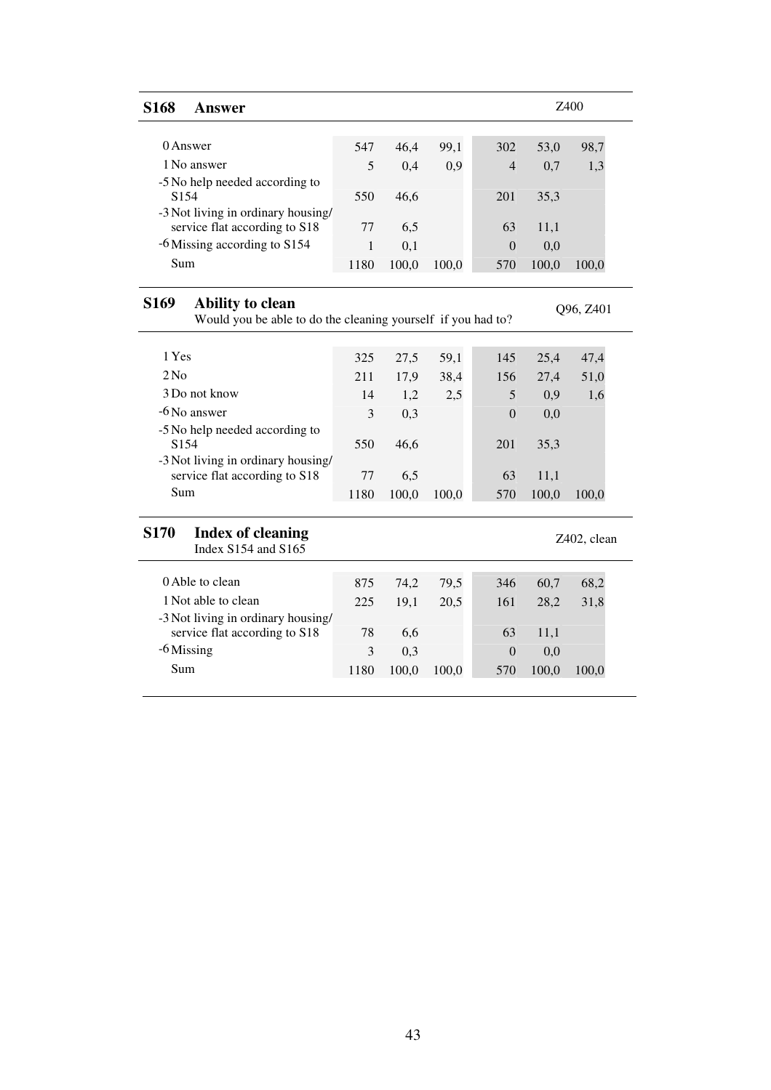| <b>S168</b><br><b>Answer</b>                                                                         |      |       |       |                  |       | <b>Z400</b> |
|------------------------------------------------------------------------------------------------------|------|-------|-------|------------------|-------|-------------|
| 0 Answer                                                                                             | 547  | 46,4  | 99,1  | 302              | 53,0  | 98,7        |
| 1 No answer                                                                                          | 5    | 0,4   | 0,9   | $\overline{4}$   | 0,7   | 1,3         |
| -5 No help needed according to<br>S <sub>154</sub>                                                   | 550  | 46,6  |       | 201              | 35,3  |             |
| -3 Not living in ordinary housing/                                                                   |      |       |       |                  |       |             |
| service flat according to S18                                                                        | 77   | 6,5   |       | 63               | 11,1  |             |
| -6 Missing according to S154                                                                         | 1    | 0,1   |       | $\boldsymbol{0}$ | 0,0   |             |
| Sum                                                                                                  | 1180 | 100,0 | 100,0 | 570              | 100,0 | 100,0       |
| S <sub>169</sub><br>Ability to clean<br>Would you be able to do the cleaning yourself if you had to? |      |       |       |                  |       | Q96, Z401   |
|                                                                                                      |      |       |       |                  |       |             |
| 1 Yes                                                                                                | 325  | 27,5  | 59,1  | 145              | 25,4  | 47,4        |
| $2$ No                                                                                               | 211  | 17,9  | 38,4  | 156              | 27,4  | 51,0        |
| 3 Do not know                                                                                        | 14   | 1,2   | 2,5   | 5                | 0,9   | 1,6         |
| -6 No answer                                                                                         | 3    | 0,3   |       | $\theta$         | 0,0   |             |
| -5 No help needed according to                                                                       |      |       |       |                  |       |             |
| S <sub>154</sub>                                                                                     | 550  | 46,6  |       | 201              | 35,3  |             |
| -3 Not living in ordinary housing/<br>service flat according to S18                                  | 77   | 6,5   |       | 63               | 11,1  |             |
| Sum                                                                                                  | 1180 | 100,0 | 100,0 | 570              | 100,0 | 100,0       |
| <b>S170</b><br><b>Index of cleaning</b>                                                              |      |       |       |                  |       | Z402, clean |
| Index S154 and S165                                                                                  |      |       |       |                  |       |             |
| 0 Able to clean                                                                                      | 875  | 74,2  | 79,5  | 346              | 60,7  | 68,2        |
| 1 Not able to clean                                                                                  | 225  | 19,1  | 20,5  | 161              | 28,2  | 31,8        |
| -3 Not living in ordinary housing/                                                                   |      |       |       |                  |       |             |
| service flat according to S18                                                                        | 78   | 6,6   |       | 63               | 11,1  |             |
| $-6$ Missing                                                                                         | 3    | 0,3   |       | $\theta$         | 0,0   |             |
| Sum                                                                                                  | 1180 | 100,0 | 100,0 | 570              | 100,0 | 100,0       |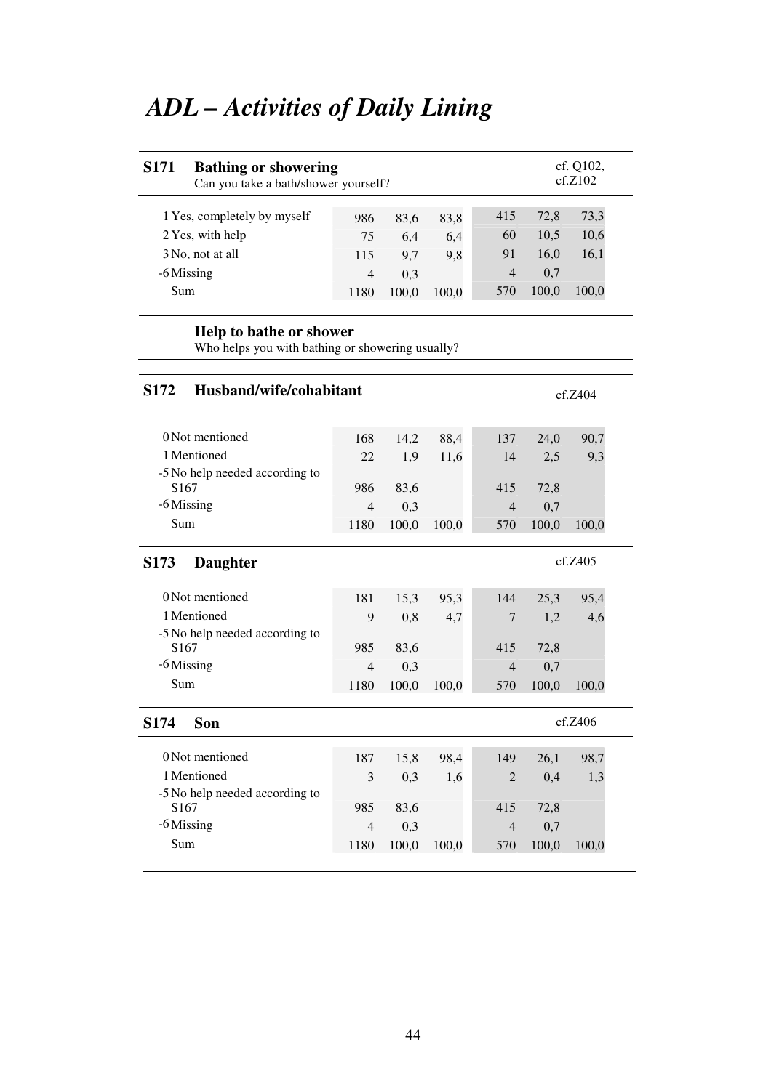# *ADL – Activities of Daily Lining*

| <b>S171</b><br><b>Bathing or showering</b><br>Can you take a bath/shower yourself? |                |             |       |                       |             | cf. Q102,<br>cf.Z102 |
|------------------------------------------------------------------------------------|----------------|-------------|-------|-----------------------|-------------|----------------------|
| 1 Yes, completely by myself                                                        | 986            | 83,6        | 83,8  | 415                   | 72,8        | 73,3                 |
| 2 Yes, with help                                                                   | 75             | 6,4         | 6,4   | 60                    | 10,5        | 10,6                 |
| 3 No, not at all                                                                   | 115            | 9,7         | 9,8   | 91                    | 16,0        | 16,1                 |
| -6 Missing                                                                         | $\overline{4}$ | 0,3         |       | $\overline{4}$        | 0,7         |                      |
| Sum                                                                                | 1180           | 100,0       | 100,0 | 570                   | 100,0       | 100,0                |
| Help to bathe or shower<br>Who helps you with bathing or showering usually?        |                |             |       |                       |             |                      |
| Husband/wife/cohabitant<br>S <sub>172</sub>                                        |                |             |       |                       |             | cf.Z404              |
| 0 Not mentioned                                                                    | 168            | 14,2        | 88,4  | 137                   | 24,0        | 90,7                 |
| 1 Mentioned                                                                        | 22             | 1,9         | 11,6  | 14                    | 2,5         | 9,3                  |
| -5 No help needed according to                                                     |                |             |       |                       |             |                      |
|                                                                                    |                |             |       |                       |             |                      |
| S <sub>167</sub>                                                                   | 986            | 83,6        |       | 415                   | 72,8        |                      |
| $-6$ Missing                                                                       | $\overline{4}$ | 0,3         |       | $\overline{4}$        | 0,7         |                      |
| Sum                                                                                | 1180           | 100,0       | 100,0 | 570                   | 100,0       | 100,0                |
| S <sub>173</sub><br><b>Daughter</b>                                                |                |             |       |                       |             | cf.Z405              |
| 0 Not mentioned                                                                    | 181            | 15,3        | 95,3  | 144                   | 25,3        | 95,4                 |
| 1 Mentioned                                                                        | 9              | 0,8         | 4,7   | $\overline{7}$        | 1,2         | 4,6                  |
| -5 No help needed according to                                                     |                |             |       |                       |             |                      |
| S167<br>$-6$ Missing                                                               | 985<br>4       | 83,6<br>0,3 |       | 415<br>$\overline{4}$ | 72,8<br>0,7 |                      |

| 0 Not mentioned                | 187  | 15.8  | 98,4  | 149            | 26,1  | 98,7  |
|--------------------------------|------|-------|-------|----------------|-------|-------|
| 1 Mentioned                    | 3    | 0.3   | 1,6   | $\overline{2}$ | 0.4   |       |
| -5 No help needed according to |      |       |       |                |       |       |
| S <sub>167</sub>               | 985  | 83,6  |       | 415            | 72,8  |       |
| -6 Missing                     | 4    | 0.3   |       | $\overline{4}$ | 0.7   |       |
| Sum                            | 1180 | 100.0 | 100,0 | 570            | 100,0 | 100.0 |
|                                |      |       |       |                |       |       |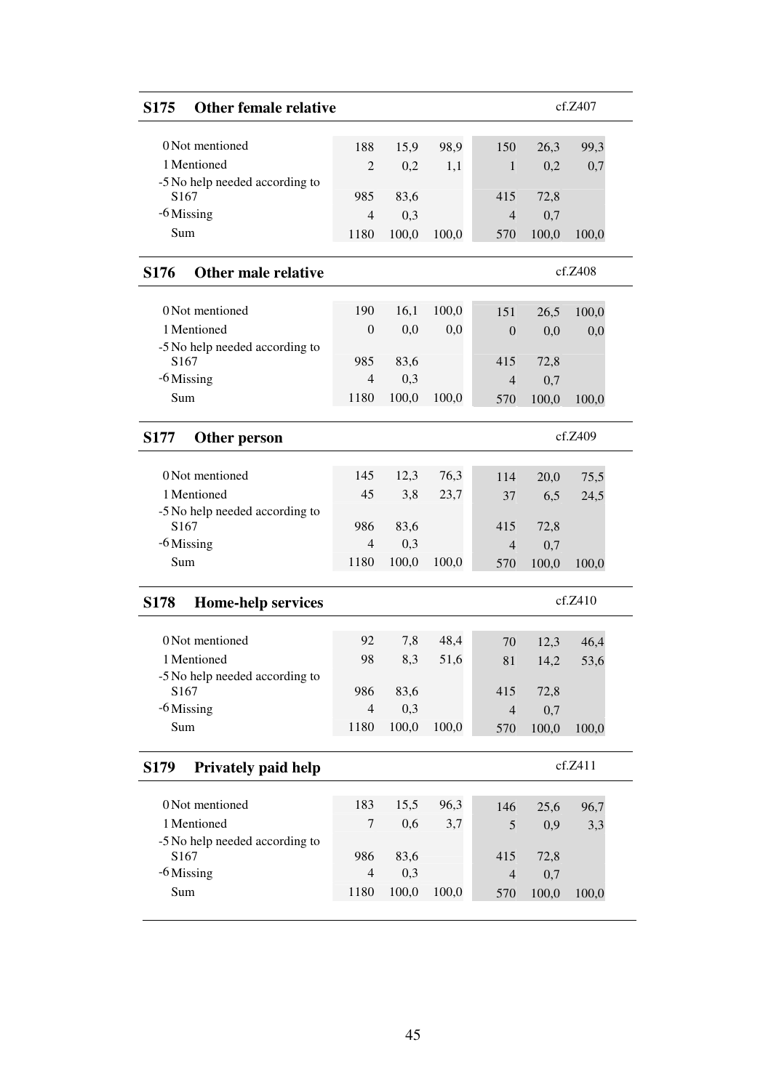| <b>Other female relative</b><br>S <sub>175</sub>   |                  |       |       |                |       | cf.Z407      |
|----------------------------------------------------|------------------|-------|-------|----------------|-------|--------------|
| 0 Not mentioned                                    | 188              | 15,9  | 98,9  | 150            | 26,3  | 99,3         |
| 1 Mentioned                                        | $\overline{c}$   | 0,2   | 1,1   | 1              | 0,2   | 0,7          |
| -5 No help needed according to                     |                  |       |       |                |       |              |
| S167                                               | 985              | 83,6  |       | 415            | 72,8  |              |
| $-6$ Missing                                       | $\overline{4}$   | 0,3   |       | $\overline{4}$ | 0,7   |              |
| Sum                                                | 1180             | 100,0 | 100,0 | 570            | 100,0 | 100,0        |
| <b>S176</b><br>Other male relative                 |                  |       |       |                |       | cf.Z408      |
|                                                    |                  |       |       |                |       |              |
| 0 Not mentioned                                    | 190              | 16,1  | 100,0 | 151            | 26,5  | 100,0        |
| 1 Mentioned                                        | $\boldsymbol{0}$ | 0,0   | 0,0   | $\overline{0}$ | 0,0   | 0,0          |
| -5 No help needed according to<br>S <sub>167</sub> | 985              | 83,6  |       | 415            | 72,8  |              |
| $-6$ Missing                                       | $\overline{4}$   | 0,3   |       | $\overline{4}$ | 0,7   |              |
| Sum                                                | 1180             | 100,0 | 100,0 | 570            | 100,0 | 100,0        |
|                                                    |                  |       |       |                |       |              |
| <b>S177</b><br>Other person                        |                  |       |       |                |       | cf.Z409      |
| 0 Not mentioned                                    | 145              | 12,3  | 76,3  |                |       |              |
| 1 Mentioned                                        | 45               | 3,8   | 23,7  | 114<br>37      | 20,0  | 75,5<br>24,5 |
| -5 No help needed according to                     |                  |       |       |                | 6,5   |              |
| S <sub>167</sub>                                   | 986              | 83,6  |       | 415            | 72,8  |              |
| -6 Missing                                         | $\overline{4}$   | 0,3   |       | $\overline{4}$ | 0,7   |              |
| Sum                                                | 1180             | 100,0 | 100,0 | 570            | 100,0 | 100,0        |
| <b>Home-help services</b><br><b>S178</b>           |                  |       |       |                |       | cf.Z410      |
|                                                    |                  |       |       |                |       |              |
| 0 Not mentioned                                    | 92               | 7,8   | 48,4  | 70             | 12,3  | 46,4         |
| 1 Mentioned                                        | 98               | 8,3   | 51,6  | 81             | 14,2  | 53,6         |
| -5 No help needed according to<br>S167             | 986              | 83,6  |       | 415            | 72,8  |              |
| $-6$ Missing                                       | $\overline{4}$   | 0,3   |       | $\overline{4}$ | 0,7   |              |
| Sum                                                | 1180             | 100,0 | 100,0 | 570            | 100,0 | 100,0        |
|                                                    |                  |       |       |                |       |              |
| <b>Privately paid help</b><br>S <sub>179</sub>     |                  |       |       |                |       | cf.Z411      |
| 0 Not mentioned                                    |                  |       |       |                |       |              |
| 1 Mentioned                                        | 183<br>7         | 15,5  | 96,3  | 146            | 25,6  | 96,7         |
| -5 No help needed according to                     |                  | 0,6   | 3,7   | 5              | 0,9   | 3,3          |
| S167                                               | 986              | 83,6  |       | 415            | 72,8  |              |
| $-6$ Missing                                       | $\overline{4}$   | 0,3   |       | $\overline{4}$ | 0,7   |              |
| Sum                                                | 1180             | 100,0 | 100,0 | 570            | 100,0 | 100,0        |
|                                                    |                  |       |       |                |       |              |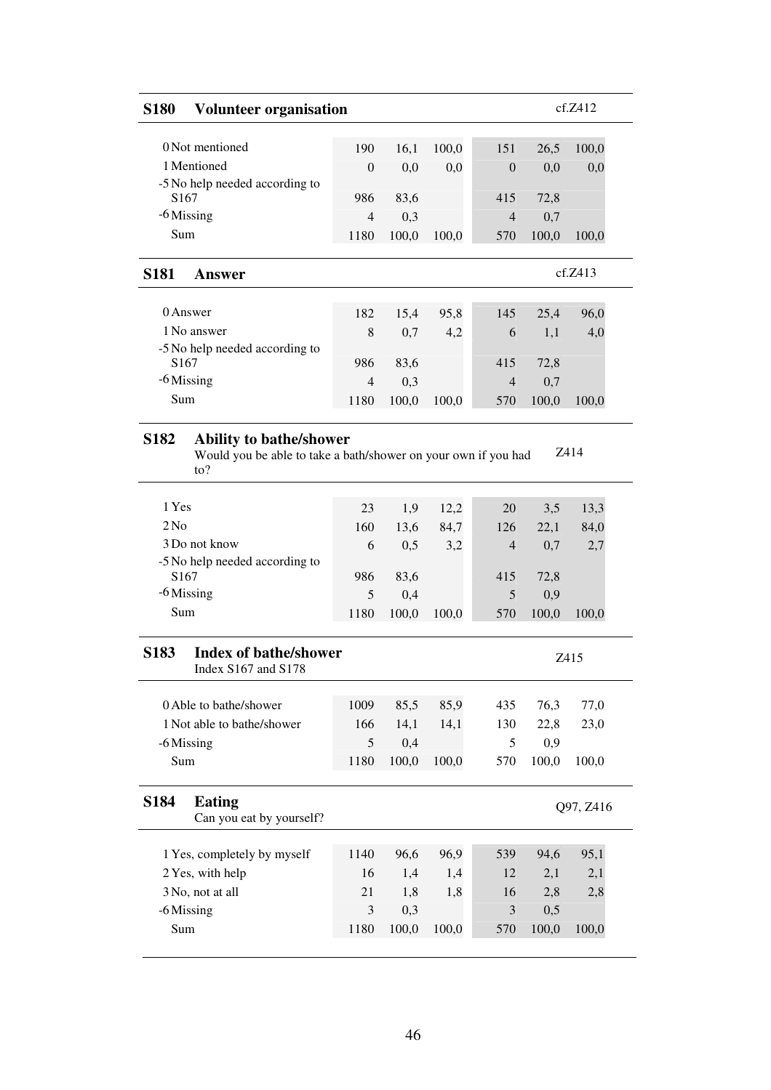| <b>S180</b>                     | <b>Volunteer organisation</b>                                                                                       |                |              |       |                  |              | cf.Z412     |
|---------------------------------|---------------------------------------------------------------------------------------------------------------------|----------------|--------------|-------|------------------|--------------|-------------|
|                                 | 0 Not mentioned                                                                                                     | 190            | 16,1         | 100,0 | 151              | 26,5         | 100,0       |
|                                 | 1 Mentioned                                                                                                         | $\theta$       | 0,0          | 0,0   | $\boldsymbol{0}$ | 0,0          | 0,0         |
|                                 | -5 No help needed according to                                                                                      |                |              |       |                  |              |             |
| S167                            |                                                                                                                     | 986            | 83,6         |       | 415              | 72,8         |             |
| -6 Missing                      |                                                                                                                     | $\overline{4}$ | 0,3          |       | $\overline{4}$   | 0,7          |             |
| Sum                             |                                                                                                                     | 1180           | 100,0        | 100,0 | 570              | 100,0        | 100,0       |
| <b>S181</b>                     | <b>Answer</b>                                                                                                       |                |              |       |                  |              | cf.Z413     |
|                                 | 0 Answer                                                                                                            | 182            | 15,4         | 95,8  | 145              | 25,4         | 96,0        |
|                                 | 1 No answer                                                                                                         | 8              | 0,7          | 4,2   | 6                | 1,1          | 4,0         |
|                                 | -5 No help needed according to                                                                                      |                |              |       |                  |              |             |
| S <sub>167</sub>                |                                                                                                                     | 986            | 83,6         |       | 415              | 72,8         |             |
| $-6$ Missing                    |                                                                                                                     | $\overline{4}$ | 0,3          |       | $\overline{4}$   | 0,7          |             |
| Sum                             |                                                                                                                     | 1180           | 100,0        | 100,0 | 570              | 100,0        | 100,0       |
| <b>S182</b>                     | <b>Ability to bathe/shower</b><br>Would you be able to take a bath/shower on your own if you had<br>$\mathrm{to}$ ? |                |              |       |                  |              | Z414        |
|                                 |                                                                                                                     |                |              |       |                  |              |             |
| 1 Yes                           |                                                                                                                     | 23             | 1,9          | 12,2  | 20               | 3,5          | 13,3        |
| 2N <sub>0</sub>                 |                                                                                                                     | 160            | 13,6         | 84,7  | 126              | 22,1         | 84,0        |
|                                 | 3 Do not know                                                                                                       | 6              | 0,5          | 3,2   | $\overline{4}$   | 0,7          | 2,7         |
|                                 | -5 No help needed according to                                                                                      |                |              |       |                  |              |             |
| S167                            |                                                                                                                     | 986            | 83,6         |       | 415              | 72,8         |             |
| Sum                             | -6 Missing                                                                                                          | 5<br>1180      | 0,4<br>100,0 | 100,0 | 5<br>570         | 0,9<br>100,0 | 100,0       |
|                                 | <b>Index of bathe/shower</b><br>Index S167 and S178                                                                 |                |              |       |                  |              | Z415        |
|                                 | 0 Able to bathe/shower                                                                                              | 1009           | 85,5         | 85,9  | 435              | 76,3         | 77,0        |
|                                 | 1 Not able to bathe/shower                                                                                          | 166            | 14,1         | 14,1  | 130              | 22,8         | 23,0        |
|                                 | -6 Missing                                                                                                          | 5              | 0,4          |       | 5                | 0,9          |             |
| Sum                             |                                                                                                                     | 1180           | 100,0        | 100,0 | 570              | 100,0        | 100,0       |
| S <sub>183</sub><br><b>S184</b> | <b>Eating</b><br>Can you eat by yourself?                                                                           |                |              |       |                  |              | Q97, Z416   |
|                                 |                                                                                                                     | 1140           | 96,6         | 96,9  |                  | 94,6         |             |
|                                 | 1 Yes, completely by myself<br>2 Yes, with help                                                                     | 16             | 1,4          | 1,4   | 539<br>12        | 2,1          | 95,1<br>2,1 |
|                                 | 3 No, not at all                                                                                                    | 21             | 1,8          | 1,8   | 16               | 2,8          | 2,8         |
|                                 | -6 Missing                                                                                                          | 3              | 0,3          |       | 3                | 0,5          |             |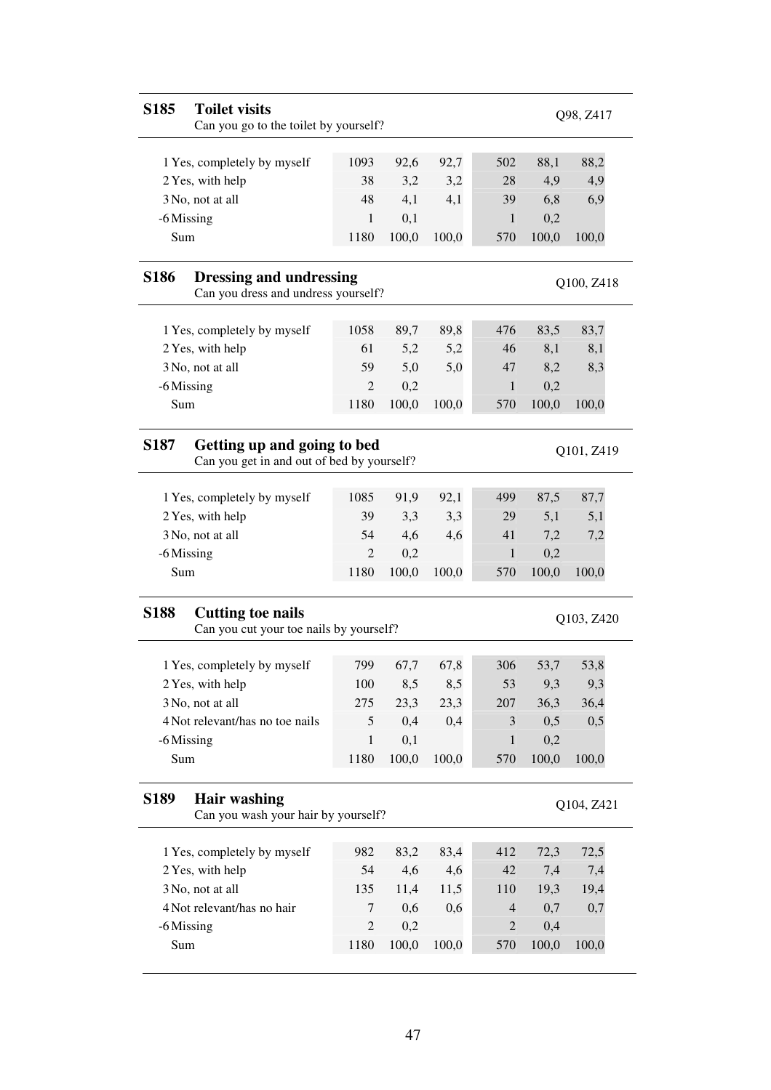| S185        | <b>Toilet visits</b><br>Can you go to the toilet by yourself?             |                |       |       |                |       | Q98, Z417  |
|-------------|---------------------------------------------------------------------------|----------------|-------|-------|----------------|-------|------------|
|             | 1 Yes, completely by myself                                               | 1093           | 92,6  | 92,7  | 502            | 88,1  | 88,2       |
|             | 2 Yes, with help                                                          | 38             | 3,2   | 3,2   | 28             | 4,9   | 4,9        |
|             | 3 No, not at all                                                          | 48             | 4,1   | 4,1   | 39             | 6,8   | 6,9        |
|             | -6 Missing                                                                | 1              | 0,1   |       | 1              | 0,2   |            |
| Sum         |                                                                           | 1180           | 100,0 | 100,0 | 570            | 100,0 | 100,0      |
| <b>S186</b> | <b>Dressing and undressing</b><br>Can you dress and undress yourself?     |                |       |       |                |       | Q100, Z418 |
|             | 1 Yes, completely by myself                                               | 1058           | 89,7  | 89,8  | 476            | 83,5  | 83,7       |
|             | 2 Yes, with help                                                          | 61             | 5,2   | 5,2   | 46             | 8,1   | 8,1        |
|             | 3 No, not at all                                                          | 59             | 5,0   | 5,0   | 47             | 8,2   | 8,3        |
|             | -6 Missing                                                                | $\overline{c}$ | 0,2   |       | 1              | 0,2   |            |
| Sum         |                                                                           | 1180           | 100,0 | 100,0 | 570            | 100,0 | 100,0      |
| <b>S187</b> | Getting up and going to bed<br>Can you get in and out of bed by yourself? |                |       |       |                |       | Q101, Z419 |
|             | 1 Yes, completely by myself                                               | 1085           | 91,9  | 92,1  | 499            | 87,5  | 87,7       |
|             | 2 Yes, with help                                                          | 39             | 3,3   | 3,3   | 29             | 5,1   | 5,1        |
|             | 3 No, not at all                                                          | 54             | 4,6   | 4,6   | 41             | 7,2   | 7,2        |
|             | -6 Missing                                                                | $\overline{2}$ | 0,2   |       | 1              | 0,2   |            |
| Sum         |                                                                           | 1180           | 100,0 | 100,0 | 570            | 100,0 | 100,0      |
| <b>S188</b> | <b>Cutting toe nails</b><br>Can you cut your toe nails by yourself?       |                |       |       |                |       | Q103, Z420 |
|             | 1 Yes, completely by myself                                               | 799            | 67,7  | 67,8  | 306            | 53,7  | 53,8       |
|             | 2 Yes, with help                                                          | 100            | 8,5   | 8,5   | 53             | 9,3   | 9,3        |
|             | 3 No, not at all                                                          | 275            | 23,3  | 23,3  | 207            | 36,3  | 36,4       |
|             | 4 Not relevant/has no toe nails                                           | 5              | 0,4   | 0,4   | 3              | 0,5   | 0,5        |
|             | -6 Missing                                                                | $\mathbf{1}$   | 0,1   |       | $\mathbf{1}$   | 0,2   |            |
| Sum         |                                                                           | 1180           | 100,0 | 100,0 | 570            | 100,0 | 100,0      |
| <b>S189</b> | <b>Hair washing</b><br>Can you wash your hair by yourself?                |                |       |       |                |       | Q104, Z421 |
|             | 1 Yes, completely by myself                                               | 982            | 83,2  | 83,4  | 412            | 72,3  | 72,5       |
|             | 2 Yes, with help                                                          | 54             | 4,6   | 4,6   | 42             | 7,4   | 7,4        |
|             | 3 No, not at all                                                          | 135            | 11,4  | 11,5  | 110            | 19,3  | 19,4       |
|             | 4 Not relevant/has no hair                                                | 7              | 0,6   | 0,6   | 4              | 0,7   | 0,7        |
|             | -6 Missing                                                                | $\overline{c}$ | 0,2   |       | $\overline{2}$ | 0,4   |            |
| Sum         |                                                                           | 1180           |       | 100,0 |                | 100,0 | 100,0      |
|             |                                                                           |                | 100,0 |       | 570            |       |            |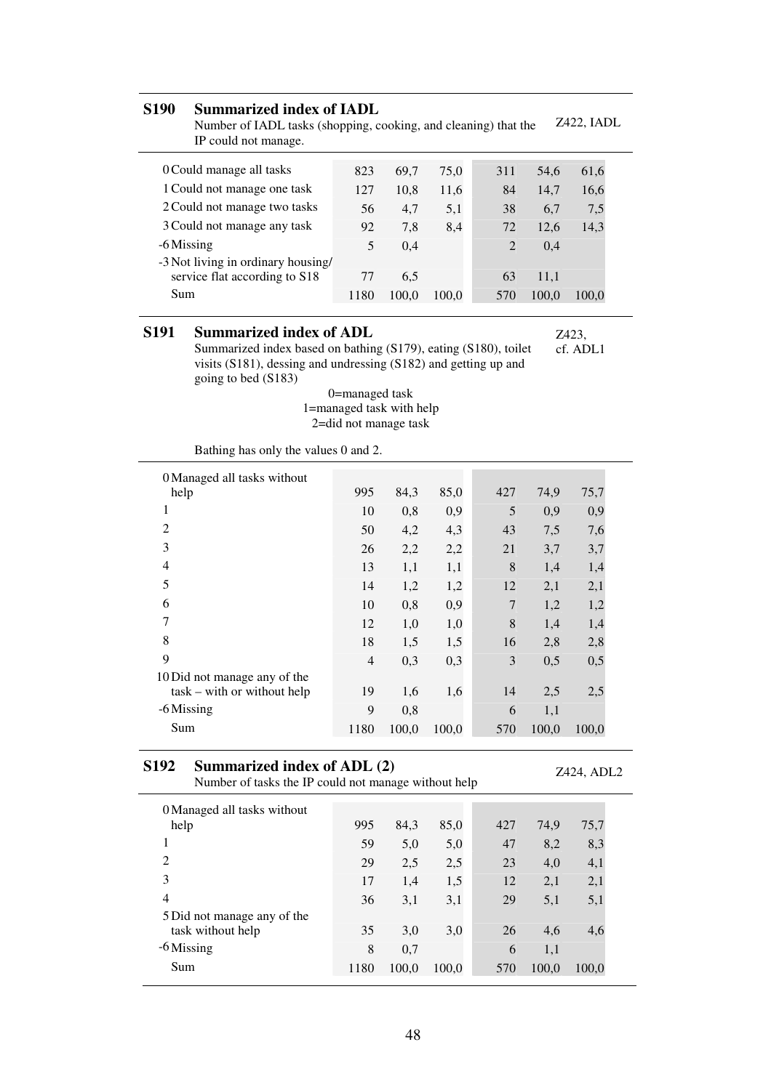#### **S190 Summarized index of IADL**

Number of IADL tasks (shopping, cooking, and cleaning) that the IP could not manage. Z422, IADL

| 0 Could manage all tasks           | 823  | 69.7  | 75.0  | 311                         | 54.6  | 61,6  |
|------------------------------------|------|-------|-------|-----------------------------|-------|-------|
| 1 Could not manage one task        | 127  | 10.8  | 11.6  | 84                          | 14.7  | 16,6  |
| 2 Could not manage two tasks       | 56   | 4.7   | 5,1   | 38                          | 6.7   | 7,5   |
| 3 Could not manage any task        | 92   | 7.8   | 8,4   | 72                          | 12.6  | 14,3  |
| -6 Missing                         | 5    | 0.4   |       | $\mathcal{D}_{\mathcal{L}}$ | 0.4   |       |
| -3 Not living in ordinary housing/ |      |       |       |                             |       |       |
| service flat according to S18      | 77   | 6.5   |       | 63                          | 11.1  |       |
| Sum                                | 1180 | 100.0 | 100.0 | 570                         | 100,0 | 100.0 |

#### **S191 Summarized index of ADL**

Summarized index based on bathing (S179), eating (S180), toilet visits (S181), dessing and undressing (S182) and getting up and going to bed (S183)

0=managed task 1=managed task with help 2=did not manage task

| Bathing has only the values 0 and 2. |  |  |  |  |  |  |  |  |
|--------------------------------------|--|--|--|--|--|--|--|--|
|--------------------------------------|--|--|--|--|--|--|--|--|

| 0 Managed all tasks without   |                |       |       |     |       |       |
|-------------------------------|----------------|-------|-------|-----|-------|-------|
| help                          | 995            | 84,3  | 85,0  | 427 | 74,9  | 75,7  |
| 1                             | 10             | 0,8   | 0,9   | 5   | 0,9   | 0,9   |
| $\overline{2}$                | 50             | 4,2   | 4,3   | 43  | 7,5   | 7,6   |
| 3                             | 26             | 2,2   | 2,2   | 21  | 3,7   | 3,7   |
| 4                             | 13             | 1,1   | 1,1   | 8   | 1,4   | 1,4   |
| 5                             | 14             | 1,2   | 1,2   | 12  | 2,1   | 2,1   |
| 6                             | 10             | 0,8   | 0,9   | 7   | 1,2   | 1,2   |
| 7                             | 12             | 1,0   | 1,0   | 8   | 1,4   | 1,4   |
| 8                             | 18             | 1,5   | 1,5   | 16  | 2,8   | 2,8   |
| 9                             | $\overline{4}$ | 0,3   | 0,3   | 3   | 0,5   | 0,5   |
| 10 Did not manage any of the  |                |       |       |     |       |       |
| $task - with or without help$ | 19             | 1,6   | 1,6   | 14  | 2,5   | 2,5   |
| -6 Missing                    | 9              | 0,8   |       | 6   | 1,1   |       |
| Sum                           | 1180           | 100,0 | 100,0 | 570 | 100,0 | 100,0 |

#### **S192 Summarized index of ADL (2)** Number of tasks the IP could not manage without help

Z424, ADL2

| 0 Managed all tasks without |      |       |       |     |       |       |
|-----------------------------|------|-------|-------|-----|-------|-------|
| help                        | 995  | 84,3  | 85,0  | 427 | 74,9  | 75,7  |
|                             | 59   | 5,0   | 5,0   | 47  | 8,2   | 8,3   |
| $\overline{c}$              | 29   | 2,5   | 2,5   | 23  | 4,0   | 4,1   |
| 3                           | 17   | 1,4   | 1,5   | 12  | 2,1   | 2,1   |
| 4                           | 36   | 3,1   | 3,1   | 29  | 5,1   | 5,1   |
| 5 Did not manage any of the |      |       |       |     |       |       |
| task without help           | 35   | 3,0   | 3,0   | 26  | 4,6   | 4,6   |
| $-6$ Missing                | 8    | 0,7   |       | 6   | 1,1   |       |
| Sum                         | 1180 | 100,0 | 100,0 | 570 | 100,0 | 100,0 |
|                             |      |       |       |     |       |       |

Z423,

cf. ADL1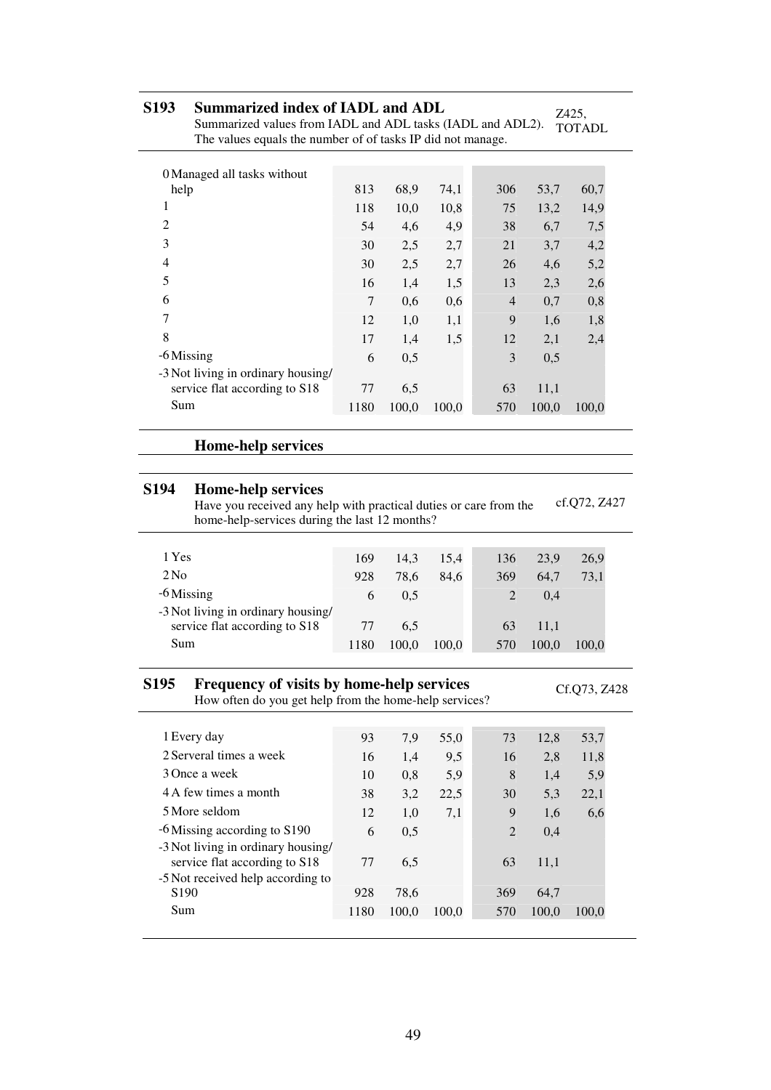| S <sub>193</sub><br><b>Summarized index of IADL and ADL</b><br>Summarized values from IADL and ADL tasks (IADL and ADL2).<br>The values equals the number of of tasks IP did not manage. |      |       |       |                |       | Z425,<br><b>TOTADL</b> |  |  |
|------------------------------------------------------------------------------------------------------------------------------------------------------------------------------------------|------|-------|-------|----------------|-------|------------------------|--|--|
| 0 Managed all tasks without                                                                                                                                                              |      |       |       |                |       |                        |  |  |
| help                                                                                                                                                                                     | 813  | 68,9  | 74,1  | 306            | 53,7  | 60,7                   |  |  |
| 1                                                                                                                                                                                        | 118  | 10,0  | 10,8  | 75             | 13,2  | 14,9                   |  |  |
| $\overline{2}$                                                                                                                                                                           | 54   | 4,6   | 4,9   | 38             | 6,7   | 7,5                    |  |  |
| 3                                                                                                                                                                                        | 30   | 2,5   | 2,7   | 21             | 3,7   | 4,2                    |  |  |
| 4                                                                                                                                                                                        | 30   | 2,5   | 2,7   | 26             | 4,6   | 5,2                    |  |  |
| 5                                                                                                                                                                                        | 16   | 1,4   | 1,5   | 13             | 2,3   | 2,6                    |  |  |
| 6                                                                                                                                                                                        | 7    | 0,6   | 0,6   | $\overline{4}$ | 0,7   | 0,8                    |  |  |
| 7                                                                                                                                                                                        | 12   | 1,0   | 1,1   | 9              | 1,6   | 1,8                    |  |  |
| 8                                                                                                                                                                                        | 17   | 1,4   | 1,5   | 12             | 2,1   | 2,4                    |  |  |
| -6 Missing                                                                                                                                                                               | 6    | 0,5   |       | 3              | 0,5   |                        |  |  |
| -3 Not living in ordinary housing/                                                                                                                                                       |      |       |       |                |       |                        |  |  |
| service flat according to S18                                                                                                                                                            | 77   | 6,5   |       | 63             | 11,1  |                        |  |  |
| Sum                                                                                                                                                                                      | 1180 | 100,0 | 100,0 | 570            | 100,0 | 100,0                  |  |  |

### **Home-help services**

### **S194 Home-help services**

 $\overline{a}$ 

Have you received any help with practical duties or care from the home-help-services during the last 12 months? cf.Q72, Z427

| 1 Yes                              | 169  | 14.3  | 15.4  | 136 | 23.9  | 26.9  |
|------------------------------------|------|-------|-------|-----|-------|-------|
| 2N <sub>0</sub>                    | 928  | 78.6  | 84.6  | 369 | 64.7  | 73,1  |
| $-6$ Missing                       | 6    | 0.5   |       |     | 0.4   |       |
| -3 Not living in ordinary housing/ |      |       |       |     |       |       |
| service flat according to S18      | 77   | 6.5   |       | 63  | 11.1  |       |
| Sum                                | 1180 | 100.0 | 100,0 | 570 | 100.0 | 100.0 |
|                                    |      |       |       |     |       |       |

### **S195 Frequency of visits by home-help services**

How often do you get help from the home-help services?

Cf.Q73, Z428

| 1 Every day                                                         | 93   | 7,9   | 55,0  | 73             | 12,8  | 53,7  |
|---------------------------------------------------------------------|------|-------|-------|----------------|-------|-------|
| 2 Serveral times a week                                             | 16   | 1,4   | 9,5   | 16             | 2,8   | 11,8  |
| 3 Once a week                                                       | 10   | 0.8   | 5,9   | 8              | 1.4   | 5,9   |
| 4 A few times a month                                               | 38   | 3,2   | 22,5  | 30             | 5.3   | 22,1  |
| 5 More seldom                                                       | 12   | 1,0   | 7,1   | 9              | 1,6   | 6,6   |
| -6 Missing according to S190                                        | 6    | 0.5   |       | $\overline{2}$ | 0,4   |       |
| -3 Not living in ordinary housing/<br>service flat according to S18 | 77   | 6,5   |       | 63             | 11,1  |       |
| -5 Not received help according to                                   |      |       |       |                |       |       |
| S <sub>190</sub>                                                    | 928  | 78,6  |       | 369            | 64.7  |       |
| Sum                                                                 | 1180 | 100,0 | 100.0 | 570            | 100.0 | 100.0 |
|                                                                     |      |       |       |                |       |       |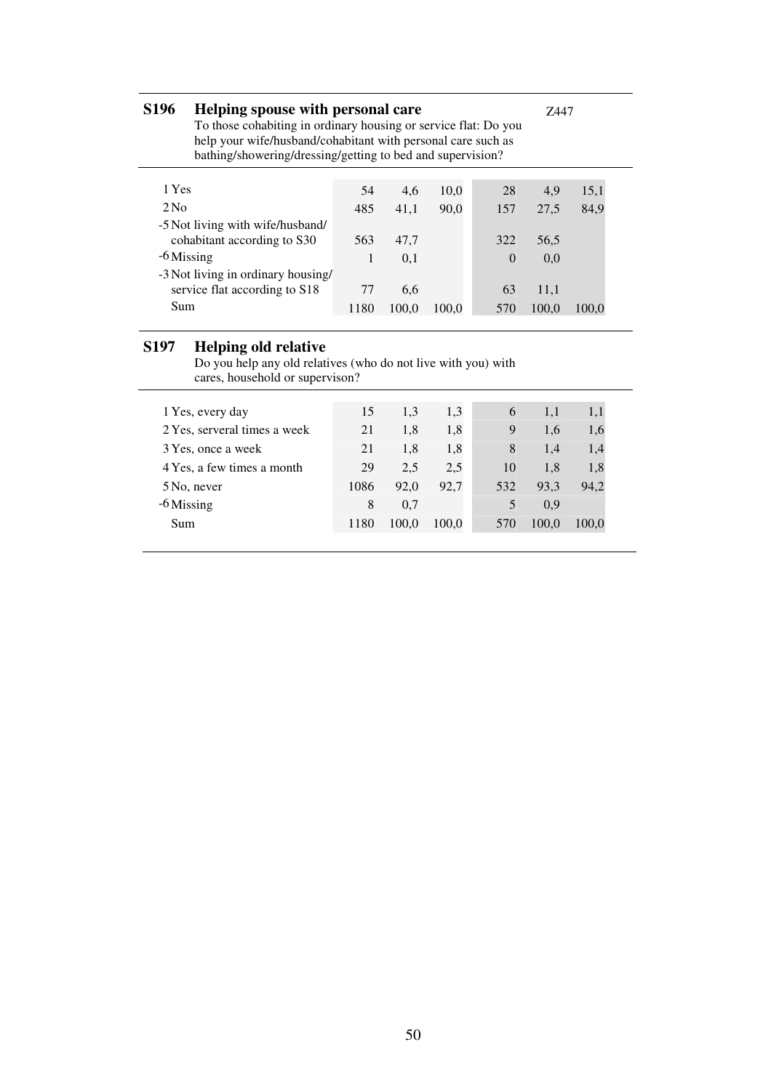| <b>S196</b>     | Helping spouse with personal care<br>To those cohabiting in ordinary housing or service flat: Do you<br>help your wife/husband/cohabitant with personal care such as<br>bathing/showering/dressing/getting to bed and supervision? |      | 7447  |       |          |       |       |
|-----------------|------------------------------------------------------------------------------------------------------------------------------------------------------------------------------------------------------------------------------------|------|-------|-------|----------|-------|-------|
|                 |                                                                                                                                                                                                                                    |      |       |       |          |       |       |
| 1 Yes           |                                                                                                                                                                                                                                    | 54   | 4,6   | 10,0  | 28       | 4,9   | 15,1  |
| 2N <sub>0</sub> |                                                                                                                                                                                                                                    | 485  | 41,1  | 90.0  | 157      | 27.5  | 84.9  |
|                 | -5 Not living with wife/husband/                                                                                                                                                                                                   |      |       |       |          |       |       |
|                 | cohabitant according to S30                                                                                                                                                                                                        | 563  | 47.7  |       | 322      | 56,5  |       |
| $-6$ Missing    |                                                                                                                                                                                                                                    | 1    | 0,1   |       | $\Omega$ | 0.0   |       |
|                 | -3 Not living in ordinary housing/                                                                                                                                                                                                 |      |       |       |          |       |       |
|                 | service flat according to S18                                                                                                                                                                                                      | 77   | 6,6   |       | 63       | 11,1  |       |
| Sum             |                                                                                                                                                                                                                                    | 1180 | 100.0 | 100.0 | 570      | 100,0 | 100.0 |
|                 |                                                                                                                                                                                                                                    |      |       |       |          |       |       |

#### **S197 Helping old relative**

Do you help any old relatives (who do not live with you) with cares, household or supervison?

| 1 Yes, every day             | 15   | 1.3   | 1,3   | 6   | 1.1   | 1,1   |
|------------------------------|------|-------|-------|-----|-------|-------|
| 2 Yes, serveral times a week | 21   | 1,8   | 1,8   | 9   | 1,6   | 1,6   |
| 3 Yes, once a week           | 21   | 1,8   | 1,8   | 8   | 1.4   | 1,4   |
| 4 Yes, a few times a month   | 29   | 2.5   | 2.5   | 10  | 1.8   | 1,8   |
| 5 No, never                  | 1086 | 92,0  | 92.7  | 532 | 93.3  | 94,2  |
| -6 Missing                   | 8    | 0.7   |       |     | 0.9   |       |
| Sum                          | 1180 | 100.0 | 100.0 | 570 | 100.0 | 100.0 |
|                              |      |       |       |     |       |       |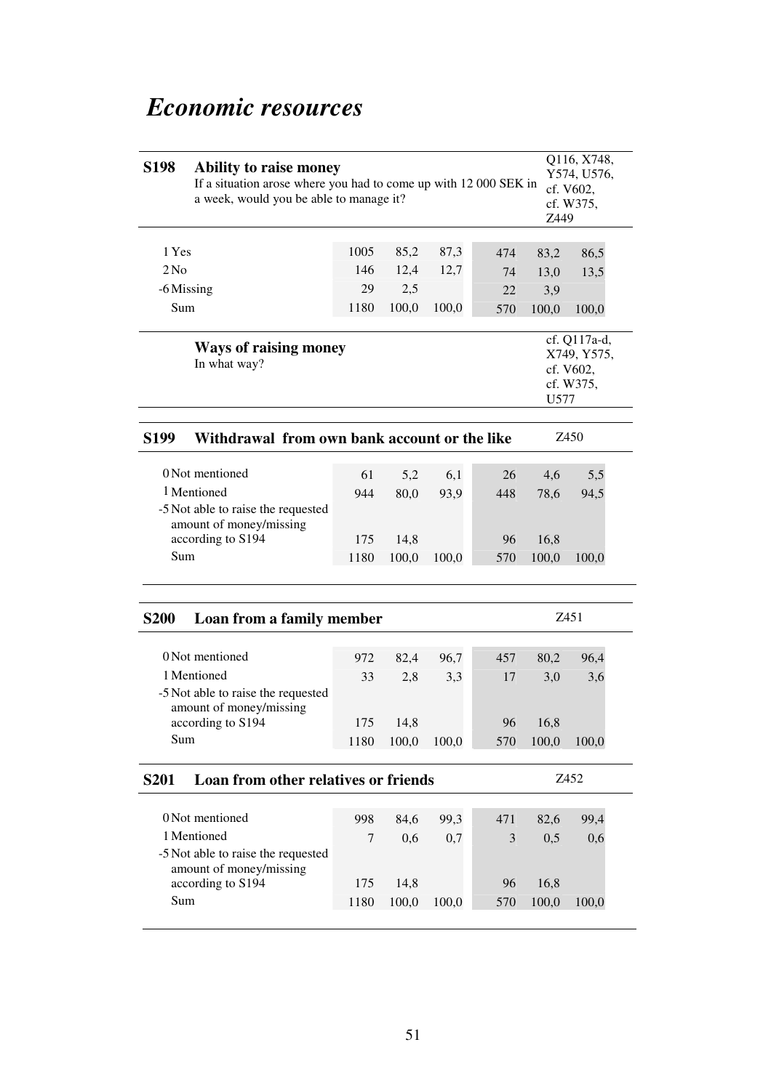# *Economic resources*

| <b>S198</b>     | Q116, X748,<br>Ability to raise money<br>Y574, U576,<br>If a situation arose where you had to come up with 12 000 SEK in<br>cf. V602,<br>a week, would you be able to manage it?<br>cf. W375,<br>Z449 |      |       |       |     |       |                                                       |  |  |  |
|-----------------|-------------------------------------------------------------------------------------------------------------------------------------------------------------------------------------------------------|------|-------|-------|-----|-------|-------------------------------------------------------|--|--|--|
| 1 Yes           |                                                                                                                                                                                                       | 1005 | 85,2  | 87,3  | 474 | 83,2  | 86,5                                                  |  |  |  |
| 2N <sub>0</sub> |                                                                                                                                                                                                       | 146  | 12,4  | 12,7  | 74  | 13,0  | 13,5                                                  |  |  |  |
| -6 Missing      |                                                                                                                                                                                                       | 29   | 2,5   |       | 22  | 3,9   |                                                       |  |  |  |
| Sum             |                                                                                                                                                                                                       | 1180 | 100,0 | 100,0 | 570 | 100,0 | 100,0                                                 |  |  |  |
|                 | <b>Ways of raising money</b><br>In what way?                                                                                                                                                          |      |       |       |     | U577  | cf. Q117a-d,<br>X749, Y575,<br>cf. V602,<br>cf. W375, |  |  |  |
| <b>S199</b>     | Withdrawal from own bank account or the like                                                                                                                                                          |      |       |       |     |       | Z450                                                  |  |  |  |
|                 | 0 Not mentioned                                                                                                                                                                                       | 61   | 5,2   | 6,1   | 26  | 4,6   | 5,5                                                   |  |  |  |
|                 | 1 Mentioned                                                                                                                                                                                           | 944  | 80,0  | 93,9  | 448 | 78,6  | 94,5                                                  |  |  |  |
|                 | -5 Not able to raise the requested                                                                                                                                                                    |      |       |       |     |       |                                                       |  |  |  |
|                 | amount of money/missing                                                                                                                                                                               | 175  | 14,8  |       | 96  | 16,8  |                                                       |  |  |  |
| Sum             | according to S194                                                                                                                                                                                     | 1180 | 100,0 | 100,0 | 570 | 100,0 | 100,0                                                 |  |  |  |
|                 |                                                                                                                                                                                                       |      |       |       |     |       |                                                       |  |  |  |
| <b>S200</b>     | Loan from a family member                                                                                                                                                                             |      |       |       |     |       | Z451                                                  |  |  |  |
|                 | 0 Not mentioned                                                                                                                                                                                       | 972  | 82,4  | 96,7  | 457 | 80,2  | 96,4                                                  |  |  |  |
|                 | 1 Mentioned                                                                                                                                                                                           | 33   | 2,8   | 3,3   | 17  | 3,0   | 3,6                                                   |  |  |  |
|                 | -5 Not able to raise the requested<br>amount of money/missing                                                                                                                                         |      |       |       |     |       |                                                       |  |  |  |
|                 | according to S194                                                                                                                                                                                     | 175  | 14,8  |       | 96  | 16,8  |                                                       |  |  |  |
| Sum             |                                                                                                                                                                                                       | 1180 | 100,0 | 100,0 | 570 | 100,0 | 100,0                                                 |  |  |  |
| <b>S201</b>     | Loan from other relatives or friends                                                                                                                                                                  |      |       |       |     |       | Z452                                                  |  |  |  |
|                 | 0 Not mentioned                                                                                                                                                                                       | 998  | 84,6  | 99,3  | 471 | 82,6  | 99,4                                                  |  |  |  |
|                 | 1 Mentioned                                                                                                                                                                                           | 7    | 0,6   | 0,7   | 3   | 0,5   | 0,6                                                   |  |  |  |
|                 | -5 Not able to raise the requested<br>amount of money/missing                                                                                                                                         |      |       |       |     |       |                                                       |  |  |  |
|                 | according to S194                                                                                                                                                                                     | 175  | 14,8  |       | 96  | 16,8  |                                                       |  |  |  |
| Sum             |                                                                                                                                                                                                       | 1180 | 100,0 | 100,0 | 570 | 100,0 | 100,0                                                 |  |  |  |
|                 |                                                                                                                                                                                                       |      |       |       |     |       |                                                       |  |  |  |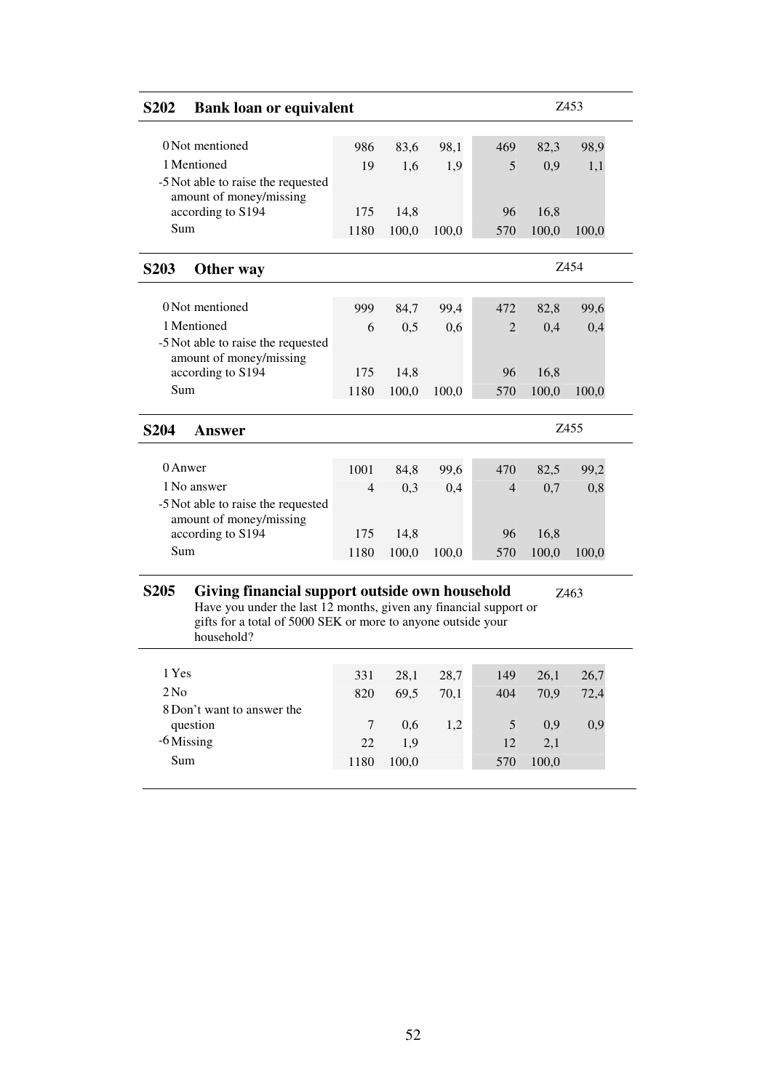| S <sub>202</sub>                       | <b>Bank loan or equivalent</b>                                                                                                                                                      |        |       |       |                |       | Z453  |
|----------------------------------------|-------------------------------------------------------------------------------------------------------------------------------------------------------------------------------------|--------|-------|-------|----------------|-------|-------|
| 0 Not mentioned                        |                                                                                                                                                                                     |        |       |       |                |       |       |
|                                        |                                                                                                                                                                                     | 986    | 83,6  | 98,1  | 469            | 82,3  | 98,9  |
| 1 Mentioned<br>amount of money/missing | -5 Not able to raise the requested                                                                                                                                                  | 19     | 1,6   | 1,9   | 5              | 0,9   | 1,1   |
| according to S194                      |                                                                                                                                                                                     | 175    | 14,8  |       | 96             | 16,8  |       |
| Sum                                    |                                                                                                                                                                                     | 1180   | 100,0 | 100,0 | 570            | 100,0 | 100,0 |
| <b>S203</b><br>Other way               |                                                                                                                                                                                     |        |       |       |                |       | Z454  |
| 0 Not mentioned                        |                                                                                                                                                                                     | 999    | 84,7  | 99,4  | 472            | 82,8  | 99,6  |
| 1 Mentioned                            |                                                                                                                                                                                     | 6      | 0,5   | 0,6   | $\overline{2}$ | 0,4   | 0,4   |
| amount of money/missing                | -5 Not able to raise the requested                                                                                                                                                  |        |       |       |                |       |       |
| according to S194                      |                                                                                                                                                                                     | 175    | 14,8  |       | 96             | 16,8  |       |
| Sum                                    |                                                                                                                                                                                     | 1180   | 100,0 | 100,0 | 570            | 100,0 | 100,0 |
| <b>S204</b><br><b>Answer</b>           |                                                                                                                                                                                     |        |       |       |                |       | Z455  |
| 0 Anwer                                |                                                                                                                                                                                     | 1001   | 84,8  | 99,6  | 470            | 82,5  | 99,2  |
| 1 No answer<br>amount of money/missing | -5 Not able to raise the requested                                                                                                                                                  | 4      | 0,3   | 0,4   | 4              | 0,7   | 0,8   |
| according to S194                      |                                                                                                                                                                                     | 175    | 14,8  |       | 96             | 16,8  |       |
| Sum                                    |                                                                                                                                                                                     | 1180   | 100,0 | 100,0 | 570            | 100,0 | 100,0 |
| <b>S205</b><br>household?              | Giving financial support outside own household<br>Have you under the last 12 months, given any financial support or<br>gifts for a total of 5000 SEK or more to anyone outside your |        |       |       |                |       | Z463  |
| 1 Yes                                  |                                                                                                                                                                                     | 331    | 28,1  | 28,7  | 149            | 26,1  | 26,7  |
| 2N <sub>0</sub>                        |                                                                                                                                                                                     | 820    | 69,5  | 70,1  | 404            | 70,9  | 72,4  |
| 8 Don't want to answer the             |                                                                                                                                                                                     |        |       |       |                |       |       |
| question                               |                                                                                                                                                                                     | $\tau$ | 0,6   | 1,2   | 5              | 0,9   | 0,9   |
| -6 Missing                             |                                                                                                                                                                                     | 22     | 1,9   |       | 12             | 2,1   |       |
| Sum                                    |                                                                                                                                                                                     | 1180   | 100,0 |       | 570            | 100,0 |       |
|                                        |                                                                                                                                                                                     |        |       |       |                |       |       |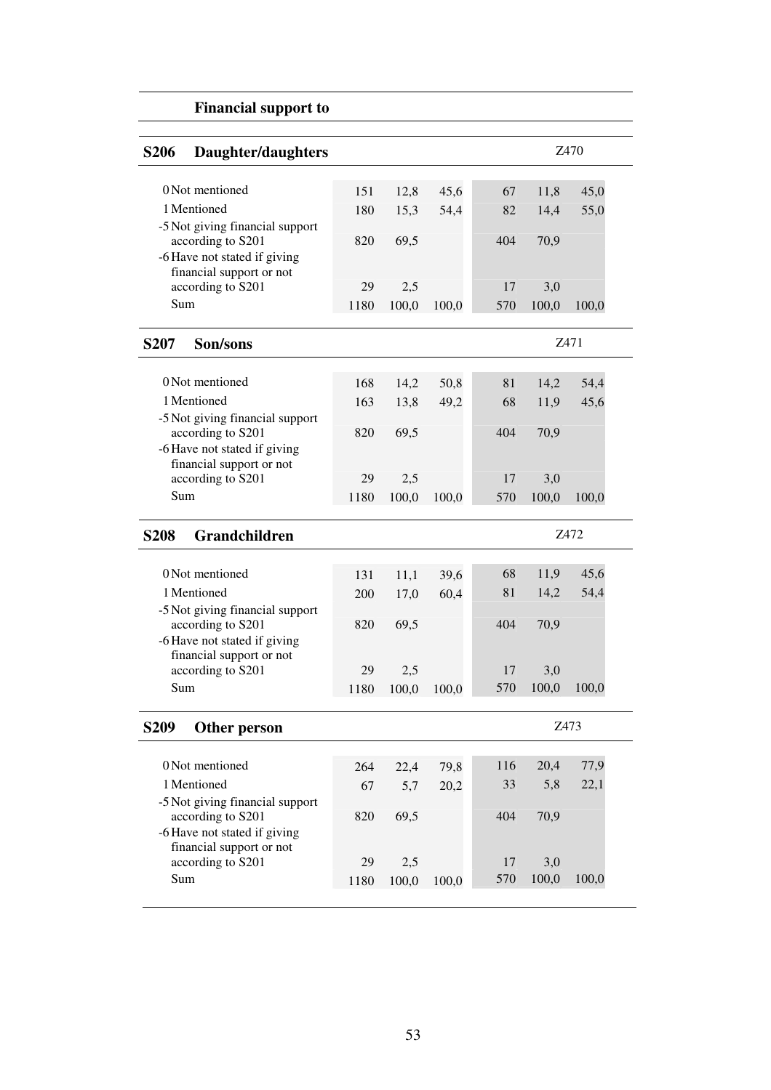|                  | <b>Financial support to</b>                              |      |       |       |     |       |       |  |
|------------------|----------------------------------------------------------|------|-------|-------|-----|-------|-------|--|
| <b>S206</b>      | Daughter/daughters                                       |      |       |       |     |       | Z470  |  |
|                  | 0 Not mentioned                                          |      |       |       |     |       |       |  |
|                  |                                                          | 151  | 12,8  | 45,6  | 67  | 11,8  | 45,0  |  |
|                  | 1 Mentioned                                              | 180  | 15,3  | 54,4  | 82  | 14,4  | 55,0  |  |
|                  | -5 Not giving financial support<br>according to S201     | 820  | 69,5  |       | 404 | 70,9  |       |  |
|                  | -6 Have not stated if giving                             |      |       |       |     |       |       |  |
|                  | financial support or not                                 |      |       |       |     |       |       |  |
|                  | according to S201                                        | 29   | 2,5   |       | 17  | 3,0   |       |  |
| Sum              |                                                          | 1180 | 100,0 | 100,0 | 570 | 100,0 | 100,0 |  |
| <b>S207</b>      | Son/sons                                                 |      |       |       |     |       | Z471  |  |
|                  | 0 Not mentioned                                          |      |       |       |     |       |       |  |
|                  | 1 Mentioned                                              | 168  | 14,2  | 50,8  | 81  | 14,2  | 54,4  |  |
|                  |                                                          | 163  | 13,8  | 49,2  | 68  | 11,9  | 45,6  |  |
|                  | -5 Not giving financial support<br>according to S201     | 820  | 69,5  |       | 404 | 70,9  |       |  |
|                  | -6 Have not stated if giving                             |      |       |       |     |       |       |  |
|                  | financial support or not                                 |      |       |       |     |       |       |  |
|                  | according to S201                                        | 29   | 2,5   |       | 17  | 3,0   |       |  |
| Sum              |                                                          | 1180 | 100,0 | 100,0 | 570 | 100,0 | 100,0 |  |
| <b>S208</b>      | Grandchildren                                            |      |       |       |     |       | Z472  |  |
|                  |                                                          |      |       |       |     |       |       |  |
|                  | 0 Not mentioned                                          | 131  | 11,1  | 39,6  | 68  | 11,9  | 45,6  |  |
|                  | 1 Mentioned                                              | 200  | 17,0  | 60,4  | 81  | 14,2  | 54,4  |  |
|                  | -5 Not giving financial support<br>according to S201     | 820  | 69,5  |       | 404 | 70,9  |       |  |
|                  | -6 Have not stated if giving                             |      |       |       |     |       |       |  |
|                  | financial support or not                                 |      |       |       |     |       |       |  |
|                  | according to S201                                        | 29   | 2,5   |       | 17  | 3,0   |       |  |
| Sum              |                                                          | 1180 | 100,0 | 100,0 | 570 | 100,0 | 100,0 |  |
| S <sub>209</sub> | Other person                                             |      |       |       |     |       | Z473  |  |
|                  |                                                          |      |       |       |     |       |       |  |
|                  | 0 Not mentioned                                          | 264  | 22,4  | 79,8  | 116 | 20,4  | 77,9  |  |
|                  | 1 Mentioned                                              | 67   | 5,7   | 20,2  | 33  | 5,8   | 22,1  |  |
|                  | -5 Not giving financial support                          |      |       |       |     |       |       |  |
|                  | according to S201                                        | 820  | 69,5  |       | 404 | 70,9  |       |  |
|                  | -6 Have not stated if giving<br>financial support or not |      |       |       |     |       |       |  |
|                  | according to S201                                        | 29   | 2,5   |       | 17  | 3,0   |       |  |
| Sum              |                                                          | 1180 | 100,0 | 100,0 | 570 | 100,0 | 100,0 |  |
|                  |                                                          |      |       |       |     |       |       |  |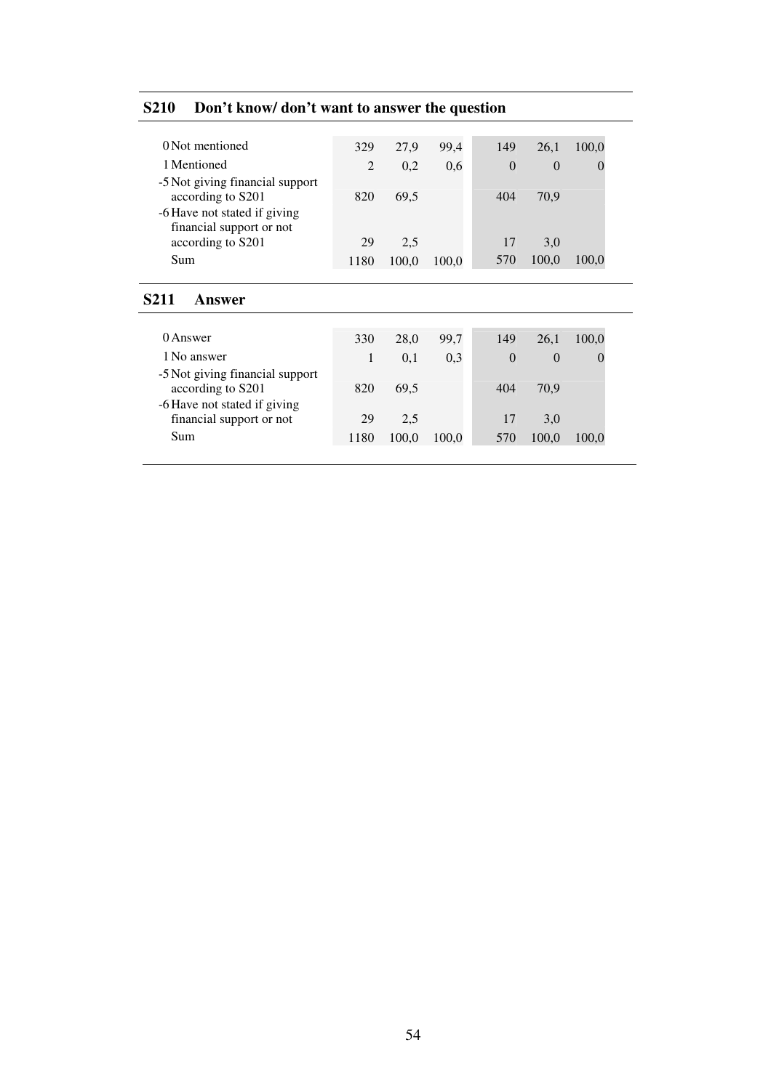| 0 Not mentioned                                                                      | 329            | 27,9  | 99,4  | 149      | 26,1     | 100,0            |
|--------------------------------------------------------------------------------------|----------------|-------|-------|----------|----------|------------------|
| 1 Mentioned                                                                          | $\mathfrak{D}$ | 0,2   | 0.6   | $\theta$ | $\Omega$ | $\left( \right)$ |
| -5 Not giving financial support<br>according to S201<br>-6 Have not stated if giving | 820            | 69,5  |       | 404      | 70,9     |                  |
| financial support or not<br>according to S201                                        | 29             | 2,5   |       | 17       | 3,0      |                  |
|                                                                                      |                |       |       |          |          |                  |
| Sum                                                                                  | 1180           | 100,0 | 100,0 | 570      | 100,0    | 100,0            |
| S211<br><b>Answer</b>                                                                |                |       |       |          |          |                  |
|                                                                                      |                |       |       |          |          |                  |
| 0 Answer                                                                             | 330            | 28,0  | 99,7  | 149      | 26,1     | 100,0            |
| 1 No answer                                                                          | 1              | 0,1   | 0,3   | $\theta$ | $\Omega$ | $\left( \right)$ |
| -5 Not giving financial support                                                      |                |       |       |          |          |                  |
| according to S201                                                                    | 820            | 69,5  |       | 404      | 70,9     |                  |
| -6 Have not stated if giving                                                         |                |       |       |          |          |                  |
|                                                                                      | 29             |       |       | 17       | 3,0      |                  |
| financial support or not                                                             |                | 2,5   |       |          |          |                  |

# **S210 Don't know/ don't want to answer the question**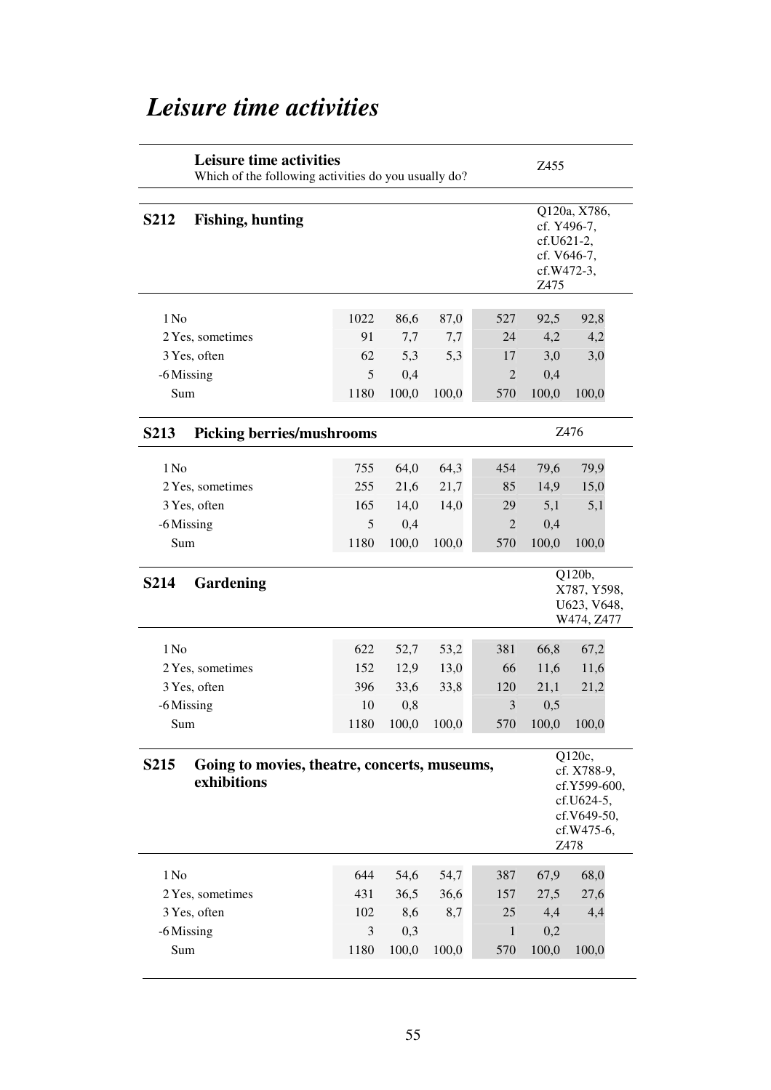# **Leisure time activities** Which of the following activities do you usually do? Z455 **S212 Fishing, hunting** Q120a, X786, cf. Y496-7, cf.U621-2, cf. V646-7, cf.W472-3, Z475 1 No 1022 86,6 87,0 527 92,5 92,8 2 Yes, sometimes 91 7,7 7,7 24 4,2 4,2 3 Yes, often 62 5,3 5,3 17 3,0 3,0 -6 Missing 5 0,4 2 0,4 Sum 1180 100,0 100,0 570 100,0 100,0 **S213 Picking berries/mushrooms** Z476 1 No 255 64,0 64,3 454 79,6 79,9 2 Yes, sometimes 255 21,6 21,7 85 14,9 15,0 3 Yes, often 165 14,0 14,0 29 5,1 5,1 -6 Missing 5 0,4 2 0,4 Sum 1180 100,0 100,0 570 100,0 100,0 **S214 Gardening** Q120b, X787, Y598, U623, V648, W474, Z477 1 No 622 52,7 53,2 381 66,8 67,2 2 Yes, sometimes 152 12,9 13,0 66 11,6 11,6 3 Yes, often 396 33,6 33,8 120 21,1 21,2 -6 Missing 10 0,8 3 0,5 Sum 1180 100,0 100,0 570 100,0 100,0 **S215 Going to movies, theatre, concerts, museums, exhibitions** Q120c, cf. X788-9, cf.Y599-600, cf.U624-5, cf.V649-50, cf.W475-6, Z478 1 No 644 54,6 54,7 387 67,9 68,0 2 Yes, sometimes 431 36,5 36,6 157 27,5 27,6 3 Yes, often 102 8,6 8,7 25 4,4 4,4 -6 Missing 3 0,3 1 0,2 Sum 1180 100,0 100,0 570 100,0 100,0

# *Leisure time activities*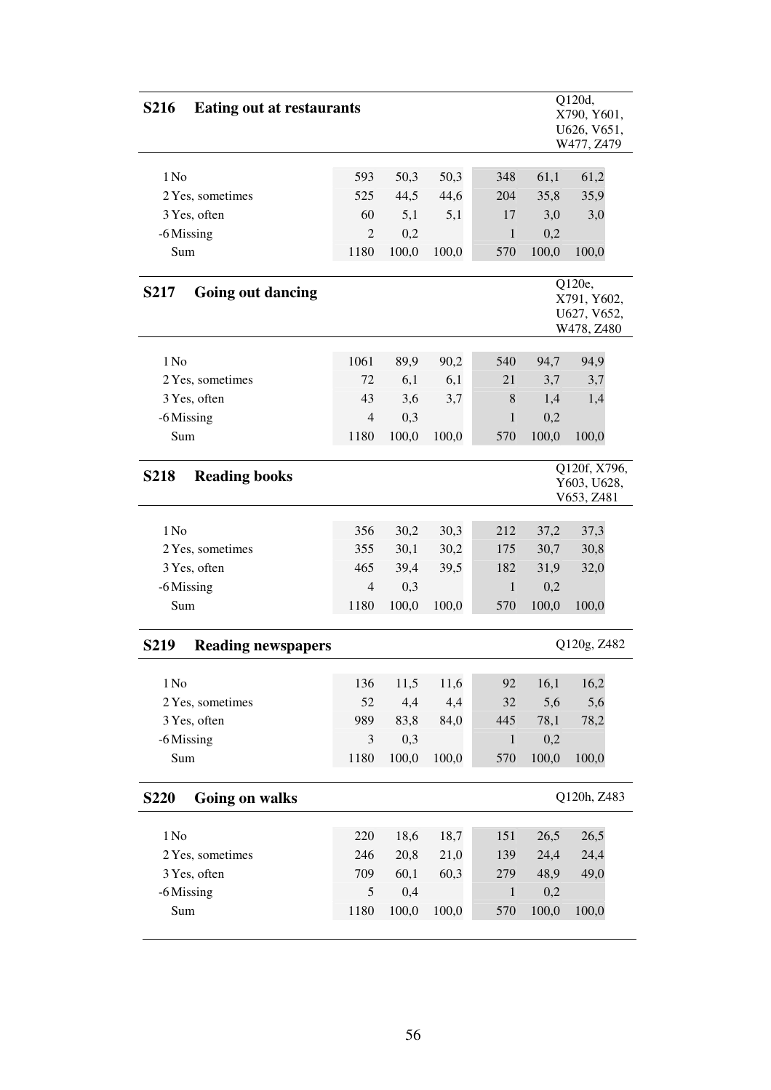| <b>S216</b><br><b>Eating out at restaurants</b> |                |       |       |              |       | Q120d,<br>X790, Y601,<br>U626, V651,<br>W477, Z479 |
|-------------------------------------------------|----------------|-------|-------|--------------|-------|----------------------------------------------------|
| $1$ No                                          | 593            | 50,3  | 50,3  | 348          | 61,1  | 61,2                                               |
| 2 Yes, sometimes                                | 525            | 44,5  | 44,6  | 204          | 35,8  | 35,9                                               |
| 3 Yes, often                                    | 60             | 5,1   | 5,1   | 17           | 3,0   | 3,0                                                |
| -6 Missing                                      | $\overline{2}$ | 0,2   |       | 1            | 0,2   |                                                    |
| Sum                                             | 1180           | 100,0 | 100,0 | 570          | 100,0 | 100,0                                              |
|                                                 |                |       |       |              |       |                                                    |
| <b>S217</b><br><b>Going out dancing</b>         |                |       |       |              |       | Q120e,<br>X791, Y602,<br>U627, V652,<br>W478, Z480 |
| $1$ No                                          | 1061           | 89,9  | 90,2  | 540          | 94,7  | 94,9                                               |
| 2 Yes, sometimes                                | 72             | 6,1   | 6,1   | 21           | 3,7   | 3,7                                                |
| 3 Yes, often                                    | 43             | 3,6   | 3,7   | 8            | 1,4   | 1,4                                                |
| -6 Missing                                      | 4              | 0,3   |       | 1            | 0,2   |                                                    |
| Sum                                             | 1180           | 100,0 | 100,0 | 570          | 100,0 | 100,0                                              |
|                                                 |                |       |       |              |       |                                                    |
| <b>Reading books</b><br><b>S218</b>             |                |       |       |              |       | Q120f, X796,<br>Y603, U628,<br>V653, Z481          |
| 1 No                                            | 356            | 30,2  | 30,3  | 212          | 37,2  | 37,3                                               |
| 2 Yes, sometimes                                | 355            | 30,1  | 30,2  | 175          | 30,7  | 30,8                                               |
| 3 Yes, often                                    | 465            | 39,4  | 39,5  | 182          | 31,9  | 32,0                                               |
| -6 Missing                                      | 4              | 0,3   |       | 1            | 0,2   |                                                    |
| Sum                                             | 1180           | 100,0 | 100,0 | 570          | 100,0 | 100,0                                              |
|                                                 |                |       |       |              |       |                                                    |
| <b>S219</b><br><b>Reading newspapers</b>        |                |       |       |              |       | Q120g, Z482                                        |
| 1 N <sub>0</sub>                                | 136            | 11,5  | 11,6  | 92           | 16,1  | 16,2                                               |
| 2 Yes, sometimes                                | 52             | 4,4   | 4,4   | 32           | 5,6   | 5,6                                                |
| 3 Yes, often                                    | 989            | 83,8  | 84,0  | 445          | 78,1  | 78,2                                               |
| -6 Missing                                      | 3              | 0,3   |       | $\,1$        | 0,2   |                                                    |
| Sum                                             | 1180           | 100,0 | 100,0 | 570          | 100,0 | 100,0                                              |
| <b>S220</b><br>Going on walks                   |                |       |       |              |       | Q120h, Z483                                        |
| 1 N <sub>0</sub>                                | 220            | 18,6  | 18,7  | 151          | 26,5  | 26,5                                               |
| 2 Yes, sometimes                                | 246            | 20,8  | 21,0  | 139          | 24,4  | 24,4                                               |
| 3 Yes, often                                    | 709            | 60,1  | 60,3  | 279          | 48,9  | 49,0                                               |
| -6 Missing                                      | 5              | 0,4   |       | $\mathbf{1}$ | 0,2   |                                                    |
| Sum                                             | 1180           | 100,0 | 100,0 | 570          | 100,0 | 100,0                                              |
|                                                 |                |       |       |              |       |                                                    |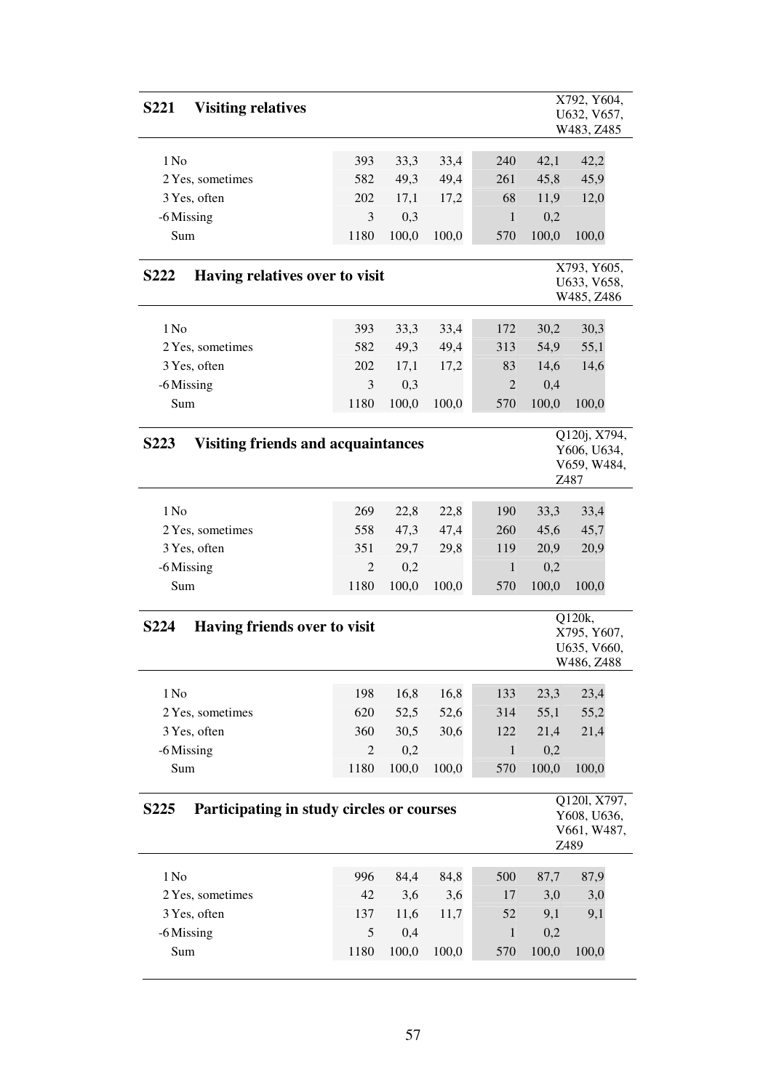| <b>Visiting relatives</b><br><b>S221</b>                                                                       |                |       |       |                |       | X792, Y604,<br>U632, V657,<br>W483, Z485           |  |  |  |  |
|----------------------------------------------------------------------------------------------------------------|----------------|-------|-------|----------------|-------|----------------------------------------------------|--|--|--|--|
| 1 N <sub>0</sub>                                                                                               | 393            | 33,3  | 33,4  | 240            | 42,1  | 42,2                                               |  |  |  |  |
| 2 Yes, sometimes                                                                                               | 582            | 49,3  | 49,4  | 261            | 45,8  | 45,9                                               |  |  |  |  |
| 3 Yes, often                                                                                                   | 202            | 17,1  | 17,2  | 68             | 11,9  | 12,0                                               |  |  |  |  |
| -6 Missing                                                                                                     | 3              | 0,3   |       | 1              | 0,2   |                                                    |  |  |  |  |
| Sum                                                                                                            | 1180           | 100,0 | 100,0 | 570            | 100,0 | 100,0                                              |  |  |  |  |
| Having relatives over to visit<br><b>S222</b>                                                                  |                |       |       |                |       | X793, Y605,<br>U633, V658,<br>W485, Z486           |  |  |  |  |
| 1 N <sub>0</sub>                                                                                               | 393            | 33,3  | 33,4  | 172            | 30,2  | 30,3                                               |  |  |  |  |
| 2 Yes, sometimes                                                                                               | 582            | 49,3  | 49,4  | 313            | 54,9  | 55,1                                               |  |  |  |  |
| 3 Yes, often                                                                                                   | 202            | 17,1  | 17,2  | 83             | 14,6  | 14,6                                               |  |  |  |  |
| -6 Missing                                                                                                     | 3              | 0,3   |       | $\overline{2}$ | 0,4   |                                                    |  |  |  |  |
| Sum                                                                                                            | 1180           | 100,0 | 100,0 | 570            | 100,0 | 100,0                                              |  |  |  |  |
|                                                                                                                |                |       |       |                |       |                                                    |  |  |  |  |
| Q120j, X794,<br><b>Visiting friends and acquaintances</b><br><b>S223</b><br>Y606, U634,<br>V659, W484,<br>Z487 |                |       |       |                |       |                                                    |  |  |  |  |
| $1$ No                                                                                                         | 269            | 22,8  | 22,8  | 190            | 33,3  | 33,4                                               |  |  |  |  |
| 2 Yes, sometimes                                                                                               | 558            | 47,3  | 47,4  | 260            | 45,6  | 45,7                                               |  |  |  |  |
| 3 Yes, often                                                                                                   | 351            | 29,7  | 29,8  | 119            | 20,9  | 20,9                                               |  |  |  |  |
| -6 Missing                                                                                                     | 2              | 0,2   |       | 1              | 0,2   |                                                    |  |  |  |  |
| Sum                                                                                                            | 1180           | 100,0 | 100,0 | 570            | 100,0 | 100,0                                              |  |  |  |  |
| Having friends over to visit<br><b>S224</b>                                                                    |                |       |       |                |       | Q120k,<br>X795, Y607,<br>U635, V660,<br>W486, Z488 |  |  |  |  |
| $1\,\mathrm{No}$                                                                                               | 198            | 16,8  | 16,8  | 133            | 23,3  | 23,4                                               |  |  |  |  |
| 2 Yes, sometimes                                                                                               | 620            | 52,5  | 52,6  | 314            | 55,1  | 55,2                                               |  |  |  |  |
| 3 Yes, often                                                                                                   | 360            | 30,5  | 30,6  | 122            | 21,4  | 21,4                                               |  |  |  |  |
| -6 Missing                                                                                                     | $\mathfrak{2}$ | 0,2   |       | $\mathbf{1}$   | 0,2   |                                                    |  |  |  |  |
| Sum                                                                                                            | 1180           | 100,0 | 100,0 | 570            | 100,0 | 100,0                                              |  |  |  |  |
| Participating in study circles or courses<br>S <sub>225</sub>                                                  |                |       |       |                |       | Q1201, X797,<br>Y608, U636,<br>V661, W487,<br>Z489 |  |  |  |  |
|                                                                                                                |                |       |       |                |       |                                                    |  |  |  |  |
| 1 N <sub>0</sub>                                                                                               | 996            | 84,4  | 84,8  | 500            | 87,7  | 87,9                                               |  |  |  |  |
| 2 Yes, sometimes                                                                                               | 42             | 3,6   | 3,6   | 17             | 3,0   | 3,0                                                |  |  |  |  |
| 3 Yes, often                                                                                                   | 137            | 11,6  | 11,7  | 52             | 9,1   | 9,1                                                |  |  |  |  |
| -6 Missing                                                                                                     | 5              | 0,4   |       | $\mathbf{1}$   | 0,2   |                                                    |  |  |  |  |
| Sum                                                                                                            | 1180           | 100,0 | 100,0 | 570            | 100,0 | 100,0                                              |  |  |  |  |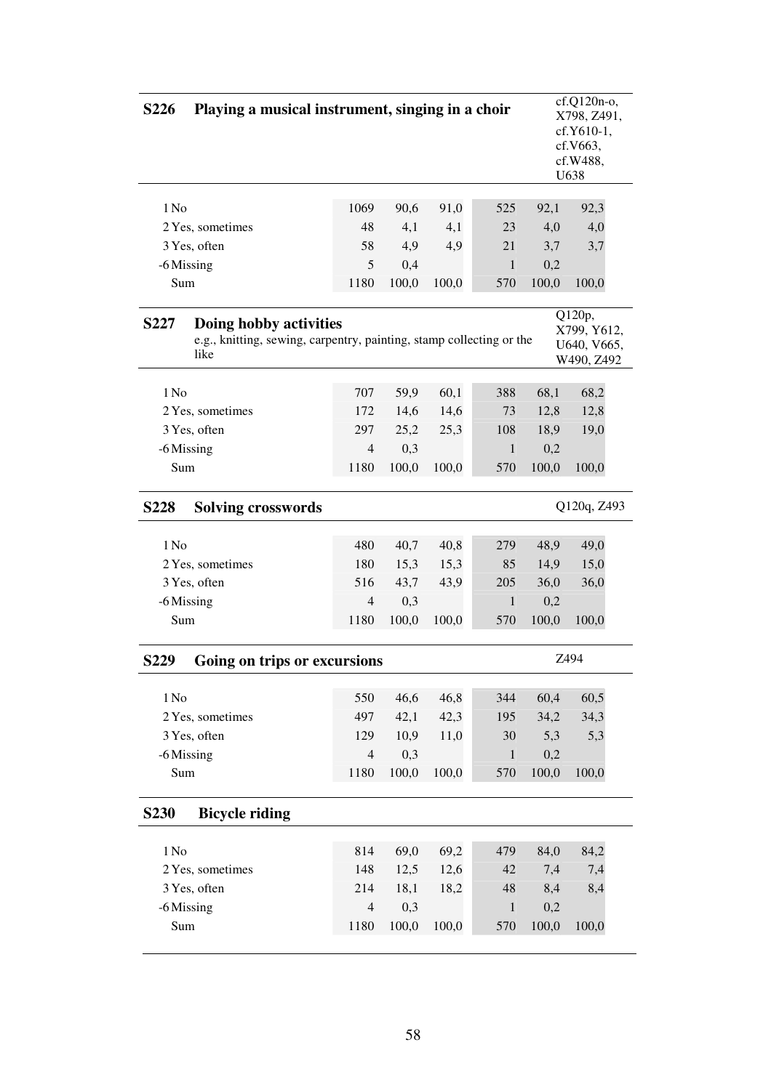| $cf.Q120n-o,$<br>Playing a musical instrument, singing in a choir<br><b>S226</b><br>X798, Z491,<br>cf.Y610-1,<br>cf.V663,<br>cf.W488,<br>U638 |                                                                                                        |                |       |       |              |       |                                                    |  |  |  |
|-----------------------------------------------------------------------------------------------------------------------------------------------|--------------------------------------------------------------------------------------------------------|----------------|-------|-------|--------------|-------|----------------------------------------------------|--|--|--|
| 1 No                                                                                                                                          |                                                                                                        | 1069           | 90,6  | 91,0  | 525          | 92,1  | 92,3                                               |  |  |  |
|                                                                                                                                               | 2 Yes, sometimes                                                                                       | 48             | 4,1   | 4,1   | 23           | 4,0   | 4,0                                                |  |  |  |
|                                                                                                                                               | 3 Yes, often                                                                                           | 58             | 4,9   | 4,9   | 21           | 3,7   | 3,7                                                |  |  |  |
| -6 Missing                                                                                                                                    |                                                                                                        | 5              | 0,4   |       | $\mathbf{1}$ | 0,2   |                                                    |  |  |  |
| Sum                                                                                                                                           |                                                                                                        | 1180           | 100,0 | 100,0 | 570          | 100,0 | 100,0                                              |  |  |  |
| <b>S227</b>                                                                                                                                   | Doing hobby activities<br>e.g., knitting, sewing, carpentry, painting, stamp collecting or the<br>like |                |       |       |              |       | Q120p,<br>X799, Y612,<br>U640, V665,<br>W490, Z492 |  |  |  |
| 1 No                                                                                                                                          |                                                                                                        | 707            | 59,9  | 60,1  | 388          | 68,1  | 68,2                                               |  |  |  |
|                                                                                                                                               | 2 Yes, sometimes                                                                                       | 172            | 14,6  | 14,6  | 73           | 12,8  | 12,8                                               |  |  |  |
|                                                                                                                                               | 3 Yes, often                                                                                           | 297            | 25,2  | 25,3  | 108          | 18,9  | 19,0                                               |  |  |  |
| -6 Missing                                                                                                                                    |                                                                                                        | $\overline{4}$ | 0,3   |       | 1            | 0,2   |                                                    |  |  |  |
| Sum                                                                                                                                           |                                                                                                        | 1180           | 100,0 | 100,0 | 570          | 100,0 | 100,0                                              |  |  |  |
| <b>S228</b>                                                                                                                                   | <b>Solving crosswords</b>                                                                              |                |       |       |              |       | Q120q, Z493                                        |  |  |  |
| 1 No                                                                                                                                          |                                                                                                        | 480            | 40,7  | 40,8  | 279          | 48,9  | 49,0                                               |  |  |  |
|                                                                                                                                               | 2 Yes, sometimes                                                                                       | 180            | 15,3  | 15,3  | 85           | 14,9  | 15,0                                               |  |  |  |
|                                                                                                                                               | 3 Yes, often                                                                                           | 516            | 43,7  | 43,9  | 205          | 36,0  | 36,0                                               |  |  |  |
| -6 Missing                                                                                                                                    |                                                                                                        | $\overline{4}$ | 0,3   |       | $\mathbf{1}$ | 0,2   |                                                    |  |  |  |
| Sum                                                                                                                                           |                                                                                                        | 1180           | 100,0 | 100,0 | 570          | 100,0 | 100,0                                              |  |  |  |
| S <sub>229</sub>                                                                                                                              | Going on trips or excursions                                                                           |                |       |       |              |       | Z494                                               |  |  |  |
| 1 N <sub>0</sub>                                                                                                                              |                                                                                                        | 550            | 46,6  | 46,8  | 344          | 60,4  | 60,5                                               |  |  |  |
|                                                                                                                                               |                                                                                                        | 497            | 42,1  | 42,3  | 195          | 34,2  | 34,3                                               |  |  |  |
|                                                                                                                                               | 2 Yes, sometimes                                                                                       |                |       |       |              |       |                                                    |  |  |  |
|                                                                                                                                               | 3 Yes, often                                                                                           | 129            | 10,9  | 11,0  | 30           | 5,3   | 5,3                                                |  |  |  |
| -6 Missing                                                                                                                                    |                                                                                                        | $\overline{4}$ | 0,3   |       | $\mathbf{1}$ | 0,2   |                                                    |  |  |  |
| Sum                                                                                                                                           |                                                                                                        | 1180           | 100,0 | 100,0 | 570          | 100,0 | 100,0                                              |  |  |  |
| <b>S230</b>                                                                                                                                   | <b>Bicycle riding</b>                                                                                  |                |       |       |              |       |                                                    |  |  |  |
| 1 N <sub>0</sub>                                                                                                                              |                                                                                                        | 814            | 69,0  | 69,2  | 479          | 84,0  | 84,2                                               |  |  |  |
|                                                                                                                                               | 2 Yes, sometimes                                                                                       | 148            | 12,5  | 12,6  | 42           | 7,4   | 7,4                                                |  |  |  |
|                                                                                                                                               | 3 Yes, often                                                                                           | 214            | 18,1  | 18,2  | 48           | 8,4   | 8,4                                                |  |  |  |
| -6 Missing                                                                                                                                    |                                                                                                        | $\overline{4}$ | 0,3   |       | $\mathbf{1}$ | 0,2   |                                                    |  |  |  |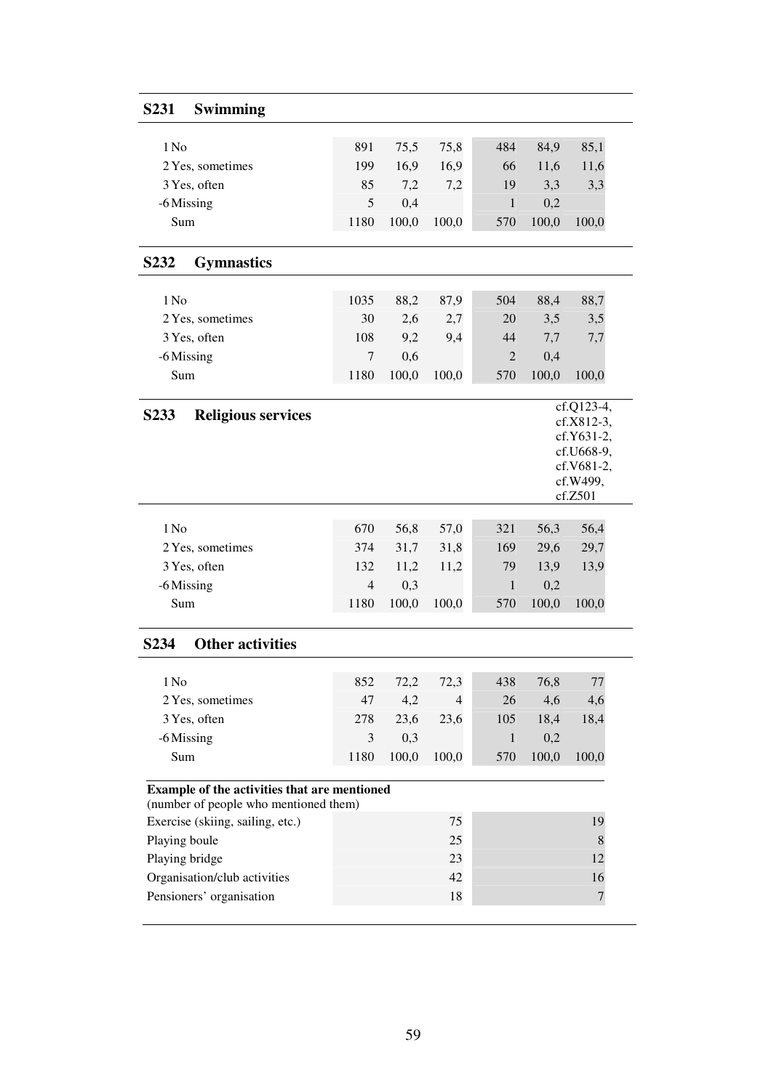| S <sub>231</sub><br><b>Swimming</b>                                                   |                |       |                |                |       |                        |
|---------------------------------------------------------------------------------------|----------------|-------|----------------|----------------|-------|------------------------|
|                                                                                       |                |       |                |                |       |                        |
| 1 No                                                                                  | 891            | 75,5  | 75,8           | 484            | 84,9  | 85,1                   |
| 2 Yes, sometimes                                                                      | 199            | 16,9  | 16,9           | 66             | 11,6  | 11,6                   |
| 3 Yes, often                                                                          | 85             | 7,2   | 7,2            | 19             | 3,3   | 3,3                    |
| -6 Missing                                                                            | 5              | 0,4   |                | $\mathbf{1}$   | 0,2   |                        |
| Sum                                                                                   | 1180           | 100,0 | 100,0          | 570            | 100,0 | 100,0                  |
| S <sub>2</sub> 3 <sub>2</sub><br><b>Gymnastics</b>                                    |                |       |                |                |       |                        |
| 1 No                                                                                  | 1035           | 88,2  | 87,9           | 504            | 88,4  | 88,7                   |
| 2 Yes, sometimes                                                                      | 30             | 2,6   | 2,7            | 20             | 3,5   | 3,5                    |
| 3 Yes, often                                                                          | 108            | 9,2   | 9,4            | 44             | 7,7   | 7,7                    |
| -6 Missing                                                                            | 7              | 0,6   |                | $\overline{2}$ | 0,4   |                        |
| Sum                                                                                   | 1180           | 100,0 | 100,0          | 570            | 100,0 | 100,0                  |
|                                                                                       |                |       |                |                |       | $cf. Q123-4,$          |
| <b>Religious services</b><br>S <sub>2</sub> 33                                        |                |       |                |                |       | cf.X812-3,             |
|                                                                                       |                |       |                |                |       | cf.Y631-2,             |
|                                                                                       |                |       |                |                |       | cf.U668-9,             |
|                                                                                       |                |       |                |                |       | cf.V681-2,<br>cf.W499, |
|                                                                                       |                |       |                |                |       | cf.Z501                |
| 1 No                                                                                  | 670            | 56,8  | 57,0           | 321            | 56,3  | 56,4                   |
| 2 Yes, sometimes                                                                      | 374            | 31,7  | 31,8           | 169            | 29,6  | 29,7                   |
| 3 Yes, often                                                                          | 132            | 11,2  | 11,2           | 79             | 13,9  | 13,9                   |
| -6 Missing                                                                            | $\overline{4}$ | 0,3   |                | $\mathbf{1}$   | 0,2   |                        |
| Sum                                                                                   | 1180           | 100,0 | 100,0          | 570            | 100,0 | 100,0                  |
|                                                                                       |                |       |                |                |       |                        |
| <b>Other activities</b><br>S <sub>2</sub> 34                                          |                |       |                |                |       |                        |
| 1 No                                                                                  | 852            | 72,2  | 72,3           | 438            | 76,8  | 77                     |
| 2 Yes, sometimes                                                                      | 47             | 4,2   | $\overline{4}$ | 26             | 4,6   | 4,6                    |
| 3 Yes, often                                                                          | 278            | 23,6  | 23,6           | 105            | 18,4  | 18,4                   |
| -6 Missing                                                                            | 3              | 0,3   |                | $\mathbf{1}$   | 0,2   |                        |
| Sum                                                                                   | 1180           | 100,0 | 100,0          | 570            | 100,0 | 100,0                  |
|                                                                                       |                |       |                |                |       |                        |
| Example of the activities that are mentioned<br>(number of people who mentioned them) |                |       |                |                |       |                        |
| Exercise (skiing, sailing, etc.)                                                      |                |       | 75             |                |       | 19                     |
| Playing boule                                                                         |                |       | 25             |                |       | $\,$ 8 $\,$            |
| Playing bridge                                                                        |                |       | 23             |                |       | 12                     |
| Organisation/club activities                                                          |                |       | 42             |                |       | 16                     |
| Pensioners' organisation                                                              |                |       | 18             |                |       | $\boldsymbol{7}$       |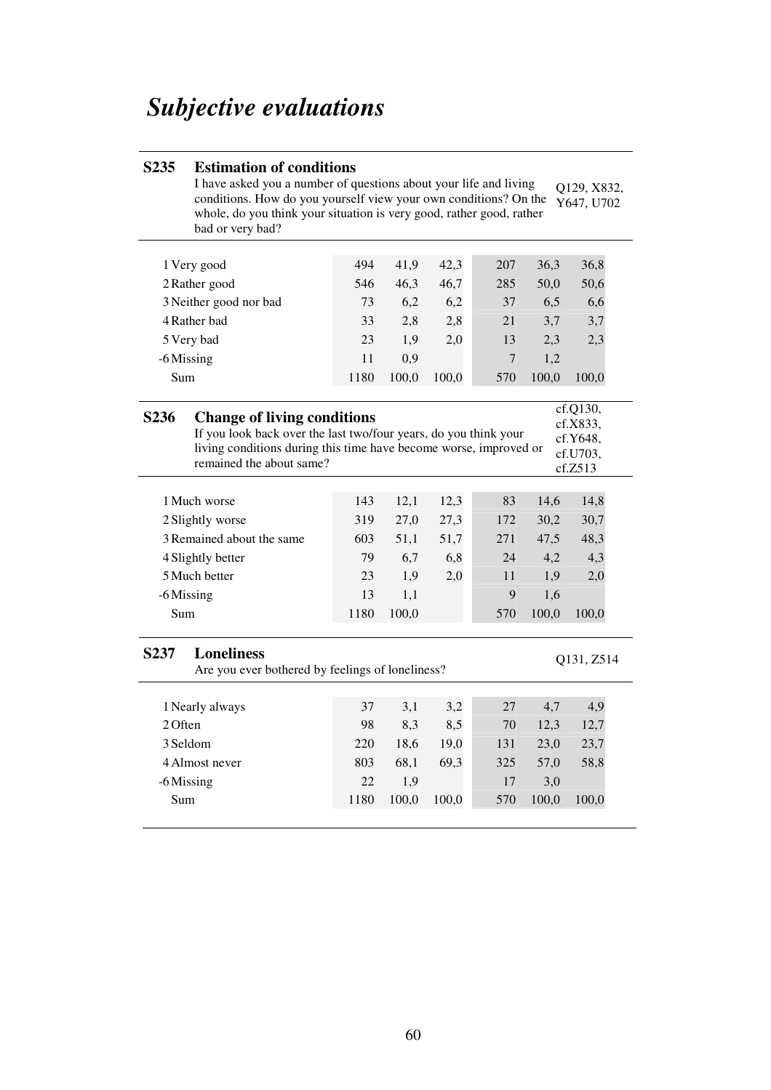# *Subjective evaluations*

|                                                                                                                                                                                                                                                                                        | I have asked you a number of questions about your life and living<br>conditions. How do you yourself view your own conditions? On the<br>whole, do you think your situation is very good, rather good, rather<br>bad or very bad? |            |              |              |                  |              | Q129, X832,<br>Y647, U702 |  |  |
|----------------------------------------------------------------------------------------------------------------------------------------------------------------------------------------------------------------------------------------------------------------------------------------|-----------------------------------------------------------------------------------------------------------------------------------------------------------------------------------------------------------------------------------|------------|--------------|--------------|------------------|--------------|---------------------------|--|--|
|                                                                                                                                                                                                                                                                                        |                                                                                                                                                                                                                                   |            |              |              |                  |              |                           |  |  |
|                                                                                                                                                                                                                                                                                        | 1 Very good                                                                                                                                                                                                                       | 494        | 41,9         | 42,3         | 207              | 36,3         | 36,8                      |  |  |
|                                                                                                                                                                                                                                                                                        | 2 Rather good                                                                                                                                                                                                                     | 546        | 46,3         | 46,7         | 285              | 50,0         | 50,6                      |  |  |
|                                                                                                                                                                                                                                                                                        | 3 Neither good nor bad                                                                                                                                                                                                            | 73         | 6,2          | 6,2          | 37               | 6,5          | 6,6                       |  |  |
|                                                                                                                                                                                                                                                                                        | 4 Rather bad                                                                                                                                                                                                                      | 33         | 2,8          | 2,8          | 21               | 3,7          | 3,7                       |  |  |
|                                                                                                                                                                                                                                                                                        | 5 Very bad                                                                                                                                                                                                                        | 23         | 1,9          | 2,0          | 13               | 2,3          | 2,3                       |  |  |
|                                                                                                                                                                                                                                                                                        | -6 Missing                                                                                                                                                                                                                        | 11         | 0,9          |              | $\boldsymbol{7}$ | 1,2          |                           |  |  |
| Sum                                                                                                                                                                                                                                                                                    |                                                                                                                                                                                                                                   | 1180       | 100,0        | 100,0        | 570              | 100,0        | 100,0                     |  |  |
| cf.Q130,<br>S <sub>236</sub><br><b>Change of living conditions</b><br>cf.X833,<br>If you look back over the last two/four years, do you think your<br>cf.Y648,<br>living conditions during this time have become worse, improved or<br>cf.U703,<br>remained the about same?<br>cf.Z513 |                                                                                                                                                                                                                                   |            |              |              |                  |              |                           |  |  |
|                                                                                                                                                                                                                                                                                        |                                                                                                                                                                                                                                   |            |              |              |                  |              |                           |  |  |
|                                                                                                                                                                                                                                                                                        | 1 Much worse                                                                                                                                                                                                                      |            |              |              |                  |              |                           |  |  |
|                                                                                                                                                                                                                                                                                        |                                                                                                                                                                                                                                   | 143<br>319 | 12,1         | 12,3         | 83<br>172        | 14,6         | 14,8                      |  |  |
|                                                                                                                                                                                                                                                                                        | 2 Slightly worse<br>3 Remained about the same                                                                                                                                                                                     | 603        | 27,0<br>51,1 | 27,3<br>51,7 | 271              | 30,2<br>47,5 | 30,7<br>48,3              |  |  |
|                                                                                                                                                                                                                                                                                        | 4 Slightly better                                                                                                                                                                                                                 | 79         | 6,7          | 6,8          | 24               | 4,2          | 4,3                       |  |  |
|                                                                                                                                                                                                                                                                                        | 5 Much better                                                                                                                                                                                                                     | 23         | 1,9          | 2,0          | 11               | 1,9          | 2,0                       |  |  |
|                                                                                                                                                                                                                                                                                        | -6 Missing                                                                                                                                                                                                                        | 13         | 1,1          |              | 9                | 1,6          |                           |  |  |
| Sum                                                                                                                                                                                                                                                                                    |                                                                                                                                                                                                                                   | 1180       | 100,0        |              | 570              | 100,0        | 100,0                     |  |  |
| S237                                                                                                                                                                                                                                                                                   | <b>Loneliness</b><br>Are you ever bothered by feelings of loneliness?                                                                                                                                                             |            |              |              |                  |              | Q131, Z514                |  |  |
|                                                                                                                                                                                                                                                                                        |                                                                                                                                                                                                                                   | 37         |              |              | 27               |              |                           |  |  |
| 2 Often                                                                                                                                                                                                                                                                                | 1 Nearly always                                                                                                                                                                                                                   | 98         | 3,1          | 3,2          | 70               | 4,7          | 4,9                       |  |  |
|                                                                                                                                                                                                                                                                                        | 3 Seldom                                                                                                                                                                                                                          | 220        | 8,3          | 8,5          |                  | 12,3         | 12,7                      |  |  |
|                                                                                                                                                                                                                                                                                        | 4 Almost never                                                                                                                                                                                                                    | 803        | 18,6         | 19,0         | 131              | 23,0         | 23,7                      |  |  |
|                                                                                                                                                                                                                                                                                        | -6 Missing                                                                                                                                                                                                                        | 22         | 68,1<br>1,9  | 69,3         | 325<br>17        | 57,0<br>3,0  | 58,8                      |  |  |

# **S235 Estimation of conditions**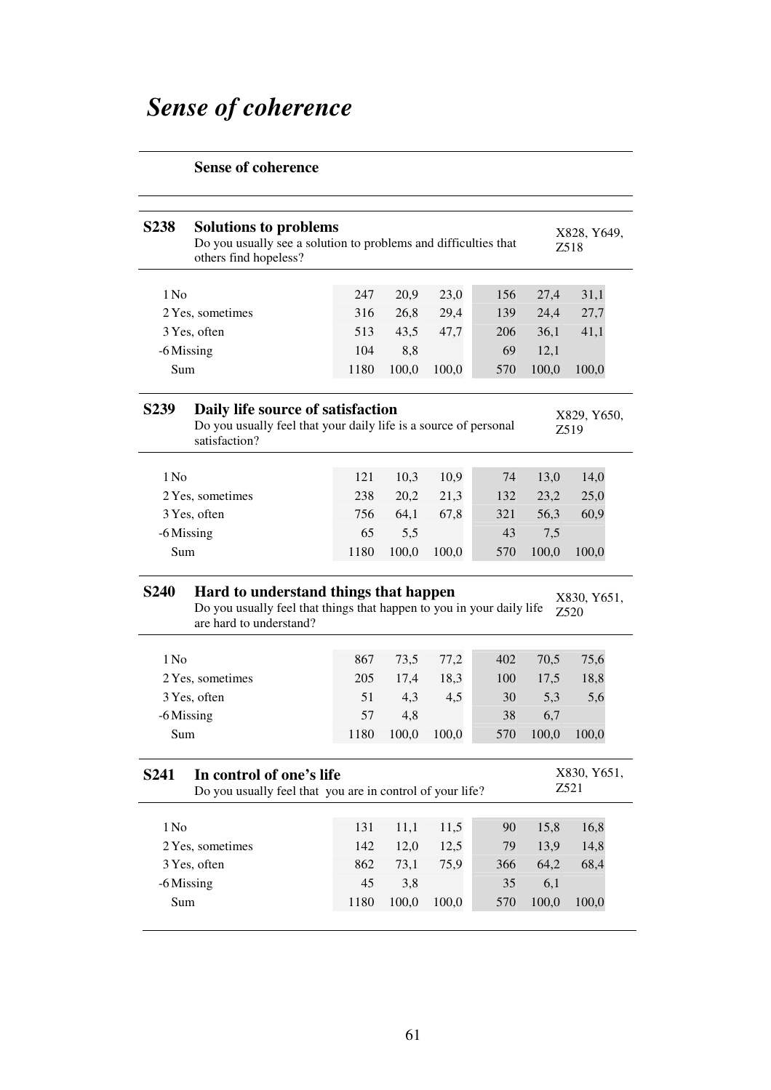# *Sense of coherence*

# **Sense of coherence**

| <b>S238</b>      | <b>Solutions to problems</b><br>Do you usually see a solution to problems and difficulties that<br>others find hopeless?                  |            |              |       |           |              | X828, Y649,<br>Z518 |
|------------------|-------------------------------------------------------------------------------------------------------------------------------------------|------------|--------------|-------|-----------|--------------|---------------------|
| 1 No             |                                                                                                                                           | 247        | 20,9         | 23,0  | 156       | 27,4         | 31,1                |
|                  | 2 Yes, sometimes                                                                                                                          | 316        | 26,8         | 29,4  | 139       | 24,4         | 27,7                |
|                  | 3 Yes, often                                                                                                                              | 513        | 43,5         | 47,7  | 206       | 36,1         | 41,1                |
|                  | -6 Missing                                                                                                                                | 104        | 8,8          |       | 69        | 12,1         |                     |
| Sum              |                                                                                                                                           | 1180       | 100,0        | 100,0 | 570       | 100,0        | 100,0               |
| S <sub>239</sub> | Daily life source of satisfaction<br>Do you usually feel that your daily life is a source of personal<br>satisfaction?                    |            |              |       |           |              | X829, Y650,<br>Z519 |
| $1$ No           |                                                                                                                                           | 121        | 10,3         | 10,9  | 74        | 13,0         | 14,0                |
|                  | 2 Yes, sometimes                                                                                                                          | 238        | 20,2         | 21,3  | 132       | 23,2         | 25,0                |
|                  | 3 Yes, often                                                                                                                              | 756        | 64,1         | 67,8  | 321       | 56,3         | 60,9                |
|                  | -6 Missing                                                                                                                                | 65         | 5,5          |       | 43        | 7,5          |                     |
|                  |                                                                                                                                           |            |              |       |           |              |                     |
| Sum              |                                                                                                                                           | 1180       | 100,0        | 100,0 | 570       | 100,0        | 100,0               |
| <b>S240</b>      | Hard to understand things that happen<br>Do you usually feel that things that happen to you in your daily life<br>are hard to understand? |            |              |       |           |              | X830, Y651,<br>Z520 |
| $1$ No           |                                                                                                                                           | 867        | 73,5         | 77,2  | 402       | 70,5         | 75,6                |
|                  | 2 Yes, sometimes                                                                                                                          | 205        | 17,4         | 18,3  | 100       | 17,5         | 18,8                |
|                  | 3 Yes, often                                                                                                                              | 51         | 4,3          | 4,5   | 30        | 5,3          | 5,6                 |
|                  | -6 Missing                                                                                                                                | 57         | 4,8          |       | 38        | 6,7          |                     |
| Sum              |                                                                                                                                           | 1180       | 100,0        | 100,0 | 570       | 100,0        | 100,0               |
| <b>S241</b>      | In control of one's life<br>Do you usually feel that you are in control of your life?                                                     |            |              |       |           |              | X830, Y651,<br>Z521 |
|                  |                                                                                                                                           |            |              |       |           |              |                     |
| 1 No             |                                                                                                                                           | 131        | 11,1         | 11,5  | 90        | 15,8         | 16,8                |
|                  | 2 Yes, sometimes                                                                                                                          | 142        | 12,0         | 12,5  | 79        | 13,9         | 14,8                |
|                  | 3 Yes, often                                                                                                                              | 862        | 73,1         | 75,9  | 366       | 64,2         | 68,4                |
| Sum              | -6 Missing                                                                                                                                | 45<br>1180 | 3,8<br>100,0 | 100,0 | 35<br>570 | 6,1<br>100,0 | 100,0               |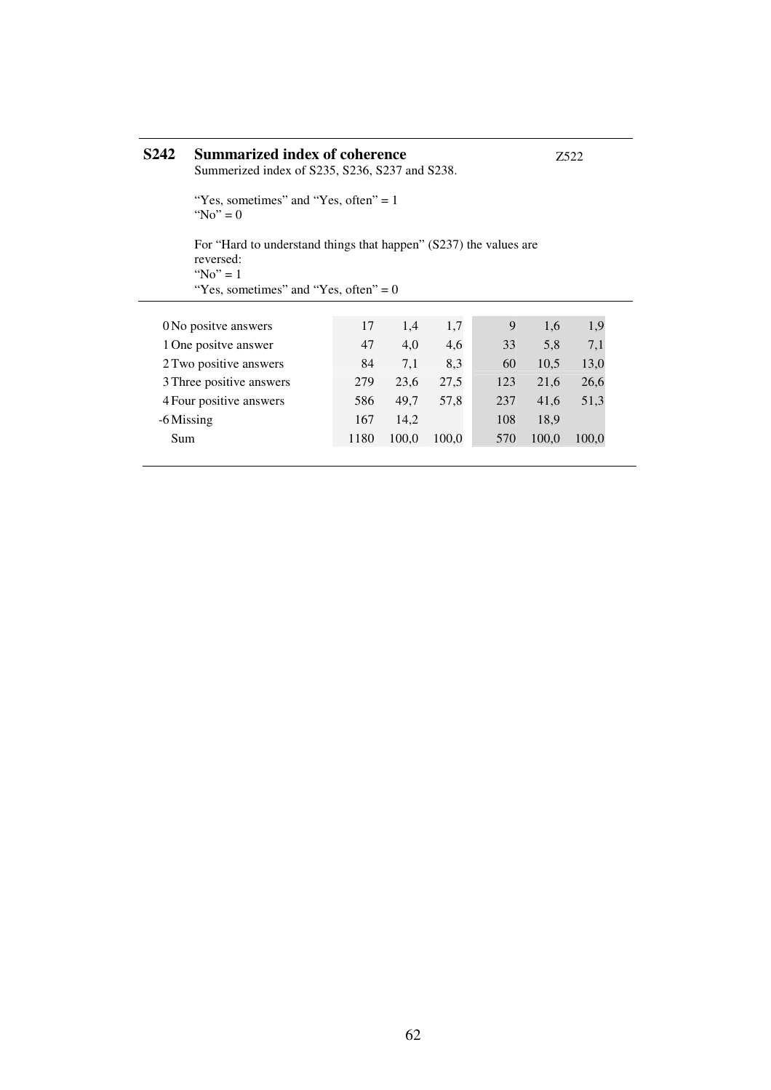| <b>S242</b> | Summarized index of coherence<br>Summerized index of S235, S236, S237 and S238.                                                         |      | Z522  |       |     |       |       |  |  |  |  |
|-------------|-----------------------------------------------------------------------------------------------------------------------------------------|------|-------|-------|-----|-------|-------|--|--|--|--|
|             | "Yes, sometimes" and "Yes, often" $= 1$ "<br>"No" = $0$                                                                                 |      |       |       |     |       |       |  |  |  |  |
|             | For "Hard to understand things that happen" (S237) the values are<br>reversed:<br>"No" = $1$<br>"Yes, sometimes" and "Yes, often" $= 0$ |      |       |       |     |       |       |  |  |  |  |
|             |                                                                                                                                         |      |       |       |     |       |       |  |  |  |  |
|             | 0 No positve answers                                                                                                                    | 17   | 1,4   | 1,7   | 9   | 1,6   | 1,9   |  |  |  |  |
|             | 1 One positve answer                                                                                                                    | 47   | 4,0   | 4,6   | 33  | 5,8   | 7,1   |  |  |  |  |
|             | 2 Two positive answers                                                                                                                  | 84   | 7,1   | 8.3   | 60  | 10.5  | 13,0  |  |  |  |  |
|             | 3 Three positive answers                                                                                                                | 279  | 23,6  | 27,5  | 123 | 21,6  | 26,6  |  |  |  |  |
|             | 4 Four positive answers                                                                                                                 | 586  | 49.7  | 57,8  | 237 | 41,6  | 51,3  |  |  |  |  |
|             | -6 Missing                                                                                                                              | 167  | 14,2  |       | 108 | 18.9  |       |  |  |  |  |
| Sum         |                                                                                                                                         | 1180 | 100,0 | 100.0 | 570 | 100,0 | 100,0 |  |  |  |  |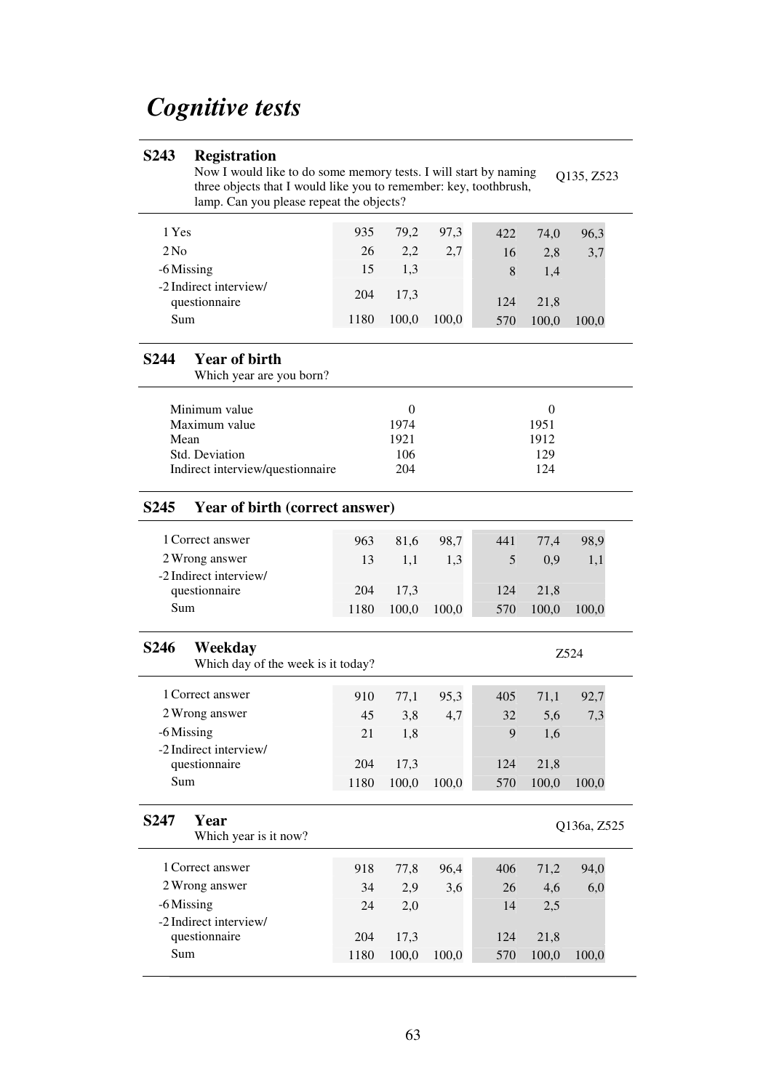# *Cognitive tests*

### **S243 Registration**

Now I would like to do some memory tests. I will start by naming three objects that I would like you to remember: key, toothbrush, lamp. Can you please repeat the objects? Q135, Z523

| 1 Yes                                   | 935  | 79,2  | 97.3  | 422 | 74.0  | 96,3  |
|-----------------------------------------|------|-------|-------|-----|-------|-------|
| 2N <sub>0</sub>                         | 26   | 2,2   | 2,7   | 16  | 2,8   | 3,7   |
| -6 Missing                              | 15   | 1,3   |       | 8   | 1.4   |       |
| -2 Indirect interview/<br>questionnaire | 204  | 17,3  |       | 124 | 21.8  |       |
| Sum                                     | 1180 | 100,0 | 100,0 | 570 | 100,0 | 100,0 |

#### **S244 Year of birth**

Which year are you born?

| Minimum value                    |      |      |
|----------------------------------|------|------|
| Maximum value                    | 1974 | 1951 |
| Mean                             | 1921 | 1912 |
| Std. Deviation                   | 106  | 129  |
| Indirect interview/questionnaire | 204  | 124  |
|                                  |      |      |

#### **S245 Year of birth (correct answer)**

| 1 Correct answer       | 963  | 81.6     | 98.7  | 441 | 77.4  | 98.9  |
|------------------------|------|----------|-------|-----|-------|-------|
| 2 Wrong answer         | 13   | -1.1     | 1.3   |     | (0.9) |       |
| -2 Indirect interview/ |      |          |       |     |       |       |
| questionnaire          |      | 204 17.3 |       | 124 | 21.8  |       |
| Sum                    | 1180 | 100.0    | 100,0 | 570 | 100.0 | 100.0 |

#### **S246 Weekday** Which day of the week is it today?

| WHICH Gay Of the Week is it today! |      |       |       |     |       |       |  |  |
|------------------------------------|------|-------|-------|-----|-------|-------|--|--|
| 1 Correct answer                   | 910  | 77,1  | 95.3  | 405 | 71,1  | 92,7  |  |  |
|                                    |      |       |       |     |       |       |  |  |
| 2 Wrong answer                     | 45   | 3,8   | 4,7   | 32  | 5.6   | 7,3   |  |  |
| -6 Missing                         | 21   | 1.8   |       | 9   | 1.6   |       |  |  |
| -2 Indirect interview/             |      |       |       |     |       |       |  |  |
| questionnaire                      | 204  | 17.3  |       | 124 | 21.8  |       |  |  |
| Sum                                | 1180 | 100,0 | 100.0 | 570 | 100,0 | 100,0 |  |  |

Z524

#### **S247 Year**

| 24 I<br>r ear<br>Which year is it now? |      |       |       |     |       | O136a, Z525 |  |
|----------------------------------------|------|-------|-------|-----|-------|-------------|--|
| 1 Correct answer                       | 918  | 77,8  | 96.4  | 406 | 71,2  | 94,0        |  |
| 2 Wrong answer                         | 34   | 2,9   | 3,6   | 26  | 4,6   | 6,0         |  |
| -6 Missing<br>-2 Indirect interview/   | 24   | 2,0   |       | 14  | 2.5   |             |  |
| questionnaire                          | 204  | 17.3  |       | 124 | 21,8  |             |  |
| Sum                                    | 1180 | 100,0 | 100.0 | 570 | 100,0 | 100,0       |  |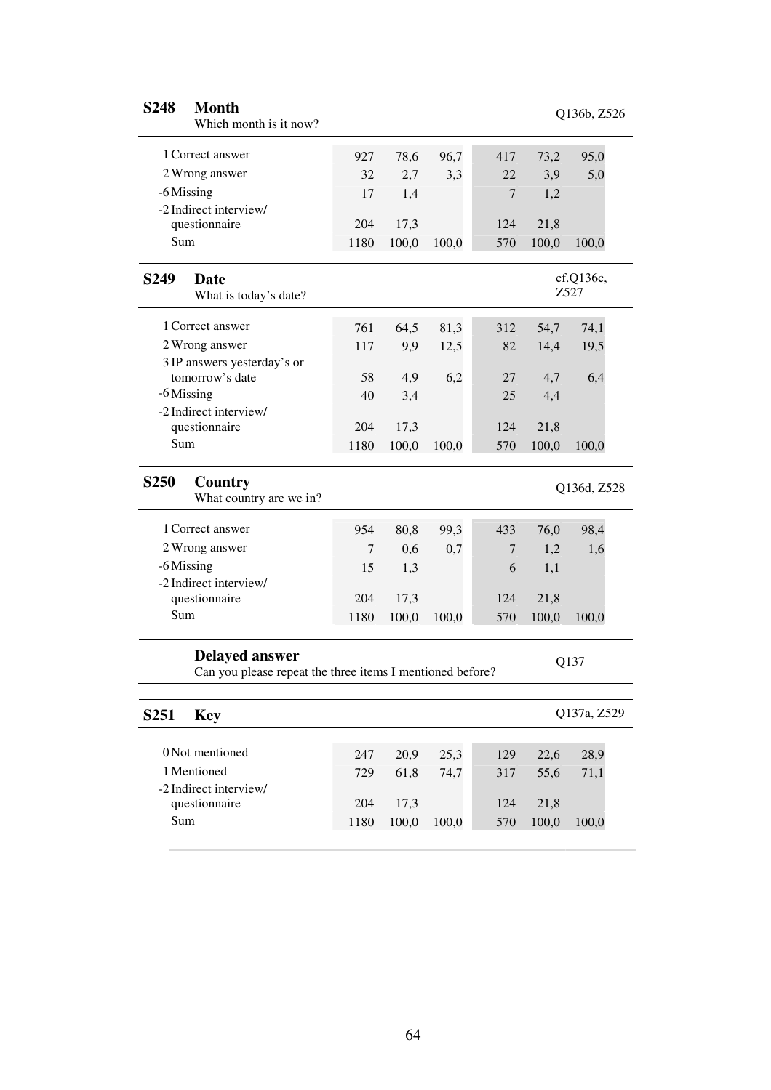| <b>S248</b><br><b>Month</b><br>Which month is it now?                              |      |       |       |                  |       | Q136b, Z526       |  |
|------------------------------------------------------------------------------------|------|-------|-------|------------------|-------|-------------------|--|
| 1 Correct answer                                                                   | 927  | 78,6  | 96,7  | 417              | 73,2  | 95,0              |  |
| 2 Wrong answer                                                                     | 32   | 2,7   | 3,3   | 22               | 3,9   | 5,0               |  |
| -6 Missing                                                                         | 17   | 1,4   |       | $\boldsymbol{7}$ | 1,2   |                   |  |
| -2 Indirect interview/                                                             |      |       |       |                  |       |                   |  |
| questionnaire                                                                      | 204  | 17,3  |       | 124              | 21,8  |                   |  |
| Sum                                                                                | 1180 | 100,0 | 100,0 | 570              | 100,0 | 100,0             |  |
| S <sub>249</sub><br><b>Date</b><br>What is today's date?                           |      |       |       |                  |       | cf.Q136c,<br>Z527 |  |
| 1 Correct answer                                                                   | 761  | 64,5  | 81,3  | 312              | 54,7  | 74,1              |  |
| 2 Wrong answer                                                                     | 117  | 9,9   | 12,5  | 82               | 14,4  | 19,5              |  |
| 3 IP answers yesterday's or                                                        |      |       |       |                  |       |                   |  |
| tomorrow's date                                                                    | 58   | 4,9   | 6,2   | 27               | 4,7   | 6,4               |  |
| $-6$ Missing                                                                       | 40   | 3,4   |       | 25               | 4,4   |                   |  |
| -2 Indirect interview/                                                             | 204  | 17,3  |       | 124              | 21,8  |                   |  |
| questionnaire<br>Sum                                                               | 1180 | 100,0 | 100,0 | 570              | 100,0 |                   |  |
|                                                                                    |      |       |       |                  |       | 100,0             |  |
|                                                                                    |      |       |       |                  |       |                   |  |
| S <sub>250</sub><br>Country<br>What country are we in?                             |      |       |       |                  |       | Q136d, Z528       |  |
| 1 Correct answer                                                                   | 954  | 80,8  | 99,3  | 433              | 76,0  | 98,4              |  |
| 2 Wrong answer                                                                     | 7    | 0,6   | 0,7   | 7                | 1,2   | 1,6               |  |
| -6 Missing                                                                         | 15   | 1,3   |       | 6                | 1,1   |                   |  |
| -2 Indirect interview/                                                             |      |       |       |                  |       |                   |  |
| questionnaire                                                                      | 204  | 17,3  |       | 124              | 21,8  |                   |  |
| Sum                                                                                | 1180 | 100,0 | 100,0 | 570              | 100,0 | 100,0             |  |
| <b>Delayed answer</b><br>Can you please repeat the three items I mentioned before? |      |       |       |                  |       | Q137              |  |
|                                                                                    |      |       |       |                  |       |                   |  |
| S <sub>251</sub><br><b>Key</b>                                                     |      |       |       |                  |       | Q137a, Z529       |  |
| 0 Not mentioned                                                                    | 247  | 20,9  | 25,3  | 129              | 22,6  | 28,9              |  |
| 1 Mentioned                                                                        | 729  | 61,8  | 74,7  | 317              | 55,6  | 71,1              |  |
| -2 Indirect interview/                                                             |      |       |       |                  |       |                   |  |
| questionnaire                                                                      | 204  | 17,3  |       | 124              | 21,8  |                   |  |
| Sum                                                                                | 1180 | 100,0 | 100,0 | 570              | 100,0 | 100,0             |  |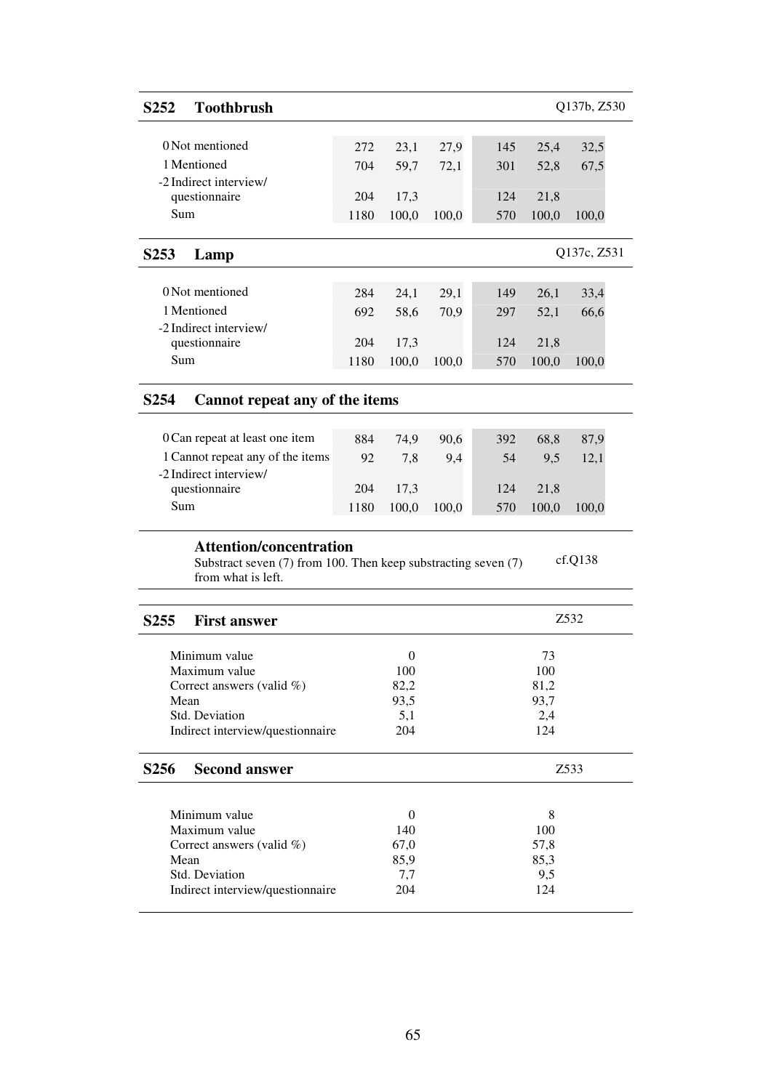# **S252 Toothbrush** Q137b, Z530

| 0 Not mentioned                                | 272         | 23.1          | 27.9  | 145        | 25.4          | 32.5  |
|------------------------------------------------|-------------|---------------|-------|------------|---------------|-------|
| 1 Mentioned                                    | 704         | 59.7          | 72,1  | 301        | 52.8          | 67.5  |
| -2 Indirect interview/<br>questionnaire<br>Sum | 204<br>1180 | 17.3<br>100.0 | 100.0 | 124<br>570 | 21.8<br>100.0 | 100.0 |

# **S253 Lamp** Q137c, Z531

| 0 Not mentioned        | 284  | 24.1  | 29.1  | 149 | 26.1  | 33,4  |
|------------------------|------|-------|-------|-----|-------|-------|
| 1 Mentioned            | 692  | 58.6  | 70.9  | 297 | 52.1  | 66,6  |
| -2 Indirect interview/ |      |       |       |     |       |       |
| questionnaire          | 204  | 17.3  |       | 124 | 21.8  |       |
| Sum                    | 1180 | 100.0 | 100.0 | 570 | 100,0 | 100.0 |

### **S254 Cannot repeat any of the items**

| 884  | 74.9  | 90.6  | 392 | 68.8  | 87.9  |
|------|-------|-------|-----|-------|-------|
| 92   | 7.8   | 9.4   | .54 | 9.5   | 12.1  |
|      |       |       |     |       |       |
| 204  | -17.3 |       | 124 | 21.8  |       |
| 1180 | 100.0 | 100.0 | 570 | 100.0 | 100,0 |
|      |       |       |     |       |       |

#### **Attention/concentration**

Substract seven (7) from 100. Then keep substracting seven (7) from what is left. cf.Q138

| <b>First answer</b><br>S <sub>255</sub> |          | Z532 |
|-----------------------------------------|----------|------|
|                                         |          |      |
| Minimum value                           | 0        | 73   |
| Maximum value                           | 100      | 100  |
| Correct answers (valid $\%$ )           | 82,2     | 81,2 |
| Mean                                    | 93,5     | 93,7 |
| Std. Deviation                          | 5,1      | 2,4  |
| Indirect interview/questionnaire        | 204      | 124  |
|                                         |          |      |
|                                         |          |      |
| <b>Second answer</b><br><b>S256</b>     |          | Z533 |
|                                         |          |      |
| Minimum value                           | $\Omega$ | 8    |
| Maximum value                           | 140      | 100  |
| Correct answers (valid $\%$ )           | 67,0     | 57,8 |
| Mean                                    | 85,9     | 85,3 |
| Std. Deviation                          | 7,7      | 9,5  |
| Indirect interview/questionnaire        | 204      | 124  |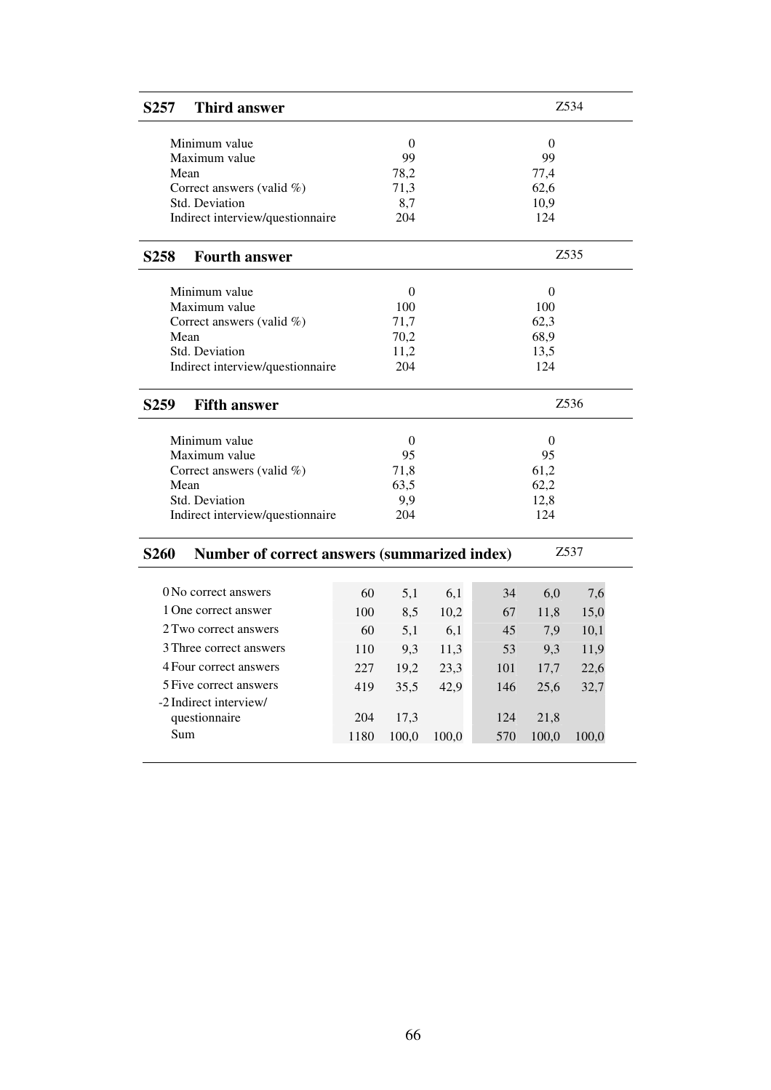| <b>Third answer</b><br>S <sub>257</sub>                     |      |                  |       |     |                  | Z534              |  |
|-------------------------------------------------------------|------|------------------|-------|-----|------------------|-------------------|--|
| Minimum value                                               |      | $\theta$         |       |     | $\theta$         |                   |  |
| Maximum value                                               |      | 99               |       |     | 99               |                   |  |
| Mean                                                        |      | 78,2             |       |     | 77,4             |                   |  |
| Correct answers (valid %)                                   |      | 71,3             |       |     | 62,6             |                   |  |
| <b>Std. Deviation</b>                                       |      | 8,7              |       |     | 10,9             |                   |  |
| Indirect interview/questionnaire                            |      | 204              |       |     | 124              |                   |  |
| <b>Fourth answer</b><br>S <sub>258</sub>                    |      |                  |       |     |                  | Z <sub>5</sub> 35 |  |
| Minimum value                                               |      | $\theta$         |       |     | $\theta$         |                   |  |
| Maximum value                                               |      | 100              |       |     | 100              |                   |  |
| Correct answers (valid %)                                   |      | 71,7             |       |     | 62,3             |                   |  |
| Mean                                                        |      | 70,2             |       |     | 68,9             |                   |  |
| Std. Deviation                                              |      | 11,2             |       |     | 13,5             |                   |  |
| Indirect interview/questionnaire                            |      | 204              |       |     | 124              |                   |  |
| S <sub>259</sub><br><b>Fifth answer</b>                     |      |                  |       |     |                  | Z536              |  |
| Minimum value                                               |      | $\boldsymbol{0}$ |       |     | $\boldsymbol{0}$ |                   |  |
| Maximum value                                               |      | 95               |       |     | 95               |                   |  |
| Correct answers (valid %)                                   |      | 71,8             |       |     | 61,2             |                   |  |
| Mean                                                        |      | 63,5             |       |     | 62,2             |                   |  |
| <b>Std. Deviation</b>                                       |      | 9,9              |       |     | 12,8             |                   |  |
| Indirect interview/questionnaire                            |      | 204              |       |     | 124              |                   |  |
| <b>S260</b><br>Number of correct answers (summarized index) |      |                  |       |     |                  | Z537              |  |
|                                                             |      |                  |       |     |                  |                   |  |
| 0 No correct answers                                        | 60   | 5,1              | 6,1   | 34  | 6,0              | 7,6               |  |
| 1 One correct answer                                        | 100  | 8,5              | 10,2  | 67  | 11,8             | 15,0              |  |
| 2 Two correct answers                                       | 60   | 5,1              | 6,1   | 45  | 7,9              | 10,1              |  |
| 3 Three correct answers                                     | 110  | 9,3              | 11,3  | 53  | 9,3              | 11,9              |  |
| 4 Four correct answers                                      | 227  | 19,2             | 23,3  | 101 | 17,7             | 22,6              |  |
| 5 Five correct answers                                      | 419  | 35,5             | 42,9  | 146 | 25,6             | 32,7              |  |
| -2 Indirect interview/                                      |      |                  |       |     |                  |                   |  |
| questionnaire                                               | 204  | 17,3             |       | 124 | 21,8             |                   |  |
| Sum                                                         | 1180 | 100,0            | 100,0 | 570 | 100,0            | 100,0             |  |
|                                                             |      |                  |       |     |                  |                   |  |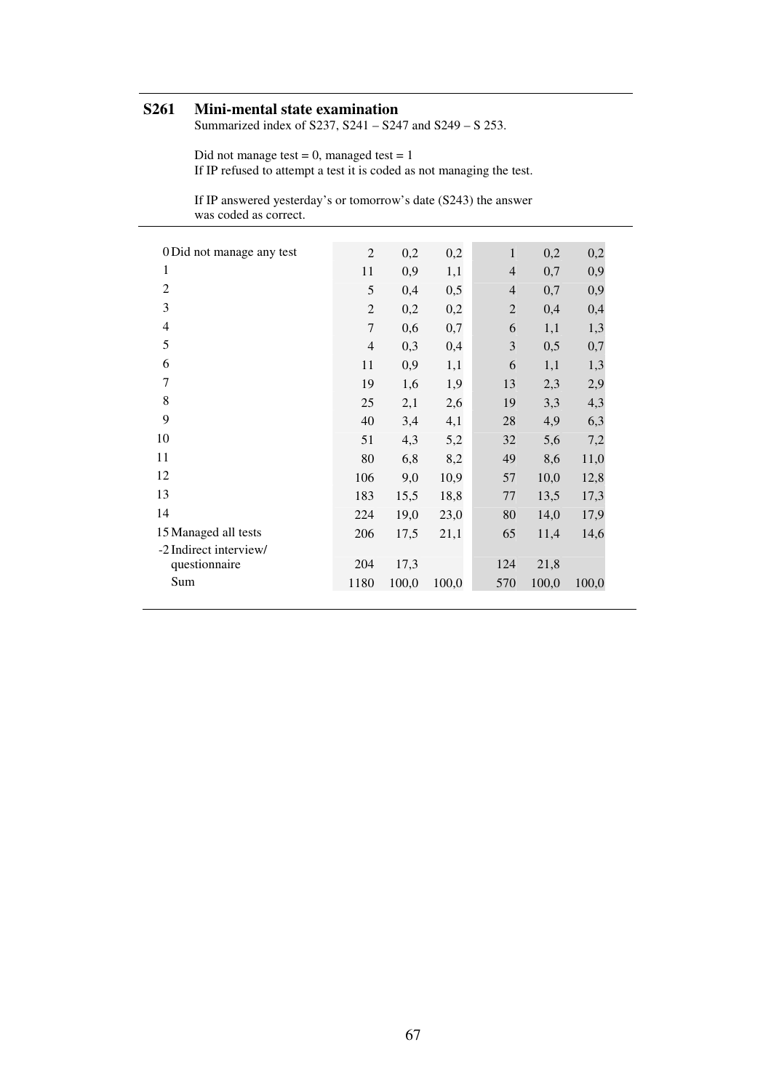# **S261 Mini-mental state examination**

Summarized index of S237, S241 – S247 and S249 – S 253.

Did not manage test  $= 0$ , managed test  $= 1$ If IP refused to attempt a test it is coded as not managing the test.

If IP answered yesterday's or tomorrow's date (S243) the answer was coded as correct.

| 0 Did not manage any test | $\overline{2}$ | 0,2   | 0,2   | $\mathbf{1}$   | 0,2   | 0,2   |
|---------------------------|----------------|-------|-------|----------------|-------|-------|
| 1                         | 11             | 0,9   | 1,1   | $\overline{4}$ | 0,7   | 0,9   |
| $\overline{2}$            | 5              | 0,4   | 0,5   | $\overline{4}$ | 0,7   | 0,9   |
| 3                         | $\overline{2}$ | 0,2   | 0,2   | $\overline{2}$ | 0,4   | 0,4   |
| $\overline{4}$            | 7              | 0,6   | 0,7   | 6              | 1,1   | 1,3   |
| 5                         | $\overline{4}$ | 0,3   | 0,4   | 3              | 0,5   | 0,7   |
| 6                         | 11             | 0,9   | 1,1   | 6              | 1,1   | 1,3   |
| $\overline{7}$            | 19             | 1,6   | 1,9   | 13             | 2,3   | 2,9   |
| 8                         | 25             | 2,1   | 2,6   | 19             | 3,3   | 4,3   |
| 9                         | 40             | 3,4   | 4,1   | 28             | 4,9   | 6,3   |
| 10                        | 51             | 4,3   | 5,2   | 32             | 5,6   | 7,2   |
| 11                        | 80             | 6,8   | 8,2   | 49             | 8,6   | 11,0  |
| 12                        | 106            | 9,0   | 10,9  | 57             | 10,0  | 12,8  |
| 13                        | 183            | 15,5  | 18,8  | 77             | 13,5  | 17,3  |
| 14                        | 224            | 19,0  | 23,0  | 80             | 14,0  | 17,9  |
| 15 Managed all tests      | 206            | 17,5  | 21,1  | 65             | 11,4  | 14,6  |
| -2 Indirect interview/    |                |       |       |                |       |       |
| questionnaire             | 204            | 17,3  |       | 124            | 21,8  |       |
| Sum                       | 1180           | 100,0 | 100,0 | 570            | 100,0 | 100,0 |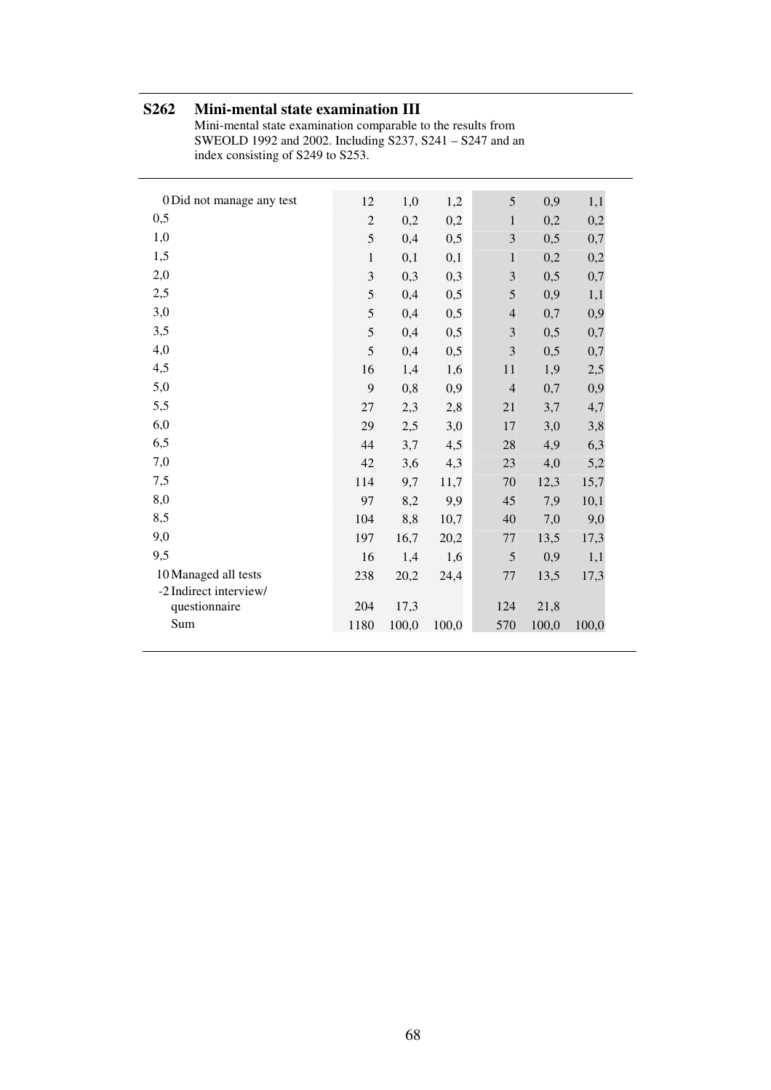# **S262 Mini-mental state examination III**

Mini-mental state examination comparable to the results from SWEOLD 1992 and 2002. Including S237, S241 – S247 and an index consisting of S249 to S253.

| 0 Did not manage any test | 12             | 1,0   | 1,2   | 5              | 0,9   | 1,1   |
|---------------------------|----------------|-------|-------|----------------|-------|-------|
| 0,5                       | $\mathfrak{2}$ | 0,2   | 0,2   | $\,1\,$        | 0,2   | 0,2   |
| 1,0                       | 5              | 0,4   | 0,5   | 3              | 0,5   | 0,7   |
| 1,5                       | $\,1\,$        | 0,1   | 0,1   | $\mathbf{1}$   | 0,2   | 0,2   |
| 2,0                       | 3              | 0,3   | 0,3   | $\mathfrak{Z}$ | 0,5   | 0,7   |
| 2,5                       | 5              | 0,4   | 0,5   | 5              | 0,9   | 1,1   |
| 3,0                       | 5              | 0,4   | 0,5   | $\overline{4}$ | 0,7   | 0,9   |
| 3,5                       | 5              | 0,4   | 0,5   | $\mathfrak{Z}$ | 0,5   | 0,7   |
| 4,0                       | 5              | 0,4   | 0,5   | 3              | 0,5   | 0,7   |
| 4,5                       | 16             | 1,4   | 1,6   | 11             | 1,9   | $2,5$ |
| 5,0                       | 9              | 0,8   | 0,9   | $\overline{4}$ | 0,7   | 0,9   |
| 5,5                       | 27             | 2,3   | 2,8   | 21             | 3,7   | 4,7   |
| 6,0                       | 29             | 2,5   | 3,0   | 17             | 3,0   | 3,8   |
| 6,5                       | 44             | 3,7   | 4,5   | 28             | 4,9   | 6,3   |
| 7,0                       | 42             | 3,6   | 4,3   | 23             | 4,0   | 5,2   |
| 7,5                       | 114            | 9,7   | 11,7  | 70             | 12,3  | 15,7  |
| 8,0                       | 97             | 8,2   | 9,9   | 45             | 7,9   | 10,1  |
| 8,5                       | 104            | 8,8   | 10,7  | 40             | 7,0   | 9,0   |
| 9,0                       | 197            | 16,7  | 20,2  | 77             | 13,5  | 17,3  |
| 9,5                       | 16             | 1,4   | 1,6   | 5              | 0,9   | 1,1   |
| 10 Managed all tests      | 238            | 20,2  | 24,4  | $77 \,$        | 13,5  | 17,3  |
| -2 Indirect interview/    |                |       |       |                |       |       |
| questionnaire             | 204            | 17,3  |       | 124            | 21,8  |       |
| Sum                       | 1180           | 100,0 | 100,0 | 570            | 100,0 | 100,0 |
|                           |                |       |       |                |       |       |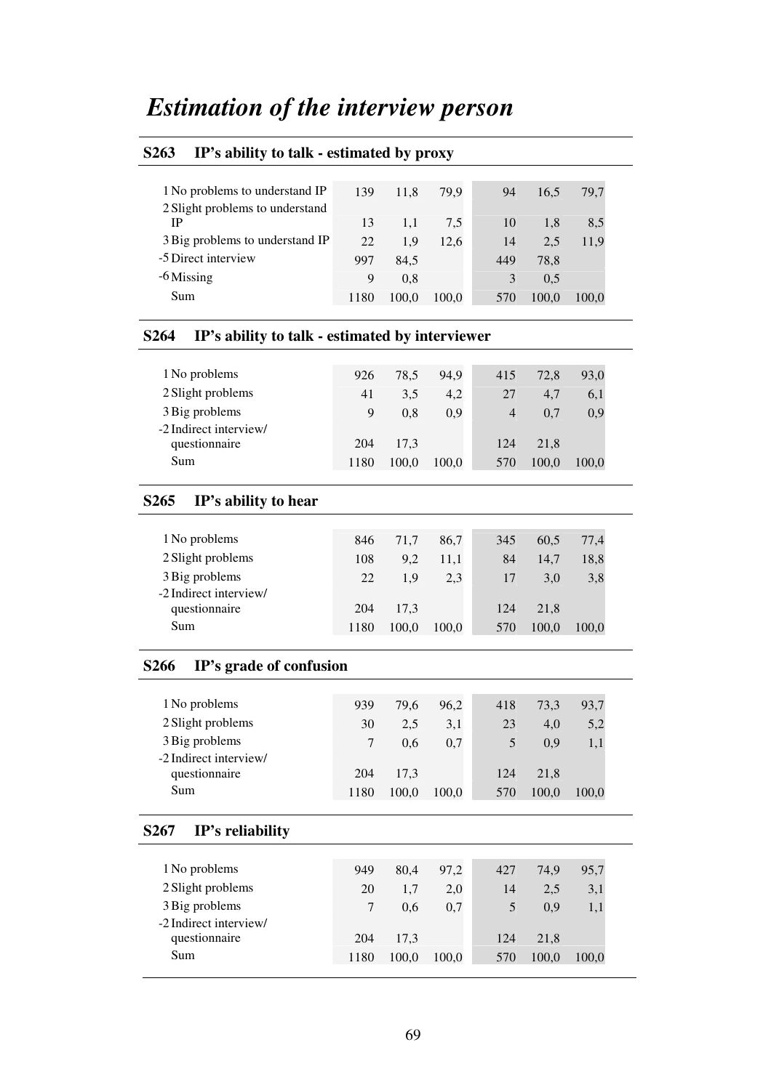# *Estimation of the interview person*

# **S263 IP's ability to talk - estimated by proxy** 1 No problems to understand IP 120 11.9  $\pi$  0.9 94 165 70.7

| I NO problems to understand IP  | 139. | 11.8  | 79.9  | 94  | 16.5  | 79.7  |  |
|---------------------------------|------|-------|-------|-----|-------|-------|--|
| 2 Slight problems to understand |      |       |       |     |       |       |  |
| IΡ                              | 13   | 1.1   | 7,5   | 10  | 1.8   | 8.5   |  |
| 3 Big problems to understand IP | 22   | 1.9   | 12.6  | 14  | 2.5   | 11,9  |  |
| -5 Direct interview             | 997  | 84,5  |       | 449 | 78,8  |       |  |
| -6 Missing                      | 9    | 0.8   |       | 3   | 0.5   |       |  |
| Sum                             | 1180 | 100,0 | 100.0 | 570 | 100.0 | 100.0 |  |
|                                 |      |       |       |     |       |       |  |

#### **S264 IP's ability to talk - estimated by interviewer**

| 1 No problems          | 926  | 78.5  | 94.9  | 415            | 72,8  | 93,0  |
|------------------------|------|-------|-------|----------------|-------|-------|
| 2 Slight problems      | 41   | 3.5   | 4,2   | 27             | 4.7   | 6,1   |
| 3 Big problems         | 9    | 0.8   | 0.9   | $\overline{4}$ | 0.7   | 0,9   |
| -2 Indirect interview/ |      |       |       |                |       |       |
| questionnaire          | 204  | 17.3  |       | 124            | 21.8  |       |
| Sum                    | 1180 | 100.0 | 100.0 | 570            | 100.0 | 100,0 |

#### **S265 IP's ability to hear**

| 1 No problems          | 846  | 71.7  | 86.7  | 345 | 60.5  | 77,4  |
|------------------------|------|-------|-------|-----|-------|-------|
| 2 Slight problems      | 108  | 9.2   | 11.1  | 84  | 14.7  | 18,8  |
| 3 Big problems         | 22   | 1.9   | 2.3   | 17  | 3.0   | 3,8   |
| -2 Indirect interview/ |      |       |       |     |       |       |
| questionnaire          | 204  | 17.3  |       | 124 | 21.8  |       |
| Sum                    | 1180 | 100.0 | 100.0 | 570 | 100.0 | 100.0 |

### **S266 IP's grade of confusion**

| 1 No problems          | 939  | 79.6  | 96.2  | 418 | 73,3  | 93,7  |
|------------------------|------|-------|-------|-----|-------|-------|
| 2 Slight problems      | 30   | 2.5   | 3,1   | 23  | 4.0   | 5,2   |
| 3 Big problems         |      | 0.6   | 0.7   |     | 0.9   | 1.1   |
| -2 Indirect interview/ |      |       |       |     |       |       |
| questionnaire          | 204  | 17.3  |       | 124 | 21.8  |       |
| Sum                    | 1180 | 100.0 | 100.0 | 570 | 100.0 | 100.0 |

#### **S267 IP's reliability**

| 1 No problems          | 949  | 80.4  | 97.2  | 427 | 74.9  | 95,7  |
|------------------------|------|-------|-------|-----|-------|-------|
| 2 Slight problems      | 20   | 1.7   | 2,0   | 14  | 2.5   | 3,1   |
| 3 Big problems         | 7    | 0.6   | 0.7   |     | 0.9   | 1,1   |
| -2 Indirect interview/ |      |       |       |     |       |       |
| questionnaire          | 204  | 17.3  |       | 124 | 21.8  |       |
| Sum                    | 1180 | 100.0 | 100,0 | 570 | 100.0 | 100.0 |
|                        |      |       |       |     |       |       |